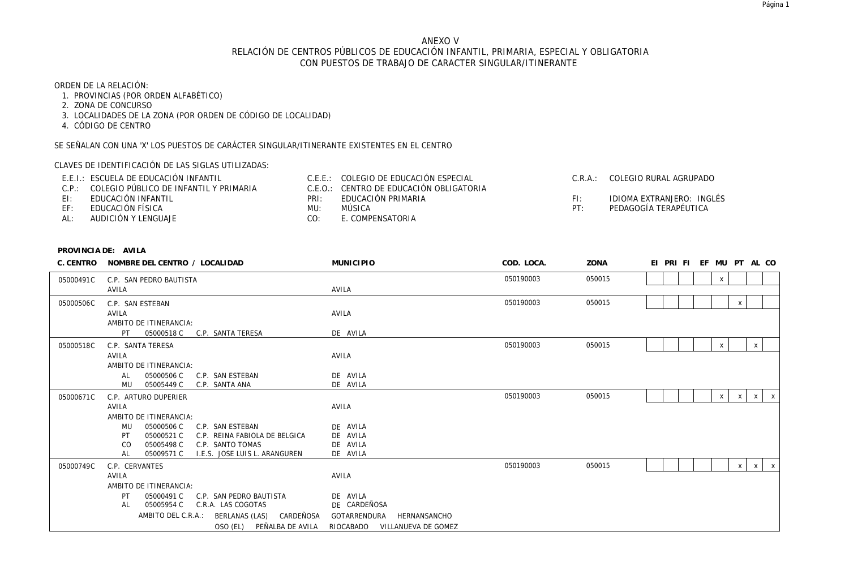# ANEXO V RELACIÓN DE CENTROS PÚBLICOS DE EDUCACIÓN INFANTIL, PRIMARIA, ESPECIAL Y OBLIGATORIA CON PUESTOS DE TRABAJO DE CARACTER SINGULAR/ITINERANTE

# ORDEN DE LA RELACIÓN:

- 1. PROVINCIAS (POR ORDEN ALFABÉTICO)
- 2. ZONA DE CONCURSO
- 3. LOCALIDADES DE LA ZONA (POR ORDEN DE CÓDIGO DE LOCALIDAD)
- 4. CÓDIGO DE CENTRO

SE SEÑALAN CON UNA 'X' LOS PUESTOS DE CARÁCTER SINGULAR/ITINERANTE EXISTENTES EN EL CENTRO

CLAVES DE IDENTIFICACIÓN DE LAS SIGLAS UTILIZADAS:

|     | E.E.I.: ESCUELA DE EDUCACIÓN INFANTIL        |      | C.E.E.: COLEGIO DE EDUCACIÓN ESPECIAL   | $C \cdot R \cdot A$ | COLEGIO RURAL AGRUPADO    |
|-----|----------------------------------------------|------|-----------------------------------------|---------------------|---------------------------|
|     | C.P.: COLEGIO PÚBLICO DE INFANTIL Y PRIMARIA |      | C.E.O.: CENTRO DE EDUCACIÓN OBLIGATORIA |                     |                           |
| FI. | EDUCACIÓN INFANTIL                           | PRI: | EDUCACIÓN PRIMARIA                      |                     | IDIOMA EXTRANJERO: INGLÉS |
| EF: | EDUCACIÓN FÍSICA                             | MU:  | MÚSICA                                  | DT.                 | PEDAGOGÍA TERAPÉUTICA     |
| AL: | AUDICIÓN Y LENGUAJE                          | CO:  | E. COMPENSATORIA                        |                     |                           |

| C. CENTRO | NOMBRE DEL CENTRO / LOCALIDAD                     | <b>MUNICIPIO</b>                 | COD. LOCA. | ZONA   | EI PRI FI EF MU PT AL CO                      |
|-----------|---------------------------------------------------|----------------------------------|------------|--------|-----------------------------------------------|
| 05000491C | C.P. SAN PEDRO BAUTISTA                           |                                  | 050190003  | 050015 | X                                             |
|           | AVILA                                             | AVILA                            |            |        |                                               |
| 05000506C | C.P. SAN ESTEBAN                                  |                                  | 050190003  | 050015 | X                                             |
|           | AVILA                                             | AVILA                            |            |        |                                               |
|           | AMBITO DE ITINERANCIA:                            |                                  |            |        |                                               |
|           | 05000518 C<br>C.P. SANTA TERESA<br>PT.            | DE AVILA                         |            |        |                                               |
| 05000518C | C.P. SANTA TERESA                                 |                                  | 050190003  | 050015 | $\boldsymbol{\mathsf{x}}$<br>$\times$         |
|           | AVILA                                             | AVILA                            |            |        |                                               |
|           | AMBITO DE ITINERANCIA:                            |                                  |            |        |                                               |
|           | 05000506 C<br>C.P. SAN ESTEBAN<br>AL              | DE AVILA                         |            |        |                                               |
|           | MU<br>05005449 C<br>C.P. SANTA ANA                | DE AVILA                         |            |        |                                               |
| 05000671C | C.P. ARTURO DUPERIER                              |                                  | 050190003  | 050015 | X<br>$\times$<br>$\mathsf{X}$<br>$\mathsf{X}$ |
|           | AVILA                                             | AVILA                            |            |        |                                               |
|           | AMBITO DE ITINERANCIA:                            |                                  |            |        |                                               |
|           | 05000506 C<br>C.P. SAN ESTEBAN<br>MU              | DE AVILA                         |            |        |                                               |
|           | 05000521 C<br>C.P. REINA FABIOLA DE BELGICA<br>PT | DE AVILA                         |            |        |                                               |
|           | 05005498 C<br>C.P. SANTO TOMAS<br>CO.             | DE AVILA                         |            |        |                                               |
|           | 05009571 C<br>I.E.S. JOSE LUIS L. ARANGUREN<br>AL | DE AVILA                         |            |        |                                               |
| 05000749C | C.P. CERVANTES                                    |                                  | 050190003  | 050015 | $\mathsf{X}$<br>$\mathsf{X}$<br>$\times$      |
|           | AVILA                                             | AVILA                            |            |        |                                               |
|           | AMBITO DE ITINERANCIA:                            |                                  |            |        |                                               |
|           | 05000491 C<br>C.P. SAN PEDRO BAUTISTA<br>PT.      | DE AVILA                         |            |        |                                               |
|           | AL<br>05005954 C<br>C.R.A. LAS COGOTAS            | DE CARDEÑOSA                     |            |        |                                               |
|           | CARDEÑOSA<br>AMBITO DEL C.R.A.:<br>BERLANAS (LAS) | GOTARRENDURA<br>HERNANSANCHO     |            |        |                                               |
|           | OSO (EL) PEÑALBA DE AVILA                         | RIOCABADO<br>VILLANUEVA DE GOMEZ |            |        |                                               |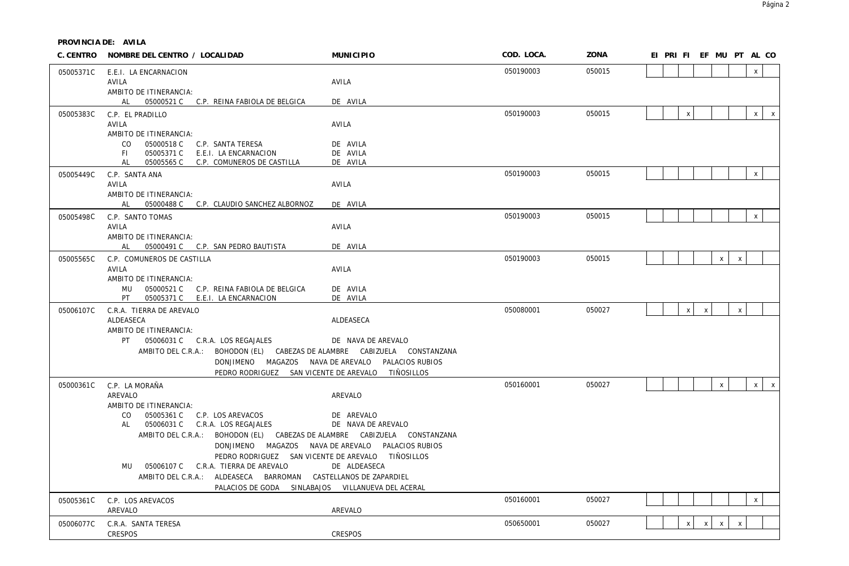| C. CENTRO | NOMBRE DEL CENTRO / LOCALIDAD                                                | <b>MUNICIPIO</b>                                  | COD. LOCA. | ZONA   |  |              |                           | EI PRI FI EF MU PT AL CO  |                |              |  |
|-----------|------------------------------------------------------------------------------|---------------------------------------------------|------------|--------|--|--------------|---------------------------|---------------------------|----------------|--------------|--|
| 05005371C | E.E.I. LA ENCARNACION                                                        |                                                   | 050190003  | 050015 |  |              |                           |                           |                | $\mathsf{X}$ |  |
|           | AVILA                                                                        | AVILA                                             |            |        |  |              |                           |                           |                |              |  |
|           | AMBITO DE ITINERANCIA:                                                       |                                                   |            |        |  |              |                           |                           |                |              |  |
|           | AL 05000521 C C.P. REINA FABIOLA DE BELGICA                                  | DE AVILA                                          |            |        |  |              |                           |                           |                |              |  |
| 05005383C | C.P. EL PRADILLO<br>AVILA                                                    | AVILA                                             | 050190003  | 050015 |  | $\pmb{\chi}$ |                           |                           |                | $x \mid x$   |  |
|           | AMBITO DE ITINERANCIA:                                                       |                                                   |            |        |  |              |                           |                           |                |              |  |
|           | CO<br>05000518 C<br>C.P. SANTA TERESA                                        | DE AVILA                                          |            |        |  |              |                           |                           |                |              |  |
|           | 05005371 C<br>E.E.I. LA ENCARNACION<br>FL.                                   | DE AVILA                                          |            |        |  |              |                           |                           |                |              |  |
|           | C.P. COMUNEROS DE CASTILLA<br>AL<br>05005565 C                               | DE AVILA                                          |            |        |  |              |                           |                           |                |              |  |
| 05005449C | C.P. SANTA ANA                                                               |                                                   | 050190003  | 050015 |  |              |                           |                           |                | $\mathsf{X}$ |  |
|           | AVILA<br>AMBITO DE ITINERANCIA:                                              | AVILA                                             |            |        |  |              |                           |                           |                |              |  |
|           | AL 05000488 C C.P. CLAUDIO SANCHEZ ALBORNOZ                                  | DE AVILA                                          |            |        |  |              |                           |                           |                |              |  |
| 05005498C | C.P. SANTO TOMAS                                                             |                                                   | 050190003  | 050015 |  |              |                           |                           |                | $\mathsf X$  |  |
|           | AVILA                                                                        | AVILA                                             |            |        |  |              |                           |                           |                |              |  |
|           | AMBITO DE ITINERANCIA:                                                       |                                                   |            |        |  |              |                           |                           |                |              |  |
|           | AL 05000491 C C.P. SAN PEDRO BAUTISTA                                        | DE AVILA                                          |            |        |  |              |                           |                           |                |              |  |
| 05005565C | C.P. COMUNEROS DE CASTILLA                                                   |                                                   | 050190003  | 050015 |  |              |                           | $\mathsf{X}$              | $\pmb{\chi}$   |              |  |
|           | AVILA<br>AMBITO DE ITINERANCIA:                                              | AVILA                                             |            |        |  |              |                           |                           |                |              |  |
|           | MU  05000521 C  C.P. REINA FABIOLA DE BELGICA                                | DE AVILA                                          |            |        |  |              |                           |                           |                |              |  |
|           | 05005371 C E.E.I. LA ENCARNACION<br>PT                                       | DE AVILA                                          |            |        |  |              |                           |                           |                |              |  |
| 05006107C | C.R.A. TIERRA DE AREVALO                                                     |                                                   | 050080001  | 050027 |  | $\mathsf{x}$ | $\boldsymbol{\mathsf{x}}$ |                           | $\pmb{\times}$ |              |  |
|           | ALDEASECA                                                                    | ALDEASECA                                         |            |        |  |              |                           |                           |                |              |  |
|           | AMBITO DE ITINERANCIA:<br>PT 05006031 C C.R.A. LOS REGAJALES                 | DE NAVA DE AREVALO                                |            |        |  |              |                           |                           |                |              |  |
|           | AMBITO DEL C.R.A.: BOHODON (EL) CABEZAS DE ALAMBRE CABIZUELA CONSTANZANA     |                                                   |            |        |  |              |                           |                           |                |              |  |
|           |                                                                              | DONJIMENO MAGAZOS NAVA DE AREVALO PALACIOS RUBIOS |            |        |  |              |                           |                           |                |              |  |
|           |                                                                              | PEDRO RODRIGUEZ SAN VICENTE DE AREVALO TIÑOSILLOS |            |        |  |              |                           |                           |                |              |  |
| 05000361C | C.P. LA MORAÑA                                                               |                                                   | 050160001  | 050027 |  |              |                           | $\mathsf{X}$              |                | $x \mid x$   |  |
|           | AREVALO                                                                      | AREVALO                                           |            |        |  |              |                           |                           |                |              |  |
|           | AMBITO DE ITINERANCIA:                                                       |                                                   |            |        |  |              |                           |                           |                |              |  |
|           | 05005361 C C.P. LOS AREVACOS<br>CO.<br>05006031 C C.R.A. LOS REGAJALES<br>AL | DE AREVALO<br>DE NAVA DE AREVALO                  |            |        |  |              |                           |                           |                |              |  |
|           | AMBITO DEL C.R.A.: BOHODON (EL) CABEZAS DE ALAMBRE CABIZUELA CONSTANZANA     |                                                   |            |        |  |              |                           |                           |                |              |  |
|           |                                                                              | DONJIMENO MAGAZOS NAVA DE AREVALO PALACIOS RUBIOS |            |        |  |              |                           |                           |                |              |  |
|           |                                                                              | PEDRO RODRIGUEZ SAN VICENTE DE AREVALO TIÑOSILLOS |            |        |  |              |                           |                           |                |              |  |
|           | MU 05006107 C C.R.A. TIERRA DE AREVALO                                       | DE ALDEASECA                                      |            |        |  |              |                           |                           |                |              |  |
|           | AMBITO DEL C.R.A.: ALDEASECA BARROMAN CASTELLANOS DE ZAPARDIEL               |                                                   |            |        |  |              |                           |                           |                |              |  |
|           | PALACIOS DE GODA SINLABAJOS VILLANUEVA DEL ACERAL                            |                                                   |            |        |  |              |                           |                           |                |              |  |
| 05005361C | C.P. LOS AREVACOS                                                            |                                                   | 050160001  | 050027 |  |              |                           |                           |                | $\mathsf{x}$ |  |
|           | AREVALO                                                                      | AREVALO                                           |            |        |  |              |                           |                           |                |              |  |
| 05006077C | C.R.A. SANTA TERESA                                                          |                                                   | 050650001  | 050027 |  | $\mathsf{x}$ | $\pmb{\chi}$              | $\boldsymbol{\mathsf{X}}$ | $\mathsf{x}$   |              |  |
|           | CRESPOS                                                                      | <b>CRESPOS</b>                                    |            |        |  |              |                           |                           |                |              |  |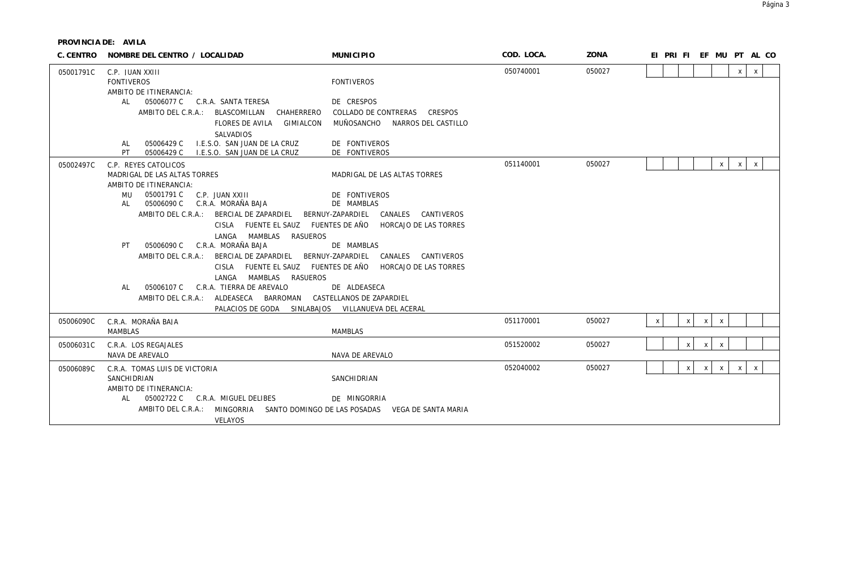| C. CENTRO | NOMBRE DEL CENTRO / LOCALIDAD                                                                                                                                                                                                                                                                                                                                                                                                                                                                                                                                               | <b>MUNICIPIO</b>                                                                                                                                                                                                                                                                                | COD. LOCA. | ZONA   | EI PRI FI EF MU PT AL CO                                                  |
|-----------|-----------------------------------------------------------------------------------------------------------------------------------------------------------------------------------------------------------------------------------------------------------------------------------------------------------------------------------------------------------------------------------------------------------------------------------------------------------------------------------------------------------------------------------------------------------------------------|-------------------------------------------------------------------------------------------------------------------------------------------------------------------------------------------------------------------------------------------------------------------------------------------------|------------|--------|---------------------------------------------------------------------------|
| 05001791C | C.P. JUAN XXIII<br><b>FONTIVEROS</b><br>AMBITO DE ITINERANCIA:<br>05006077 C C.R.A. SANTA TERESA<br>AL -<br>AMBITO DEL C.R.A.: BLASCOMILLAN<br>CHAHERRERO<br>FLORES DE AVILA GIMIALCON<br>SALVADIOS<br>I.E.S.O. SAN JUAN DE LA CRUZ<br>05006429 C<br>AL<br>PT<br>05006429 C<br>I.E.S.O. SAN JUAN DE LA CRUZ                                                                                                                                                                                                                                                                 | <b>FONTIVEROS</b><br>DE CRESPOS<br>COLLADO DE CONTRERAS<br>CRESPOS<br>MUÑOSANCHO NARROS DEL CASTILLO<br>DE FONTIVEROS<br>DE FONTIVEROS                                                                                                                                                          | 050740001  | 050027 | $\pmb{\chi}$<br>X                                                         |
| 05002497C | C.P. REYES CATOLICOS<br>MADRIGAL DE LAS ALTAS TORRES<br>AMBITO DE ITINERANCIA:<br>05001791 C<br>C.P. JUAN XXIII<br>MU<br>05006090 C<br>C.R.A. MORAÑA BAJA<br>AL<br>AMBITO DEL C.R.A.: BERCIAL DE ZAPARDIEL<br>CISLA FUENTE EL SAUZ FUENTES DE AÑO<br>LANGA MAMBLAS<br><b>RASUEROS</b><br>C.R.A. MORAÑA BAJA<br>05006090 C<br>PT<br>AMBITO DEL C.R.A.:<br>BERCIAL DE ZAPARDIEL<br><b>CISLA</b><br>FUENTE EL SAUZ FUENTES DE AÑO<br>LANGA<br>MAMBLAS RASUEROS<br>C.R.A. TIERRA DE AREVALO<br>05006107 C<br>AL<br>AMBITO DEL C.R.A.: ALDEASECA<br>BARROMAN<br>PALACIOS DE GODA | MADRIGAL DE LAS ALTAS TORRES<br>DE FONTIVEROS<br>DE MAMBLAS<br>CANALES CANTIVEROS<br>BERNUY-ZAPARDIEL<br>HORCAJO DE LAS TORRES<br>DE MAMBLAS<br>BERNUY-ZAPARDIEL<br>CANALES CANTIVEROS<br>HORCAJO DE LAS TORRES<br>DE ALDEASECA<br>CASTELLANOS DE ZAPARDIEL<br>SINLABAJOS VILLANUEVA DEL ACERAL | 051140001  | 050027 | $\mathsf X$<br>$\pmb{\chi}$<br>X                                          |
| 05006090C | C.R.A. MORAÑA BAJA<br><b>MAMBLAS</b>                                                                                                                                                                                                                                                                                                                                                                                                                                                                                                                                        | <b>MAMBLAS</b>                                                                                                                                                                                                                                                                                  | 051170001  | 050027 | $\mathsf{X}$<br>$\pmb{\chi}$<br>$\boldsymbol{\mathsf{X}}$<br>$\mathsf{X}$ |
| 05006031C | C.R.A. LOS REGAJALES<br>NAVA DE AREVALO                                                                                                                                                                                                                                                                                                                                                                                                                                                                                                                                     | NAVA DE AREVALO                                                                                                                                                                                                                                                                                 | 051520002  | 050027 | X<br>$\mathsf{X}$<br>$\mathsf{X}$                                         |
| 05006089C | C.R.A. TOMAS LUIS DE VICTORIA<br>SANCHIDRIAN<br>AMBITO DE ITINERANCIA:<br>05002722 C C.R.A. MIGUEL DELIBES<br>AL<br>AMBITO DEL C.R.A.: MINGORRIA<br>VELAYOS                                                                                                                                                                                                                                                                                                                                                                                                                 | SANCHIDRIAN<br>DE MINGORRIA<br>SANTO DOMINGO DE LAS POSADAS VEGA DE SANTA MARIA                                                                                                                                                                                                                 | 052040002  | 050027 | $\mathsf{x}$<br>X<br>$\mathsf{x}$<br>$\mathsf{x}$<br>X                    |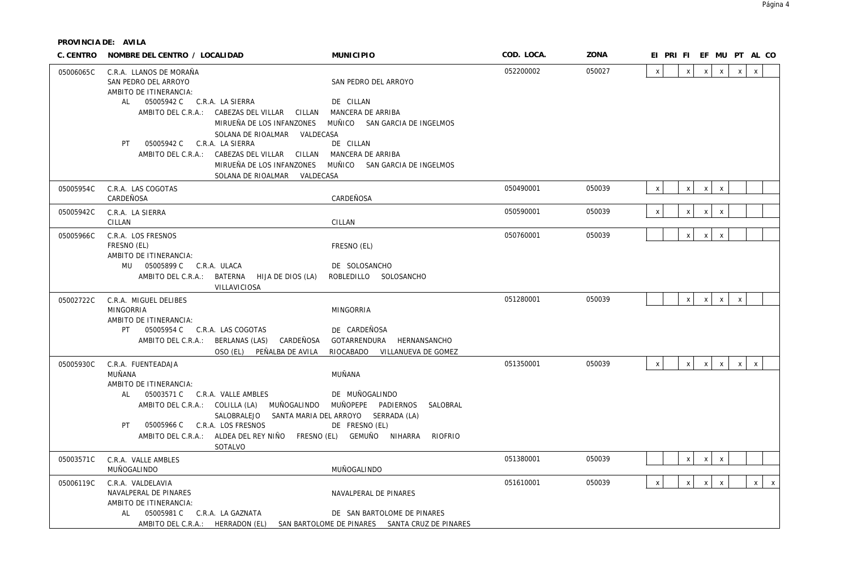| C. CENTRO | NOMBRE DEL CENTRO / LOCALIDAD                                                                                                   |                                                                                                                                                                                                  | <b>MUNICIPIO</b>                                                                                                                        | COD. LOCA. | ZONA   | EI PRI FI EF MU PT AL CO                                                                     |
|-----------|---------------------------------------------------------------------------------------------------------------------------------|--------------------------------------------------------------------------------------------------------------------------------------------------------------------------------------------------|-----------------------------------------------------------------------------------------------------------------------------------------|------------|--------|----------------------------------------------------------------------------------------------|
| 05006065C | C.R.A. LLANOS DE MORAÑA<br>SAN PEDRO DEL ARROYO<br>AMBITO DE ITINERANCIA:<br>AL 05005942 C C.R.A. LA SIERRA                     | AMBITO DEL C.R.A.: CABEZAS DEL VILLAR CILLAN MANCERA DE ARRIBA<br>MIRUEÑA DE LOS INFANZONES                                                                                                      | SAN PEDRO DEL ARROYO<br>DE CILLAN<br>MUÑICO SAN GARCIA DE INGELMOS                                                                      | 052200002  | 050027 | $\mathsf{x}$<br>$\mathsf{X}$<br>$\mathsf{X}$<br>$\mathsf{X}$<br>$\mathsf{x}$<br>$\mathsf{x}$ |
|           | PT 05005942 C C.R.A. LA SIERRA                                                                                                  | SOLANA DE RIOALMAR VALDECASA<br>AMBITO DEL C.R.A.: CABEZAS DEL VILLAR CILLAN MANCERA DE ARRIBA<br>SOLANA DE RIOALMAR VALDECASA                                                                   | DE CILLAN<br>MIRUEÑA DE LOS INFANZONES MUÑICO SAN GARCIA DE INGELMOS                                                                    |            |        |                                                                                              |
| 05005954C | C.R.A. LAS COGOTAS<br>CARDEÑOSA                                                                                                 |                                                                                                                                                                                                  | CARDEÑOSA                                                                                                                               | 050490001  | 050039 | $\mathsf{X}$<br>$\mathsf{x}$<br>$\mathsf{x}$<br>$\mathsf{X}$                                 |
| 05005942C | C.R.A. LA SIERRA<br>CILLAN                                                                                                      |                                                                                                                                                                                                  | CILLAN                                                                                                                                  | 050590001  | 050039 | $\pmb{\chi}$<br>$\mathsf{x}$<br>$\mathsf{x}$<br>$\boldsymbol{\mathsf{x}}$                    |
| 05005966C | C.R.A. LOS FRESNOS<br>FRESNO (EL)<br>AMBITO DE ITINERANCIA:<br>MU  05005899 C  C.R.A. ULACA                                     | AMBITO DEL C.R.A.: BATERNA HIJA DE DIOS (LA)<br>VILLAVICIOSA                                                                                                                                     | FRESNO (EL)<br>DE SOLOSANCHO<br>ROBLEDILLO SOLOSANCHO                                                                                   | 050760001  | 050039 | $\mathsf{x}$<br>$\mathsf{X}$<br>$\mathsf X$                                                  |
| 05002722C | C.R.A. MIGUEL DELIBES<br><b>MINGORRIA</b><br>AMBITO DE ITINERANCIA:<br>PT 05005954 C C.R.A. LAS COGOTAS                         | AMBITO DEL C.R.A.: BERLANAS (LAS) CARDEÑOSA GOTARRENDURA<br>OSO (EL) PEÑALBA DE AVILA                                                                                                            | <b>MINGORRIA</b><br>DE CARDEÑOSA<br>HERNANSANCHO<br>RIOCABADO VILLANUEVA DE GOMEZ                                                       | 051280001  | 050039 | $\mathsf{x}$<br>$\mathsf{X}$<br>$\mathsf{X}$<br>$\mathsf{x}$                                 |
| 05005930C | C.R.A. FUENTEADAJA<br>MUÑANA<br>AMBITO DE ITINERANCIA:<br>AL 05003571 C C.R.A. VALLE AMBLES<br>PT 05005966 C C.R.A. LOS FRESNOS | AMBITO DEL C.R.A.: COLILLA (LA) MUÑOGALINDO MUÑOPEPE PADIERNOS<br>SALOBRALEJO SANTA MARIA DEL ARROYO SERRADA (LA)<br>AMBITO DEL C.R.A.: ALDEA DEL REY NIÑO FRESNO (EL) GEMUÑO NIHARRA<br>SOTALVO | MUÑANA<br>DE MUÑOGALINDO<br>SALOBRAL<br>DE FRESNO (EL)<br>RIOFRIO                                                                       | 051350001  | 050039 | $\mathsf{X}$<br>$\mathsf{x}$<br>$\mathsf{x}$<br>$\mathsf{X}$<br>$\mathsf{X}$<br>$\mathsf{X}$ |
| 05003571C | C.R.A. VALLE AMBLES<br>MUÑOGALINDO                                                                                              |                                                                                                                                                                                                  | MUÑOGALINDO                                                                                                                             | 051380001  | 050039 | $\mathsf{X}$<br>$\boldsymbol{\mathsf{x}}$<br>$\boldsymbol{\mathsf{X}}$                       |
| 05006119C | C.R.A. VALDELAVIA<br>NAVALPERAL DE PINARES<br>AMBITO DE ITINERANCIA:<br>05005981 C C.R.A. LA GAZNATA<br>AL                      |                                                                                                                                                                                                  | NAVALPERAL DE PINARES<br>DE SAN BARTOLOME DE PINARES<br>AMBITO DEL C.R.A.: HERRADON (EL) SAN BARTOLOME DE PINARES SANTA CRUZ DE PINARES | 051610001  | 050039 | $\pmb{\chi}$<br>$\mathsf X$<br>$\mathsf{X}$<br>$\,$ X<br>$\mathsf{X}$<br>$\mathbf{x}$        |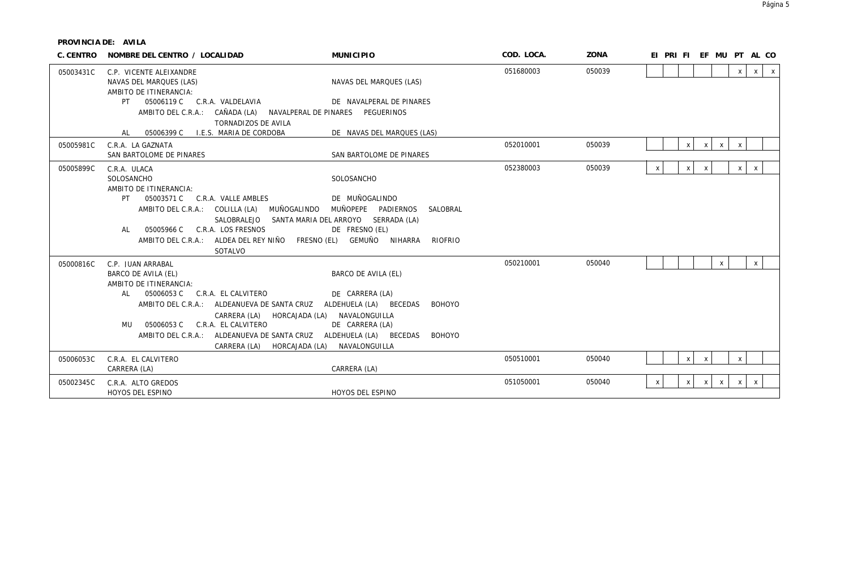| C. CENTRO | NOMBRE DEL CENTRO / LOCALIDAD                                                                                                                                                                                                                                                                                                                                                                               | <b>MUNICIPIO</b>                                                                                                                          | COD. LOCA. | ZONA   | EI PRI FI EF MU PT AL CO                                             |
|-----------|-------------------------------------------------------------------------------------------------------------------------------------------------------------------------------------------------------------------------------------------------------------------------------------------------------------------------------------------------------------------------------------------------------------|-------------------------------------------------------------------------------------------------------------------------------------------|------------|--------|----------------------------------------------------------------------|
| 05003431C | C.P. VICENTE ALEIXANDRE<br>NAVAS DEL MARQUES (LAS)<br>AMBITO DE ITINERANCIA:                                                                                                                                                                                                                                                                                                                                | NAVAS DEL MARQUES (LAS)                                                                                                                   | 051680003  | 050039 | $\mathsf{X}$<br>$\mathsf{x}$<br>$\mathsf{X}$                         |
|           | 05006119 C C.R.A. VALDELAVIA<br>PT                                                                                                                                                                                                                                                                                                                                                                          | DE NAVALPERAL DE PINARES                                                                                                                  |            |        |                                                                      |
|           | AMBITO DEL C.R.A.: CAÑADA (LA) NAVALPERAL DE PINARES PEGUERINOS<br>TORNADIZOS DE AVILA                                                                                                                                                                                                                                                                                                                      |                                                                                                                                           |            |        |                                                                      |
|           | 05006399 C I.E.S. MARIA DE CORDOBA<br>AL                                                                                                                                                                                                                                                                                                                                                                    | DE NAVAS DEL MARQUES (LAS)                                                                                                                |            |        |                                                                      |
| 05005981C | C.R.A. LA GAZNATA<br>SAN BARTOLOME DE PINARES                                                                                                                                                                                                                                                                                                                                                               | SAN BARTOLOME DE PINARES                                                                                                                  | 052010001  | 050039 | $\mathsf{X}$<br>$\mathsf{X}$<br>$\mathsf{x}$<br>$\mathsf{x}$         |
| 05005899C | C.R.A. ULACA<br>SOLOSANCHO<br>AMBITO DE ITINERANCIA:<br>05003571 C C.R.A. VALLE AMBLES<br><b>PT</b><br>MUÑOGALINDO<br>AMBITO DEL C.R.A.: COLILLA (LA)<br>SALOBRALEJO<br>C.R.A. LOS FRESNOS<br>05005966 C<br>AL<br>AMBITO DEL C.R.A.: ALDEA DEL REY NIÑO FRESNO (EL) GEMUÑO NIHARRA                                                                                                                          | SOLOSANCHO<br>DE MUÑOGALINDO<br>MUÑOPEPE PADIERNOS<br>SALOBRAL<br>SANTA MARIA DEL ARROYO SERRADA (LA)<br>DE FRESNO (EL)<br><b>RIOFRIO</b> | 052380003  | 050039 | $\mathsf{X}$<br>$\mathsf{x}$<br>$\times$<br>$\times$<br>$\mathsf{x}$ |
| 05000816C | SOTALVO<br>C.P. JUAN ARRABAL<br>BARCO DE AVILA (EL)<br>AMBITO DE ITINERANCIA:<br>05006053 C<br>AL -<br>C.R.A. EL CALVITERO<br>AMBITO DEL C.R.A.: ALDEANUEVA DE SANTA CRUZ ALDEHUELA (LA) BECEDAS<br>CARRERA (LA) HORCAJADA (LA) NAVALONGUILLA<br>C.R.A. EL CALVITERO<br>05006053 C<br>MU<br>AMBITO DEL C.R.A.: ALDEANUEVA DE SANTA CRUZ ALDEHUELA (LA) BECEDAS<br>CARRERA (LA) HORCAJADA (LA) NAVALONGUILLA | BARCO DE AVILA (EL)<br>DE CARRERA (LA)<br><b>BOHOYO</b><br>DE CARRERA (LA)<br><b>BOHOYO</b>                                               | 050210001  | 050040 | $\mathsf{x}$<br>$\mathsf{x}$                                         |
| 05006053C | C.R.A. EL CALVITERO<br>CARRERA (LA)                                                                                                                                                                                                                                                                                                                                                                         | CARRERA (LA)                                                                                                                              | 050510001  | 050040 | $\mathsf{x}$<br>$\mathsf{x}$<br>$\mathsf{x}$                         |
| 05002345C | C.R.A. ALTO GREDOS<br>HOYOS DEL ESPINO                                                                                                                                                                                                                                                                                                                                                                      | HOYOS DEL ESPINO                                                                                                                          | 051050001  | 050040 | $\mathsf{X}$<br>X<br>$\mathsf{X}$<br>- x - l<br>X<br>$\mathsf{x}$    |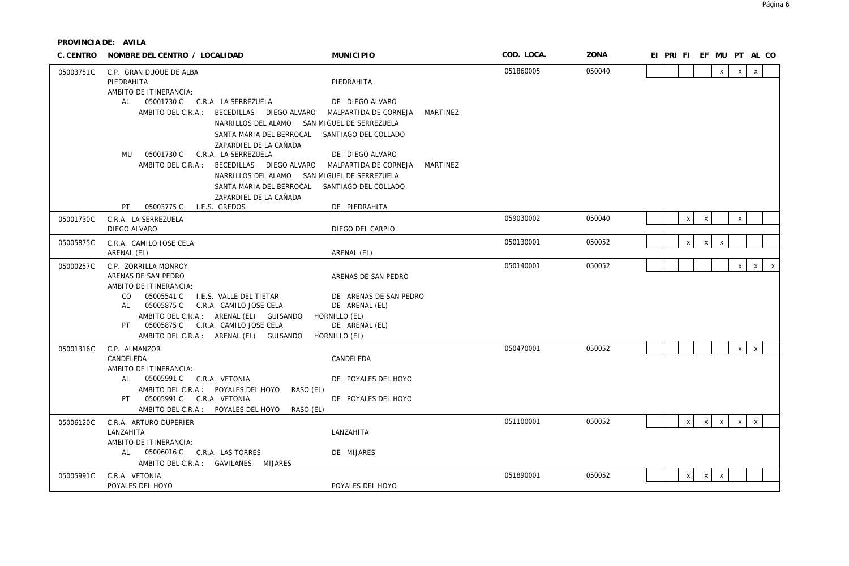| C. CENTRO | NOMBRE DEL CENTRO / LOCALIDAD                                                           | <b>MUNICIPIO</b>                         | COD. LOCA. | ZONA   | EI PRI FI EF MU PT AL CO |                           |              |              |              |              |              |
|-----------|-----------------------------------------------------------------------------------------|------------------------------------------|------------|--------|--------------------------|---------------------------|--------------|--------------|--------------|--------------|--------------|
| 05003751C | C.P. GRAN DUQUE DE ALBA<br>PIFDRAHITA<br>AMBITO DE ITINERANCIA:                         | PIEDRAHITA                               | 051860005  | 050040 |                          |                           |              | $\mathsf{x}$ | $\mathsf{X}$ | $\mathsf{X}$ |              |
|           | AL 05001730 C C.R.A. LA SERREZUELA                                                      | DE DIEGO ALVARO                          |            |        |                          |                           |              |              |              |              |              |
|           | AMBITO DEL C.R.A.: BECEDILLAS DIEGO ALVARO                                              | MALPARTIDA DE CORNEJA MARTINEZ           |            |        |                          |                           |              |              |              |              |              |
|           | NARRILLOS DEL ALAMO SAN MIGUEL DE SERREZUELA                                            |                                          |            |        |                          |                           |              |              |              |              |              |
|           | SANTA MARIA DEL BERROCAL                                                                | SANTIAGO DEL COLLADO                     |            |        |                          |                           |              |              |              |              |              |
|           | ZAPARDIEL DE LA CAÑADA<br>MU 05001730 C<br>C.R.A. LA SERREZUELA                         | DE DIEGO ALVARO                          |            |        |                          |                           |              |              |              |              |              |
|           | AMBITO DEL C.R.A.: BECEDILLAS DIEGO ALVARO                                              | MALPARTIDA DE CORNEJA<br>MARTINEZ        |            |        |                          |                           |              |              |              |              |              |
|           | NARRILLOS DEL ALAMO SAN MIGUEL DE SERREZUELA                                            |                                          |            |        |                          |                           |              |              |              |              |              |
|           | SANTA MARIA DEL BERROCAL                                                                | SANTIAGO DEL COLLADO                     |            |        |                          |                           |              |              |              |              |              |
|           | ZAPARDIEL DE LA CAÑADA                                                                  |                                          |            |        |                          |                           |              |              |              |              |              |
|           | PT.<br>05003775 C<br>I.E.S. GREDOS                                                      | DE PIEDRAHITA                            |            |        |                          |                           |              |              |              |              |              |
| 05001730C | C.R.A. LA SERREZUELA                                                                    |                                          | 059030002  | 050040 |                          | $\mathsf{x}$              | $\mathsf{X}$ |              | $\mathsf X$  |              |              |
|           | DIEGO ALVARO                                                                            | DIEGO DEL CARPIO                         |            |        |                          |                           |              |              |              |              |              |
| 05005875C | C.R.A. CAMILO JOSE CELA                                                                 |                                          | 050130001  | 050052 |                          | $\mathsf{x}$              | $\mathsf X$  | $\mathsf{X}$ |              |              |              |
|           | ARENAL (EL)                                                                             | ARENAL (EL)                              |            |        |                          |                           |              |              |              |              |              |
| 05000257C | C.P. ZORRILLA MONROY                                                                    |                                          | 050140001  | 050052 |                          |                           |              |              | $\times$     | $\mathsf{X}$ | $\mathsf{X}$ |
|           | ARENAS DE SAN PEDRO<br>AMBITO DE ITINERANCIA:                                           | ARENAS DE SAN PEDRO                      |            |        |                          |                           |              |              |              |              |              |
|           | CO<br>05005541 C<br>I.E.S. VALLE DEL TIETAR<br>05005875 C C.R.A. CAMILO JOSE CELA<br>AL | DE ARENAS DE SAN PEDRO<br>DE ARENAL (EL) |            |        |                          |                           |              |              |              |              |              |
|           | AMBITO DEL C.R.A.: ARENAL (EL) GUISANDO                                                 | HORNILLO (EL)                            |            |        |                          |                           |              |              |              |              |              |
|           | PT 05005875 C C.R.A. CAMILO JOSE CELA                                                   | DE ARENAL (EL)                           |            |        |                          |                           |              |              |              |              |              |
|           | AMBITO DEL C.R.A.: ARENAL (EL) GUISANDO                                                 | HORNILLO (EL)                            |            |        |                          |                           |              |              |              |              |              |
| 05001316C | C.P. ALMANZOR                                                                           |                                          | 050470001  | 050052 |                          |                           |              |              | x            | $\mathsf{x}$ |              |
|           | CANDELEDA<br>AMBITO DE ITINERANCIA:                                                     | CANDELEDA                                |            |        |                          |                           |              |              |              |              |              |
|           | AL 05005991 C C.R.A. VETONIA                                                            | DE POYALES DEL HOYO                      |            |        |                          |                           |              |              |              |              |              |
|           | AMBITO DEL C.R.A.: POYALES DEL HOYO<br>RASO (EL)                                        |                                          |            |        |                          |                           |              |              |              |              |              |
|           | 05005991 C C.R.A. VETONIA<br>PT                                                         | DE POYALES DEL HOYO                      |            |        |                          |                           |              |              |              |              |              |
|           | AMBITO DEL C.R.A.: POYALES DEL HOYO<br>RASO (EL)                                        |                                          |            |        |                          |                           |              |              |              |              |              |
| 05006120C | C.R.A. ARTURO DUPERIER                                                                  |                                          | 051100001  | 050052 |                          | $\mathsf{x}$              | $\mathsf{X}$ | $\mathsf{X}$ | $\times$     | $\mathsf{X}$ |              |
|           | LANZAHITA                                                                               | LANZAHITA                                |            |        |                          |                           |              |              |              |              |              |
|           | AMBITO DE ITINERANCIA:<br>AL 05006016 C C.R.A. LAS TORRES                               | DE MIJARES                               |            |        |                          |                           |              |              |              |              |              |
|           | AMBITO DEL C.R.A.: GAVILANES MIJARES                                                    |                                          |            |        |                          |                           |              |              |              |              |              |
| 05005991C | C.R.A. VETONIA                                                                          |                                          | 051890001  | 050052 |                          | $\boldsymbol{\mathsf{x}}$ | $\mathsf{X}$ | $\mathsf{X}$ |              |              |              |
|           | POYALES DEL HOYO                                                                        | POYALES DEL HOYO                         |            |        |                          |                           |              |              |              |              |              |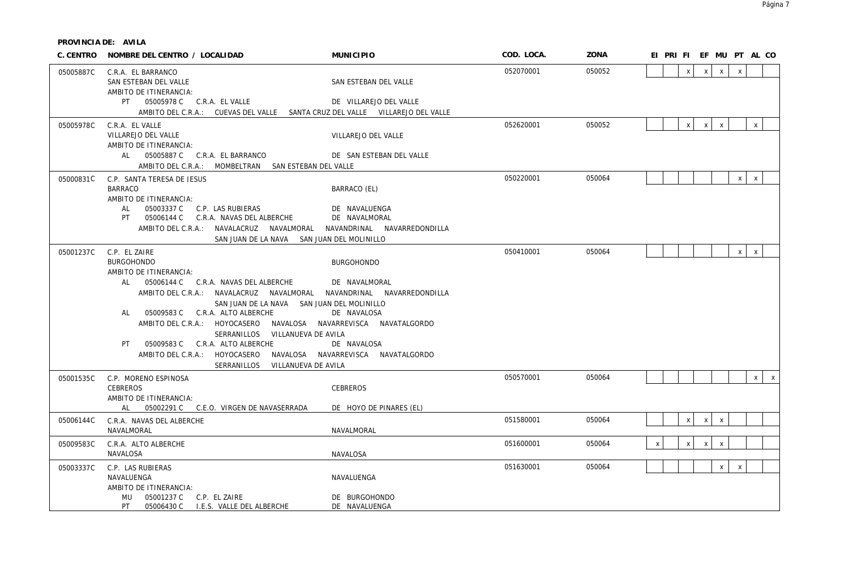|           | C. CENTRO NOMBRE DEL CENTRO / LOCALIDAD                                                                                                                                                                                                                                                                                                                                                                                                                                                      | <b>MUNICIPIO</b>                                                                                       | COD. LOCA. | ZONA   | EI PRI FI EF MU PT AL CO                                     |
|-----------|----------------------------------------------------------------------------------------------------------------------------------------------------------------------------------------------------------------------------------------------------------------------------------------------------------------------------------------------------------------------------------------------------------------------------------------------------------------------------------------------|--------------------------------------------------------------------------------------------------------|------------|--------|--------------------------------------------------------------|
| 05005887C | C.R.A. EL BARRANCO<br>SAN ESTEBAN DEL VALLE<br>AMBITO DE ITINERANCIA:                                                                                                                                                                                                                                                                                                                                                                                                                        | SAN ESTEBAN DEL VALLE                                                                                  | 052070001  | 050052 | $\mathsf{X}$<br>$\mathsf{X}$<br>$\mathsf{X}$<br>$\mathsf{x}$ |
|           | AMBITO DEL C.R.A.: CUEVAS DEL VALLE SANTA CRUZ DEL VALLE VILLAREJO DEL VALLE                                                                                                                                                                                                                                                                                                                                                                                                                 | DE VILLAREJO DEL VALLE                                                                                 |            |        |                                                              |
| 05005978C | C.R.A. EL VALLE<br>VILLAREJO DEL VALLE<br>AMBITO DE ITINERANCIA:                                                                                                                                                                                                                                                                                                                                                                                                                             | VILLAREJO DEL VALLE                                                                                    | 052620001  | 050052 | $\mathsf{x}$<br>$\mathsf{X}$<br>X<br>X                       |
|           | AL 05005887 C C.R.A. EL BARRANCO<br>AMBITO DEL C.R.A.: MOMBELTRAN SAN ESTEBAN DEL VALLE                                                                                                                                                                                                                                                                                                                                                                                                      | DE SAN ESTEBAN DEL VALLE                                                                               |            |        |                                                              |
| 05000831C | C.P. SANTA TERESA DE JESUS<br><b>BARRACO</b><br>AMBITO DE ITINERANCIA:<br>AL 05003337 C C.P. LAS RUBIERAS                                                                                                                                                                                                                                                                                                                                                                                    | BARRACO (EL)<br>DE NAVALUENGA                                                                          | 050220001  | 050064 | $\mathsf{X}$<br>$\mathsf{x}$                                 |
|           | PT  05006144 C  C.R.A. NAVAS DEL ALBERCHE<br>AMBITO DEL C.R.A.: NAVALACRUZ NAVALMORAL NAVANDRINAL NAVARREDONDILLA<br>SAN JUAN DE LA NAVA SAN JUAN DEL MOLINILLO                                                                                                                                                                                                                                                                                                                              | DE NAVALMORAL                                                                                          |            |        |                                                              |
| 05001237C | C.P. EL ZAIRE<br><b>BURGOHONDO</b><br>AMBITO DE ITINERANCIA:<br>AL 05006144 C C.R.A. NAVAS DEL ALBERCHE<br>AMBITO DEL C.R.A.: NAVALACRUZ NAVALMORAL NAVANDRINAL NAVARREDONDILLA<br>SAN JUAN DE LA NAVA SAN JUAN DEL MOLINILLO<br>AL 05009583 C C.R.A. ALTO ALBERCHE<br>AMBITO DEL C.R.A.: HOYOCASERO NAVALOSA NAVARREVISCA NAVATALGORDO<br>SERRANILLOS VILLANUEVA DE AVILA<br>05009583 C C.R.A. ALTO ALBERCHE<br>PT .<br>AMBITO DEL C.R.A.: HOYOCASERO<br>SERRANILLOS<br>VILLANUEVA DE AVILA | <b>BURGOHONDO</b><br>DE NAVALMORAL<br>DE NAVALOSA<br>DE NAVALOSA<br>NAVALOSA NAVARREVISCA NAVATALGORDO | 050410001  | 050064 | $\times$<br>$\mathsf{X}$                                     |
| 05001535C | C.P. MORENO ESPINOSA<br>CEBREROS                                                                                                                                                                                                                                                                                                                                                                                                                                                             | CEBREROS                                                                                               | 050570001  | 050064 | $\mathsf{X}$<br>$\mathsf{X}$                                 |
|           | AMBITO DE ITINERANCIA:<br>AL 05002291 C C.E.O. VIRGEN DE NAVASERRADA                                                                                                                                                                                                                                                                                                                                                                                                                         | DE HOYO DE PINARES (EL)                                                                                |            |        |                                                              |
| 05006144C | C.R.A. NAVAS DEL ALBERCHE<br>NAVALMORAL                                                                                                                                                                                                                                                                                                                                                                                                                                                      | NAVALMORAL                                                                                             | 051580001  | 050064 | $\mathsf{x}$<br>$\mathsf{x}$<br>$\mathsf{X}$                 |
| 05009583C | C.R.A. ALTO ALBERCHE<br>NAVALOSA                                                                                                                                                                                                                                                                                                                                                                                                                                                             | NAVALOSA                                                                                               | 051600001  | 050064 | $\mathsf X$<br>$\mathsf X$<br>$\pmb{\times}$<br>X            |
| 05003337C | C.P. LAS RUBIERAS<br>NAVALUENGA<br>AMBITO DE ITINERANCIA:<br>MU  05001237 C  C.P. EL ZAIRE<br>PT<br>05006430 C I.E.S. VALLE DEL ALBERCHE                                                                                                                                                                                                                                                                                                                                                     | NAVALUENGA<br>DE BURGOHONDO<br>DE NAVALUENGA                                                           | 051630001  | 050064 | X<br>$\mathsf{X}$                                            |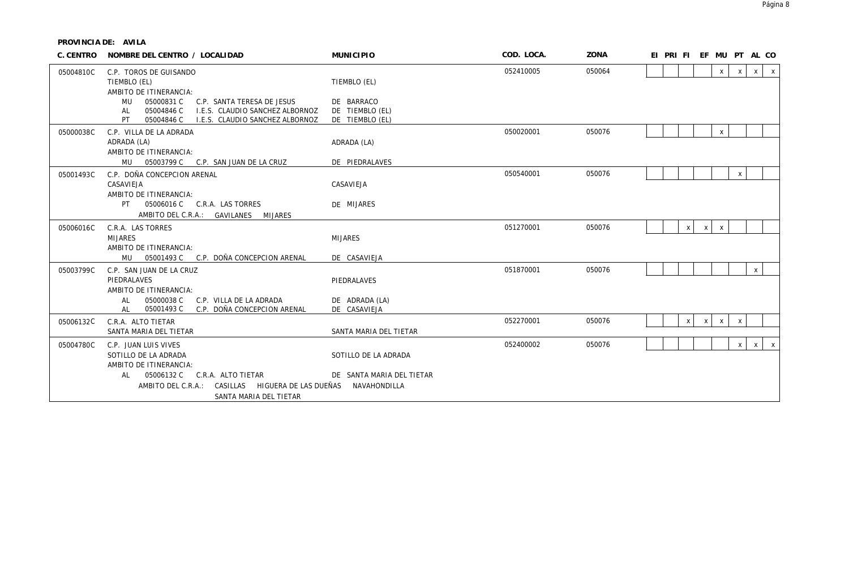| C. CENTRO | NOMBRE DEL CENTRO / LOCALIDAD                                                                  | <b>MUNICIPIO</b>               | COD. LOCA. | ZONA   | EF MU PT AL CO<br>EI PRI FI                             |
|-----------|------------------------------------------------------------------------------------------------|--------------------------------|------------|--------|---------------------------------------------------------|
| 05004810C | C.P. TOROS DE GUISANDO<br>TIEMBLO (EL)<br>AMBITO DE ITINERANCIA:                               | TIEMBLO (EL)                   | 052410005  | 050064 | $\mathsf{x}$<br>$\mathsf{x}$<br>$\mathsf{X}$<br>X       |
|           | 05000831 C<br>C.P. SANTA TERESA DE JESUS<br>MU                                                 | DE BARRACO                     |            |        |                                                         |
|           | I.E.S. CLAUDIO SANCHEZ ALBORNOZ<br>AL<br>05004846 C                                            | DE TIEMBLO (EL)                |            |        |                                                         |
|           | PT.<br>05004846 C<br>I.E.S. CLAUDIO SANCHEZ ALBORNOZ                                           | DE TIEMBLO (EL)                |            |        |                                                         |
| 05000038C | C.P. VILLA DE LA ADRADA                                                                        |                                | 050020001  | 050076 | X                                                       |
|           | ADRADA (LA)                                                                                    | ADRADA (LA)                    |            |        |                                                         |
|           | AMBITO DE ITINERANCIA:                                                                         | DE PIEDRALAVES                 |            |        |                                                         |
|           | MU  05003799 C  C.P. SAN JUAN DE LA CRUZ                                                       |                                |            |        |                                                         |
| 05001493C | C.P. DOÑA CONCEPCION ARENAL<br>CASAVIEJA                                                       | CASAVIEJA                      | 050540001  | 050076 | $\boldsymbol{\mathsf{x}}$                               |
|           | AMBITO DE ITINERANCIA:                                                                         |                                |            |        |                                                         |
|           | 05006016 C C.R.A. LAS TORRES<br>PT                                                             | DE MIJARES                     |            |        |                                                         |
|           | AMBITO DEL C.R.A.: GAVILANES<br><b>MIJARES</b>                                                 |                                |            |        |                                                         |
| 05006016C | C.R.A. LAS TORRES                                                                              |                                | 051270001  | 050076 | $\mathsf{x}$<br>X<br>$\mathsf{X}$                       |
|           | <b>MIJARES</b>                                                                                 | <b>MIJARES</b>                 |            |        |                                                         |
|           | AMBITO DE ITINERANCIA:                                                                         |                                |            |        |                                                         |
|           | 05001493 C C.P. DOÑA CONCEPCION ARENAL<br>MU                                                   | DE CASAVIEJA                   |            |        |                                                         |
| 05003799C | C.P. SAN JUAN DE LA CRUZ                                                                       |                                | 051870001  | 050076 | $\mathsf{X}$                                            |
|           | PIEDRALAVES                                                                                    | PIEDRALAVES                    |            |        |                                                         |
|           | AMBITO DE ITINERANCIA:                                                                         |                                |            |        |                                                         |
|           | 05000038 C<br>C.P. VILLA DE LA ADRADA<br>AL<br>05001493 C<br>C.P. DOÑA CONCEPCION ARENAL<br>AL | DE ADRADA (LA)<br>DE CASAVIEJA |            |        |                                                         |
|           |                                                                                                |                                | 052270001  | 050076 |                                                         |
| 05006132C | C.R.A. ALTO TIETAR<br>SANTA MARIA DEL TIETAR                                                   | SANTA MARIA DEL TIETAR         |            |        | $\pmb{\mathsf{X}}$<br>$\pmb{\chi}$<br>$\mathsf{x}$<br>X |
|           |                                                                                                |                                |            |        |                                                         |
| 05004780C | C.P. JUAN LUIS VIVES<br>SOTILLO DE LA ADRADA                                                   |                                | 052400002  | 050076 | $\mathsf{x}$<br>$\mathsf{X}$<br>$\mathsf{x}$            |
|           | AMBITO DE ITINERANCIA:                                                                         | SOTILLO DE LA ADRADA           |            |        |                                                         |
|           | 05006132 C C.R.A. ALTO TIETAR<br>AL                                                            | DE SANTA MARIA DEL TIETAR      |            |        |                                                         |
|           | AMBITO DEL C.R.A.: CASILLAS HIGUERA DE LAS DUEÑAS                                              | NAVAHONDILLA                   |            |        |                                                         |
|           | SANTA MARIA DEL TIETAR                                                                         |                                |            |        |                                                         |
|           |                                                                                                |                                |            |        |                                                         |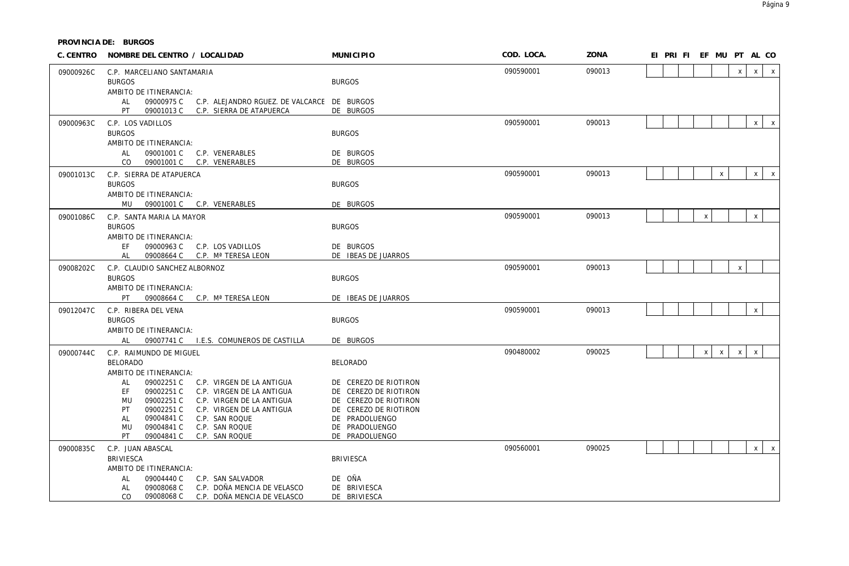| C. CENTRO | NOMBRE DEL CENTRO / LOCALIDAD                                                             | <b>MUNICIPIO</b>                        | COD. LOCA. | ZONA   |  | EI PRI FI EF MU PT AL CO |              |              |              |              |              |
|-----------|-------------------------------------------------------------------------------------------|-----------------------------------------|------------|--------|--|--------------------------|--------------|--------------|--------------|--------------|--------------|
| 09000926C | C.P. MARCELIANO SANTAMARIA                                                                |                                         | 090590001  | 090013 |  |                          |              |              | $\mathsf{x}$ | $\mathsf{X}$ | $\mathsf{X}$ |
|           | <b>BURGOS</b>                                                                             | <b>BURGOS</b>                           |            |        |  |                          |              |              |              |              |              |
|           | AMBITO DE ITINERANCIA:<br>09000975 C<br>C.P. ALEJANDRO RGUEZ. DE VALCARCE DE BURGOS<br>AL |                                         |            |        |  |                          |              |              |              |              |              |
|           | PT<br>09001013 C C.P. SIERRA DE ATAPUERCA                                                 | DE BURGOS                               |            |        |  |                          |              |              |              |              |              |
| 09000963C | C.P. LOS VADILLOS                                                                         |                                         | 090590001  | 090013 |  |                          |              |              |              | $\mathsf{x}$ | $\mathsf{X}$ |
|           | <b>BURGOS</b>                                                                             | <b>BURGOS</b>                           |            |        |  |                          |              |              |              |              |              |
|           | AMBITO DE ITINERANCIA:                                                                    |                                         |            |        |  |                          |              |              |              |              |              |
|           | 09001001 C<br>AL<br>C.P. VENERABLES                                                       | DE BURGOS                               |            |        |  |                          |              |              |              |              |              |
|           | CO<br>09001001 C<br>C.P. VENERABLES                                                       | DE BURGOS                               |            |        |  |                          |              |              |              |              |              |
| 09001013C | C.P. SIERRA DE ATAPUERCA                                                                  |                                         | 090590001  | 090013 |  |                          |              | $\mathsf{x}$ |              | $\mathsf{X}$ | $\mathbf{x}$ |
|           | <b>BURGOS</b><br>AMBITO DE ITINERANCIA:                                                   | <b>BURGOS</b>                           |            |        |  |                          |              |              |              |              |              |
|           | MU 09001001 C C.P. VENERABLES                                                             | DE BURGOS                               |            |        |  |                          |              |              |              |              |              |
| 09001086C | C.P. SANTA MARIA LA MAYOR                                                                 |                                         | 090590001  | 090013 |  |                          | $\mathsf X$  |              |              | $\mathsf{X}$ |              |
|           | <b>BURGOS</b>                                                                             | <b>BURGOS</b>                           |            |        |  |                          |              |              |              |              |              |
|           | AMBITO DE ITINERANCIA:                                                                    |                                         |            |        |  |                          |              |              |              |              |              |
|           | 09000963 C<br>FF.<br>C.P. LOS VADILLOS                                                    | DE BURGOS                               |            |        |  |                          |              |              |              |              |              |
|           | AL<br>09008664 C C.P. Mª TERESA LEON                                                      | DE IBEAS DE JUARROS                     |            |        |  |                          |              |              |              |              |              |
| 09008202C | C.P. CLAUDIO SANCHEZ ALBORNOZ<br><b>BURGOS</b>                                            | <b>BURGOS</b>                           | 090590001  | 090013 |  |                          |              |              | $\mathsf{x}$ |              |              |
|           | AMBITO DE ITINERANCIA:                                                                    |                                         |            |        |  |                          |              |              |              |              |              |
|           | PT<br>09008664 C C.P. Mª TERESA LEON                                                      | DE IBEAS DE JUARROS                     |            |        |  |                          |              |              |              |              |              |
| 09012047C | C.P. RIBERA DEL VENA                                                                      |                                         | 090590001  | 090013 |  |                          |              |              |              | $\mathsf{x}$ |              |
|           | <b>BURGOS</b>                                                                             | <b>BURGOS</b>                           |            |        |  |                          |              |              |              |              |              |
|           | AMBITO DE ITINERANCIA:                                                                    |                                         |            |        |  |                          |              |              |              |              |              |
|           | 09007741 C I.E.S. COMUNEROS DE CASTILLA<br>AL                                             | DE BURGOS                               |            |        |  |                          |              |              |              |              |              |
| 09000744C | C.P. RAIMUNDO DE MIGUEL<br><b>BELORADO</b>                                                |                                         | 090480002  | 090025 |  |                          | $\mathsf{x}$ | $\mathsf{X}$ | $\mathsf{x}$ | $\mathsf{X}$ |              |
|           | AMBITO DE ITINERANCIA:                                                                    | <b>BELORADO</b>                         |            |        |  |                          |              |              |              |              |              |
|           | 09002251 C<br>AL<br>C.P. VIRGEN DE LA ANTIGUA                                             | DE CEREZO DE RIOTIRON                   |            |        |  |                          |              |              |              |              |              |
|           | EF<br>09002251 C<br>C.P. VIRGEN DE LA ANTIGUA                                             | DE CEREZO DE RIOTIRON                   |            |        |  |                          |              |              |              |              |              |
|           | 09002251 C<br><b>MU</b><br>C.P. VIRGEN DE LA ANTIGUA                                      | DE CEREZO DE RIOTIRON                   |            |        |  |                          |              |              |              |              |              |
|           | PT<br>09002251 C<br>C.P. VIRGEN DE LA ANTIGUA<br>09004841 C<br>C.P. SAN ROQUE<br>AL       | DE CEREZO DE RIOTIRON<br>DE PRADOLUENGO |            |        |  |                          |              |              |              |              |              |
|           | 09004841 C<br>C.P. SAN ROQUE<br>MU                                                        | DE PRADOLUENGO                          |            |        |  |                          |              |              |              |              |              |
|           | PT<br>09004841 C<br>C.P. SAN ROQUE                                                        | DE PRADOLUENGO                          |            |        |  |                          |              |              |              |              |              |
| 09000835C | C.P. JUAN ABASCAL                                                                         |                                         | 090560001  | 090025 |  |                          |              |              |              | $\mathsf{X}$ | $\mathsf{X}$ |
|           | <b>BRIVIESCA</b>                                                                          | <b>BRIVIESCA</b>                        |            |        |  |                          |              |              |              |              |              |
|           | AMBITO DE ITINERANCIA:                                                                    |                                         |            |        |  |                          |              |              |              |              |              |
|           | 09004440 C<br>C.P. SAN SALVADOR<br>AL<br>09008068 C<br>C.P. DOÑA MENCIA DE VELASCO<br>AL  | DE OÑA<br>DE BRIVIESCA                  |            |        |  |                          |              |              |              |              |              |
|           | CO<br>09008068 C<br>C.P. DOÑA MENCIA DE VELASCO                                           | DE BRIVIESCA                            |            |        |  |                          |              |              |              |              |              |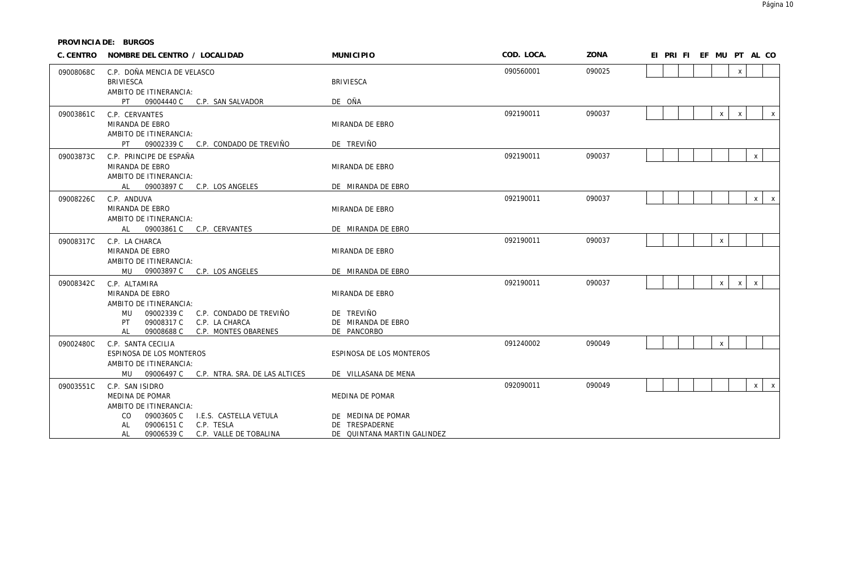| C. CENTRO | NOMBRE DEL CENTRO / LOCALIDAD                                                                                                                          | <b>MUNICIPIO</b>                                                    | COD. LOCA. | ZONA   | EI PRI FI EF MU PT AL CO                       |
|-----------|--------------------------------------------------------------------------------------------------------------------------------------------------------|---------------------------------------------------------------------|------------|--------|------------------------------------------------|
| 09008068C | C.P. DOÑA MENCIA DE VELASCO<br><b>BRIVIESCA</b><br>AMBITO DE ITINERANCIA:<br>PT<br>09004440 C<br>C.P. SAN SALVADOR                                     | <b>BRIVIESCA</b><br>DE OÑA                                          | 090560001  | 090025 | $\pmb{\chi}$                                   |
| 09003861C | C.P. CERVANTES<br>MIRANDA DE EBRO<br>AMBITO DE ITINERANCIA:                                                                                            | MIRANDA DE EBRO                                                     | 092190011  | 090037 | $\mathsf{X}$<br>$\pmb{\times}$<br>$\mathsf{X}$ |
|           | PT<br>09002339 C<br>C.P. CONDADO DE TREVIÑO                                                                                                            | DE TREVIÑO                                                          |            |        |                                                |
| 09003873C | C.P. PRINCIPE DE ESPAÑA<br>MIRANDA DE EBRO<br>AMBITO DE ITINERANCIA:                                                                                   | MIRANDA DE EBRO                                                     | 092190011  | 090037 | $\mathsf{X}$                                   |
|           | 09003897 C<br>C.P. LOS ANGELES<br>AL                                                                                                                   | DE MIRANDA DE EBRO                                                  |            |        |                                                |
| 09008226C | C.P. ANDUVA<br>MIRANDA DE EBRO<br>AMBITO DE ITINERANCIA:                                                                                               | MIRANDA DE EBRO                                                     | 092190011  | 090037 | $\mathsf{X}$<br>$\mathsf{X}$                   |
|           | C.P. CERVANTES<br>09003861 C<br>AL                                                                                                                     | DE MIRANDA DE EBRO                                                  |            |        |                                                |
| 09008317C | C.P. LA CHARCA<br>MIRANDA DE EBRO<br>AMBITO DE ITINERANCIA:                                                                                            | MIRANDA DE EBRO                                                     | 092190011  | 090037 | $\mathsf{X}$                                   |
|           | 09003897 C<br>C.P. LOS ANGELES<br>MU                                                                                                                   | DE MIRANDA DE EBRO                                                  |            |        |                                                |
| 09008342C | C.P. ALTAMIRA<br>MIRANDA DE EBRO<br>AMBITO DE ITINERANCIA:<br>09002339 C<br><b>MU</b><br>C.P. CONDADO DE TREVIÑO<br>09008317 C<br>PT<br>C.P. LA CHARCA | MIRANDA DE EBRO<br>DE TREVIÑO<br>DE MIRANDA DE EBRO                 | 092190011  | 090037 | $\mathsf{X}$<br>X<br>$\pmb{\chi}$              |
|           | AL<br>09008688 C<br>C.P. MONTES OBARENES                                                                                                               | DE PANCORBO                                                         |            |        |                                                |
| 09002480C | C.P. SANTA CECILIA<br>ESPINOSA DE LOS MONTEROS<br>AMBITO DE ITINERANCIA:                                                                               | ESPINOSA DE LOS MONTEROS                                            | 091240002  | 090049 | X                                              |
|           | MU<br>09006497 C C.P. NTRA. SRA. DE LAS ALTICES                                                                                                        | DE VILLASANA DE MENA                                                |            |        |                                                |
| 09003551C | C.P. SAN ISIDRO<br>MEDINA DE POMAR<br>AMBITO DE ITINERANCIA:                                                                                           | MEDINA DE POMAR                                                     | 092090011  | 090049 | X<br>$\mathsf{X}$                              |
|           | CO.<br>09003605 C<br>I.E.S. CASTELLA VETULA<br><b>AL</b><br>09006151 C<br>C.P. TESLA<br>09006539 C<br>AL<br>C.P. VALLE DE TOBALINA                     | DE MEDINA DE POMAR<br>DE TRESPADERNE<br>DE QUINTANA MARTIN GALINDEZ |            |        |                                                |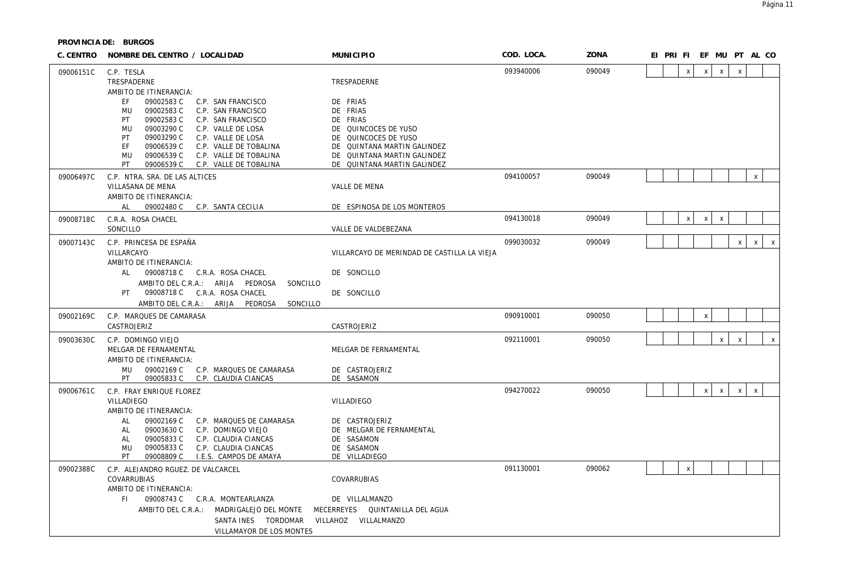| C. CENTRO | NOMBRE DEL CENTRO / LOCALIDAD                                                        | <b>MUNICIPIO</b>                                    | COD. LOCA. | ZONA   |  |                    |              | EI PRI FI EF MU PT AL CO  |              |                    |              |
|-----------|--------------------------------------------------------------------------------------|-----------------------------------------------------|------------|--------|--|--------------------|--------------|---------------------------|--------------|--------------------|--------------|
| 09006151C | C.P. TESLA                                                                           |                                                     | 093940006  | 090049 |  | $\pmb{\mathsf{X}}$ | $\mathsf{x}$ | $\mathsf{x}$              | $\mathsf X$  |                    |              |
|           | TRESPADERNE                                                                          | TRESPADERNE                                         |            |        |  |                    |              |                           |              |                    |              |
|           | AMBITO DE ITINERANCIA:<br>09002583 C<br>EF<br>C.P. SAN FRANCISCO                     | DE FRIAS                                            |            |        |  |                    |              |                           |              |                    |              |
|           | 09002583C<br><b>MU</b><br>C.P. SAN FRANCISCO                                         | DE FRIAS                                            |            |        |  |                    |              |                           |              |                    |              |
|           | 09002583 C<br>PT<br>C.P. SAN FRANCISCO                                               | DE FRIAS                                            |            |        |  |                    |              |                           |              |                    |              |
|           | 09003290 C<br>C.P. VALLE DE LOSA<br>MU                                               | DE QUINCOCES DE YUSO                                |            |        |  |                    |              |                           |              |                    |              |
|           | 09003290 C<br>PT<br>C.P. VALLE DE LOSA<br>EF<br>09006539 C<br>C.P. VALLE DE TOBALINA | DE QUINCOCES DE YUSO<br>DE QUINTANA MARTIN GALINDEZ |            |        |  |                    |              |                           |              |                    |              |
|           | 09006539 C<br>C.P. VALLE DE TOBALINA<br>MU                                           | DE QUINTANA MARTIN GALINDEZ                         |            |        |  |                    |              |                           |              |                    |              |
|           | PT<br>09006539 C<br>C.P. VALLE DE TOBALINA                                           | DE QUINTANA MARTIN GALINDEZ                         |            |        |  |                    |              |                           |              |                    |              |
| 09006497C | C.P. NTRA. SRA. DE LAS ALTICES                                                       |                                                     | 094100057  | 090049 |  |                    |              |                           |              | $\pmb{\mathsf{X}}$ |              |
|           | VILLASANA DE MENA<br>AMBITO DE ITINERANCIA:                                          | VALLE DE MENA                                       |            |        |  |                    |              |                           |              |                    |              |
|           | 09002480 C<br>AL<br>C.P. SANTA CECILIA                                               | DE ESPINOSA DE LOS MONTEROS                         |            |        |  |                    |              |                           |              |                    |              |
| 09008718C | C.R.A. ROSA CHACEL                                                                   |                                                     | 094130018  | 090049 |  | X                  | X            | $\boldsymbol{\mathsf{X}}$ |              |                    |              |
|           | SONCILLO                                                                             | VALLE DE VALDEBEZANA                                |            |        |  |                    |              |                           |              |                    |              |
| 09007143C | C.P. PRINCESA DE ESPAÑA                                                              |                                                     | 099030032  | 090049 |  |                    |              |                           | $\mathsf{X}$ | $\mathsf{x}$       | $\mathsf{X}$ |
|           | VILLARCAYO<br>AMBITO DE ITINERANCIA:                                                 | VILLARCAYO DE MERINDAD DE CASTILLA LA VIEJA         |            |        |  |                    |              |                           |              |                    |              |
|           | AL<br>09008718 C C.R.A. ROSA CHACEL                                                  | DE SONCILLO                                         |            |        |  |                    |              |                           |              |                    |              |
|           | AMBITO DEL C.R.A.: ARIJA PEDROSA<br>SONCILLO                                         |                                                     |            |        |  |                    |              |                           |              |                    |              |
|           | PT<br>09008718 C C.R.A. ROSA CHACEL                                                  | DE SONCILLO                                         |            |        |  |                    |              |                           |              |                    |              |
|           | AMBITO DEL C.R.A.: ARIJA<br>PEDROSA<br>SONCILLO                                      |                                                     |            |        |  |                    |              |                           |              |                    |              |
| 09002169C | C.P. MARQUES DE CAMARASA                                                             |                                                     | 090910001  | 090050 |  |                    | $\pmb{\chi}$ |                           |              |                    |              |
|           | CASTROJERIZ                                                                          | CASTROJERIZ                                         |            |        |  |                    |              |                           |              |                    |              |
| 09003630C | C.P. DOMINGO VIEJO                                                                   |                                                     | 092110001  | 090050 |  |                    |              | $\mathsf X$               | $\mathsf X$  |                    | $\mathsf X$  |
|           | MELGAR DE FERNAMENTAL<br>AMBITO DE ITINERANCIA:                                      | MELGAR DE FERNAMENTAL                               |            |        |  |                    |              |                           |              |                    |              |
|           | MU<br>09002169 C<br>C.P. MARQUES DE CAMARASA                                         | DE CASTROJERIZ                                      |            |        |  |                    |              |                           |              |                    |              |
|           | PT<br>09005833 C<br>C.P. CLAUDIA CIANCAS                                             | DE SASAMON                                          |            |        |  |                    |              |                           |              |                    |              |
| 09006761C | C.P. FRAY ENRIQUE FLOREZ                                                             |                                                     | 094270022  | 090050 |  |                    | $\mathsf{X}$ | $\mathsf{X}$              | $\mathsf{X}$ | $\,$ X             |              |
|           | VILLADIEGO                                                                           | VILLADIEGO                                          |            |        |  |                    |              |                           |              |                    |              |
|           | AMBITO DE ITINERANCIA:<br>09002169 C<br>C.P. MARQUES DE CAMARASA<br>AL               | DE CASTROJERIZ                                      |            |        |  |                    |              |                           |              |                    |              |
|           | 09003630 C<br>C.P. DOMINGO VIEJO<br>AL                                               | DE MELGAR DE FERNAMENTAL                            |            |        |  |                    |              |                           |              |                    |              |
|           | 09005833C<br><b>AL</b><br>C.P. CLAUDIA CIANCAS                                       | DE SASAMON                                          |            |        |  |                    |              |                           |              |                    |              |
|           | 09005833C<br>C.P. CLAUDIA CIANCAS<br>MU                                              | DE SASAMON                                          |            |        |  |                    |              |                           |              |                    |              |
|           | PT.<br>09008809 C<br>I.E.S. CAMPOS DE AMAYA                                          | DE VILLADIEGO                                       |            |        |  |                    |              |                           |              |                    |              |
| 09002388C | C.P. ALEJANDRO RGUEZ. DE VALCARCEL                                                   |                                                     | 091130001  | 090062 |  | $\pmb{\chi}$       |              |                           |              |                    |              |
|           | COVARRUBIAS<br>AMBITO DE ITINERANCIA:                                                | COVARRUBIAS                                         |            |        |  |                    |              |                           |              |                    |              |
|           | 09008743 C C.R.A. MONTEARLANZA<br>FI.                                                | DE VILLALMANZO                                      |            |        |  |                    |              |                           |              |                    |              |
|           | AMBITO DEL C.R.A.: MADRIGALEJO DEL MONTE                                             | MECERREYES QUINTANILLA DEL AGUA                     |            |        |  |                    |              |                           |              |                    |              |
|           | SANTA INES TORDOMAR                                                                  | VILLAHOZ VILLALMANZO                                |            |        |  |                    |              |                           |              |                    |              |
|           | VILLAMAYOR DE LOS MONTES                                                             |                                                     |            |        |  |                    |              |                           |              |                    |              |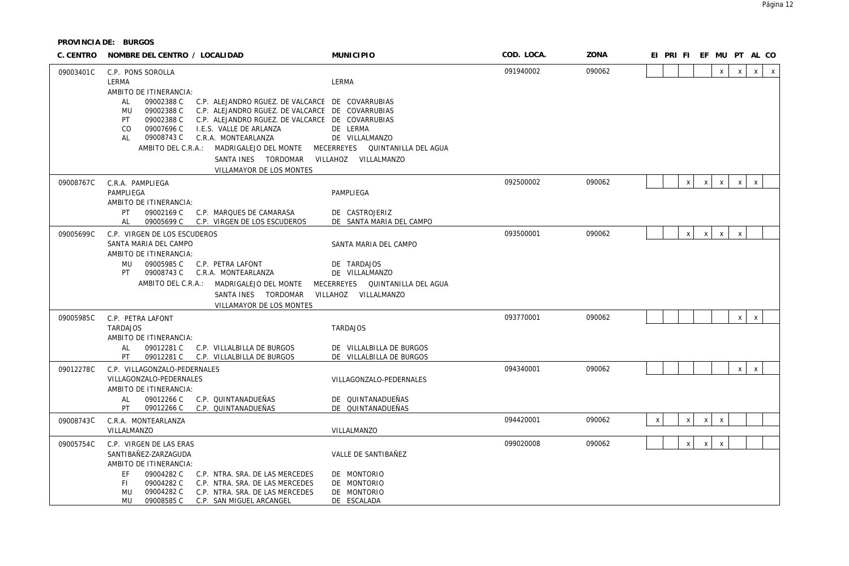| C. CENTRO | NOMBRE DEL CENTRO / LOCALIDAD                                                                                                                                                                                                                                                                                                                                                                                                                                   | <b>MUNICIPIO</b>                                               | COD. LOCA. | ZONA   |   |                           |              | EI PRI FI EF MU PT AL CO  |              |              |              |
|-----------|-----------------------------------------------------------------------------------------------------------------------------------------------------------------------------------------------------------------------------------------------------------------------------------------------------------------------------------------------------------------------------------------------------------------------------------------------------------------|----------------------------------------------------------------|------------|--------|---|---------------------------|--------------|---------------------------|--------------|--------------|--------------|
| 09003401C | C.P. PONS SOROLLA<br>LERMA                                                                                                                                                                                                                                                                                                                                                                                                                                      | LERMA                                                          | 091940002  | 090062 |   |                           |              | $\mathsf{X}$              | $\times$     | $\mathsf{X}$ | $\mathsf{X}$ |
|           | AMBITO DE ITINERANCIA:<br>09002388 C<br>C.P. ALEJANDRO RGUEZ. DE VALCARCE DE COVARRUBIAS<br>AL<br>09002388 C<br>C.P. ALEJANDRO RGUEZ. DE VALCARCE DE COVARRUBIAS<br>MU<br>09002388 C<br>PT<br>C.P. ALEJANDRO RGUEZ. DE VALCARCE DE COVARRUBIAS<br>09007696 C<br>CO<br>I.E.S. VALLE DE ARLANZA<br>09008743 C<br>C.R.A. MONTEARLANZA<br>AL<br>AMBITO DEL C.R.A.: MADRIGALEJO DEL MONTE<br>SANTA INES  TORDOMAR  VILLAHOZ  VILLALMANZO<br>VILLAMAYOR DE LOS MONTES | DE LERMA<br>DE VILLALMANZO<br>MECERREYES  QUINTANILLA DEL AGUA |            |        |   |                           |              |                           |              |              |              |
| 09008767C | C.R.A. PAMPLIEGA                                                                                                                                                                                                                                                                                                                                                                                                                                                |                                                                | 092500002  | 090062 |   | $\mathsf{x}$              | $\mathsf{X}$ | $\mathsf{X}$              | $\mathsf{x}$ | $\mathsf{x}$ |              |
|           | PAMPLIEGA<br>AMBITO DE ITINERANCIA:                                                                                                                                                                                                                                                                                                                                                                                                                             | PAMPLIEGA                                                      |            |        |   |                           |              |                           |              |              |              |
|           | PT<br>09002169 C<br>C.P. MARQUES DE CAMARASA<br>09005699 C C.P. VIRGEN DE LOS ESCUDEROS<br>AL                                                                                                                                                                                                                                                                                                                                                                   | DE CASTROJERIZ<br>DE SANTA MARIA DEL CAMPO                     |            |        |   |                           |              |                           |              |              |              |
| 09005699C | C.P. VIRGEN DE LOS ESCUDEROS                                                                                                                                                                                                                                                                                                                                                                                                                                    |                                                                | 093500001  | 090062 |   | $\boldsymbol{\mathsf{X}}$ | $\mathsf{X}$ | $\mathsf{x}$              | $\mathsf{X}$ |              |              |
|           | SANTA MARIA DEL CAMPO<br>AMBITO DE ITINERANCIA:                                                                                                                                                                                                                                                                                                                                                                                                                 | SANTA MARIA DEL CAMPO                                          |            |        |   |                           |              |                           |              |              |              |
|           | MU<br>09005985 C<br>C.P. PETRA LAFONT<br>PT<br>09008743 C<br>C.R.A. MONTEARLANZA                                                                                                                                                                                                                                                                                                                                                                                | DE TARDAJOS                                                    |            |        |   |                           |              |                           |              |              |              |
|           | AMBITO DEL C.R.A.: MADRIGALEJO DEL MONTE                                                                                                                                                                                                                                                                                                                                                                                                                        | DE VILLALMANZO<br>MECERREYES QUINTANILLA DEL AGUA              |            |        |   |                           |              |                           |              |              |              |
|           | SANTA INES TORDOMAR                                                                                                                                                                                                                                                                                                                                                                                                                                             | VILLAHOZ VILLALMANZO                                           |            |        |   |                           |              |                           |              |              |              |
|           | VILLAMAYOR DE LOS MONTES                                                                                                                                                                                                                                                                                                                                                                                                                                        |                                                                |            |        |   |                           |              |                           |              |              |              |
| 09005985C | C.P. PETRA LAFONT<br><b>TARDAJOS</b>                                                                                                                                                                                                                                                                                                                                                                                                                            | <b>TARDAJOS</b>                                                | 093770001  | 090062 |   |                           |              |                           | $\times$     | $\mathsf{x}$ |              |
|           | AMBITO DE ITINERANCIA:                                                                                                                                                                                                                                                                                                                                                                                                                                          |                                                                |            |        |   |                           |              |                           |              |              |              |
|           | 09012281 C<br>AL<br>C.P. VILLALBILLA DE BURGOS<br>PT<br>09012281 C<br>C.P. VILLALBILLA DE BURGOS                                                                                                                                                                                                                                                                                                                                                                | DE VILLALBILLA DE BURGOS<br>DE VILLALBILLA DE BURGOS           |            |        |   |                           |              |                           |              |              |              |
| 09012278C | C.P. VILLAGONZALO-PEDERNALES                                                                                                                                                                                                                                                                                                                                                                                                                                    |                                                                | 094340001  | 090062 |   |                           |              |                           | x            | $\mathsf{x}$ |              |
|           | VILLAGONZALO-PEDERNALES                                                                                                                                                                                                                                                                                                                                                                                                                                         | VILLAGONZALO-PEDERNALES                                        |            |        |   |                           |              |                           |              |              |              |
|           | AMBITO DE ITINERANCIA:<br>09012266 C<br>C.P. QUINTANADUEÑAS<br>AL                                                                                                                                                                                                                                                                                                                                                                                               | DE QUINTANADUEÑAS                                              |            |        |   |                           |              |                           |              |              |              |
|           | C.P. QUINTANADUEÑAS<br>09012266 C<br>PT                                                                                                                                                                                                                                                                                                                                                                                                                         | DE QUINTANADUEÑAS                                              |            |        |   |                           |              |                           |              |              |              |
| 09008743C | C.R.A. MONTEARLANZA                                                                                                                                                                                                                                                                                                                                                                                                                                             |                                                                | 094420001  | 090062 | X | $\mathsf{x}$              | $\mathsf{X}$ | $\boldsymbol{\mathsf{X}}$ |              |              |              |
| 09005754C | VILLALMANZO                                                                                                                                                                                                                                                                                                                                                                                                                                                     | VILLALMANZO                                                    | 099020008  | 090062 |   | $\pmb{\chi}$              | $\mathsf{X}$ | $\mathsf{X}$              |              |              |              |
|           | C.P. VIRGEN DE LAS ERAS<br>SANTIBAÑEZ-ZARZAGUDA                                                                                                                                                                                                                                                                                                                                                                                                                 | VALLE DE SANTIBAÑEZ                                            |            |        |   |                           |              |                           |              |              |              |
|           | AMBITO DE ITINERANCIA:                                                                                                                                                                                                                                                                                                                                                                                                                                          |                                                                |            |        |   |                           |              |                           |              |              |              |
|           | EF<br>C.P. NTRA. SRA. DE LAS MERCEDES<br>09004282 C<br>FI.<br>09004282 C<br>C.P. NTRA. SRA. DE LAS MERCEDES                                                                                                                                                                                                                                                                                                                                                     | DE MONTORIO<br>DE MONTORIO                                     |            |        |   |                           |              |                           |              |              |              |
|           | MU<br>09004282 C<br>C.P. NTRA. SRA. DE LAS MERCEDES                                                                                                                                                                                                                                                                                                                                                                                                             | DE MONTORIO                                                    |            |        |   |                           |              |                           |              |              |              |
|           | 09008585C<br>C.P. SAN MIGUEL ARCANGEL<br>MU                                                                                                                                                                                                                                                                                                                                                                                                                     | DE ESCALADA                                                    |            |        |   |                           |              |                           |              |              |              |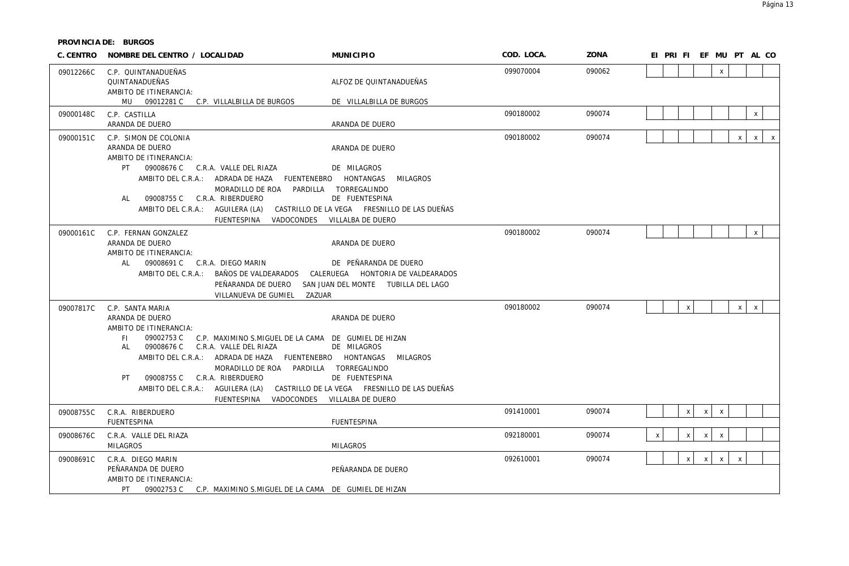| C. CENTRO | NOMBRE DEL CENTRO / LOCALIDAD                                                                                                                                                                                                                                                                                                                                                            | <b>MUNICIPIO</b>                                                                                                                                           | COD. LOCA. | ZONA   | EI PRI FI EF MU PT AL CO                             |
|-----------|------------------------------------------------------------------------------------------------------------------------------------------------------------------------------------------------------------------------------------------------------------------------------------------------------------------------------------------------------------------------------------------|------------------------------------------------------------------------------------------------------------------------------------------------------------|------------|--------|------------------------------------------------------|
| 09012266C | C.P. QUINTANADUEÑAS<br>QUINTANADUEÑAS<br>AMBITO DE ITINERANCIA:                                                                                                                                                                                                                                                                                                                          | ALFOZ DE QUINTANADUEÑAS                                                                                                                                    | 099070004  | 090062 | $\mathsf{x}$                                         |
|           | MU 09012281 C C.P. VILLALBILLA DE BURGOS                                                                                                                                                                                                                                                                                                                                                 | DE VILLALBILLA DE BURGOS                                                                                                                                   |            |        |                                                      |
| 09000148C | C.P. CASTILLA<br>ARANDA DE DUERO                                                                                                                                                                                                                                                                                                                                                         | ARANDA DE DUERO                                                                                                                                            | 090180002  | 090074 | $\mathsf X$                                          |
| 09000151C | C.P. SIMON DE COLONIA<br>ARANDA DE DUERO<br>AMBITO DE ITINERANCIA:<br>PT<br>09008676 C C.R.A. VALLE DEL RIAZA<br>AMBITO DEL C.R.A.: ADRADA DE HAZA FUENTENEBRO HONTANGAS<br>MORADILLO DE ROA<br>09008755 C<br>C.R.A. RIBERDUERO<br>AL<br>AMBITO DEL C.R.A.: AGUILERA (LA)<br>VADOCONDES<br><b>FUENTESPINA</b>                                                                            | ARANDA DE DUERO<br>DE MILAGROS<br>MILAGROS<br>PARDILLA TORREGALINDO<br>DE FUENTESPINA<br>CASTRILLO DE LA VEGA FRESNILLO DE LAS DUEÑAS<br>VILLALBA DE DUERO | 090180002  | 090074 | $\mathsf{x}$<br>$x \mid$<br>$\mathsf{X}$             |
| 09000161C | C.P. FERNAN GONZALEZ<br>ARANDA DE DUERO<br>AMBITO DE ITINERANCIA:<br>AL<br>09008691 C C.R.A. DIEGO MARIN<br>AMBITO DEL C.R.A.:<br>BAÑOS DE VALDEARADOS<br>PEÑARANDA DE DUERO<br>VILLANUEVA DE GUMIEL<br>ZAZUAR                                                                                                                                                                           | ARANDA DE DUERO<br>DE PEÑARANDA DE DUERO<br>CALERUEGA HONTORIA DE VALDEARADOS<br>SAN JUAN DEL MONTE TUBILLA DEL LAGO                                       | 090180002  | 090074 | $\mathsf{x}$                                         |
| 09007817C | C.P. SANTA MARIA<br>ARANDA DE DUERO<br>AMBITO DE ITINERANCIA:<br>FI.<br>09002753 C<br>C.P. MAXIMINO S.MIGUEL DE LA CAMA DE GUMIEL DE HIZAN<br>C.R.A. VALLE DEL RIAZA<br>AL<br>09008676 C<br>AMBITO DEL C.R.A.: ADRADA DE HAZA<br>MORADILLO DE ROA PARDILLA TORREGALINDO<br>C.R.A. RIBERDUERO<br>PT<br>09008755 C<br>AMBITO DEL C.R.A.: AGUILERA (LA)<br>VADOCONDES<br><b>FUENTESPINA</b> | ARANDA DE DUERO<br>DE MILAGROS<br>FUENTENEBRO HONTANGAS<br>MILAGROS<br>DE FUENTESPINA<br>CASTRILLO DE LA VEGA FRESNILLO DE LAS DUEÑAS<br>VILLALBA DE DUERO | 090180002  | 090074 | $\mathsf{x}$<br>X<br>$x \mid$                        |
| 09008755C | C.R.A. RIBERDUERO<br><b>FUENTESPINA</b>                                                                                                                                                                                                                                                                                                                                                  | <b>FUENTESPINA</b>                                                                                                                                         | 091410001  | 090074 | $\times$<br>$\times$<br>$\mathsf{x}$                 |
| 09008676C | C.R.A. VALLE DEL RIAZA<br><b>MILAGROS</b>                                                                                                                                                                                                                                                                                                                                                | <b>MILAGROS</b>                                                                                                                                            | 092180001  | 090074 | x<br>$\mathsf X$<br>$\pmb{\chi}$<br>$x \mid$         |
| 09008691C | C.R.A. DIEGO MARIN<br>PEÑARANDA DE DUERO<br>AMBITO DE ITINERANCIA:<br>PT<br>09002753 C C.P. MAXIMINO S.MIGUEL DE LA CAMA DE GUMIEL DE HIZAN                                                                                                                                                                                                                                              | PEÑARANDA DE DUERO                                                                                                                                         | 092610001  | 090074 | $x \mid$<br>$x \mid$<br>$\mathsf{X}$<br>$\pmb{\chi}$ |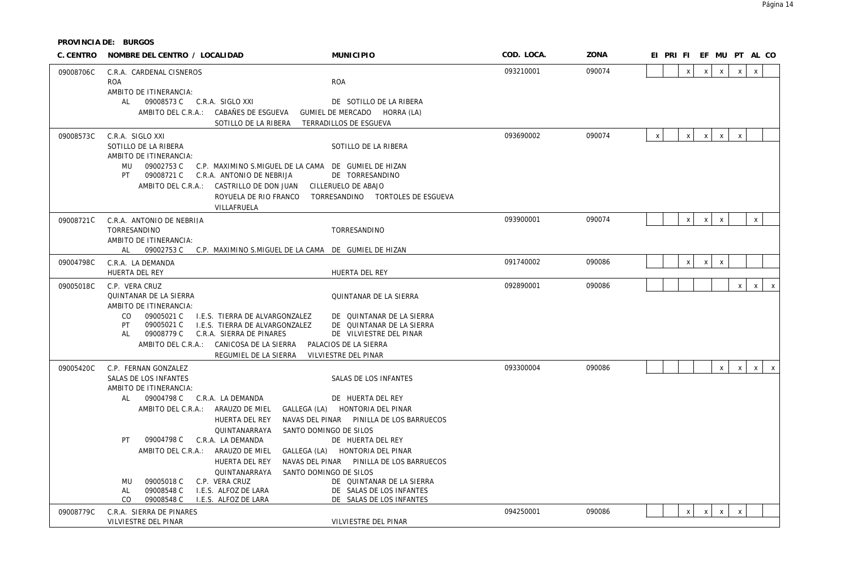| C. CENTRO | NOMBRE DEL CENTRO / LOCALIDAD                                                                | <b>MUNICIPIO</b>                                     | COD. LOCA. | ZONA   | EI PRI FI EF MU PT AL CO                                                                  |
|-----------|----------------------------------------------------------------------------------------------|------------------------------------------------------|------------|--------|-------------------------------------------------------------------------------------------|
| 09008706C | C.R.A. CARDENAL CISNEROS                                                                     |                                                      | 093210001  | 090074 | $\mathsf{x}$<br>$\mathsf X$<br>$\mathsf{x}$<br>$\mathsf{x}$<br>$\mathsf{x}$               |
|           | <b>ROA</b>                                                                                   | <b>ROA</b>                                           |            |        |                                                                                           |
|           | AMBITO DE ITINERANCIA:<br>AL<br>09008573 C C.R.A. SIGLO XXI                                  | DE SOTILLO DE LA RIBERA                              |            |        |                                                                                           |
|           | AMBITO DEL C.R.A.: CABAÑES DE ESGUEVA                                                        | GUMIEL DE MERCADO HORRA (LA)                         |            |        |                                                                                           |
|           | SOTILLO DE LA RIBERA                                                                         | TERRADILLOS DE ESGUEVA                               |            |        |                                                                                           |
| 09008573C | C.R.A. SIGLO XXI                                                                             |                                                      | 093690002  | 090074 | $\pmb{\chi}$<br>$\mathsf{X}$<br>$\mathsf{X}$<br>$\mathsf{x}$<br>$\boldsymbol{\mathsf{x}}$ |
|           | SOTILLO DE LA RIBERA                                                                         | SOTILLO DE LA RIBERA                                 |            |        |                                                                                           |
|           | AMBITO DE ITINERANCIA:                                                                       |                                                      |            |        |                                                                                           |
|           | <b>MU</b><br>09002753 C                                                                      | C.P. MAXIMINO S.MIGUEL DE LA CAMA DE GUMIEL DE HIZAN |            |        |                                                                                           |
|           | 09008721 C<br>PT<br>C.R.A. ANTONIO DE NEBRIJA<br>AMBITO DEL C.R.A.:<br>CASTRILLO DE DON JUAN | DE TORRESANDINO<br>CILLERUELO DE ABAJO               |            |        |                                                                                           |
|           | ROYUELA DE RIO FRANCO                                                                        | TORRESANDINO TORTOLES DE ESGUEVA                     |            |        |                                                                                           |
|           | VILLAFRUELA                                                                                  |                                                      |            |        |                                                                                           |
| 09008721C | C.R.A. ANTONIO DE NEBRIJA                                                                    |                                                      | 093900001  | 090074 | $\mathsf{X}$<br>$\mathsf X$<br>X<br>$\boldsymbol{\mathsf{X}}$                             |
|           | TORRESANDINO                                                                                 | TORRESANDINO                                         |            |        |                                                                                           |
|           | AMBITO DE ITINERANCIA:                                                                       |                                                      |            |        |                                                                                           |
|           | AL<br>09002753 C C.P. MAXIMINO S.MIGUEL DE LA CAMA DE GUMIEL DE HIZAN                        |                                                      |            |        |                                                                                           |
| 09004798C | C.R.A. LA DEMANDA<br>HUERTA DEL REY                                                          |                                                      | 091740002  | 090086 | $\mathsf{X}$<br>$\mathsf{X}$<br>$\mathsf{X}$                                              |
|           |                                                                                              | HUERTA DEL REY                                       |            |        |                                                                                           |
| 09005018C | C.P. VERA CRUZ<br>QUINTANAR DE LA SIERRA                                                     | QUINTANAR DE LA SIERRA                               | 092890001  | 090086 | $\mathsf{x}$<br>$\mathsf{X}$<br>$\mathsf{X}$                                              |
|           | AMBITO DE ITINERANCIA:                                                                       |                                                      |            |        |                                                                                           |
|           | CO.<br>09005021 C<br>I.E.S. TIERRA DE ALVARGONZALEZ                                          | DE QUINTANAR DE LA SIERRA                            |            |        |                                                                                           |
|           | PT.<br>09005021 C<br>I.E.S. TIERRA DE ALVARGONZALEZ                                          | DE QUINTANAR DE LA SIERRA                            |            |        |                                                                                           |
|           | 09008779 C<br>C.R.A. SIERRA DE PINARES<br>AL<br>AMBITO DEL C.R.A.:<br>CANICOSA DE LA SIERRA  | DE VILVIESTRE DEL PINAR<br>PALACIOS DE LA SIERRA     |            |        |                                                                                           |
|           | REGUMIEL DE LA SIERRA                                                                        | VILVIESTRE DEL PINAR                                 |            |        |                                                                                           |
| 09005420C | C.P. FERNAN GONZALEZ                                                                         |                                                      | 093300004  | 090086 | $\mathsf{x}$<br>$\mathsf{X}$<br>$\mathsf{X}$<br>$\mathsf{X}$                              |
|           | SALAS DE LOS INFANTES                                                                        | SALAS DE LOS INFANTES                                |            |        |                                                                                           |
|           | AMBITO DE ITINERANCIA:                                                                       |                                                      |            |        |                                                                                           |
|           | AL<br>09004798 C C.R.A. LA DEMANDA                                                           | DE HUERTA DEL REY                                    |            |        |                                                                                           |
|           | AMBITO DEL C.R.A.: ARAUZO DE MIEL                                                            | GALLEGA (LA) HONTORIA DEL PINAR                      |            |        |                                                                                           |
|           | HUERTA DEL REY                                                                               | NAVAS DEL PINAR PINILLA DE LOS BARRUECOS             |            |        |                                                                                           |
|           | QUINTANARRAYA<br>09004798 C<br>PT<br>C.R.A. LA DEMANDA                                       | SANTO DOMINGO DE SILOS<br>DE HUERTA DEL REY          |            |        |                                                                                           |
|           | AMBITO DEL C.R.A.: ARAUZO DE MIEL                                                            | GALLEGA (LA) HONTORIA DEL PINAR                      |            |        |                                                                                           |
|           | HUERTA DEL REY                                                                               | NAVAS DEL PINAR PINILLA DE LOS BARRUECOS             |            |        |                                                                                           |
|           | QUINTANARRAYA                                                                                | SANTO DOMINGO DE SILOS                               |            |        |                                                                                           |
|           | 09005018 C<br>C.P. VERA CRUZ<br>MU                                                           | DE QUINTANAR DE LA SIERRA                            |            |        |                                                                                           |
|           | 09008548 C<br>I.E.S. ALFOZ DE LARA<br>AL                                                     | DE SALAS DE LOS INFANTES                             |            |        |                                                                                           |
|           | CO<br>09008548 C<br>I.E.S. ALFOZ DE LARA                                                     | DE SALAS DE LOS INFANTES                             | 094250001  | 090086 |                                                                                           |
| 09008779C | C.R.A. SIERRA DE PINARES<br>VILVIESTRE DEL PINAR                                             | VILVIESTRE DEL PINAR                                 |            |        | $\mathsf{x}$<br>$\mathsf{X}$<br>$\mathsf{X}$<br>$\mathsf{X}$                              |
|           |                                                                                              |                                                      |            |        |                                                                                           |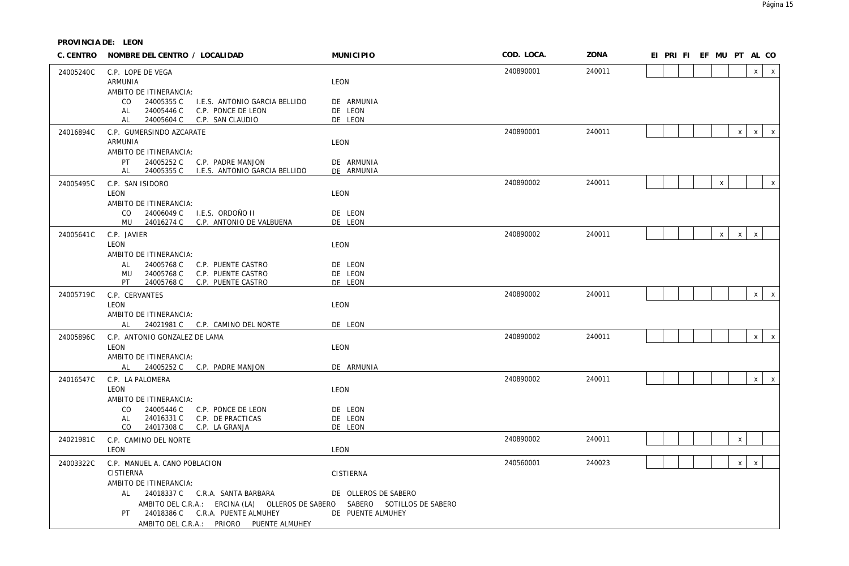| C. CENTRO | NOMBRE DEL CENTRO / LOCALIDAD                                                           | <b>MUNICIPIO</b>         | COD. LOCA. | ZONA   | EI PRI FI EF MU PT AL CO |              |              |              |              |
|-----------|-----------------------------------------------------------------------------------------|--------------------------|------------|--------|--------------------------|--------------|--------------|--------------|--------------|
| 24005240C | C.P. LOPE DE VEGA                                                                       |                          | 240890001  | 240011 |                          |              |              | $\times$     | $\mathsf{X}$ |
|           | ARMUNIA                                                                                 | LEON                     |            |        |                          |              |              |              |              |
|           | AMBITO DE ITINERANCIA:                                                                  |                          |            |        |                          |              |              |              |              |
|           | CO<br>24005355 C<br>I.E.S. ANTONIO GARCIA BELLIDO                                       | DE ARMUNIA               |            |        |                          |              |              |              |              |
|           | 24005446 C<br>C.P. PONCE DE LEON<br>AL                                                  | DE LEON                  |            |        |                          |              |              |              |              |
|           | 24005604 C C.P. SAN CLAUDIO<br>AL                                                       | DE LEON                  |            |        |                          |              |              |              |              |
| 24016894C | C.P. GUMERSINDO AZCARATE                                                                |                          | 240890001  | 240011 |                          |              | $\mathsf{x}$ | $\mathsf{X}$ | $\mathsf{X}$ |
|           | ARMUNIA                                                                                 | LEON                     |            |        |                          |              |              |              |              |
|           | AMBITO DE ITINERANCIA:                                                                  |                          |            |        |                          |              |              |              |              |
|           | PT<br>24005252 C C.P. PADRE MANJON<br>24005355 C<br>I.E.S. ANTONIO GARCIA BELLIDO<br>AL | DE ARMUNIA<br>DE ARMUNIA |            |        |                          |              |              |              |              |
|           |                                                                                         |                          |            |        |                          |              |              |              |              |
| 24005495C | C.P. SAN ISIDORO                                                                        |                          | 240890002  | 240011 |                          | $\mathsf X$  |              |              | $\mathsf{x}$ |
|           | LEON                                                                                    | LEON                     |            |        |                          |              |              |              |              |
|           | AMBITO DE ITINERANCIA:<br>CO<br>24006049 C<br>I.E.S. ORDOÑO II                          | DE LEON                  |            |        |                          |              |              |              |              |
|           | MU 24016274 C C.P. ANTONIO DE VALBUENA                                                  | DE LEON                  |            |        |                          |              |              |              |              |
| 24005641C | C.P. JAVIER                                                                             |                          | 240890002  | 240011 |                          | $\mathsf{X}$ | $\times$     | $\mathsf{x}$ |              |
|           | LEON                                                                                    | LEON                     |            |        |                          |              |              |              |              |
|           | AMBITO DE ITINERANCIA:                                                                  |                          |            |        |                          |              |              |              |              |
|           | 24005768 C C.P. PUENTE CASTRO<br>AL                                                     | DE LEON                  |            |        |                          |              |              |              |              |
|           | 24005768 C<br>C.P. PUENTE CASTRO<br>MU                                                  | DE LEON                  |            |        |                          |              |              |              |              |
|           | PT.<br>24005768 C<br>C.P. PUENTE CASTRO                                                 | DE LEON                  |            |        |                          |              |              |              |              |
| 24005719C | C.P. CERVANTES                                                                          |                          | 240890002  | 240011 |                          |              |              | x            | $\mathsf{X}$ |
|           | LEON                                                                                    | LEON                     |            |        |                          |              |              |              |              |
|           | AMBITO DE ITINERANCIA:                                                                  |                          |            |        |                          |              |              |              |              |
|           | AL 24021981 C C.P. CAMINO DEL NORTE                                                     | DE LEON                  |            |        |                          |              |              |              |              |
| 24005896C | C.P. ANTONIO GONZALEZ DE LAMA                                                           |                          | 240890002  | 240011 |                          |              |              | $\mathsf{X}$ | $\mathsf{X}$ |
|           | LEON                                                                                    | LEON                     |            |        |                          |              |              |              |              |
|           | AMBITO DE ITINERANCIA:                                                                  |                          |            |        |                          |              |              |              |              |
|           | 24005252 C C.P. PADRE MANJON<br>AL                                                      | DE ARMUNIA               |            |        |                          |              |              |              |              |
| 24016547C | C.P. LA PALOMERA                                                                        |                          | 240890002  | 240011 |                          |              |              | $x \mid$     | $\mathsf{X}$ |
|           | <b>LEON</b>                                                                             | LEON                     |            |        |                          |              |              |              |              |
|           | AMBITO DE ITINERANCIA:                                                                  |                          |            |        |                          |              |              |              |              |
|           | CO.<br>24005446 C C.P. PONCE DE LEON                                                    | DE LEON                  |            |        |                          |              |              |              |              |
|           | 24016331 C<br>AL<br>C.P. DE PRACTICAS                                                   | DE LEON                  |            |        |                          |              |              |              |              |
|           | CO<br>24017308 C C.P. LA GRANJA                                                         | DE LEON                  |            |        |                          |              |              |              |              |
| 24021981C | C.P. CAMINO DEL NORTE                                                                   |                          | 240890002  | 240011 |                          |              | X            |              |              |
|           | LEON                                                                                    | LEON                     |            |        |                          |              |              |              |              |
| 24003322C | C.P. MANUEL A. CANO POBLACION                                                           |                          | 240560001  | 240023 |                          |              | $\mathsf{X}$ | $\mathsf X$  |              |
|           | <b>CISTIERNA</b>                                                                        | CISTIERNA                |            |        |                          |              |              |              |              |
|           | AMBITO DE ITINERANCIA:                                                                  |                          |            |        |                          |              |              |              |              |
|           | 24018337 C C.R.A. SANTA BARBARA<br>AL                                                   | DE OLLEROS DE SABERO     |            |        |                          |              |              |              |              |
|           | AMBITO DEL C.R.A.: ERCINA (LA) OLLEROS DE SABERO SABERO SOTILLOS DE SABERO              |                          |            |        |                          |              |              |              |              |
|           | 24018386 C C.R.A. PUENTE ALMUHEY<br>PT.                                                 | DE PUENTE ALMUHEY        |            |        |                          |              |              |              |              |
|           | AMBITO DEL C.R.A.: PRIORO PUENTE ALMUHEY                                                |                          |            |        |                          |              |              |              |              |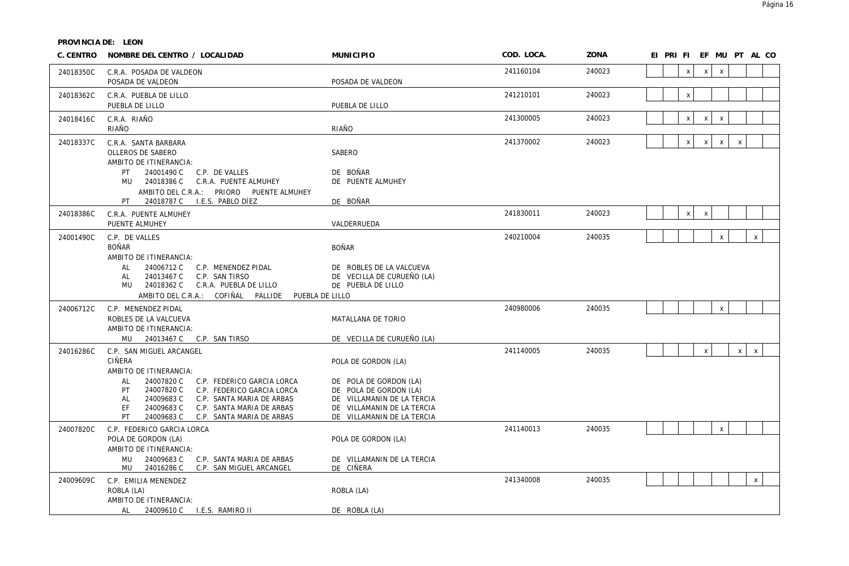| C. CENTRO | NOMBRE DEL CENTRO / LOCALIDAD                                                                                                                                                                                                                                                                                     | <b>MUNICIPIO</b>                                                                                                                                                  | COD. LOCA. | ZONA   | EI PRI FI EF MU PT AL CO                                     |
|-----------|-------------------------------------------------------------------------------------------------------------------------------------------------------------------------------------------------------------------------------------------------------------------------------------------------------------------|-------------------------------------------------------------------------------------------------------------------------------------------------------------------|------------|--------|--------------------------------------------------------------|
| 24018350C | C.R.A. POSADA DE VALDEON<br>POSADA DE VALDEON                                                                                                                                                                                                                                                                     | POSADA DE VALDEON                                                                                                                                                 | 241160104  | 240023 | $\mathsf{x}$<br>$\mathsf{X}$<br>$\mathsf{x}$                 |
| 24018362C | C.R.A. PUEBLA DE LILLO<br>PUEBLA DE LILLO                                                                                                                                                                                                                                                                         | PUEBLA DE LILLO                                                                                                                                                   | 241210101  | 240023 | $\mathsf X$                                                  |
| 24018416C | C.R.A. RIAÑO<br>RIAÑO                                                                                                                                                                                                                                                                                             | RIAÑO                                                                                                                                                             | 241300005  | 240023 | $\pmb{\chi}$<br>$\pmb{\chi}$<br>$\pmb{\times}$               |
| 24018337C | C.R.A. SANTA BARBARA<br>OLLEROS DE SABERO<br>AMBITO DE ITINERANCIA:<br>24001490 C<br>PT<br>C.P. DE VALLES<br>MU 24018386 C C.R.A. PUENTE ALMUHEY<br>AMBITO DEL C.R.A.: PRIORO PUENTE ALMUHEY<br>PT                                                                                                                | SABERO<br>DE BOÑAR<br>DE PUENTE ALMUHEY<br>DE BOÑAR                                                                                                               | 241370002  | 240023 | $\mathsf{x}$<br>$\mathsf{x}$<br>$\mathsf{X}$<br>$\mathsf{x}$ |
| 24018386C | C.R.A. PUENTE ALMUHEY<br>PUENTE ALMUHEY                                                                                                                                                                                                                                                                           | VALDERRUEDA                                                                                                                                                       | 241830011  | 240023 | $\mathsf{x}$<br>$\mathsf X$                                  |
| 24001490C | C.P. DE VALLES<br><b>BOÑAR</b><br>AMBITO DE ITINERANCIA:<br>24006712 C<br>AL<br>C.P. MENENDEZ PIDAL<br>24013467 C<br>C.P. SAN TIRSO<br>AL<br>MU 24018362 C<br>C.R.A. PUEBLA DE LILLO<br>AMBITO DEL C.R.A.: COFIÑAL PALLIDE PUEBLA DE LILLO                                                                        | <b>BOÑAR</b><br>DE ROBLES DE LA VALCUEVA<br>DE VECILLA DE CURUEÑO (LA)<br>DE PUEBLA DE LILLO                                                                      | 240210004  | 240035 | $\mathsf{x}$<br>$\mathsf{x}$                                 |
| 24006712C | C.P. MENENDEZ PIDAL<br>ROBLES DE LA VALCUEVA<br>AMBITO DE ITINERANCIA:<br>MU 24013467 C C.P. SAN TIRSO                                                                                                                                                                                                            | MATALLANA DE TORIO<br>DE VECILLA DE CURUEÑO (LA)                                                                                                                  | 240980006  | 240035 | $\mathsf{X}$                                                 |
| 24016286C | C.P. SAN MIGUEL ARCANGEL<br>CIÑERA<br>AMBITO DE ITINERANCIA:<br>24007820 C C.P. FEDERICO GARCIA LORCA<br>AL<br>24007820 C<br>C.P. FEDERICO GARCIA LORCA<br>PT<br>24009683C<br>C.P. SANTA MARIA DE ARBAS<br>AL<br>24009683 C<br>FF.<br>C.P. SANTA MARIA DE ARBAS<br>PT.<br>24009683 C<br>C.P. SANTA MARIA DE ARBAS | POLA DE GORDON (LA)<br>DE POLA DE GORDON (LA)<br>DE POLA DE GORDON (LA)<br>DE VILLAMANIN DE LA TERCIA<br>DE VILLAMANIN DE LA TERCIA<br>DE VILLAMANIN DE LA TERCIA | 241140005  | 240035 | $\mathsf{x}$<br>$\mathsf X$<br>$x \mid$                      |
| 24007820C | C.P. FEDERICO GARCIA LORCA<br>POLA DE GORDON (LA)<br>AMBITO DE ITINERANCIA:<br>MU 24009683 C<br>C.P. SANTA MARIA DE ARBAS<br>MU 24016286 C C.P. SAN MIGUEL ARCANGEL                                                                                                                                               | POLA DE GORDON (LA)<br>DE VILLAMANIN DE LA TERCIA<br>DE CIÑERA                                                                                                    | 241140013  | 240035 | $\mathsf{x}$                                                 |
| 24009609C | C.P. EMILIA MENENDEZ<br>ROBLA (LA)<br>AMBITO DE ITINERANCIA:<br>AL 24009610 C I.E.S. RAMIRO II                                                                                                                                                                                                                    | ROBLA (LA)<br>DE ROBLA (LA)                                                                                                                                       | 241340008  | 240035 | $\mathsf{X}$                                                 |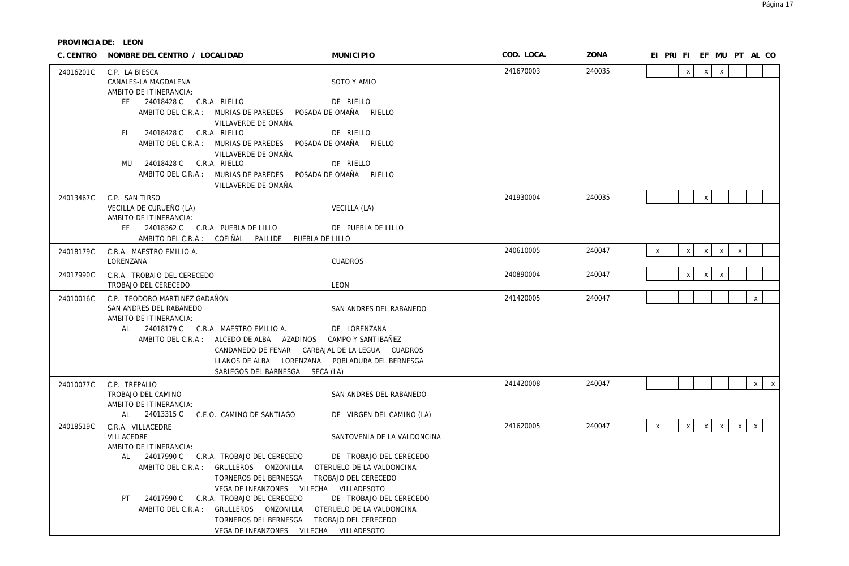|           | C. CENTRO NOMBRE DEL CENTRO / LOCALIDAD                                                                                                                                                                                                                                                                                                                                               | <b>MUNICIPIO</b>                                                                                                                                                                            | COD. LOCA. | ZONA   |              | EI PRI FI EF MU PT AL CO  |              |              |              |              |              |
|-----------|---------------------------------------------------------------------------------------------------------------------------------------------------------------------------------------------------------------------------------------------------------------------------------------------------------------------------------------------------------------------------------------|---------------------------------------------------------------------------------------------------------------------------------------------------------------------------------------------|------------|--------|--------------|---------------------------|--------------|--------------|--------------|--------------|--------------|
| 24016201C | C.P. LA BIESCA<br>CANALES-LA MAGDALENA                                                                                                                                                                                                                                                                                                                                                | SOTO Y AMIO                                                                                                                                                                                 | 241670003  | 240035 |              | $\mathsf{x}$              | $\mathsf{X}$ | $\mathsf{x}$ |              |              |              |
|           | AMBITO DE ITINERANCIA:<br>EF 24018428 C C.R.A. RIELLO<br>AMBITO DEL C.R.A.: MURIAS DE PAREDES POSADA DE OMAÑA RIELLO<br>VILLAVERDE DE OMAÑA<br>FI 24018428 C C.R.A. RIELLO<br>AMBITO DEL C.R.A.: MURIAS DE PAREDES POSADA DE OMAÑA RIELLO                                                                                                                                             | DE RIELLO<br>DE RIELLO                                                                                                                                                                      |            |        |              |                           |              |              |              |              |              |
|           | VILLAVERDE DE OMAÑA<br>24018428 C C.R.A. RIELLO<br>MU<br>AMBITO DEL C.R.A.: MURIAS DE PAREDES POSADA DE OMAÑA RIELLO<br>VILLAVERDE DE OMAÑA                                                                                                                                                                                                                                           | DE RIELLO                                                                                                                                                                                   |            |        |              |                           |              |              |              |              |              |
| 24013467C | C.P. SAN TIRSO<br>VECILLA DE CURUEÑO (LA)<br>AMBITO DE ITINERANCIA:<br>EF 24018362 C C.R.A. PUEBLA DE LILLO<br>AMBITO DEL C.R.A.: COFIÑAL PALLIDE PUEBLA DE LILLO                                                                                                                                                                                                                     | VECILLA (LA)<br>DE PUEBLA DE LILLO                                                                                                                                                          | 241930004  | 240035 |              |                           | $\mathsf X$  |              |              |              |              |
| 24018179C | C.R.A. MAESTRO EMILIO A.<br>LORENZANA                                                                                                                                                                                                                                                                                                                                                 | <b>CUADROS</b>                                                                                                                                                                              | 240610005  | 240047 | $\mathsf{x}$ | $\mathsf{x}$              | $\mathsf{X}$ | $\mathsf{X}$ | $\mathsf{X}$ |              |              |
| 24017990C | C.R.A. TROBAJO DEL CERECEDO<br>TROBAJO DEL CERECEDO                                                                                                                                                                                                                                                                                                                                   | LEON                                                                                                                                                                                        | 240890004  | 240047 |              | $\boldsymbol{\mathsf{x}}$ | $\mathsf{X}$ | $\mathsf{x}$ |              |              |              |
| 24010016C | C.P. TEODORO MARTINEZ GADAÑON<br>SAN ANDRES DEL RABANEDO<br>AMBITO DE ITINERANCIA:<br>AL 24018179 C C.R.A. MAESTRO EMILIO A.<br>AMBITO DEL C.R.A.: ALCEDO DE ALBA AZADINOS<br>CANDANEDO DE FENAR CARBAJAL DE LA LEGUA CUADROS<br>LLANOS DE ALBA LORENZANA POBLADURA DEL BERNESGA<br>SARIEGOS DEL BARNESGA SECA (LA)                                                                   | SAN ANDRES DEL RABANEDO<br>DE LORENZANA<br>CAMPO Y SANTIBAÑEZ                                                                                                                               | 241420005  | 240047 |              |                           |              |              |              | $\mathsf X$  |              |
| 24010077C | C.P. TREPALIO<br>TROBAJO DEL CAMINO<br>AMBITO DE ITINERANCIA:<br>24013315 C C.E.O. CAMINO DE SANTIAGO<br>AL                                                                                                                                                                                                                                                                           | SAN ANDRES DEL RABANEDO<br>DE VIRGEN DEL CAMINO (LA)                                                                                                                                        | 241420008  | 240047 |              |                           |              |              |              | $\mathsf{X}$ | $\mathsf{X}$ |
| 24018519C | C.R.A. VILLACEDRE<br>VILLACEDRE<br>AMBITO DE ITINERANCIA:<br>24017990 C C.R.A. TROBAJO DEL CERECEDO<br>AL<br>AMBITO DEL C.R.A.: GRULLEROS ONZONILLA<br>TORNEROS DEL BERNESGA<br>VEGA DE INFANZONES VILECHA VILLADESOTO<br>24017990 C C.R.A. TROBAJO DEL CERECEDO<br>PT .<br>AMBITO DEL C.R.A.: GRULLEROS ONZONILLA<br>TORNEROS DEL BERNESGA<br>VEGA DE INFANZONES VILECHA VILLADESOTO | SANTOVENIA DE LA VALDONCINA<br>DE TROBAJO DEL CERECEDO<br>OTERUELO DE LA VALDONCINA<br>TROBAJO DEL CERECEDO<br>DE TROBAJO DEL CERECEDO<br>OTERUELO DE LA VALDONCINA<br>TROBAJO DEL CERECEDO | 241620005  | 240047 | $\mathsf{X}$ | $\boldsymbol{\mathsf{x}}$ | $\mathsf{X}$ | $\mathsf{X}$ | $\mathsf{X}$ | $\mathsf{x}$ |              |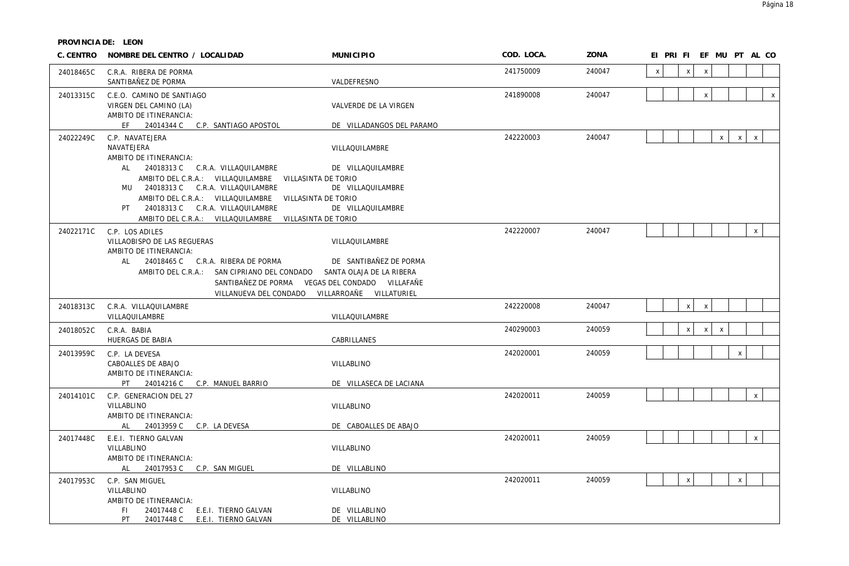| C. CENTRO | NOMBRE DEL CENTRO / LOCALIDAD                                                                                                                                                                                                                                                                 | <b>MUNICIPIO</b>                                   | COD. LOCA. | ZONA   | EI PRI FI EF MU PT AL CO                                  |
|-----------|-----------------------------------------------------------------------------------------------------------------------------------------------------------------------------------------------------------------------------------------------------------------------------------------------|----------------------------------------------------|------------|--------|-----------------------------------------------------------|
| 24018465C | C.R.A. RIBERA DE PORMA<br>SANTIBAÑEZ DE PORMA                                                                                                                                                                                                                                                 | VALDEFRESNO                                        | 241750009  | 240047 | $\mathsf{x}$<br>$\mathsf{x}$<br>$\boldsymbol{\mathsf{X}}$ |
| 24013315C | C.E.O. CAMINO DE SANTIAGO<br>VIRGEN DEL CAMINO (LA)<br>AMBITO DE ITINERANCIA:<br>EF 24014344 C C.P. SANTIAGO APOSTOL                                                                                                                                                                          | VALVERDE DE LA VIRGEN<br>DE VILLADANGOS DEL PARAMO | 241890008  | 240047 | $\mathsf{x}$<br>$\pmb{\times}$                            |
| 24022249C | C.P. NAVATEJERA<br>NAVATEJERA<br>AMBITO DE ITINERANCIA:<br>AL 24018313 C C.R.A. VILLAQUILAMBRE                                                                                                                                                                                                | VILLAQUILAMBRE<br>DE VILLAQUILAMBRE                | 242220003  | 240047 | $\mathsf X$<br>$\mathsf{x}$<br>$\mathsf{X}$               |
|           | AMBITO DEL C.R.A.: VILLAQUILAMBRE VILLASINTA DE TORIO<br>MU 24018313 C C.R.A. VILLAQUILAMBRE<br>AMBITO DEL C.R.A.: VILLAQUILAMBRE VILLASINTA DE TORIO<br>PT 24018313 C C.R.A. VILLAQUILAMBRE<br>AMBITO DEL C.R.A.: VILLAQUILAMBRE VILLASINTA DE TORIO                                         | DE VILLAQUILAMBRE<br>DE VILLAQUILAMBRE             |            |        |                                                           |
| 24022171C | C.P. LOS ADILES<br>VILLAOBISPO DE LAS REGUERAS<br>AMBITO DE ITINERANCIA:<br>AL 24018465 C C.R.A. RIBERA DE PORMA<br>AMBITO DEL C.R.A.: SAN CIPRIANO DEL CONDADO SANTA OLAJA DE LA RIBERA<br>SANTIBAÑEZ DE PORMA VEGAS DEL CONDADO VILLAFAÑE<br>VILLANUEVA DEL CONDADO VILLARROAÑE VILLATURIEL | VILLAQUILAMBRE<br>DE SANTIBAÑEZ DE PORMA           | 242220007  | 240047 | $\mathsf{x}$                                              |
| 24018313C | C.R.A. VILLAQUILAMBRE<br>VILLAQUILAMBRE                                                                                                                                                                                                                                                       | VILLAQUILAMBRE                                     | 242220008  | 240047 | $\mathsf{x}$<br>$\mathsf X$                               |
| 24018052C | C.R.A. BABIA<br>HUERGAS DE BABIA                                                                                                                                                                                                                                                              | CABRILLANES                                        | 240290003  | 240059 | $\mathsf{x}$<br>X<br>X                                    |
| 24013959C | C.P. LA DEVESA<br>CABOALLES DE ABAJO<br>AMBITO DE ITINERANCIA:<br>PT 24014216 C C.P. MANUEL BARRIO                                                                                                                                                                                            | VILLABLINO<br>DE VILLASECA DE LACIANA              | 242020001  | 240059 | $\pmb{\times}$                                            |
| 24014101C | C.P. GENERACION DEL 27<br>VILLABLINO<br>AMBITO DE ITINERANCIA:<br>AL 24013959 C C.P. LA DEVESA                                                                                                                                                                                                | VILLABLINO<br>DE CABOALLES DE ABAJO                | 242020011  | 240059 | $\mathsf{x}$                                              |
| 24017448C | E.E.I. TIERNO GALVAN<br>VILLABLINO<br>AMBITO DE ITINERANCIA:<br><b>AL</b><br>24017953 C C.P. SAN MIGUEL                                                                                                                                                                                       | VILLABLINO<br>DE VILLABLINO                        | 242020011  | 240059 | $\mathsf X$                                               |
| 24017953C | C.P. SAN MIGUEL<br>VILLABLINO<br>AMBITO DE ITINERANCIA:<br>24017448 C<br>FI.<br>E.E.I. TIERNO GALVAN<br>PT<br>24017448 C<br>E.E.I. TIERNO GALVAN                                                                                                                                              | VILLABLINO<br>DE VILLABLINO<br>DE VILLABLINO       | 242020011  | 240059 | $\mathsf X$<br>$\pmb{\mathsf{X}}$                         |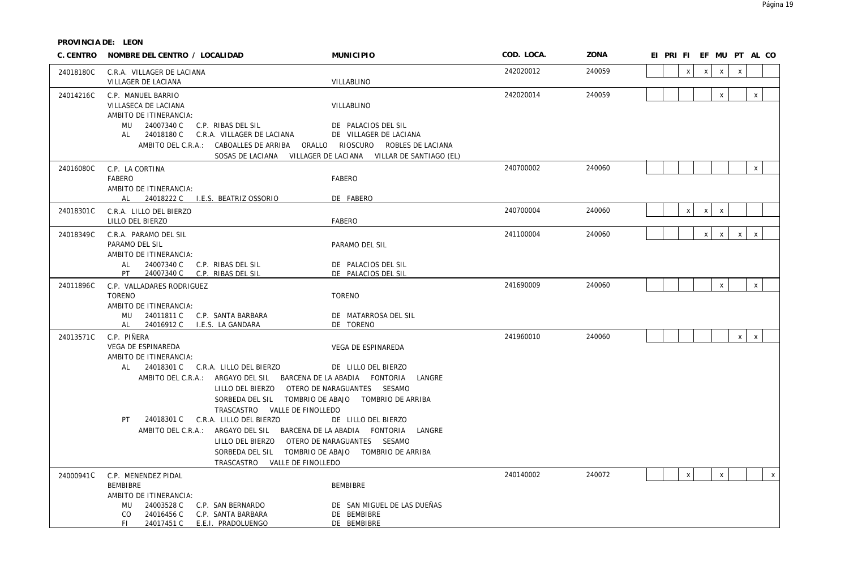| C. CENTRO | NOMBRE DEL CENTRO / LOCALIDAD                                                                                                                                                                                                                                                                                                                                                                                                                                      | <b>MUNICIPIO</b>                                                                                                                                                                       | COD. LOCA. | ZONA   | EI PRI FI EF MU PT AL CO                                     |
|-----------|--------------------------------------------------------------------------------------------------------------------------------------------------------------------------------------------------------------------------------------------------------------------------------------------------------------------------------------------------------------------------------------------------------------------------------------------------------------------|----------------------------------------------------------------------------------------------------------------------------------------------------------------------------------------|------------|--------|--------------------------------------------------------------|
| 24018180C | C.R.A. VILLAGER DE LACIANA<br>VILLAGER DE LACIANA                                                                                                                                                                                                                                                                                                                                                                                                                  | VILLABLINO                                                                                                                                                                             | 242020012  | 240059 | $\mathsf{x}$<br>$\pmb{\chi}$<br>$\mathsf{x}$<br>$\mathsf{x}$ |
| 24014216C | C.P. MANUEL BARRIO<br>VILLASECA DE LACIANA<br>AMBITO DE ITINERANCIA:<br>MU 24007340 C<br>C.P. RIBAS DEL SIL<br>24018180 C C.R.A. VILLAGER DE LACIANA<br>AL<br>AMBITO DEL C.R.A.: CABOALLES DE ARRIBA ORALLO RIOSCURO ROBLES DE LACIANA                                                                                                                                                                                                                             | VILLABLINO<br>DE PALACIOS DEL SIL<br>DE VILLAGER DE LACIANA<br>SOSAS DE LACIANA VILLAGER DE LACIANA VILLAR DE SANTIAGO (EL)                                                            | 242020014  | 240059 | $\mathsf X$<br>$\mathsf X$                                   |
| 24016080C | C.P. LA CORTINA<br>FABERO<br>AMBITO DE ITINERANCIA:<br>AL 24018222 C I.E.S. BEATRIZ OSSORIO                                                                                                                                                                                                                                                                                                                                                                        | FABERO<br>DE FABERO                                                                                                                                                                    | 240700002  | 240060 | $\mathsf X$                                                  |
| 24018301C | C.R.A. LILLO DEL BIERZO<br>LILLO DEL BIERZO                                                                                                                                                                                                                                                                                                                                                                                                                        | <b>FABERO</b>                                                                                                                                                                          | 240700004  | 240060 | $\pmb{\chi}$<br>$\mathsf{X}$<br>$\mathsf{X}$                 |
| 24018349C | C.R.A. PARAMO DEL SIL<br>PARAMO DEL SIL<br>AMBITO DE ITINERANCIA:<br>AL<br>24007340 C C.P. RIBAS DEL SIL<br>PT<br>24007340 C C.P. RIBAS DEL SIL                                                                                                                                                                                                                                                                                                                    | PARAMO DEL SIL<br>DE PALACIOS DEL SIL<br>DE PALACIOS DEL SIL                                                                                                                           | 241100004  | 240060 | $\mathsf{x}$<br>$\mathsf{X}$<br>$\mathsf{X}$<br>$\mathsf{x}$ |
| 24011896C | C.P. VALLADARES RODRIGUEZ<br><b>TORENO</b><br>AMBITO DE ITINERANCIA:<br>MU 24011811 C C.P. SANTA BARBARA<br>AL<br>24016912 C I.E.S. LA GANDARA                                                                                                                                                                                                                                                                                                                     | <b>TORENO</b><br>DE MATARROSA DEL SIL<br>DE TORENO                                                                                                                                     | 241690009  | 240060 | $\mathsf X$<br>$\mathsf X$                                   |
| 24013571C | C.P. PIÑERA<br>VEGA DE ESPINAREDA<br>AMBITO DE ITINERANCIA:<br>AI<br>24018301 C C.R.A. LILLO DEL BIERZO<br>AMBITO DEL C.R.A.: ARGAYO DEL SIL BARCENA DE LA ABADIA FONTORIA LANGRE<br>LILLO DEL BIERZO OTERO DE NARAGUANTES SESAMO<br>TRASCASTRO VALLE DE FINOLLEDO<br>24018301 C C.R.A. LILLO DEL BIERZO<br>PT<br>AMBITO DEL C.R.A.: ARGAYO DEL SIL BARCENA DE LA ABADIA FONTORIA<br>LILLO DEL BIERZO OTERO DE NARAGUANTES SESAMO<br>TRASCASTRO VALLE DE FINOLLEDO | VEGA DE ESPINAREDA<br>DE LILLO DEL BIERZO<br>SORBEDA DEL SIL TOMBRIO DE ABAJO TOMBRIO DE ARRIBA<br>DE LILLO DEL BIERZO<br>LANGRE<br>SORBEDA DEL SIL TOMBRIO DE ABAJO TOMBRIO DE ARRIBA | 241960010  | 240060 | x<br>$\mathsf{x}$                                            |
| 24000941C | C.P. MENENDEZ PIDAL<br><b>BEMBIBRE</b><br>AMBITO DE ITINERANCIA:<br>24003528 C<br>C.P. SAN BERNARDO<br>MU<br>24016456 C<br>C.P. SANTA BARBARA<br>CO.<br>FL.<br>24017451 C<br>E.E.I. PRADOLUENGO                                                                                                                                                                                                                                                                    | <b>BEMBIBRE</b><br>DE SAN MIGUEL DE LAS DUEÑAS<br>DE BEMBIBRE<br>DE BEMBIBRE                                                                                                           | 240140002  | 240072 | $\pmb{\chi}$<br>$\mathsf{X}$<br>$\mathsf{X}$                 |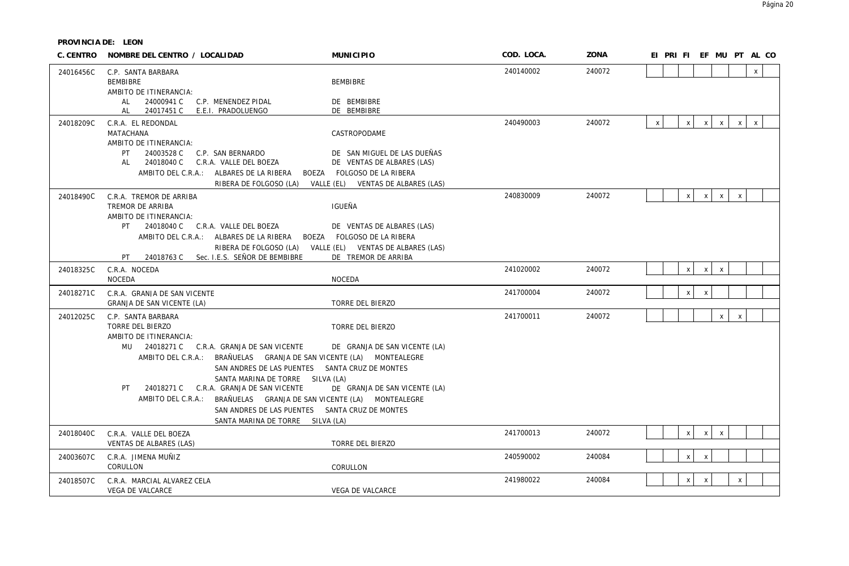| C. CENTRO | NOMBRE DEL CENTRO / LOCALIDAD                                                                                                                                                                                                                                                                                                                                                                                                                                                              | <b>MUNICIPIO</b>                                                                                                                | COD. LOCA. | ZONA   | EI PRI FI EF MU PT AL CO                                                                                  |
|-----------|--------------------------------------------------------------------------------------------------------------------------------------------------------------------------------------------------------------------------------------------------------------------------------------------------------------------------------------------------------------------------------------------------------------------------------------------------------------------------------------------|---------------------------------------------------------------------------------------------------------------------------------|------------|--------|-----------------------------------------------------------------------------------------------------------|
| 24016456C | C.P. SANTA BARBARA<br><b>BEMBIBRE</b><br>AMBITO DE ITINERANCIA:                                                                                                                                                                                                                                                                                                                                                                                                                            | <b>BEMBIBRE</b>                                                                                                                 | 240140002  | 240072 | $\mathsf{x}$                                                                                              |
|           | 24000941 C<br>C.P. MENENDEZ PIDAL<br>AL<br>24017451 C E.E.I. PRADOLUENGO<br>AL                                                                                                                                                                                                                                                                                                                                                                                                             | DE BEMBIBRE<br>DE BEMBIBRE                                                                                                      |            |        |                                                                                                           |
| 24018209C | C.R.A. EL REDONDAL<br>MATACHANA<br>AMBITO DE ITINERANCIA:<br>24003528 C<br>C.P. SAN BERNARDO<br>PT                                                                                                                                                                                                                                                                                                                                                                                         | CASTROPODAME<br>DE SAN MIGUEL DE LAS DUEÑAS                                                                                     | 240490003  | 240072 | $\mathsf{x}$<br>$\boldsymbol{\mathsf{x}}$<br>$\mathsf{X}$<br>$\mathsf{X}$<br>$\mathsf{X}$<br>$\mathsf{X}$ |
|           | 24018040 C<br>C.R.A. VALLE DEL BOEZA<br>AL<br>AMBITO DEL C.R.A.: ALBARES DE LA RIBERA                                                                                                                                                                                                                                                                                                                                                                                                      | DE VENTAS DE ALBARES (LAS)<br>BOEZA FOLGOSO DE LA RIBERA<br>RIBERA DE FOLGOSO (LA) VALLE (EL) VENTAS DE ALBARES (LAS)           |            |        |                                                                                                           |
| 24018490C | C.R.A. TREMOR DE ARRIBA<br>TREMOR DE ARRIBA<br>AMBITO DE ITINERANCIA:<br>24018040 C C.R.A. VALLE DEL BOEZA<br>PT.<br>AMBITO DEL C.R.A.: ALBARES DE LA RIBERA<br>RIBERA DE FOLGOSO (LA)<br>24018763 C Sec. I.E.S. SEÑOR DE BEMBIBRE<br>PT                                                                                                                                                                                                                                                   | IGUEÑA<br>DE VENTAS DE ALBARES (LAS)<br>BOEZA FOLGOSO DE LA RIBERA<br>VALLE (EL) VENTAS DE ALBARES (LAS)<br>DE TREMOR DE ARRIBA | 240830009  | 240072 | $\mathsf{x}$<br>$\mathsf{X}$<br>$\mathsf{X}$<br>$\mathsf{x}$                                              |
| 24018325C | C.R.A. NOCEDA<br><b>NOCEDA</b>                                                                                                                                                                                                                                                                                                                                                                                                                                                             | <b>NOCEDA</b>                                                                                                                   | 241020002  | 240072 | $\boldsymbol{\mathsf{x}}$<br>$\mathsf{X}$<br>$\mathsf{X}$                                                 |
| 24018271C | C.R.A. GRANJA DE SAN VICENTE<br>GRANJA DE SAN VICENTE (LA)                                                                                                                                                                                                                                                                                                                                                                                                                                 | TORRE DEL BIERZO                                                                                                                | 241700004  | 240072 | $\mathsf{x}$<br>$\mathsf{X}$                                                                              |
| 24012025C | C.P. SANTA BARBARA<br>TORRE DEL BIERZO<br>AMBITO DE ITINERANCIA:<br>MU 24018271 C C.R.A. GRANJA DE SAN VICENTE<br>AMBITO DEL C.R.A.: BRAÑUELAS GRANJA DE SAN VICENTE (LA) MONTEALEGRE<br>SAN ANDRES DE LAS PUENTES SANTA CRUZ DE MONTES<br>SANTA MARINA DE TORRE SILVA (LA)<br>24018271 C C.R.A. GRANJA DE SAN VICENTE<br>PT.<br>AMBITO DEL C.R.A.: BRAÑUELAS GRANJA DE SAN VICENTE (LA) MONTEALEGRE<br>SAN ANDRES DE LAS PUENTES SANTA CRUZ DE MONTES<br>SANTA MARINA DE TORRE SILVA (LA) | <b>TORRE DEL BIERZO</b><br>DE GRANJA DE SAN VICENTE (LA)<br>DE GRANJA DE SAN VICENTE (LA)                                       | 241700011  | 240072 | $\mathsf{X}$<br>$\mathsf{X}$                                                                              |
| 24018040C | C.R.A. VALLE DEL BOEZA<br>VENTAS DE ALBARES (LAS)                                                                                                                                                                                                                                                                                                                                                                                                                                          | TORRE DEL BIERZO                                                                                                                | 241700013  | 240072 | $\mathsf{x}$<br>$\mathsf{X}$<br>$\mathsf{x}$                                                              |
| 24003607C | C.R.A. JIMENA MUÑIZ<br>CORULLON                                                                                                                                                                                                                                                                                                                                                                                                                                                            | CORULLON                                                                                                                        | 240590002  | 240084 | $\mathsf{x}$<br>$\mathsf{x}$                                                                              |
| 24018507C | C.R.A. MARCIAL ALVAREZ CELA<br>VEGA DE VALCARCE                                                                                                                                                                                                                                                                                                                                                                                                                                            | VEGA DE VALCARCE                                                                                                                | 241980022  | 240084 | $\mathsf{x}$<br>$\mathsf{x}$<br>$\mathsf{X}$                                                              |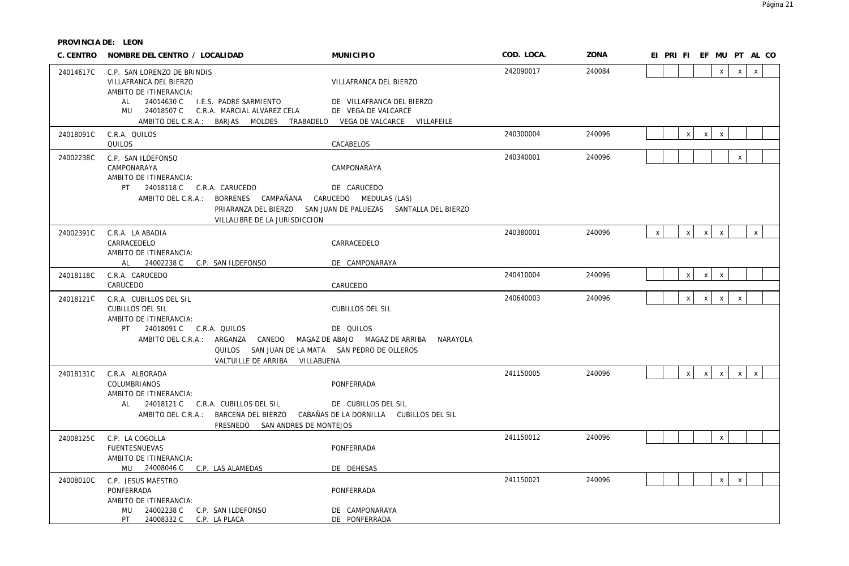| C. CENTRO | NOMBRE DEL CENTRO / LOCALIDAD                                                                                                                                                        | <b>MUNICIPIO</b>                                                             | COD. LOCA. | ZONA   | EI PRI FI EF MU PT AL CO                                                     |
|-----------|--------------------------------------------------------------------------------------------------------------------------------------------------------------------------------------|------------------------------------------------------------------------------|------------|--------|------------------------------------------------------------------------------|
| 24014617C | C.P. SAN LORENZO DE BRINDIS<br>VILLAFRANCA DEL BIERZO<br>AMBITO DE ITINERANCIA:                                                                                                      | VILLAFRANCA DEL BIERZO                                                       | 242090017  | 240084 | $\mathsf{x}$<br>$\mathsf{x}$<br>$\mathsf{x}$                                 |
|           | I.E.S. PADRE SARMIENTO<br>24014630 C<br>AL<br>MU 24018507 C<br>C.R.A. MARCIAL ALVAREZ CELA<br>AMBITO DEL C.R.A.: BARJAS MOLDES TRABADELO VEGA DE VALCARCE VILLAFEILE                 | DE VILLAFRANCA DEL BIERZO<br>DE VEGA DE VALCARCE                             |            |        |                                                                              |
| 24018091C | C.R.A. QUILOS<br>QUILOS                                                                                                                                                              | CACABELOS                                                                    | 240300004  | 240096 | $\mathsf{x}$<br>$\mathsf{X}$<br>$\mathsf{X}$                                 |
| 24002238C | C.P. SAN ILDEFONSO<br>CAMPONARAYA<br>AMBITO DE ITINERANCIA:                                                                                                                          | CAMPONARAYA                                                                  | 240340001  | 240096 | $\boldsymbol{\mathsf{X}}$                                                    |
|           | PT 24018118 C C.R.A. CARUCEDO<br>AMBITO DEL C.R.A.: BORRENES CAMPAÑANA CARUCEDO MEDULAS (LAS)                                                                                        | DE CARUCEDO<br>PRIARANZA DEL BIERZO SAN JUAN DE PALUEZAS SANTALLA DEL BIERZO |            |        |                                                                              |
| 24002391C | VILLALIBRE DE LA JURISDICCION<br>C.R.A. LA ABADIA                                                                                                                                    |                                                                              | 240380001  | 240096 | $\mathsf X$<br>$\mathsf{X}$<br>$\mathsf{x}$<br>$\mathsf{x}$<br>$\mathsf{X}$  |
|           | CARRACEDELO<br>AMBITO DE ITINERANCIA:                                                                                                                                                | CARRACEDELO                                                                  |            |        |                                                                              |
| 24018118C | AL 24002238 C C.P. SAN ILDEFONSO<br>C.R.A. CARUCEDO                                                                                                                                  | DE CAMPONARAYA                                                               | 240410004  | 240096 | $\mathsf{X}$<br>$\mathsf{X}$<br>$\mathsf{X}$                                 |
|           | CARUCEDO                                                                                                                                                                             | CARUCEDO                                                                     |            |        |                                                                              |
| 24018121C | C.R.A. CUBILLOS DEL SIL<br><b>CUBILLOS DEL SIL</b><br>AMBITO DE ITINERANCIA:                                                                                                         | <b>CUBILLOS DEL SIL</b>                                                      | 240640003  | 240096 | $\mathsf{X}$<br>$\mathsf{X}$<br>$\mathsf{x}$<br>$\boldsymbol{\mathsf{X}}$    |
|           | PT 24018091 C C.R.A. QUILOS<br>AMBITO DEL C.R.A.: ARGANZA CANEDO MAGAZ DE ABAJO MAGAZ DE ARRIBA<br>QUILOS SAN JUAN DE LA MATA SAN PEDRO DE OLLEROS<br>VALTUILLE DE ARRIBA VILLABUENA | DE QUILOS<br>NARAYOLA                                                        |            |        |                                                                              |
| 24018131C | C.R.A. ALBORADA<br>COLUMBRIANOS<br>AMBITO DE ITINERANCIA:                                                                                                                            | PONFERRADA                                                                   | 241150005  | 240096 | $\mathsf{x}$<br>$\mathsf{X}$<br>$\mathsf{x}$<br>$\mathsf{X}$<br>$\mathsf{X}$ |
|           | AL 24018121 C C.R.A. CUBILLOS DEL SIL<br>AMBITO DEL C.R.A.: BARCENA DEL BIERZO CABAÑAS DE LA DORNILLA CUBILLOS DEL SIL<br>FRESNEDO SAN ANDRES DE MONTEJOS                            | DE CUBILLOS DEL SIL                                                          |            |        |                                                                              |
| 24008125C | C.P. LA COGOLLA<br><b>FUENTESNUEVAS</b><br>AMBITO DE ITINERANCIA:                                                                                                                    | PONFERRADA                                                                   | 241150012  | 240096 | $\mathsf X$                                                                  |
|           | MU 24008046 C C.P. LAS ALAMEDAS                                                                                                                                                      | DE DEHESAS                                                                   |            |        |                                                                              |
| 24008010C | C.P. JESUS MAESTRO<br>PONFERRADA<br>AMBITO DE ITINERANCIA:                                                                                                                           | PONFERRADA                                                                   | 241150021  | 240096 | $\mathsf{x}$<br>$\mathsf X$                                                  |
|           | MU 24002238 C C.P. SAN ILDEFONSO<br>PT<br>24008332 C C.P. LA PLACA                                                                                                                   | DE CAMPONARAYA<br>DE PONFERRADA                                              |            |        |                                                                              |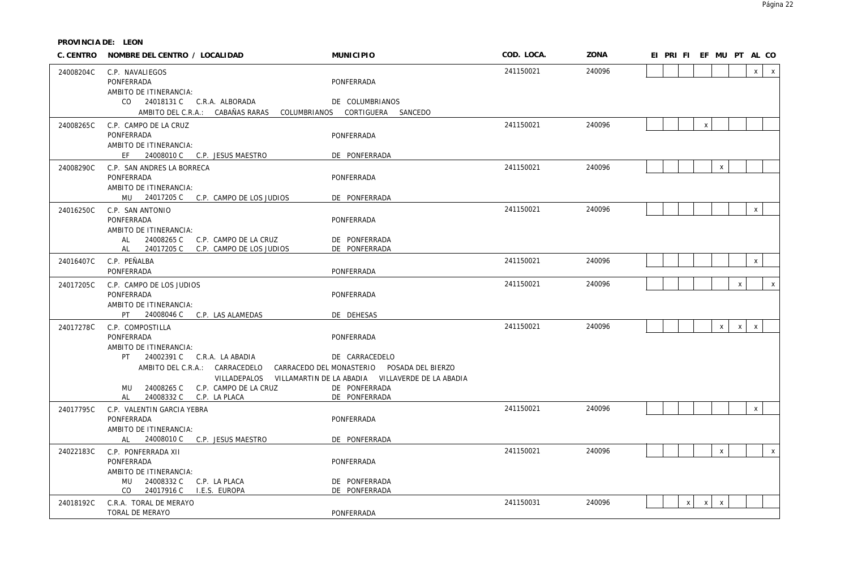|           | C. CENTRO NOMBRE DEL CENTRO / LOCALIDAD                          | <b>MUNICIPIO</b>                                              | COD. LOCA. | ZONA   | EI PRI FI EF MU PT AL CO                     |
|-----------|------------------------------------------------------------------|---------------------------------------------------------------|------------|--------|----------------------------------------------|
| 24008204C | C.P. NAVALIEGOS                                                  |                                                               | 241150021  | 240096 | $x \mid$<br>$\mathsf{X}$                     |
|           | PONFERRADA<br>AMBITO DE ITINERANCIA:                             | PONFERRADA                                                    |            |        |                                              |
|           | CO 24018131 C C.R.A. ALBORADA                                    | DE COLUMBRIANOS                                               |            |        |                                              |
|           | AMBITO DEL C.R.A.: CABAÑAS RARAS                                 | COLUMBRIANOS CORTIGUERA SANCEDO                               |            |        |                                              |
| 24008265C | C.P. CAMPO DE LA CRUZ                                            |                                                               | 241150021  | 240096 | X                                            |
|           | PONFERRADA<br>AMBITO DE ITINERANCIA:                             | PONFERRADA                                                    |            |        |                                              |
|           | EF 24008010 C C.P. JESUS MAESTRO                                 | DE PONFERRADA                                                 |            |        |                                              |
| 24008290C | C.P. SAN ANDRES LA BORRECA                                       |                                                               | 241150021  | 240096 | $\mathsf X$                                  |
|           | PONFERRADA<br>AMBITO DE ITINERANCIA:                             | PONFERRADA                                                    |            |        |                                              |
|           | MU 24017205 C C.P. CAMPO DE LOS JUDIOS                           | DE PONFERRADA                                                 |            |        |                                              |
| 24016250C | C.P. SAN ANTONIO                                                 |                                                               | 241150021  | 240096 | $\mathsf{x}$                                 |
|           | PONFERRADA<br>AMBITO DE ITINERANCIA:                             | PONFERRADA                                                    |            |        |                                              |
|           | <b>AL</b><br>24008265 C C.P. CAMPO DE LA CRUZ                    | DE PONFERRADA                                                 |            |        |                                              |
|           | 24017205 C C.P. CAMPO DE LOS JUDIOS<br>AL                        | DE PONFERRADA                                                 |            |        |                                              |
| 24016407C | C.P. PEÑALBA<br>PONFERRADA                                       | PONFERRADA                                                    | 241150021  | 240096 | $\mathsf X$                                  |
| 24017205C | C.P. CAMPO DE LOS JUDIOS                                         |                                                               | 241150021  | 240096 | $\pmb{\mathsf{X}}$<br>$\mathsf{x}$           |
|           | PONFERRADA                                                       | PONFERRADA                                                    |            |        |                                              |
|           | AMBITO DE ITINERANCIA:                                           |                                                               |            |        |                                              |
| 24017278C | PT.<br>24008046 C C.P. LAS ALAMEDAS<br>C.P. COMPOSTILLA          | DE DEHESAS                                                    | 241150021  | 240096 | $\mathsf{x}$<br>$\mathsf{x}$<br>$\mathsf{x}$ |
|           | PONFERRADA                                                       | PONFERRADA                                                    |            |        |                                              |
|           | AMBITO DE ITINERANCIA:                                           |                                                               |            |        |                                              |
|           | PT 24002391 C C.R.A. LA ABADIA<br>AMBITO DEL C.R.A.: CARRACEDELO | DE CARRACEDELO<br>CARRACEDO DEL MONASTERIO POSADA DEL BIERZO  |            |        |                                              |
|           |                                                                  | VILLADEPALOS VILLAMARTIN DE LA ABADIA VILLAVERDE DE LA ABADIA |            |        |                                              |
|           | 24008265 C<br>C.P. CAMPO DE LA CRUZ<br>MU                        | DE PONFERRADA                                                 |            |        |                                              |
| 24017795C | 24008332 C C.P. LA PLACA<br>AL<br>C.P. VALENTIN GARCIA YEBRA     | DE PONFERRADA                                                 | 241150021  | 240096 | $\mathsf X$                                  |
|           | PONFERRADA                                                       | PONFERRADA                                                    |            |        |                                              |
|           | AMBITO DE ITINERANCIA:                                           |                                                               |            |        |                                              |
|           | AL 24008010 C C.P. JESUS MAESTRO                                 | DE PONFERRADA                                                 |            |        |                                              |
| 24022183C | C.P. PONFERRADA XII<br>PONFERRADA                                | PONFERRADA                                                    | 241150021  | 240096 | $\mathsf{x}$<br>$\mathsf{x}$                 |
|           | AMBITO DE ITINERANCIA:                                           |                                                               |            |        |                                              |
|           | MU 24008332 C C.P. LA PLACA<br>24017916 C I.E.S. EUROPA<br>CO    | DE PONFERRADA<br>DE PONFERRADA                                |            |        |                                              |
| 24018192C | C.R.A. TORAL DE MERAYO                                           |                                                               | 241150031  | 240096 | $\mathsf{x}$<br>$x \mid$<br>$\mathsf{x}$     |
|           | TORAL DE MERAYO                                                  | PONFERRADA                                                    |            |        |                                              |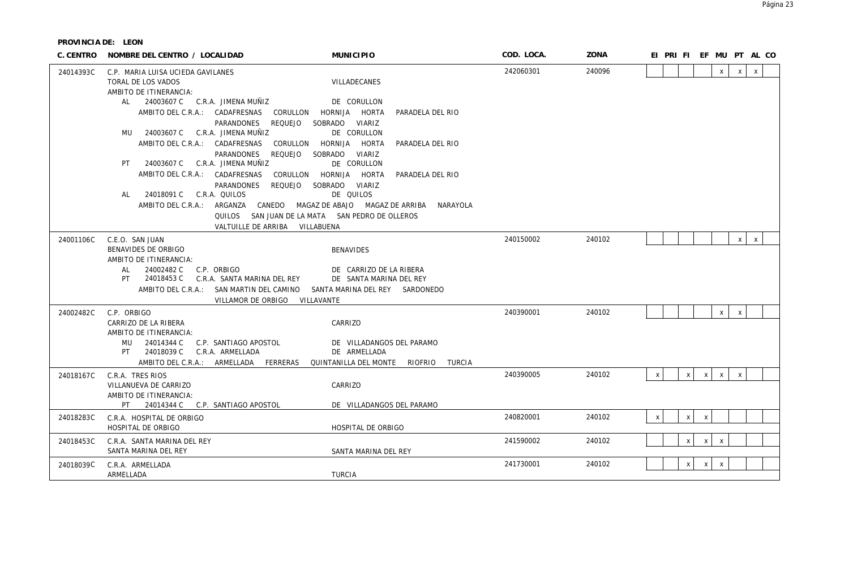| C. CENTRO | NOMBRE DEL CENTRO / LOCALIDAD                                                                                                                         | <b>MUNICIPIO</b>                                                   | COD. LOCA. | ZONA   |              |              |              |              |              | EI PRI FI EF MU PT AL CO |
|-----------|-------------------------------------------------------------------------------------------------------------------------------------------------------|--------------------------------------------------------------------|------------|--------|--------------|--------------|--------------|--------------|--------------|--------------------------|
| 24014393C | C.P. MARIA LUISA UCIEDA GAVILANES<br>TORAL DE LOS VADOS<br>AMBITO DE ITINERANCIA:<br>AL 24003607 C C.R.A. JIMENA MUÑIZ                                | VILLADECANES<br>DE CORULLON                                        | 242060301  | 240096 |              |              |              | $\mathsf{x}$ | $\times$     | $\mathsf{x}$             |
|           | AMBITO DEL C.R.A.: CADAFRESNAS<br>CORULLON<br>PARANDONES<br>REQUEJO                                                                                   | HORNIJA HORTA<br>PARADELA DEL RIO<br>SOBRADO VIARIZ                |            |        |              |              |              |              |              |                          |
|           | 24003607 C C.R.A. JIMENA MUÑIZ<br>MU<br>AMBITO DEL C.R.A.: CADAFRESNAS<br>CORULLON<br>REQUEJO<br>PARANDONES                                           | DE CORULLON<br>HORNIJA HORTA<br>PARADELA DEL RIO<br>SOBRADO VIARIZ |            |        |              |              |              |              |              |                          |
|           | 24003607 C C.R.A. JIMENA MUÑIZ<br>PT.<br>AMBITO DEL C.R.A.: CADAFRESNAS<br>CORULLON                                                                   | DE CORULLON<br>HORNIJA HORTA<br>PARADELA DEL RIO                   |            |        |              |              |              |              |              |                          |
|           | REQUEJO<br>PARANDONES<br>C.R.A. QUILOS<br>24018091 C<br>AL                                                                                            | SOBRADO VIARIZ<br>DE QUILOS                                        |            |        |              |              |              |              |              |                          |
|           | AMBITO DEL C.R.A.: ARGANZA CANEDO MAGAZ DE ABAJO MAGAZ DE ARRIBA<br>QUILOS SAN JUAN DE LA MATA SAN PEDRO DE OLLEROS<br>VALTUILLE DE ARRIBA VILLABUENA | NARAYOLA                                                           |            |        |              |              |              |              |              |                          |
| 24001106C | C.E.O. SAN JUAN                                                                                                                                       |                                                                    | 240150002  | 240102 |              |              |              |              | x            | $\mathsf{X}$             |
|           | BENAVIDES DE ORBIGO<br>AMBITO DE ITINERANCIA:                                                                                                         | <b>BENAVIDES</b>                                                   |            |        |              |              |              |              |              |                          |
|           | 24002482 C<br>C.P. ORBIGO<br>AL                                                                                                                       | DE CARRIZO DE LA RIBERA                                            |            |        |              |              |              |              |              |                          |
|           | 24018453 C<br>C.R.A. SANTA MARINA DEL REY<br>PT<br>AMBITO DEL C.R.A.: SAN MARTIN DEL CAMINO                                                           | DE SANTA MARINA DEL REY<br>SANTA MARINA DEL REY SARDONEDO          |            |        |              |              |              |              |              |                          |
|           | VILLAMOR DE ORBIGO VILLAVANTE                                                                                                                         |                                                                    |            |        |              |              |              |              |              |                          |
| 24002482C | C.P. ORBIGO                                                                                                                                           |                                                                    | 240390001  | 240102 |              |              |              | $\mathsf{x}$ | $\mathsf{x}$ |                          |
|           | CARRIZO DE LA RIBERA<br>AMBITO DE ITINERANCIA:                                                                                                        | CARRIZO                                                            |            |        |              |              |              |              |              |                          |
|           | 24014344 C<br>C.P. SANTIAGO APOSTOL<br>MU<br>24018039 C<br>C.R.A. ARMELLADA<br>PT                                                                     | DE VILLADANGOS DEL PARAMO<br>DE ARMELLADA                          |            |        |              |              |              |              |              |                          |
|           | AMBITO DEL C.R.A.: ARMELLADA FERRERAS                                                                                                                 | QUINTANILLA DEL MONTE RIOFRIO<br>TURCIA                            |            |        |              |              |              |              |              |                          |
| 24018167C | C.R.A. TRES RIOS                                                                                                                                      |                                                                    | 240390005  | 240102 | $x \mid$     | x            | $x \mid$     | $\mathsf{X}$ | $\mathsf{X}$ |                          |
|           | VILLANUEVA DE CARRIZO<br>AMBITO DE ITINERANCIA:                                                                                                       | CARRIZO                                                            |            |        |              |              |              |              |              |                          |
|           | PT 24014344 C C.P. SANTIAGO APOSTOL                                                                                                                   | DE VILLADANGOS DEL PARAMO                                          |            |        |              |              |              |              |              |                          |
| 24018283C | C.R.A. HOSPITAL DE ORBIGO<br>HOSPITAL DE ORBIGO                                                                                                       | HOSPITAL DE ORBIGO                                                 | 240820001  | 240102 | $\mathsf{x}$ | $\mathsf{x}$ | $\mathsf{X}$ |              |              |                          |
| 24018453C | C.R.A. SANTA MARINA DEL REY<br>SANTA MARINA DEL REY                                                                                                   | SANTA MARINA DEL REY                                               | 241590002  | 240102 |              | X            | $\mathsf{x}$ | $\mathsf{X}$ |              |                          |
| 24018039C | C.R.A. ARMELLADA<br>ARMELLADA                                                                                                                         | <b>TURCIA</b>                                                      | 241730001  | 240102 |              | $\mathsf{x}$ | $\times$     | $\mathsf{X}$ |              |                          |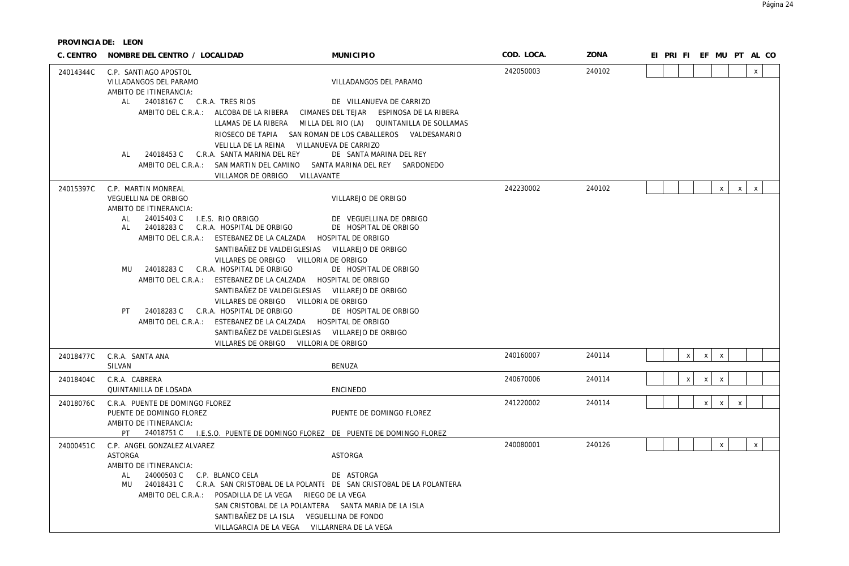| C. CENTRO | NOMBRE DEL CENTRO / LOCALIDAD                                                                                                                                                                                                                                                                                                                                                                                                                               | <b>MUNICIPIO</b>                                                                                                                                                                                                                                                                                                                                                                                              | COD. LOCA. | ZONA   | EI PRI FI EF MU PT AL CO                                  |
|-----------|-------------------------------------------------------------------------------------------------------------------------------------------------------------------------------------------------------------------------------------------------------------------------------------------------------------------------------------------------------------------------------------------------------------------------------------------------------------|---------------------------------------------------------------------------------------------------------------------------------------------------------------------------------------------------------------------------------------------------------------------------------------------------------------------------------------------------------------------------------------------------------------|------------|--------|-----------------------------------------------------------|
| 24014344C | C.P. SANTIAGO APOSTOL<br>VILLADANGOS DEL PARAMO<br>AMBITO DE ITINERANCIA:<br>24018167 C C.R.A. TRES RIOS<br>AL                                                                                                                                                                                                                                                                                                                                              | VILLADANGOS DEL PARAMO<br>DE VILLANUEVA DE CARRIZO<br>AMBITO DEL C.R.A.: ALCOBA DE LA RIBERA CIMANES DEL TEJAR ESPINOSA DE LA RIBERA<br>LLAMAS DE LA RIBERA MILLA DEL RIO (LA) QUINTANILLA DE SOLLAMAS<br>RIOSECO DE TAPIA SAN ROMAN DE LOS CABALLEROS VALDESAMARIO<br>VELILLA DE LA REINA VILLANUEVA DE CARRIZO                                                                                              | 242050003  | 240102 | $\mathsf{x}$                                              |
|           | 24018453 C C.R.A. SANTA MARINA DEL REY<br>AL                                                                                                                                                                                                                                                                                                                                                                                                                | DE SANTA MARINA DEL REY<br>AMBITO DEL C.R.A.: SAN MARTIN DEL CAMINO SANTA MARINA DEL REY SARDONEDO<br>VILLAMOR DE ORBIGO VILLAVANTE                                                                                                                                                                                                                                                                           |            |        |                                                           |
| 24015397C | C.P. MARTIN MONREAL<br>VEGUELLINA DE ORBIGO<br>AMBITO DE ITINERANCIA:<br>24015403 C<br>I.E.S. RIO ORBIGO<br>AL<br>24018283 C<br>C.R.A. HOSPITAL DE ORBIGO<br>AL<br>AMBITO DEL C.R.A.: ESTEBANEZ DE LA CALZADA HOSPITAL DE ORBIGO<br>MU 24018283 C C.R.A. HOSPITAL DE ORBIGO<br>AMBITO DEL C.R.A.: ESTEBANEZ DE LA CALZADA HOSPITAL DE ORBIGO<br>24018283 C C.R.A. HOSPITAL DE ORBIGO<br>PT<br>AMBITO DEL C.R.A.: ESTEBANEZ DE LA CALZADA HOSPITAL DE ORBIGO | VILLAREJO DE ORBIGO<br>DE VEGUELLINA DE ORBIGO<br>DE HOSPITAL DE ORBIGO<br>SANTIBAÑEZ DE VALDEIGLESIAS VILLAREJO DE ORBIGO<br>VILLARES DE ORBIGO VILLORIA DE ORBIGO<br>DE HOSPITAL DE ORBIGO<br>SANTIBAÑEZ DE VALDEIGLESIAS VILLAREJO DE ORBIGO<br>VILLARES DE ORBIGO VILLORIA DE ORBIGO<br>DE HOSPITAL DE ORBIGO<br>SANTIBAÑEZ DE VALDEIGLESIAS VILLAREJO DE ORBIGO<br>VILLARES DE ORBIGO VILLORIA DE ORBIGO | 242230002  | 240102 | $\mathsf X$<br>$\mathsf{X}$<br>$\mathsf{X}$               |
| 24018477C | C.R.A. SANTA ANA<br>SILVAN                                                                                                                                                                                                                                                                                                                                                                                                                                  | <b>BENUZA</b>                                                                                                                                                                                                                                                                                                                                                                                                 | 240160007  | 240114 | $\mathsf{X}$<br>$\mathsf{X}$<br>$\boldsymbol{\mathsf{X}}$ |
| 24018404C | C.R.A. CABRERA<br>QUINTANILLA DE LOSADA                                                                                                                                                                                                                                                                                                                                                                                                                     | <b>ENCINEDO</b>                                                                                                                                                                                                                                                                                                                                                                                               | 240670006  | 240114 | X<br>$\mathsf{x}$<br>$\mathsf{x}$                         |
| 24018076C | C.R.A. PUENTE DE DOMINGO FLOREZ<br>PUENTE DE DOMINGO FLOREZ<br>AMBITO DE ITINERANCIA:                                                                                                                                                                                                                                                                                                                                                                       | PUENTE DE DOMINGO FLOREZ<br>PT 24018751 C I.E.S.O. PUENTE DE DOMINGO FLOREZ DE PUENTE DE DOMINGO FLOREZ                                                                                                                                                                                                                                                                                                       | 241220002  | 240114 | X<br>$\mathsf{X}$<br>$\boldsymbol{\mathsf{X}}$            |
| 24000451C | C.P. ANGEL GONZALEZ ALVAREZ<br><b>ASTORGA</b><br>AMBITO DE ITINERANCIA:<br>AL<br>24000503 C<br>C.P. BLANCO CELA<br>MU<br>AMBITO DEL C.R.A.: POSADILLA DE LA VEGA RIEGO DE LA VEGA                                                                                                                                                                                                                                                                           | <b>ASTORGA</b><br>DE ASTORGA<br>24018431 C C.R.A. SAN CRISTOBAL DE LA POLANTE DE SAN CRISTOBAL DE LA POLANTERA<br>SAN CRISTOBAL DE LA POLANTERA SANTA MARIA DE LA ISLA<br>SANTIBAÑEZ DE LA ISLA VEGUELLINA DE FONDO<br>VILLAGARCIA DE LA VEGA VILLARNERA DE LA VEGA                                                                                                                                           | 240080001  | 240126 | $\mathsf{x}$<br>$\mathsf{x}$                              |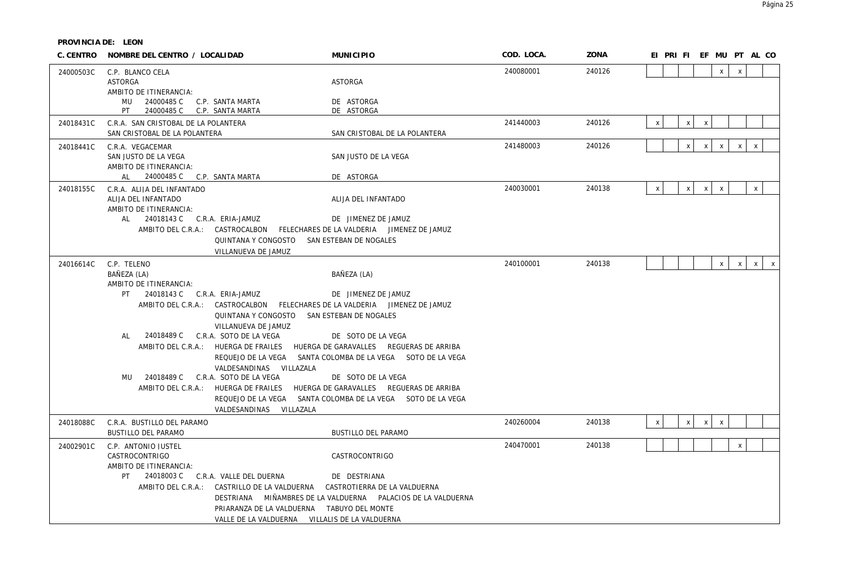| C. CENTRO | NOMBRE DEL CENTRO / LOCALIDAD                                                                                                                                                     |                                                                                                                                                                                    | <b>MUNICIPIO</b>                                                                                                                                                                                                                                                                                                                                                                                                                                           | COD. LOCA. | ZONA   | EI PRI FI EF MU PT AL CO  |              |                           |                           |              |              |              |
|-----------|-----------------------------------------------------------------------------------------------------------------------------------------------------------------------------------|------------------------------------------------------------------------------------------------------------------------------------------------------------------------------------|------------------------------------------------------------------------------------------------------------------------------------------------------------------------------------------------------------------------------------------------------------------------------------------------------------------------------------------------------------------------------------------------------------------------------------------------------------|------------|--------|---------------------------|--------------|---------------------------|---------------------------|--------------|--------------|--------------|
| 24000503C | C.P. BLANCO CELA<br>ASTORGA<br>AMBITO DE ITINERANCIA:                                                                                                                             |                                                                                                                                                                                    | <b>ASTORGA</b>                                                                                                                                                                                                                                                                                                                                                                                                                                             | 240080001  | 240126 |                           |              |                           | $\mathsf{x}$              | $\mathsf{x}$ |              |              |
|           | MU 24000485 C C.P. SANTA MARTA<br>PT<br>24000485 C C.P. SANTA MARTA                                                                                                               |                                                                                                                                                                                    | DE ASTORGA<br>DE ASTORGA                                                                                                                                                                                                                                                                                                                                                                                                                                   |            |        |                           |              |                           |                           |              |              |              |
| 24018431C | C.R.A. SAN CRISTOBAL DE LA POLANTERA<br>SAN CRISTOBAL DE LA POLANTERA                                                                                                             |                                                                                                                                                                                    | SAN CRISTOBAL DE LA POLANTERA                                                                                                                                                                                                                                                                                                                                                                                                                              | 241440003  | 240126 | $\mathsf{x}$              | $\mathsf{x}$ | $\boldsymbol{\mathsf{X}}$ |                           |              |              |              |
| 24018441C | C.R.A. VEGACEMAR<br>SAN JUSTO DE LA VEGA<br>AMBITO DE ITINERANCIA:<br>AL 24000485 C C.P. SANTA MARTA                                                                              |                                                                                                                                                                                    | SAN JUSTO DE LA VEGA                                                                                                                                                                                                                                                                                                                                                                                                                                       | 241480003  | 240126 |                           | $\mathsf{X}$ | $\mathsf X$               | $\mathsf{x}$              | $\mathsf X$  | $\mathsf X$  |              |
| 24018155C | C.R.A. ALIJA DEL INFANTADO<br>ALIJA DEL INFANTADO<br>AMBITO DE ITINERANCIA:<br>AL 24018143 C C.R.A. ERIA-JAMUZ                                                                    | QUINTANA Y CONGOSTO SAN ESTEBAN DE NOGALES<br>VILLANUEVA DE JAMUZ                                                                                                                  | DE ASTORGA<br>ALIJA DEL INFANTADO<br>DE JIMENEZ DE JAMUZ<br>AMBITO DEL C.R.A.: CASTROCALBON FELECHARES DE LA VALDERIA JIMENEZ DE JAMUZ                                                                                                                                                                                                                                                                                                                     | 240030001  | 240138 | $\mathsf{x}$              | $\times$     | $\mathsf{X}$              | $\mathsf{x}$              |              | $\mathsf{x}$ |              |
| 24016614C | C.P. TELENO<br>BAÑEZA (LA)<br>AMBITO DE ITINERANCIA:<br>24018143 C C.R.A. ERIA-JAMUZ<br>PT.<br>24018489 C C.R.A. SOTO DE LA VEGA<br>AL<br>24018489 C C.R.A. SOTO DE LA VEGA<br>MU | QUINTANA Y CONGOSTO SAN ESTEBAN DE NOGALES<br>VILLANUEVA DE JAMUZ<br>VALDESANDINAS VILLAZALA<br>VALDESANDINAS VILLAZALA                                                            | BAÑEZA (LA)<br>DE JIMENEZ DE JAMUZ<br>AMBITO DEL C.R.A.: CASTROCALBON FELECHARES DE LA VALDERIA JIMENEZ DE JAMUZ<br>DE SOTO DE LA VEGA<br>AMBITO DEL C.R.A.: HUERGA DE FRAILES HUERGA DE GARAVALLES REGUERAS DE ARRIBA<br>REQUEJO DE LA VEGA SANTA COLOMBA DE LA VEGA SOTO DE LA VEGA<br>DE SOTO DE LA VEGA<br>AMBITO DEL C.R.A.: HUERGA DE FRAILES HUERGA DE GARAVALLES REGUERAS DE ARRIBA<br>REQUEJO DE LA VEGA SANTA COLOMBA DE LA VEGA SOTO DE LA VEGA | 240100001  | 240138 |                           |              |                           | $\mathsf{X}$              | $\mathsf{x}$ | $\mathsf{x}$ | $\mathsf{X}$ |
| 24018088C | C.R.A. BUSTILLO DEL PARAMO<br>BUSTILLO DEL PARAMO                                                                                                                                 |                                                                                                                                                                                    | BUSTILLO DEL PARAMO                                                                                                                                                                                                                                                                                                                                                                                                                                        | 240260004  | 240138 | $\boldsymbol{\mathsf{x}}$ | $\mathsf{x}$ | $\mathsf{x}$              | $\boldsymbol{\mathsf{X}}$ |              |              |              |
| 24002901C | C.P. ANTONIO JUSTEL<br>CASTROCONTRIGO<br>AMBITO DE ITINERANCIA:<br>PT                                                                                                             | 24018003 C C.R.A. VALLE DEL DUERNA<br>AMBITO DEL C.R.A.: CASTRILLO DE LA VALDUERNA<br>PRIARANZA DE LA VALDUERNA TABUYO DEL MONTE<br>VALLE DE LA VALDUERNA VILLALIS DE LA VALDUERNA | CASTROCONTRIGO<br>DE DESTRIANA<br>CASTROTIERRA DE LA VALDUERNA<br>DESTRIANA MIÑAMBRES DE LA VALDUERNA PALACIOS DE LA VALDUERNA                                                                                                                                                                                                                                                                                                                             | 240470001  | 240138 |                           |              |                           |                           | $\mathsf{X}$ |              |              |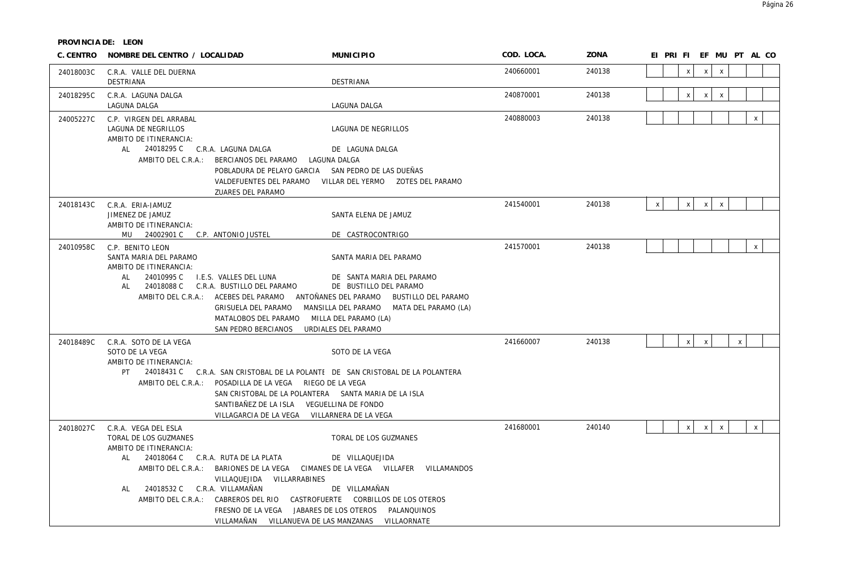| C. CENTRO | NOMBRE DEL CENTRO / LOCALIDAD                                                                                                                                                   | <b>MUNICIPIO</b>                                                                                                                                                                                                                                                                                                                                               | COD. LOCA. | ZONA   |                                              | EI PRI FI EF MU PT AL CO    |
|-----------|---------------------------------------------------------------------------------------------------------------------------------------------------------------------------------|----------------------------------------------------------------------------------------------------------------------------------------------------------------------------------------------------------------------------------------------------------------------------------------------------------------------------------------------------------------|------------|--------|----------------------------------------------|-----------------------------|
| 24018003C | C.R.A. VALLE DEL DUERNA<br>DESTRIANA                                                                                                                                            | <b>DESTRIANA</b>                                                                                                                                                                                                                                                                                                                                               | 240660001  | 240138 | $\mathsf{X}$<br>$\mathsf{x}$                 | $\mathsf{X}$                |
| 24018295C | C.R.A. LAGUNA DALGA<br>LAGUNA DALGA                                                                                                                                             | LAGUNA DALGA                                                                                                                                                                                                                                                                                                                                                   | 240870001  | 240138 | $\mathsf{x}$<br>$\mathsf{x}$                 | $\mathsf{x}$                |
| 24005227C | C.P. VIRGEN DEL ARRABAL<br>LAGUNA DE NEGRILLOS<br>AMBITO DE ITINERANCIA:                                                                                                        | LAGUNA DE NEGRILLOS                                                                                                                                                                                                                                                                                                                                            | 240880003  | 240138 |                                              | $\mathsf{X}$                |
|           | 24018295 C C.R.A. LAGUNA DALGA<br>AL<br>AMBITO DEL C.R.A.: BERCIANOS DEL PARAMO                                                                                                 | DE LAGUNA DALGA<br>LAGUNA DALGA<br>POBLADURA DE PELAYO GARCIA SAN PEDRO DE LAS DUEÑAS<br>VALDEFUENTES DEL PARAMO<br>ZUARES DEL PARAMO                                                                                                                                                                                                                          |            |        |                                              |                             |
| 24018143C | C.R.A. ERIA-JAMUZ<br>JIMENEZ DE JAMUZ<br>AMBITO DE ITINERANCIA:<br>MU 24002901 C C.P. ANTONIO JUSTEL                                                                            | SANTA ELENA DE JAMUZ<br>DE CASTROCONTRIGO                                                                                                                                                                                                                                                                                                                      | 241540001  | 240138 | $\mathsf{x}$<br>$\mathsf{x}$<br>$\mathsf{x}$ | $\mathsf{X}$                |
| 24010958C | C.P. BENITO LEON<br>SANTA MARIA DEL PARAMO<br>AMBITO DE ITINERANCIA:<br>24010995 C<br>AL<br>I.E.S. VALLES DEL LUNA<br>24018088 C<br>AL                                          | SANTA MARIA DEL PARAMO<br>DE SANTA MARIA DEL PARAMO<br>C.R.A. BUSTILLO DEL PARAMO<br>DE BUSTILLO DEL PARAMO<br>AMBITO DEL C.R.A.: ACEBES DEL PARAMO ANTOÑANES DEL PARAMO BUSTILLO DEL PARAMO<br>GRISUELA DEL PARAMO<br>MANSILLA DEL PARAMO MATA DEL PARAMO (LA)<br>MATALOBOS DEL PARAMO<br>MILLA DEL PARAMO (LA)<br>SAN PEDRO BERCIANOS<br>URDIALES DEL PARAMO | 241570001  | 240138 |                                              | $\mathsf{x}$                |
| 24018489C | C.R.A. SOTO DE LA VEGA<br>SOTO DE LA VEGA<br>AMBITO DE ITINERANCIA:<br>PT                                                                                                       | SOTO DE LA VEGA<br>24018431 C C.R.A. SAN CRISTOBAL DE LA POLANTE DE SAN CRISTOBAL DE LA POLANTERA<br>AMBITO DEL C.R.A.: POSADILLA DE LA VEGA RIEGO DE LA VEGA<br>SAN CRISTOBAL DE LA POLANTERA SANTA MARIA DE LA ISLA<br>SANTIBAÑEZ DE LA ISLA VEGUELLINA DE FONDO<br>VILLAGARCIA DE LA VEGA VILLARNERA DE LA VEGA                                             | 241660007  | 240138 | $\mathsf X$<br>$\mathsf{x}$                  | $\mathsf X$                 |
| 24018027C | C.R.A. VEGA DEL ESLA<br>TORAL DE LOS GUZMANES<br>AMBITO DE ITINERANCIA:<br>24018064 C C.R.A. RUTA DE LA PLATA<br>AL<br>AMBITO DEL C.R.A.:<br>24018532 C C.R.A. VILLAMAÑAN<br>AL | TORAL DE LOS GUZMANES<br>DE VILLAQUEJIDA<br>BARIONES DE LA VEGA CIMANES DE LA VEGA VILLAFER VILLAMANDOS<br>VILLAQUEJIDA VILLARRABINES<br>DE VILLAMAÑAN<br>AMBITO DEL C.R.A.: CABREROS DEL RIO CASTROFUERTE CORBILLOS DE LOS OTEROS<br>FRESNO DE LA VEGA JABARES DE LOS OTEROS PALANQUINOS<br>VILLAMAÑAN VILLANUEVA DE LAS MANZANAS VILLAORNATE                 | 241680001  | 240140 | $\mathsf X$<br>$\mathsf{x}$                  | $\mathsf X$<br>$\mathsf{X}$ |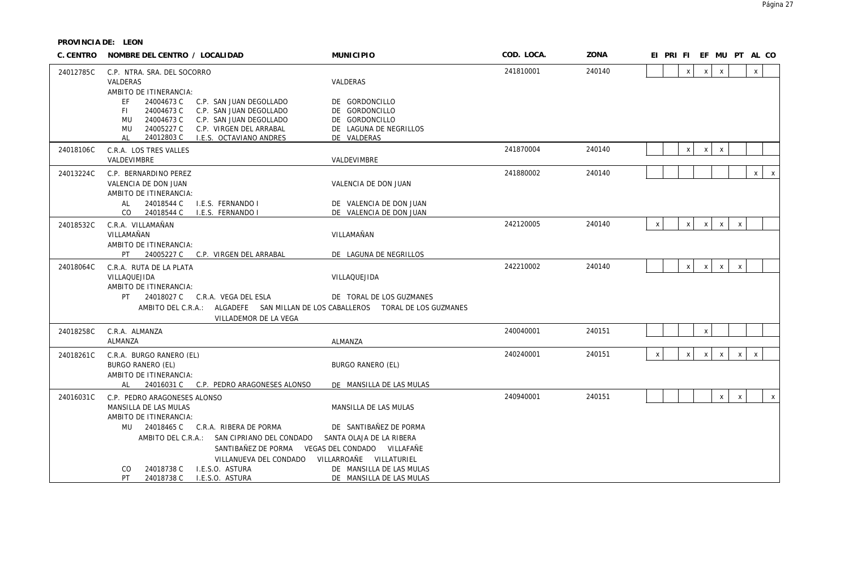| C. CENTRO | NOMBRE DEL CENTRO / LOCALIDAD                                                                                                                                                                                                             | <b>MUNICIPIO</b>                                                                                          | COD. LOCA. | ZONA   | EI PRIFIEF MUPTALCO       |   |                           |                           |                           |                   |
|-----------|-------------------------------------------------------------------------------------------------------------------------------------------------------------------------------------------------------------------------------------------|-----------------------------------------------------------------------------------------------------------|------------|--------|---------------------------|---|---------------------------|---------------------------|---------------------------|-------------------|
| 24012785C | C.P. NTRA. SRA. DEL SOCORRO<br>VALDERAS<br>AMBITO DE ITINERANCIA:                                                                                                                                                                         | VALDERAS                                                                                                  | 241810001  | 240140 |                           | X | $\boldsymbol{\mathsf{X}}$ | $\mathsf{x}$              |                           | $\mathsf{x}$      |
|           | FF.<br>24004673 C<br>C.P. SAN JUAN DEGOLLADO<br>24004673 C<br>C.P. SAN JUAN DEGOLLADO<br>FI.<br>24004673 C<br>C.P. SAN JUAN DEGOLLADO<br>MU<br>24005227 C<br>MU<br>C.P. VIRGEN DEL ARRABAL<br>24012803 C<br>I.E.S. OCTAVIANO ANDRES<br>AL | DE GORDONCILLO<br>DE GORDONCILLO<br>DE GORDONCILLO<br>DE LAGUNA DE NEGRILLOS<br>DE VALDERAS               |            |        |                           |   |                           |                           |                           |                   |
| 24018106C | C.R.A. LOS TRES VALLES<br>VALDEVIMBRE                                                                                                                                                                                                     | VALDEVIMBRE                                                                                               | 241870004  | 240140 |                           | X | $\boldsymbol{\mathsf{X}}$ | $\boldsymbol{\mathsf{X}}$ |                           |                   |
| 24013224C | C.P. BERNARDINO PEREZ<br>VALENCIA DE DON JUAN<br>AMBITO DE ITINERANCIA:                                                                                                                                                                   | VALENCIA DE DON JUAN                                                                                      | 241880002  | 240140 |                           |   |                           |                           |                           | $\mathsf{X}$<br>X |
|           | 24018544 C<br>I.E.S. FERNANDO I<br>AL<br>24018544 C<br>I.E.S. FERNANDO I<br>CO.                                                                                                                                                           | DE VALENCIA DE DON JUAN<br>DE VALENCIA DE DON JUAN                                                        |            |        |                           |   |                           |                           |                           |                   |
| 24018532C | C.R.A. VILLAMAÑAN<br>VILLAMAÑAN<br>AMBITO DE ITINERANCIA:                                                                                                                                                                                 | VILLAMAÑAN                                                                                                | 242120005  | 240140 | $\boldsymbol{\mathsf{X}}$ | X | $\mathsf{X}$              | $\mathsf{X}$              | $\mathsf X$               |                   |
|           | 24005227 C C.P. VIRGEN DEL ARRABAL<br>PT                                                                                                                                                                                                  | DE LAGUNA DE NEGRILLOS                                                                                    |            |        |                           |   |                           |                           |                           |                   |
| 24018064C | C.R.A. RUTA DE LA PLATA<br>VILLAQUEJIDA<br>AMBITO DE ITINERANCIA:<br>PT<br>24018027 C C.R.A. VEGA DEL ESLA                                                                                                                                | VILLAQUEJIDA<br>DE TORAL DE LOS GUZMANES                                                                  | 242210002  | 240140 |                           | X | $\mathsf{X}$              | $\mathsf{X}$              | $\boldsymbol{\mathsf{X}}$ |                   |
|           | AMBITO DEL C.R.A.: ALGADEFE SAN MILLAN DE LOS CABALLEROS TORAL DE LOS GUZMANES<br>VILLADEMOR DE LA VEGA                                                                                                                                   |                                                                                                           |            |        |                           |   |                           |                           |                           |                   |
| 24018258C | C.R.A. ALMANZA<br>ALMANZA                                                                                                                                                                                                                 | ALMANZA                                                                                                   | 240040001  | 240151 |                           |   | $\pmb{\chi}$              |                           |                           |                   |
| 24018261C | C.R.A. BURGO RANERO (EL)<br><b>BURGO RANERO (EL)</b><br>AMBITO DE ITINERANCIA:                                                                                                                                                            | BURGO RANERO (EL)                                                                                         | 240240001  | 240151 | $\mathsf{x}$              | X | X                         | $\boldsymbol{\mathsf{X}}$ | $\pmb{\mathsf{X}}$        | $\,$ X            |
|           | 24016031 C C.P. PEDRO ARAGONESES ALONSO<br>AL                                                                                                                                                                                             | DE MANSILLA DE LAS MULAS                                                                                  |            |        |                           |   |                           |                           |                           |                   |
| 24016031C | C.P. PEDRO ARAGONESES ALONSO<br>MANSILLA DE LAS MULAS<br>AMBITO DE ITINERANCIA:                                                                                                                                                           | MANSILLA DE LAS MULAS                                                                                     | 240940001  | 240151 |                           |   |                           | $\mathsf X$               | $\mathsf{X}$              | $\mathsf{x}$      |
|           | 24018465 C C.R.A. RIBERA DE PORMA<br>MU<br>AMBITO DEL C.R.A.: SAN CIPRIANO DEL CONDADO<br>SANTIBAÑEZ DE PORMA VEGAS DEL CONDADO VILLAFAÑE<br>VILLANUEVA DEL CONDADO<br>24018738 C<br>I.E.S.O. ASTURA<br><sub>CO</sub>                     | DE SANTIBAÑEZ DE PORMA<br>SANTA OLAJA DE LA RIBERA<br>VILLARROAÑE VILLATURIEL<br>DE MANSILLA DE LAS MULAS |            |        |                           |   |                           |                           |                           |                   |
|           | PT.<br>24018738 C<br>I.E.S.O. ASTURA                                                                                                                                                                                                      | DE MANSILLA DE LAS MULAS                                                                                  |            |        |                           |   |                           |                           |                           |                   |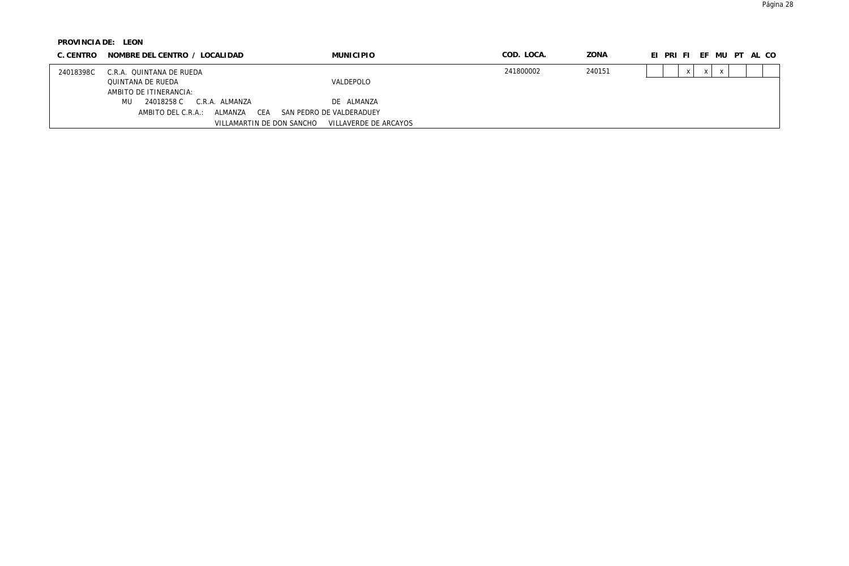| C. CENTRO | NOMBRE DEL CENTRO / LOCALIDAD        | <b>MUNICIPIO</b>         | COD. LOCA. | ZONA   | EI PRI FI EF MU PT AL CO |
|-----------|--------------------------------------|--------------------------|------------|--------|--------------------------|
| 24018398C | C.R.A. QUINTANA DE RUEDA             |                          | 241800002  | 240151 |                          |
|           | QUINTANA DE RUEDA                    | VALDEPOLO                |            |        |                          |
|           | AMBITO DE ITINERANCIA:               |                          |            |        |                          |
|           | C.R.A. ALMANZA<br>MU<br>24018258 C   | DE ALMANZA               |            |        |                          |
|           | CEA<br>ALMAN7A<br>AMBITO DEL C.R.A.: | SAN PEDRO DE VALDERADUEY |            |        |                          |
|           | VILLAMARTIN DE DON SANCHO            | VILLAVERDE DE ARCAYOS    |            |        |                          |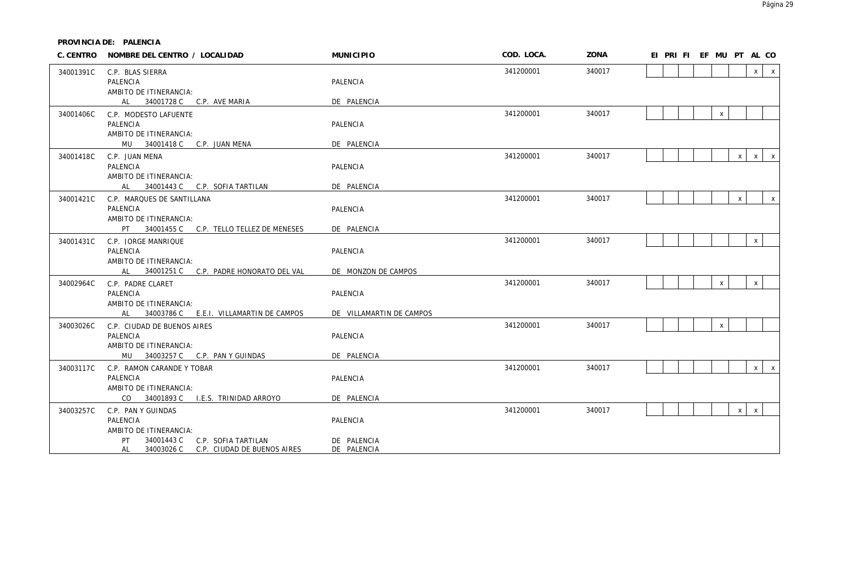**PROVINCIA DE: PALENCIA**

|           | C. CENTRO NOMBRE DEL CENTRO / LOCALIDAD      | <b>MUNICIPIO</b>         | COD. LOCA. | ZONA   | EI PRI FI EF MU PT AL CO                     |
|-----------|----------------------------------------------|--------------------------|------------|--------|----------------------------------------------|
| 34001391C | C.P. BLAS SIERRA                             |                          | 341200001  | 340017 | x<br>$\mathsf{X}$                            |
|           | PALENCIA                                     | PALENCIA                 |            |        |                                              |
|           | AMBITO DE ITINERANCIA:                       |                          |            |        |                                              |
|           | AL 34001728 C C.P. AVE MARIA                 | DE PALENCIA              |            |        |                                              |
| 34001406C | C.P. MODESTO LAFUENTE                        |                          | 341200001  | 340017 | $\mathsf{x}$                                 |
|           | PALENCIA                                     | PALENCIA                 |            |        |                                              |
|           | AMBITO DE ITINERANCIA:                       |                          |            |        |                                              |
|           | MU 34001418 C C.P. JUAN MENA                 | DE PALENCIA              |            |        |                                              |
| 34001418C | C.P. JUAN MENA                               |                          | 341200001  | 340017 | $\mathsf{X}$<br>$\mathsf{x}$<br>$\mathsf{X}$ |
|           | PALENCIA<br>AMBITO DE ITINERANCIA:           | PALENCIA                 |            |        |                                              |
|           | AL 34001443 C C.P. SOFIA TARTILAN            | DE PALENCIA              |            |        |                                              |
| 34001421C | C.P. MARQUES DE SANTILLANA                   |                          | 341200001  | 340017 | $\mathsf{x}$<br>$\boldsymbol{\mathsf{x}}$    |
|           | PALENCIA                                     | PALENCIA                 |            |        |                                              |
|           | AMBITO DE ITINERANCIA:                       |                          |            |        |                                              |
|           | PT 34001455 C C.P. TELLO TELLEZ DE MENESES   | DE PALENCIA              |            |        |                                              |
| 34001431C | C.P. JORGE MANRIQUE                          |                          | 341200001  | 340017 | $\pmb{\chi}$                                 |
|           | PALENCIA                                     | PALENCIA                 |            |        |                                              |
|           | AMBITO DE ITINERANCIA:                       |                          |            |        |                                              |
|           | AL 34001251 C C.P. PADRE HONORATO DEL VAL    | DE MONZON DE CAMPOS      |            |        |                                              |
| 34002964C | C.P. PADRE CLARET                            |                          | 341200001  | 340017 | $\mathsf X$<br>$\pmb{\chi}$                  |
|           | PALENCIA                                     | PALENCIA                 |            |        |                                              |
|           | AMBITO DE ITINERANCIA:                       |                          |            |        |                                              |
|           | AL 34003786 C E.E.I. VILLAMARTIN DE CAMPOS   | DE VILLAMARTIN DE CAMPOS |            |        |                                              |
| 34003026C | C.P. CIUDAD DE BUENOS AIRES                  |                          | 341200001  | 340017 | $\mathsf{x}$                                 |
|           | PALENCIA<br>AMBITO DE ITINERANCIA:           | PALENCIA                 |            |        |                                              |
|           | MU<br>34003257 C C.P. PAN Y GUINDAS          | DE PALENCIA              |            |        |                                              |
|           | C.P. RAMON CARANDE Y TOBAR                   |                          | 341200001  | 340017 | x<br>$\mathsf{X}$                            |
| 34003117C | PALENCIA                                     | PALENCIA                 |            |        |                                              |
|           | AMBITO DE ITINERANCIA:                       |                          |            |        |                                              |
|           | CO.<br>34001893 C<br>I.E.S. TRINIDAD ARROYO  | DE PALENCIA              |            |        |                                              |
| 34003257C | C.P. PAN Y GUINDAS                           |                          | 341200001  | 340017 | $\mathsf{x}$<br>$\mathsf{x}$                 |
|           | PALENCIA                                     | PALENCIA                 |            |        |                                              |
|           | AMBITO DE ITINERANCIA:                       |                          |            |        |                                              |
|           | C.P. SOFIA TARTILAN<br>PT<br>34001443 C      | DE PALENCIA              |            |        |                                              |
|           | AL<br>34003026 C C.P. CIUDAD DE BUENOS AIRES | DE PALENCIA              |            |        |                                              |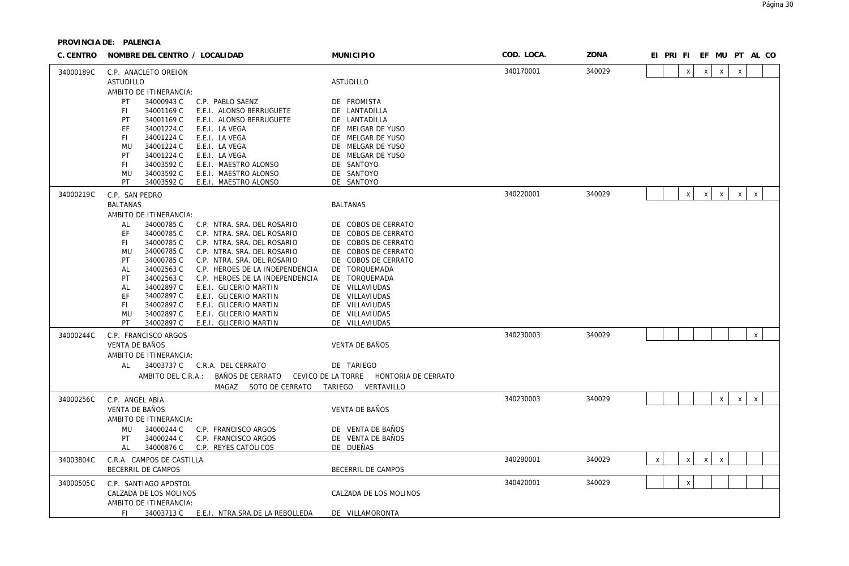| C. CENTRO | NOMBRE DEL CENTRO / LOCALIDAD                                                                                                                                                                                                                                                                                                                                                                                                                                                                                                                                                                                                               | <b>MUNICIPIO</b>                                                                                                                                                                                                                            | COD. LOCA. | ZONA   |   | EI PRI FI EF MU PT AL CO  |              |                           |              |              |  |
|-----------|---------------------------------------------------------------------------------------------------------------------------------------------------------------------------------------------------------------------------------------------------------------------------------------------------------------------------------------------------------------------------------------------------------------------------------------------------------------------------------------------------------------------------------------------------------------------------------------------------------------------------------------------|---------------------------------------------------------------------------------------------------------------------------------------------------------------------------------------------------------------------------------------------|------------|--------|---|---------------------------|--------------|---------------------------|--------------|--------------|--|
| 34000189C | C.P. ANACLETO OREJON<br><b>ASTUDILLO</b>                                                                                                                                                                                                                                                                                                                                                                                                                                                                                                                                                                                                    | ASTUDILLO                                                                                                                                                                                                                                   | 340170001  | 340029 |   | $\mathsf{x}$              | $\mathsf{x}$ | $\mathsf{x}$              | $\mathsf{X}$ |              |  |
|           | AMBITO DE ITINERANCIA:<br>PT<br>34000943 C<br>C.P. PABLO SAENZ<br>34001169 C<br>E.E.I. ALONSO BERRUGUETE<br>FI.<br>PT<br>34001169 C<br>E.E.I. ALONSO BERRUGUETE<br>34001224 C<br>EF<br>E.E.I. LA VEGA<br>FI.<br>34001224 C<br>E.E.I. LA VEGA<br>34001224 C<br>MU<br>E.E.I. LA VEGA<br>34001224 C<br>PT<br>E.E.I. LA VEGA<br>34003592 C<br>E.E.I. MAESTRO ALONSO<br>FI.<br>MU<br>34003592 C<br>E.E.I. MAESTRO ALONSO<br>PT<br>34003592 C<br>E.E.I. MAESTRO ALONSO                                                                                                                                                                            | DE FROMISTA<br>DE LANTADILLA<br>DE LANTADILLA<br>DE MELGAR DE YUSO<br>DE MELGAR DE YUSO<br>DE MELGAR DE YUSO<br>DE MELGAR DE YUSO<br>DE SANTOYO<br>DE SANTOYO<br>DE SANTOYO                                                                 |            |        |   |                           |              |                           |              |              |  |
| 34000219C | C.P. SAN PEDRO                                                                                                                                                                                                                                                                                                                                                                                                                                                                                                                                                                                                                              |                                                                                                                                                                                                                                             | 340220001  | 340029 |   | $\boldsymbol{\mathsf{X}}$ | $\mathsf{x}$ | $\mathsf{X}$              | $\mathsf{X}$ | $\mathsf X$  |  |
|           | <b>BALTANAS</b>                                                                                                                                                                                                                                                                                                                                                                                                                                                                                                                                                                                                                             | <b>BALTANAS</b>                                                                                                                                                                                                                             |            |        |   |                           |              |                           |              |              |  |
|           | AMBITO DE ITINERANCIA:<br>AL<br>34000785 C<br>C.P. NTRA. SRA. DEL ROSARIO<br>34000785 C<br>C.P. NTRA. SRA. DEL ROSARIO<br>EF<br>34000785 C<br>C.P. NTRA. SRA. DEL ROSARIO<br>FL.<br>34000785 C<br>C.P. NTRA. SRA. DEL ROSARIO<br>MU<br>34000785 C<br>PT<br>C.P. NTRA. SRA. DEL ROSARIO<br>34002563 C<br>C.P. HEROES DE LA INDEPENDENCIA<br>AL<br>34002563 C<br>PT<br>C.P. HEROES DE LA INDEPENDENCIA<br>34002897 C<br>E.E.I. GLICERIO MARTIN<br>AL<br>34002897 C<br>EF<br>E.E.I. GLICERIO MARTIN<br>34002897 C<br>E.E.I. GLICERIO MARTIN<br>FI.<br>34002897 C<br>E.E.I. GLICERIO MARTIN<br>MU<br>PT<br>34002897 C<br>E.E.I. GLICERIO MARTIN | DE COBOS DE CERRATO<br>DE COBOS DE CERRATO<br>DE COBOS DE CERRATO<br>DE COBOS DE CERRATO<br>DE COBOS DE CERRATO<br>DE TORQUEMADA<br>DE TORQUEMADA<br>DE VILLAVIUDAS<br>DE VILLAVIUDAS<br>DE VILLAVIUDAS<br>DE VILLAVIUDAS<br>DE VILLAVIUDAS |            |        |   |                           |              |                           |              |              |  |
| 34000244C | C.P. FRANCISCO ARGOS                                                                                                                                                                                                                                                                                                                                                                                                                                                                                                                                                                                                                        |                                                                                                                                                                                                                                             | 340230003  | 340029 |   |                           |              |                           |              | $\pmb{\chi}$ |  |
|           | VENTA DE BAÑOS<br>AMBITO DE ITINERANCIA:<br>34003737 C C.R.A. DEL CERRATO<br>AL<br>AMBITO DEL C.R.A.:<br>BAÑOS DE CERRATO<br>MAGAZ<br>SOTO DE CERRATO                                                                                                                                                                                                                                                                                                                                                                                                                                                                                       | VENTA DE BAÑOS<br>DE TARIEGO<br>CEVICO DE LA TORRE HONTORIA DE CERRATO<br>VERTAVILLO<br>TARIEGO                                                                                                                                             |            |        |   |                           |              |                           |              |              |  |
| 34000256C | C.P. ANGEL ABIA                                                                                                                                                                                                                                                                                                                                                                                                                                                                                                                                                                                                                             |                                                                                                                                                                                                                                             | 340230003  | 340029 |   |                           |              | X                         | $\mathsf{X}$ | $\mathsf{X}$ |  |
|           | <b>VENTA DE BAÑOS</b><br>AMBITO DE ITINERANCIA:<br>MU<br>34000244 C<br>C.P. FRANCISCO ARGOS<br>34000244 C<br>PT<br>C.P. FRANCISCO ARGOS<br>34000876 C<br>C.P. REYES CATOLICOS<br>AL                                                                                                                                                                                                                                                                                                                                                                                                                                                         | <b>VENTA DE BAÑOS</b><br>DE VENTA DE BAÑOS<br>DE VENTA DE BAÑOS<br>DE DUEÑAS                                                                                                                                                                |            |        |   |                           |              |                           |              |              |  |
| 34003804C | C.R.A. CAMPOS DE CASTILLA                                                                                                                                                                                                                                                                                                                                                                                                                                                                                                                                                                                                                   |                                                                                                                                                                                                                                             | 340290001  | 340029 | X | $\boldsymbol{\mathsf{x}}$ | $\mathsf{X}$ | $\boldsymbol{\mathsf{x}}$ |              |              |  |
|           | BECERRIL DE CAMPOS                                                                                                                                                                                                                                                                                                                                                                                                                                                                                                                                                                                                                          | BECERRIL DE CAMPOS                                                                                                                                                                                                                          |            |        |   |                           |              |                           |              |              |  |
| 34000505C | C.P. SANTIAGO APOSTOL<br>CALZADA DE LOS MOLINOS<br>AMBITO DE ITINERANCIA:                                                                                                                                                                                                                                                                                                                                                                                                                                                                                                                                                                   | CALZADA DE LOS MOLINOS                                                                                                                                                                                                                      | 340420001  | 340029 |   | $\mathsf{x}$              |              |                           |              |              |  |
|           | FI.<br>34003713 C<br>E.E.I. NTRA.SRA.DE LA REBOLLEDA                                                                                                                                                                                                                                                                                                                                                                                                                                                                                                                                                                                        | DE VILLAMORONTA                                                                                                                                                                                                                             |            |        |   |                           |              |                           |              |              |  |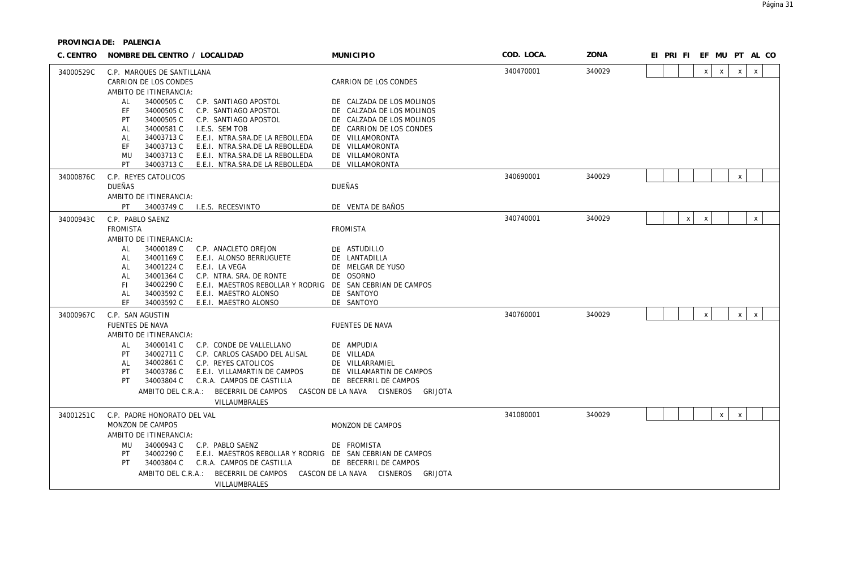| C. CENTRO | NOMBRE DEL CENTRO / LOCALIDAD                                                                                                                                                                                                                                                                                                                                                                                       | <b>MUNICIPIO</b>                                                                                                                                                                            | COD. LOCA. | ZONA   | EI PRI FI EF MU PT AL CO                                     |
|-----------|---------------------------------------------------------------------------------------------------------------------------------------------------------------------------------------------------------------------------------------------------------------------------------------------------------------------------------------------------------------------------------------------------------------------|---------------------------------------------------------------------------------------------------------------------------------------------------------------------------------------------|------------|--------|--------------------------------------------------------------|
| 34000529C | C.P. MARQUES DE SANTILLANA<br>CARRION DE LOS CONDES<br>AMBITO DE ITINERANCIA:                                                                                                                                                                                                                                                                                                                                       | CARRION DE LOS CONDES                                                                                                                                                                       | 340470001  | 340029 | $\mathsf{X}$<br>$\mathsf{X}$<br>$\mathsf{x}$<br>$\mathsf{X}$ |
|           | 34000505 C<br>C.P. SANTIAGO APOSTOL<br>AL<br>34000505 C<br>EF<br>C.P. SANTIAGO APOSTOL<br>34000505 C<br>PT<br>C.P. SANTIAGO APOSTOL<br>34000581 C<br>I.E.S. SEM TOB<br><b>AL</b><br>34003713 C<br>E.E.I. NTRA.SRA.DE LA REBOLLEDA<br>AL<br>34003713 C<br>E.E.I. NTRA.SRA.DE LA REBOLLEDA<br>EF<br>34003713 C<br><b>MU</b><br>E.E.I. NTRA.SRA.DE LA REBOLLEDA<br>34003713 C<br>PT<br>E.E.I. NTRA.SRA.DE LA REBOLLEDA | DE CALZADA DE LOS MOLINOS<br>DE CALZADA DE LOS MOLINOS<br>DE CALZADA DE LOS MOLINOS<br>DE CARRION DE LOS CONDES<br>DE VILLAMORONTA<br>DE VILLAMORONTA<br>DE VILLAMORONTA<br>DE VILLAMORONTA |            |        |                                                              |
| 34000876C | C.P. REYES CATOLICOS<br><b>DUEÑAS</b><br>AMBITO DE ITINERANCIA:                                                                                                                                                                                                                                                                                                                                                     | DUEÑAS                                                                                                                                                                                      | 340690001  | 340029 | $\mathsf{X}$                                                 |
|           | 34003749 C I.E.S. RECESVINTO<br>PT                                                                                                                                                                                                                                                                                                                                                                                  | DE VENTA DE BAÑOS                                                                                                                                                                           |            |        |                                                              |
| 34000943C | C.P. PABLO SAENZ<br><b>FROMISTA</b><br>AMBITO DE ITINERANCIA:                                                                                                                                                                                                                                                                                                                                                       | <b>FROMISTA</b>                                                                                                                                                                             | 340740001  | 340029 | $\mathsf{x}$<br>$\boldsymbol{\mathsf{x}}$<br>X               |
|           | AL<br>34000189 C<br>C.P. ANACLETO OREJON<br>AL<br>34001169 C<br>E.E.I. ALONSO BERRUGUETE<br>34001224 C<br>E.E.I. LA VEGA<br>AL<br>34001364 C<br>C.P. NTRA. SRA. DE RONTE<br>AL<br>FI.<br>34002290 C<br>E.E.I. MAESTROS REBOLLAR Y RODRIG DE SAN CEBRIAN DE CAMPOS<br>34003592 C<br>E.E.I. MAESTRO ALONSO<br>AL<br>FF.<br>34003592 C<br>E.E.I. MAESTRO ALONSO                                                        | DE ASTUDILLO<br>DE LANTADILLA<br>DE MELGAR DE YUSO<br>DE OSORNO<br>DE SANTOYO<br>DE SANTOYO                                                                                                 |            |        |                                                              |
| 34000967C | C.P. SAN AGUSTIN<br><b>FUENTES DE NAVA</b><br>AMBITO DE ITINERANCIA:                                                                                                                                                                                                                                                                                                                                                | <b>FUENTES DE NAVA</b>                                                                                                                                                                      | 340760001  | 340029 | $\times$<br>$\mathsf{x}$<br>X                                |
|           | AL<br>34000141 C<br>C.P. CONDE DE VALLELLANO<br>34002711 C<br>PT<br>C.P. CARLOS CASADO DEL ALISAL<br>34002861 C<br>C.P. REYES CATOLICOS<br>AL<br>34003786 C<br>E.E.I. VILLAMARTIN DE CAMPOS<br>PT<br>34003804 C<br>PT<br>C.R.A. CAMPOS DE CASTILLA<br>AMBITO DEL C.R.A.:<br>BECERRIL DE CAMPOS<br>VILLAUMBRALES                                                                                                     | DE AMPUDIA<br>DE VILLADA<br>DE VILLARRAMIEL<br>DE VILLAMARTIN DE CAMPOS<br>DE BECERRIL DE CAMPOS<br>CASCON DE LA NAVA CISNEROS<br>GRIJOTA                                                   |            |        |                                                              |
| 34001251C | C.P. PADRE HONORATO DEL VAL<br>MONZON DE CAMPOS<br>AMBITO DE ITINERANCIA:<br>34000943 C<br><b>MU</b><br>C.P. PABLO SAENZ<br>34002290 C<br>E.E.I. MAESTROS REBOLLAR Y RODRIG DE SAN CEBRIAN DE CAMPOS<br>PT                                                                                                                                                                                                          | MONZON DE CAMPOS<br>DE FROMISTA                                                                                                                                                             | 341080001  | 340029 | X<br>$\mathsf{x}$                                            |
|           | 34003804 C<br>PT<br>C.R.A. CAMPOS DE CASTILLA<br>AMBITO DEL C.R.A.:<br>BECERRIL DE CAMPOS<br>VILLAUMBRALES                                                                                                                                                                                                                                                                                                          | DE BECERRIL DE CAMPOS<br>CASCON DE LA NAVA CISNEROS<br>GRIJOTA                                                                                                                              |            |        |                                                              |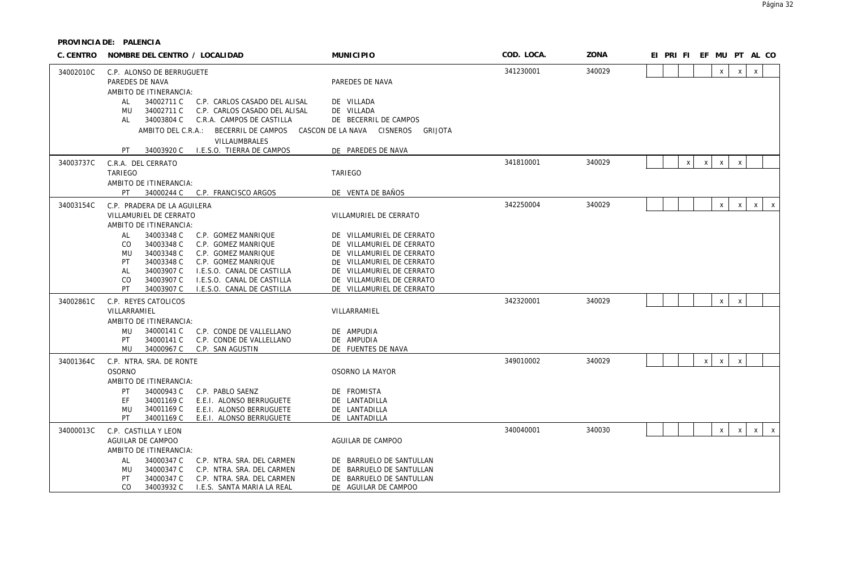| C. CENTRO | NOMBRE DEL CENTRO / LOCALIDAD                                                                                                                                                                                                                                                                                                   | <b>MUNICIPIO</b>                                                                                                                                                                                        | COD. LOCA. | <b>ZONA</b> | EI PRI FI EF MU PT AL CO                                                               |
|-----------|---------------------------------------------------------------------------------------------------------------------------------------------------------------------------------------------------------------------------------------------------------------------------------------------------------------------------------|---------------------------------------------------------------------------------------------------------------------------------------------------------------------------------------------------------|------------|-------------|----------------------------------------------------------------------------------------|
| 34002010C | C.P. ALONSO DE BERRUGUETE<br>PAREDES DE NAVA<br>AMBITO DE ITINERANCIA:                                                                                                                                                                                                                                                          | PAREDES DE NAVA                                                                                                                                                                                         | 341230001  | 340029      | $\mathsf{X}$<br>$\mathsf{X}$<br>$\mathsf{x}$                                           |
|           | 34002711 C<br>C.P. CARLOS CASADO DEL ALISAL<br>AL<br>34002711 C<br>C.P. CARLOS CASADO DEL ALISAL<br>MU<br>34003804 C<br>C.R.A. CAMPOS DE CASTILLA<br>AL<br>AMBITO DEL C.R.A.:<br>BECERRIL DE CAMPOS<br><b>VILLAUMBRALES</b>                                                                                                     | DE VILLADA<br>DE VILLADA<br>DE BECERRIL DE CAMPOS<br>CISNEROS<br>CASCON DE LA NAVA<br>GRIJOTA                                                                                                           |            |             |                                                                                        |
|           | 34003920 C<br>I.E.S.O. TIERRA DE CAMPOS<br>PT                                                                                                                                                                                                                                                                                   | DE PAREDES DE NAVA                                                                                                                                                                                      |            |             |                                                                                        |
| 34003737C | C.R.A. DEL CERRATO<br><b>TARIEGO</b><br>AMBITO DE ITINERANCIA:                                                                                                                                                                                                                                                                  | TARIEGO                                                                                                                                                                                                 | 341810001  | 340029      | $\boldsymbol{\mathsf{x}}$<br>$\boldsymbol{\mathsf{X}}$<br>$\mathsf{X}$<br>$\mathsf{x}$ |
|           | PT<br>34000244 C<br>C.P. FRANCISCO ARGOS                                                                                                                                                                                                                                                                                        | DE VENTA DE BAÑOS                                                                                                                                                                                       |            |             |                                                                                        |
| 34003154C | C.P. PRADERA DE LA AGUILERA<br>VILLAMURIEL DE CERRATO<br>AMBITO DE ITINERANCIA:                                                                                                                                                                                                                                                 | VILLAMURIEL DE CERRATO                                                                                                                                                                                  | 342250004  | 340029      | $\mathsf{X}^-$<br>$\mathsf{X}$<br>$\mathsf{X}$<br>$x \mid$                             |
|           | 34003348 C<br>AL<br>C.P. GOMEZ MANRIQUE<br>34003348 C<br>C.P. GOMEZ MANRIQUE<br>CO.<br>34003348 C<br>MU<br>C.P. GOMEZ MANRIQUE<br>34003348 C<br>PT<br>C.P. GOMEZ MANRIQUE<br>34003907 C<br>I.E.S.O. CANAL DE CASTILLA<br>AL<br>34003907 C<br>I.E.S.O. CANAL DE CASTILLA<br>CO<br>PT<br>34003907 C<br>I.E.S.O. CANAL DE CASTILLA | DE VILLAMURIEL DE CERRATO<br>DE VILLAMURIEL DE CERRATO<br>DE VILLAMURIEL DE CERRATO<br>DE VILLAMURIEL DE CERRATO<br>DE VILLAMURIEL DE CERRATO<br>DE VILLAMURIEL DE CERRATO<br>DE VILLAMURIEL DE CERRATO |            |             |                                                                                        |
| 34002861C | C.P. REYES CATOLICOS<br>VILLARRAMIEL<br>AMBITO DE ITINERANCIA:<br>34000141 C<br>MU<br>C.P. CONDE DE VALLELLANO<br>PT<br>34000141 C<br>C.P. CONDE DE VALLELLANO                                                                                                                                                                  | VILLARRAMIEL<br>DE AMPUDIA<br>DE AMPUDIA                                                                                                                                                                | 342320001  | 340029      | $\mathsf{x}$<br>$\mathsf{x}$                                                           |
|           | MU<br>34000967 C<br>C.P. SAN AGUSTIN                                                                                                                                                                                                                                                                                            | DE FUENTES DE NAVA                                                                                                                                                                                      |            |             |                                                                                        |
| 34001364C | C.P. NTRA. SRA. DE RONTE<br><b>OSORNO</b><br>AMBITO DE ITINERANCIA:<br>34000943 C<br>C.P. PABLO SAENZ<br>PT<br>E.E.I. ALONSO BERRUGUETE<br>EF<br>34001169 C<br>E.E.I. ALONSO BERRUGUETE<br>MU<br>34001169 C<br>PT<br>34001169 C<br>E.E.I. ALONSO BERRUGUETE                                                                     | OSORNO LA MAYOR<br>DE FROMISTA<br>DE LANTADILLA<br>DE LANTADILLA<br>DE LANTADILLA                                                                                                                       | 349010002  | 340029      | $\mathsf{X}$<br>$\mathsf{x}$<br>$\mathsf{X}$                                           |
| 34000013C | C.P. CASTILLA Y LEON<br>AGUILAR DE CAMPOO<br>AMBITO DE ITINERANCIA:<br>34000347 C<br>C.P. NTRA. SRA. DEL CARMEN<br>AL<br>C.P. NTRA. SRA. DEL CARMEN<br>34000347 C<br>MU<br>34000347 C<br>C.P. NTRA. SRA. DEL CARMEN<br>PT<br>CO<br>34003932 C<br>I.E.S. SANTA MARIA LA REAL                                                     | AGUILAR DE CAMPOO<br>DE BARRUELO DE SANTULLAN<br>DE BARRUELO DE SANTULLAN<br>DE BARRUELO DE SANTULLAN<br>DE AGUILAR DE CAMPOO                                                                           | 340040001  | 340030      | $\mathsf{X}$<br>$\mathsf{X}$<br>$\mathsf{X}$<br>$\mathsf{X}$                           |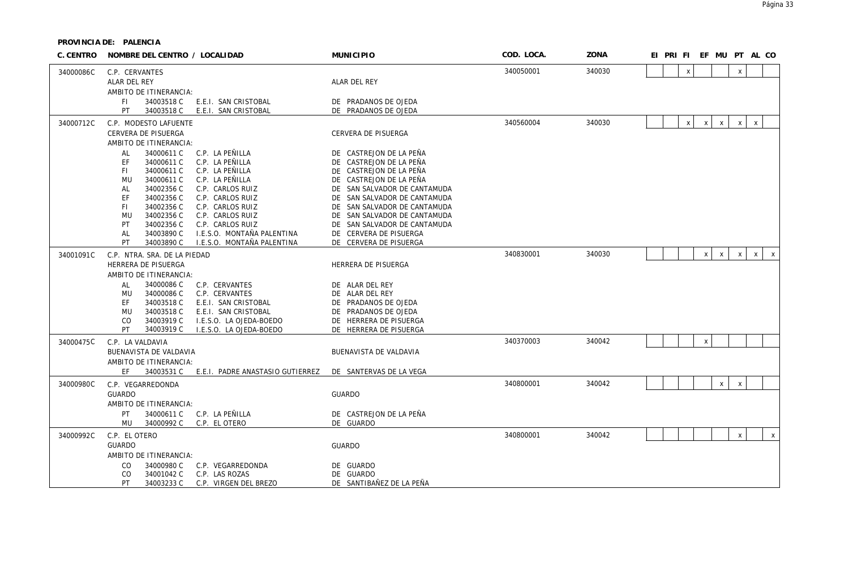| C. CENTRO | NOMBRE DEL CENTRO / LOCALIDAD                       |                                                | <b>MUNICIPIO</b>                                       | COD. LOCA. | ZONA   |  |   |              |              |              | EI PRI FI EF MU PT AL CO     |
|-----------|-----------------------------------------------------|------------------------------------------------|--------------------------------------------------------|------------|--------|--|---|--------------|--------------|--------------|------------------------------|
| 34000086C | C.P. CERVANTES                                      |                                                |                                                        | 340050001  | 340030 |  | X |              |              | $\mathsf X$  |                              |
|           | ALAR DEL REY                                        |                                                | ALAR DEL REY                                           |            |        |  |   |              |              |              |                              |
|           | AMBITO DE ITINERANCIA:                              |                                                |                                                        |            |        |  |   |              |              |              |                              |
|           | 34003518 C<br>FI.                                   | E.E.I. SAN CRISTOBAL                           | DE PRADANOS DE OJEDA                                   |            |        |  |   |              |              |              |                              |
|           | PT<br>34003518 C                                    | E.E.I. SAN CRISTOBAL                           | DE PRADANOS DE OJEDA                                   |            |        |  |   |              |              |              |                              |
| 34000712C | C.P. MODESTO LAFUENTE                               |                                                |                                                        | 340560004  | 340030 |  | X | X            | $\pmb{\chi}$ | $\mathsf X$  | $\boldsymbol{X}$             |
|           | CERVERA DE PISUERGA                                 |                                                | CERVERA DE PISUERGA                                    |            |        |  |   |              |              |              |                              |
|           | AMBITO DE ITINERANCIA:                              |                                                |                                                        |            |        |  |   |              |              |              |                              |
|           | 34000611 C<br>AL<br>EF<br>34000611 C                | C.P. LA PEÑILLA<br>C.P. LA PEÑILLA             | DE CASTREJON DE LA PEÑA<br>DE CASTREJON DE LA PEÑA     |            |        |  |   |              |              |              |                              |
|           | 34000611 C<br>FI.                                   | C.P. LA PEÑILLA                                | DE CASTREJON DE LA PEÑA                                |            |        |  |   |              |              |              |                              |
|           | 34000611 C<br>MU                                    | C.P. LA PEÑILLA                                | DE CASTREJON DE LA PEÑA                                |            |        |  |   |              |              |              |                              |
|           | 34002356 C<br>AL                                    | C.P. CARLOS RUIZ                               | DE SAN SALVADOR DE CANTAMUDA                           |            |        |  |   |              |              |              |                              |
|           | EF<br>34002356 C                                    | C.P. CARLOS RUIZ                               | DE SAN SALVADOR DE CANTAMUDA                           |            |        |  |   |              |              |              |                              |
|           | 34002356 C<br>FI.                                   | C.P. CARLOS RUIZ                               | SAN SALVADOR DE CANTAMUDA<br>DF                        |            |        |  |   |              |              |              |                              |
|           | 34002356 C<br>MU                                    | C.P. CARLOS RUIZ                               | DE SAN SALVADOR DE CANTAMUDA                           |            |        |  |   |              |              |              |                              |
|           | PT<br>34002356 C<br>34003890 C<br>AL                | C.P. CARLOS RUIZ<br>I.E.S.O. MONTAÑA PALENTINA | DE SAN SALVADOR DE CANTAMUDA<br>DE CERVERA DE PISUERGA |            |        |  |   |              |              |              |                              |
|           | PT<br>34003890 C                                    | I.E.S.O. MONTAÑA PALENTINA                     | DE CERVERA DE PISUERGA                                 |            |        |  |   |              |              |              |                              |
| 34001091C | C.P. NTRA. SRA. DE LA PIEDAD<br>HERRERA DE PISUERGA |                                                |                                                        | 340830001  | 340030 |  |   | $\mathsf{x}$ | $\mathsf{x}$ | $\mathsf{x}$ | $\mathsf{x}$<br>$\mathsf{X}$ |
|           |                                                     |                                                | HERRERA DE PISUERGA                                    |            |        |  |   |              |              |              |                              |
|           | AMBITO DE ITINERANCIA:                              |                                                |                                                        |            |        |  |   |              |              |              |                              |
|           | 34000086 C<br>AL                                    | C.P. CERVANTES                                 | DE ALAR DEL REY                                        |            |        |  |   |              |              |              |                              |
|           | MU<br>34000086 C                                    | C.P. CERVANTES                                 | DE ALAR DEL REY                                        |            |        |  |   |              |              |              |                              |
|           | 34003518 C<br>EF                                    | E.E.I. SAN CRISTOBAL                           | DE PRADANOS DE OJEDA                                   |            |        |  |   |              |              |              |                              |
|           | 34003518 C<br>MU                                    | E.E.I. SAN CRISTOBAL                           | DE PRADANOS DE OJEDA                                   |            |        |  |   |              |              |              |                              |
|           | 34003919 C<br>CO                                    | I.E.S.O. LA OJEDA-BOEDO                        | DE HERRERA DE PISUERGA                                 |            |        |  |   |              |              |              |                              |
|           | PT.<br>34003919 C                                   | I.E.S.O. LA OJEDA-BOEDO                        | DE HERRERA DE PISUERGA                                 |            |        |  |   |              |              |              |                              |
| 34000475C | C.P. LA VALDAVIA                                    |                                                |                                                        | 340370003  | 340042 |  |   | $\pmb{\chi}$ |              |              |                              |
|           | BUENAVISTA DE VALDAVIA                              |                                                | BUENAVISTA DE VALDAVIA                                 |            |        |  |   |              |              |              |                              |
|           | AMBITO DE ITINERANCIA:                              |                                                |                                                        |            |        |  |   |              |              |              |                              |
|           | FF.<br>34003531 C                                   | E.E.I. PADRE ANASTASIO GUTIERREZ               | DE SANTERVAS DE LA VEGA                                |            |        |  |   |              |              |              |                              |
| 34000980C | C.P. VEGARREDONDA                                   |                                                |                                                        | 340800001  | 340042 |  |   |              | X            | $\mathsf X$  |                              |
|           | <b>GUARDO</b>                                       |                                                | <b>GUARDO</b>                                          |            |        |  |   |              |              |              |                              |
|           | AMBITO DE ITINERANCIA:                              |                                                |                                                        |            |        |  |   |              |              |              |                              |
|           | PT<br>34000611 C                                    | C.P. LA PEÑILLA                                | DE CASTREJON DE LA PEÑA                                |            |        |  |   |              |              |              |                              |
|           | 34000992 C<br>MU                                    | C.P. EL OTERO                                  | DE GUARDO                                              |            |        |  |   |              |              |              |                              |
| 34000992C | C.P. EL OTERO                                       |                                                |                                                        | 340800001  | 340042 |  |   |              |              | $\mathsf{X}$ | $\mathsf{x}$                 |
|           | <b>GUARDO</b><br>AMBITO DE ITINERANCIA:             |                                                | <b>GUARDO</b>                                          |            |        |  |   |              |              |              |                              |
|           | 34000980 C                                          |                                                |                                                        |            |        |  |   |              |              |              |                              |
|           | CO.<br>34001042 C<br>CO.                            | C.P. VEGARREDONDA<br>C.P. LAS ROZAS            | DE GUARDO<br>DE GUARDO                                 |            |        |  |   |              |              |              |                              |
|           | PT<br>34003233 C                                    | C.P. VIRGEN DEL BREZO                          | DE SANTIBAÑEZ DE LA PEÑA                               |            |        |  |   |              |              |              |                              |
|           |                                                     |                                                |                                                        |            |        |  |   |              |              |              |                              |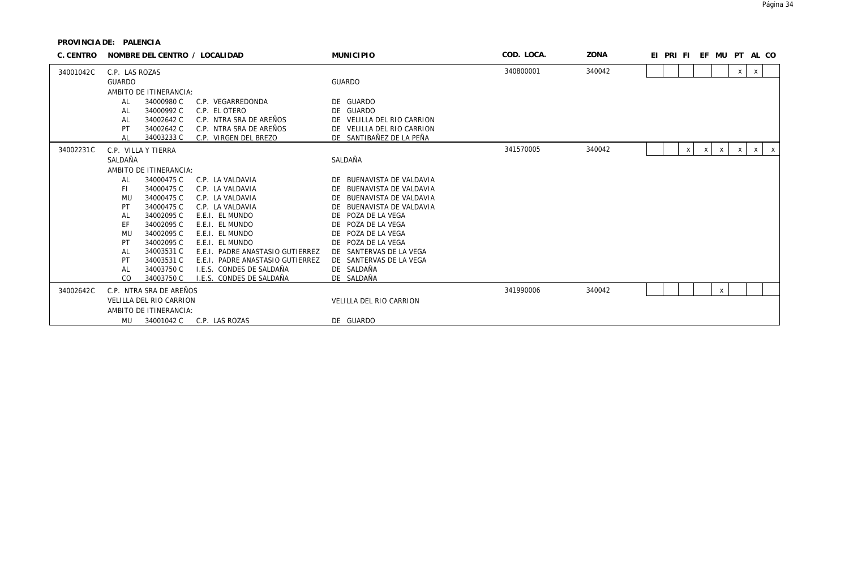| C. CENTRO | NOMBRE DEL CENTRO / LOCALIDAD |            | <b>MUNICIPIO</b>                 | COD. LOCA.                 | ZONA      | EI PRI FI |  |   |   |              |                           | EF MU PT AL CO            |                           |
|-----------|-------------------------------|------------|----------------------------------|----------------------------|-----------|-----------|--|---|---|--------------|---------------------------|---------------------------|---------------------------|
| 34001042C | C.P. LAS ROZAS                |            |                                  |                            | 340800001 | 340042    |  |   |   |              | X                         | $\boldsymbol{\mathsf{X}}$ |                           |
|           | <b>GUARDO</b>                 |            |                                  | <b>GUARDO</b>              |           |           |  |   |   |              |                           |                           |                           |
|           | AMBITO DE ITINERANCIA:        |            |                                  |                            |           |           |  |   |   |              |                           |                           |                           |
|           | AL                            | 34000980 C | C.P. VEGARREDONDA                | DE GUARDO                  |           |           |  |   |   |              |                           |                           |                           |
|           | AL                            | 34000992 C | C.P. EL OTERO                    | DE GUARDO                  |           |           |  |   |   |              |                           |                           |                           |
|           | AL                            | 34002642 C | C.P. NTRA SRA DE AREÑOS          | DE VELILLA DEL RIO CARRION |           |           |  |   |   |              |                           |                           |                           |
|           | PT                            | 34002642 C | C.P. NTRA SRA DE AREÑOS          | DE VELILLA DEL RIO CARRION |           |           |  |   |   |              |                           |                           |                           |
|           | AL                            | 34003233 C | C.P. VIRGEN DEL BREZO            | DE SANTIBAÑEZ DE LA PEÑA   |           |           |  |   |   |              |                           |                           |                           |
| 34002231C | C.P. VILLA Y TIERRA           |            |                                  |                            | 341570005 | 340042    |  | Х | X | $\mathsf{x}$ | $\boldsymbol{\mathsf{x}}$ | $\mathsf{x}$              | $\boldsymbol{\mathsf{X}}$ |
|           | SALDAÑA                       |            |                                  | SALDAÑA                    |           |           |  |   |   |              |                           |                           |                           |
|           | AMBITO DE ITINERANCIA:        |            |                                  |                            |           |           |  |   |   |              |                           |                           |                           |
|           | AL                            | 34000475 C | C.P. LA VALDAVIA                 | DE BUENAVISTA DE VALDAVIA  |           |           |  |   |   |              |                           |                           |                           |
|           | FI.                           | 34000475 C | C.P. LA VALDAVIA                 | DE BUENAVISTA DE VALDAVIA  |           |           |  |   |   |              |                           |                           |                           |
|           | MU                            | 34000475 C | C.P. LA VALDAVIA                 | DE BUENAVISTA DE VALDAVIA  |           |           |  |   |   |              |                           |                           |                           |
|           | PT                            | 34000475 C | C.P. LA VALDAVIA                 | DE BUENAVISTA DE VALDAVIA  |           |           |  |   |   |              |                           |                           |                           |
|           | AL                            | 34002095 C | E.E.I. EL MUNDO                  | DE POZA DE LA VEGA         |           |           |  |   |   |              |                           |                           |                           |
|           | EF                            | 34002095 C | E.E.I. EL MUNDO                  | DE POZA DE LA VEGA         |           |           |  |   |   |              |                           |                           |                           |
|           | <b>MU</b>                     | 34002095 C | E.E.I. EL MUNDO                  | DE POZA DE LA VEGA         |           |           |  |   |   |              |                           |                           |                           |
|           | PT                            | 34002095 C | E.E.I. EL MUNDO                  | DE POZA DE LA VEGA         |           |           |  |   |   |              |                           |                           |                           |
|           | AL                            | 34003531 C | E.E.I. PADRE ANASTASIO GUTIERREZ | DE SANTERVAS DE LA VEGA    |           |           |  |   |   |              |                           |                           |                           |
|           | PT                            | 34003531 C | E.E.I. PADRE ANASTASIO GUTIERREZ | DE SANTERVAS DE LA VEGA    |           |           |  |   |   |              |                           |                           |                           |
|           | AL                            | 34003750 C | I.E.S. CONDES DE SALDAÑA         | DE SALDAÑA                 |           |           |  |   |   |              |                           |                           |                           |
|           | CO                            | 34003750 C | I.E.S. CONDES DE SALDAÑA         | DE SALDAÑA                 |           |           |  |   |   |              |                           |                           |                           |
| 34002642C | C.P. NTRA SRA DE AREÑOS       |            |                                  |                            | 341990006 | 340042    |  |   |   | X            |                           |                           |                           |
|           | VELILLA DEL RIO CARRION       |            |                                  | VELILLA DEL RIO CARRION    |           |           |  |   |   |              |                           |                           |                           |
|           | AMBITO DE ITINERANCIA:        |            |                                  |                            |           |           |  |   |   |              |                           |                           |                           |
|           | MU                            | 34001042 C | C.P. LAS ROZAS                   | DE GUARDO                  |           |           |  |   |   |              |                           |                           |                           |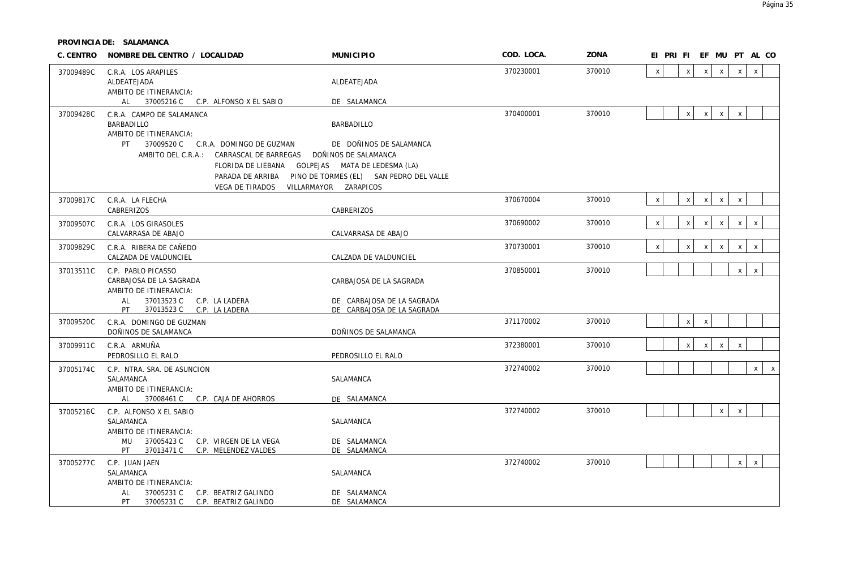| 370010<br>370230001<br>$\pmb{\chi}$<br>$\mathsf{X}$<br>$\mathsf{x}$<br>$\mathsf{X}$<br>$\mathsf{x}$<br>$\mathsf{x}$<br>37009489C<br>C.R.A. LOS ARAPILES<br>ALDEATEJADA<br>ALDEATEJADA<br>AMBITO DE ITINERANCIA:<br>AL<br>37005216 C C.P. ALFONSO X EL SABIO<br>DE SALAMANCA<br>370400001<br>370010<br>x<br>37009428C<br>x<br>$\mathsf{X}$<br>$\mathsf X$<br>C.R.A. CAMPO DE SALAMANCA<br>BARBADILLO<br>BARBADILLO<br>AMBITO DE ITINERANCIA:<br>37009520 C C.R.A. DOMINGO DE GUZMAN<br>PT<br>DE DOÑINOS DE SALAMANCA<br>AMBITO DEL C.R.A.: CARRASCAL DE BARREGAS DOÑINOS DE SALAMANCA<br>FLORIDA DE LIEBANA GOLPEJAS MATA DE LEDESMA (LA)<br>PARADA DE ARRIBA PINO DE TORMES (EL) SAN PEDRO DEL VALLE<br>VEGA DE TIRADOS VILLARMAYOR ZARAPICOS<br>370670004<br>370010<br>$\mathsf{x}$<br>$\mathsf X$<br>$x \mid$<br>$\mathsf{X}$<br>C.R.A. LA FLECHA<br>$\mathsf X$<br>37009817C<br>CABRERIZOS<br>CABRERIZOS<br>370690002<br>370010<br>$\mathsf{X}$<br>$\pmb{\mathsf{X}}$<br>$x \mid$<br>$\mathsf{X}$<br>$\pmb{\chi}$<br>C.R.A. LOS GIRASOLES<br>X<br>37009507C<br>CALVARRASA DE ABAJO<br>CALVARRASA DE ABAJO<br>370730001<br>370010<br>$\mathsf X$<br>$\mathsf X$<br>$\pmb{\chi}$<br>37009829C<br>C.R.A. RIBERA DE CAÑEDO<br>$\mathsf{X}$<br>$\mathsf{X}$<br>$\pmb{\chi}$<br>CALZADA DE VALDUNCIEL<br>CALZADA DE VALDUNCIEL<br>370850001<br>370010<br>$\mathsf{X}$<br>$\mathsf X$<br>37013511C<br>C.P. PABLO PICASSO<br>CARBAJOSA DE LA SAGRADA<br>CARBAJOSA DE LA SAGRADA<br>AMBITO DE ITINERANCIA:<br>37013523 C C.P. LA LADERA<br>AL<br>DE CARBAJOSA DE LA SAGRADA<br>37013523 C C.P. LA LADERA<br>DE CARBAJOSA DE LA SAGRADA<br>PT<br>371170002<br>x<br>$\mathsf X$<br>370010<br>37009520C<br>C.R.A. DOMINGO DE GUZMAN<br>DOÑINOS DE SALAMANCA<br>DOÑINOS DE SALAMANCA<br>372380001<br>370010<br>C.R.A. ARMUÑA<br>$\mathsf X$<br>$\mathsf{x}$<br>$\mathsf{x}$<br>$\mathsf X$<br>37009911C<br>PEDROSILLO EL RALO<br>PEDROSILLO EL RALO<br>372740002<br>370010<br>$\times$<br>$\mathsf{X}$<br>37005174C<br>C.P. NTRA. SRA. DE ASUNCION<br>SALAMANCA<br>SALAMANCA<br>AMBITO DE ITINERANCIA:<br>AL 37008461 C C.P. CAJA DE AHORROS<br>DE SALAMANCA<br>372740002<br>370010<br>$\mathsf X$<br>$\mathsf{X}$<br>37005216C<br>C.P. ALFONSO X EL SABIO<br>SALAMANCA<br>SALAMANCA<br>AMBITO DE ITINERANCIA:<br>MU 37005423 C C.P. VIRGEN DE LA VEGA<br>DE SALAMANCA<br>37013471 C C.P. MELENDEZ VALDES<br>PT<br>DE SALAMANCA<br>372740002<br>370010<br>$\mathsf{x}$<br>$\times$<br>37005277C<br>C.P. JUAN JAEN<br>SALAMANCA<br>SALAMANCA<br>AMBITO DE ITINERANCIA: | C. CENTRO | NOMBRE DEL CENTRO / LOCALIDAD | <b>MUNICIPIO</b> | COD. LOCA. | ZONA | EI PRI FI EF MU PT AL CO |
|-------------------------------------------------------------------------------------------------------------------------------------------------------------------------------------------------------------------------------------------------------------------------------------------------------------------------------------------------------------------------------------------------------------------------------------------------------------------------------------------------------------------------------------------------------------------------------------------------------------------------------------------------------------------------------------------------------------------------------------------------------------------------------------------------------------------------------------------------------------------------------------------------------------------------------------------------------------------------------------------------------------------------------------------------------------------------------------------------------------------------------------------------------------------------------------------------------------------------------------------------------------------------------------------------------------------------------------------------------------------------------------------------------------------------------------------------------------------------------------------------------------------------------------------------------------------------------------------------------------------------------------------------------------------------------------------------------------------------------------------------------------------------------------------------------------------------------------------------------------------------------------------------------------------------------------------------------------------------------------------------------------------------------------------------------------------------------------------------------------------------------------------------------------------------------------------------------------------------------------------------------------------------------------------------------------------------------------------------------------------------------------------------------------------------------------------------------------------------------------------------------------------------------------------------------------|-----------|-------------------------------|------------------|------------|------|--------------------------|
|                                                                                                                                                                                                                                                                                                                                                                                                                                                                                                                                                                                                                                                                                                                                                                                                                                                                                                                                                                                                                                                                                                                                                                                                                                                                                                                                                                                                                                                                                                                                                                                                                                                                                                                                                                                                                                                                                                                                                                                                                                                                                                                                                                                                                                                                                                                                                                                                                                                                                                                                                             |           |                               |                  |            |      |                          |
|                                                                                                                                                                                                                                                                                                                                                                                                                                                                                                                                                                                                                                                                                                                                                                                                                                                                                                                                                                                                                                                                                                                                                                                                                                                                                                                                                                                                                                                                                                                                                                                                                                                                                                                                                                                                                                                                                                                                                                                                                                                                                                                                                                                                                                                                                                                                                                                                                                                                                                                                                             |           |                               |                  |            |      |                          |
|                                                                                                                                                                                                                                                                                                                                                                                                                                                                                                                                                                                                                                                                                                                                                                                                                                                                                                                                                                                                                                                                                                                                                                                                                                                                                                                                                                                                                                                                                                                                                                                                                                                                                                                                                                                                                                                                                                                                                                                                                                                                                                                                                                                                                                                                                                                                                                                                                                                                                                                                                             |           |                               |                  |            |      |                          |
|                                                                                                                                                                                                                                                                                                                                                                                                                                                                                                                                                                                                                                                                                                                                                                                                                                                                                                                                                                                                                                                                                                                                                                                                                                                                                                                                                                                                                                                                                                                                                                                                                                                                                                                                                                                                                                                                                                                                                                                                                                                                                                                                                                                                                                                                                                                                                                                                                                                                                                                                                             |           |                               |                  |            |      |                          |
|                                                                                                                                                                                                                                                                                                                                                                                                                                                                                                                                                                                                                                                                                                                                                                                                                                                                                                                                                                                                                                                                                                                                                                                                                                                                                                                                                                                                                                                                                                                                                                                                                                                                                                                                                                                                                                                                                                                                                                                                                                                                                                                                                                                                                                                                                                                                                                                                                                                                                                                                                             |           |                               |                  |            |      |                          |
|                                                                                                                                                                                                                                                                                                                                                                                                                                                                                                                                                                                                                                                                                                                                                                                                                                                                                                                                                                                                                                                                                                                                                                                                                                                                                                                                                                                                                                                                                                                                                                                                                                                                                                                                                                                                                                                                                                                                                                                                                                                                                                                                                                                                                                                                                                                                                                                                                                                                                                                                                             |           |                               |                  |            |      |                          |
|                                                                                                                                                                                                                                                                                                                                                                                                                                                                                                                                                                                                                                                                                                                                                                                                                                                                                                                                                                                                                                                                                                                                                                                                                                                                                                                                                                                                                                                                                                                                                                                                                                                                                                                                                                                                                                                                                                                                                                                                                                                                                                                                                                                                                                                                                                                                                                                                                                                                                                                                                             |           |                               |                  |            |      |                          |
|                                                                                                                                                                                                                                                                                                                                                                                                                                                                                                                                                                                                                                                                                                                                                                                                                                                                                                                                                                                                                                                                                                                                                                                                                                                                                                                                                                                                                                                                                                                                                                                                                                                                                                                                                                                                                                                                                                                                                                                                                                                                                                                                                                                                                                                                                                                                                                                                                                                                                                                                                             |           |                               |                  |            |      |                          |
|                                                                                                                                                                                                                                                                                                                                                                                                                                                                                                                                                                                                                                                                                                                                                                                                                                                                                                                                                                                                                                                                                                                                                                                                                                                                                                                                                                                                                                                                                                                                                                                                                                                                                                                                                                                                                                                                                                                                                                                                                                                                                                                                                                                                                                                                                                                                                                                                                                                                                                                                                             |           |                               |                  |            |      |                          |
|                                                                                                                                                                                                                                                                                                                                                                                                                                                                                                                                                                                                                                                                                                                                                                                                                                                                                                                                                                                                                                                                                                                                                                                                                                                                                                                                                                                                                                                                                                                                                                                                                                                                                                                                                                                                                                                                                                                                                                                                                                                                                                                                                                                                                                                                                                                                                                                                                                                                                                                                                             |           |                               |                  |            |      |                          |
|                                                                                                                                                                                                                                                                                                                                                                                                                                                                                                                                                                                                                                                                                                                                                                                                                                                                                                                                                                                                                                                                                                                                                                                                                                                                                                                                                                                                                                                                                                                                                                                                                                                                                                                                                                                                                                                                                                                                                                                                                                                                                                                                                                                                                                                                                                                                                                                                                                                                                                                                                             |           |                               |                  |            |      |                          |
|                                                                                                                                                                                                                                                                                                                                                                                                                                                                                                                                                                                                                                                                                                                                                                                                                                                                                                                                                                                                                                                                                                                                                                                                                                                                                                                                                                                                                                                                                                                                                                                                                                                                                                                                                                                                                                                                                                                                                                                                                                                                                                                                                                                                                                                                                                                                                                                                                                                                                                                                                             |           |                               |                  |            |      |                          |
|                                                                                                                                                                                                                                                                                                                                                                                                                                                                                                                                                                                                                                                                                                                                                                                                                                                                                                                                                                                                                                                                                                                                                                                                                                                                                                                                                                                                                                                                                                                                                                                                                                                                                                                                                                                                                                                                                                                                                                                                                                                                                                                                                                                                                                                                                                                                                                                                                                                                                                                                                             |           |                               |                  |            |      |                          |
|                                                                                                                                                                                                                                                                                                                                                                                                                                                                                                                                                                                                                                                                                                                                                                                                                                                                                                                                                                                                                                                                                                                                                                                                                                                                                                                                                                                                                                                                                                                                                                                                                                                                                                                                                                                                                                                                                                                                                                                                                                                                                                                                                                                                                                                                                                                                                                                                                                                                                                                                                             |           |                               |                  |            |      |                          |
|                                                                                                                                                                                                                                                                                                                                                                                                                                                                                                                                                                                                                                                                                                                                                                                                                                                                                                                                                                                                                                                                                                                                                                                                                                                                                                                                                                                                                                                                                                                                                                                                                                                                                                                                                                                                                                                                                                                                                                                                                                                                                                                                                                                                                                                                                                                                                                                                                                                                                                                                                             |           |                               |                  |            |      |                          |
|                                                                                                                                                                                                                                                                                                                                                                                                                                                                                                                                                                                                                                                                                                                                                                                                                                                                                                                                                                                                                                                                                                                                                                                                                                                                                                                                                                                                                                                                                                                                                                                                                                                                                                                                                                                                                                                                                                                                                                                                                                                                                                                                                                                                                                                                                                                                                                                                                                                                                                                                                             |           |                               |                  |            |      |                          |
|                                                                                                                                                                                                                                                                                                                                                                                                                                                                                                                                                                                                                                                                                                                                                                                                                                                                                                                                                                                                                                                                                                                                                                                                                                                                                                                                                                                                                                                                                                                                                                                                                                                                                                                                                                                                                                                                                                                                                                                                                                                                                                                                                                                                                                                                                                                                                                                                                                                                                                                                                             |           |                               |                  |            |      |                          |
|                                                                                                                                                                                                                                                                                                                                                                                                                                                                                                                                                                                                                                                                                                                                                                                                                                                                                                                                                                                                                                                                                                                                                                                                                                                                                                                                                                                                                                                                                                                                                                                                                                                                                                                                                                                                                                                                                                                                                                                                                                                                                                                                                                                                                                                                                                                                                                                                                                                                                                                                                             |           |                               |                  |            |      |                          |
|                                                                                                                                                                                                                                                                                                                                                                                                                                                                                                                                                                                                                                                                                                                                                                                                                                                                                                                                                                                                                                                                                                                                                                                                                                                                                                                                                                                                                                                                                                                                                                                                                                                                                                                                                                                                                                                                                                                                                                                                                                                                                                                                                                                                                                                                                                                                                                                                                                                                                                                                                             |           |                               |                  |            |      |                          |
|                                                                                                                                                                                                                                                                                                                                                                                                                                                                                                                                                                                                                                                                                                                                                                                                                                                                                                                                                                                                                                                                                                                                                                                                                                                                                                                                                                                                                                                                                                                                                                                                                                                                                                                                                                                                                                                                                                                                                                                                                                                                                                                                                                                                                                                                                                                                                                                                                                                                                                                                                             |           |                               |                  |            |      |                          |
|                                                                                                                                                                                                                                                                                                                                                                                                                                                                                                                                                                                                                                                                                                                                                                                                                                                                                                                                                                                                                                                                                                                                                                                                                                                                                                                                                                                                                                                                                                                                                                                                                                                                                                                                                                                                                                                                                                                                                                                                                                                                                                                                                                                                                                                                                                                                                                                                                                                                                                                                                             |           |                               |                  |            |      |                          |
|                                                                                                                                                                                                                                                                                                                                                                                                                                                                                                                                                                                                                                                                                                                                                                                                                                                                                                                                                                                                                                                                                                                                                                                                                                                                                                                                                                                                                                                                                                                                                                                                                                                                                                                                                                                                                                                                                                                                                                                                                                                                                                                                                                                                                                                                                                                                                                                                                                                                                                                                                             |           |                               |                  |            |      |                          |
|                                                                                                                                                                                                                                                                                                                                                                                                                                                                                                                                                                                                                                                                                                                                                                                                                                                                                                                                                                                                                                                                                                                                                                                                                                                                                                                                                                                                                                                                                                                                                                                                                                                                                                                                                                                                                                                                                                                                                                                                                                                                                                                                                                                                                                                                                                                                                                                                                                                                                                                                                             |           |                               |                  |            |      |                          |
|                                                                                                                                                                                                                                                                                                                                                                                                                                                                                                                                                                                                                                                                                                                                                                                                                                                                                                                                                                                                                                                                                                                                                                                                                                                                                                                                                                                                                                                                                                                                                                                                                                                                                                                                                                                                                                                                                                                                                                                                                                                                                                                                                                                                                                                                                                                                                                                                                                                                                                                                                             |           |                               |                  |            |      |                          |
|                                                                                                                                                                                                                                                                                                                                                                                                                                                                                                                                                                                                                                                                                                                                                                                                                                                                                                                                                                                                                                                                                                                                                                                                                                                                                                                                                                                                                                                                                                                                                                                                                                                                                                                                                                                                                                                                                                                                                                                                                                                                                                                                                                                                                                                                                                                                                                                                                                                                                                                                                             |           |                               |                  |            |      |                          |
|                                                                                                                                                                                                                                                                                                                                                                                                                                                                                                                                                                                                                                                                                                                                                                                                                                                                                                                                                                                                                                                                                                                                                                                                                                                                                                                                                                                                                                                                                                                                                                                                                                                                                                                                                                                                                                                                                                                                                                                                                                                                                                                                                                                                                                                                                                                                                                                                                                                                                                                                                             |           |                               |                  |            |      |                          |
|                                                                                                                                                                                                                                                                                                                                                                                                                                                                                                                                                                                                                                                                                                                                                                                                                                                                                                                                                                                                                                                                                                                                                                                                                                                                                                                                                                                                                                                                                                                                                                                                                                                                                                                                                                                                                                                                                                                                                                                                                                                                                                                                                                                                                                                                                                                                                                                                                                                                                                                                                             |           |                               |                  |            |      |                          |
|                                                                                                                                                                                                                                                                                                                                                                                                                                                                                                                                                                                                                                                                                                                                                                                                                                                                                                                                                                                                                                                                                                                                                                                                                                                                                                                                                                                                                                                                                                                                                                                                                                                                                                                                                                                                                                                                                                                                                                                                                                                                                                                                                                                                                                                                                                                                                                                                                                                                                                                                                             |           |                               |                  |            |      |                          |
|                                                                                                                                                                                                                                                                                                                                                                                                                                                                                                                                                                                                                                                                                                                                                                                                                                                                                                                                                                                                                                                                                                                                                                                                                                                                                                                                                                                                                                                                                                                                                                                                                                                                                                                                                                                                                                                                                                                                                                                                                                                                                                                                                                                                                                                                                                                                                                                                                                                                                                                                                             |           |                               |                  |            |      |                          |
|                                                                                                                                                                                                                                                                                                                                                                                                                                                                                                                                                                                                                                                                                                                                                                                                                                                                                                                                                                                                                                                                                                                                                                                                                                                                                                                                                                                                                                                                                                                                                                                                                                                                                                                                                                                                                                                                                                                                                                                                                                                                                                                                                                                                                                                                                                                                                                                                                                                                                                                                                             |           |                               |                  |            |      |                          |
|                                                                                                                                                                                                                                                                                                                                                                                                                                                                                                                                                                                                                                                                                                                                                                                                                                                                                                                                                                                                                                                                                                                                                                                                                                                                                                                                                                                                                                                                                                                                                                                                                                                                                                                                                                                                                                                                                                                                                                                                                                                                                                                                                                                                                                                                                                                                                                                                                                                                                                                                                             |           |                               |                  |            |      |                          |
|                                                                                                                                                                                                                                                                                                                                                                                                                                                                                                                                                                                                                                                                                                                                                                                                                                                                                                                                                                                                                                                                                                                                                                                                                                                                                                                                                                                                                                                                                                                                                                                                                                                                                                                                                                                                                                                                                                                                                                                                                                                                                                                                                                                                                                                                                                                                                                                                                                                                                                                                                             |           |                               |                  |            |      |                          |
|                                                                                                                                                                                                                                                                                                                                                                                                                                                                                                                                                                                                                                                                                                                                                                                                                                                                                                                                                                                                                                                                                                                                                                                                                                                                                                                                                                                                                                                                                                                                                                                                                                                                                                                                                                                                                                                                                                                                                                                                                                                                                                                                                                                                                                                                                                                                                                                                                                                                                                                                                             |           |                               |                  |            |      |                          |
|                                                                                                                                                                                                                                                                                                                                                                                                                                                                                                                                                                                                                                                                                                                                                                                                                                                                                                                                                                                                                                                                                                                                                                                                                                                                                                                                                                                                                                                                                                                                                                                                                                                                                                                                                                                                                                                                                                                                                                                                                                                                                                                                                                                                                                                                                                                                                                                                                                                                                                                                                             |           |                               |                  |            |      |                          |
| 37005231 C C.P. BEATRIZ GALINDO<br>DE SALAMANCA<br>AL<br>PT<br>37005231 C C.P. BEATRIZ GALINDO<br>DE SALAMANCA                                                                                                                                                                                                                                                                                                                                                                                                                                                                                                                                                                                                                                                                                                                                                                                                                                                                                                                                                                                                                                                                                                                                                                                                                                                                                                                                                                                                                                                                                                                                                                                                                                                                                                                                                                                                                                                                                                                                                                                                                                                                                                                                                                                                                                                                                                                                                                                                                                              |           |                               |                  |            |      |                          |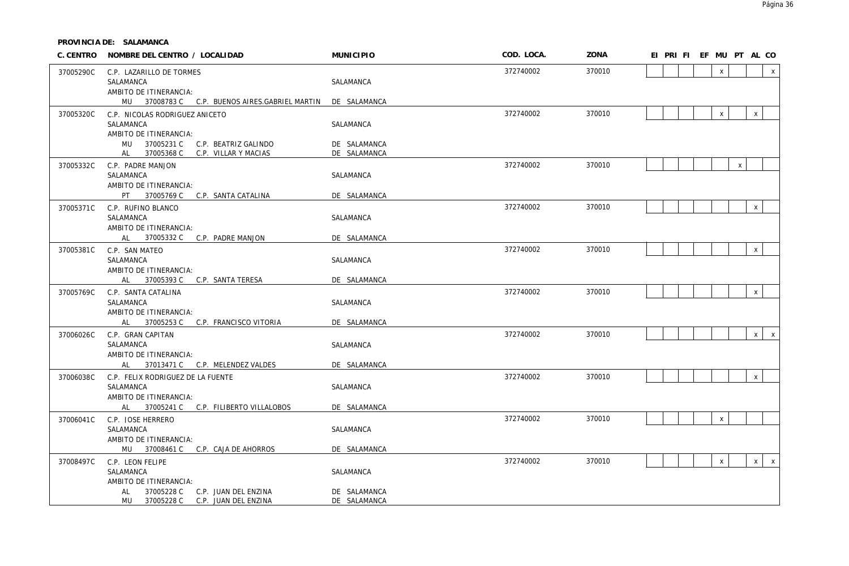|           | C. CENTRO NOMBRE DEL CENTRO / LOCALIDAD                              | <b>MUNICIPIO</b> | COD. LOCA. | ZONA   |  | EI PRI FI EF MU PT AL CO |              |                    |              |              |
|-----------|----------------------------------------------------------------------|------------------|------------|--------|--|--------------------------|--------------|--------------------|--------------|--------------|
| 37005290C | C.P. LAZARILLO DE TORMES                                             |                  | 372740002  | 370010 |  |                          | $\mathsf{x}$ |                    |              | $\pmb{\chi}$ |
|           | SALAMANCA<br>AMBITO DE ITINERANCIA:                                  | SALAMANCA        |            |        |  |                          |              |                    |              |              |
|           | MU 37008783 C C.P. BUENOS AIRES.GABRIEL MARTIN                       | DE SALAMANCA     |            |        |  |                          |              |                    |              |              |
| 37005320C | C.P. NICOLAS RODRIGUEZ ANICETO                                       |                  | 372740002  | 370010 |  |                          | $\mathsf{X}$ |                    | $\mathsf{X}$ |              |
|           | SALAMANCA                                                            | SALAMANCA        |            |        |  |                          |              |                    |              |              |
|           | AMBITO DE ITINERANCIA:<br>MU 37005231 C<br>C.P. BEATRIZ GALINDO      | DE SALAMANCA     |            |        |  |                          |              |                    |              |              |
|           | 37005368 C<br>C.P. VILLAR Y MACIAS<br>AL                             | DE SALAMANCA     |            |        |  |                          |              |                    |              |              |
| 37005332C | C.P. PADRE MANJON                                                    |                  | 372740002  | 370010 |  |                          |              | $\pmb{\mathsf{X}}$ |              |              |
|           | SALAMANCA<br>AMBITO DE ITINERANCIA:                                  | SALAMANCA        |            |        |  |                          |              |                    |              |              |
|           | PT 37005769 C C.P. SANTA CATALINA                                    | DE SALAMANCA     |            |        |  |                          |              |                    |              |              |
| 37005371C | C.P. RUFINO BLANCO                                                   |                  | 372740002  | 370010 |  |                          |              |                    | $\mathsf X$  |              |
|           | SALAMANCA<br>AMBITO DE ITINERANCIA:                                  | SALAMANCA        |            |        |  |                          |              |                    |              |              |
|           | AL 37005332 C C.P. PADRE MANJON                                      | DE SALAMANCA     |            |        |  |                          |              |                    |              |              |
| 37005381C | C.P. SAN MATEO                                                       |                  | 372740002  | 370010 |  |                          |              |                    | $\mathsf X$  |              |
|           | SALAMANCA<br>AMBITO DE ITINERANCIA:                                  | SALAMANCA        |            |        |  |                          |              |                    |              |              |
|           | AL 37005393 C C.P. SANTA TERESA                                      | DE SALAMANCA     |            |        |  |                          |              |                    |              |              |
| 37005769C | C.P. SANTA CATALINA                                                  |                  | 372740002  | 370010 |  |                          |              |                    | $\mathsf{X}$ |              |
|           | SALAMANCA<br>AMBITO DE ITINERANCIA:                                  | SALAMANCA        |            |        |  |                          |              |                    |              |              |
|           | AL 37005253 C C.P. FRANCISCO VITORIA                                 | DE SALAMANCA     |            |        |  |                          |              |                    |              |              |
| 37006026C | C.P. GRAN CAPITAN                                                    |                  | 372740002  | 370010 |  |                          |              |                    | $\mathsf{X}$ | $\mathsf{X}$ |
|           | SALAMANCA                                                            | SALAMANCA        |            |        |  |                          |              |                    |              |              |
|           | AMBITO DE ITINERANCIA:<br>AL 37013471 C C.P. MELENDEZ VALDES         | DE SALAMANCA     |            |        |  |                          |              |                    |              |              |
| 37006038C | C.P. FELIX RODRIGUEZ DE LA FUENTE                                    |                  | 372740002  | 370010 |  |                          |              |                    | $\mathsf X$  |              |
|           | SALAMANCA                                                            | SALAMANCA        |            |        |  |                          |              |                    |              |              |
|           | AMBITO DE ITINERANCIA:<br>37005241 C C.P. FILIBERTO VILLALOBOS<br>AL | DE SALAMANCA     |            |        |  |                          |              |                    |              |              |
| 37006041C | C.P. JOSE HERRERO                                                    |                  | 372740002  | 370010 |  |                          | $\mathsf{X}$ |                    |              |              |
|           | SALAMANCA                                                            | SALAMANCA        |            |        |  |                          |              |                    |              |              |
|           | AMBITO DE ITINERANCIA:<br>MU 37008461 C C.P. CAJA DE AHORROS         | DE SALAMANCA     |            |        |  |                          |              |                    |              |              |
| 37008497C | C.P. LEON FELIPE                                                     |                  | 372740002  | 370010 |  |                          | $\mathsf{x}$ |                    | $x \mid$     | $\mathsf{X}$ |
|           | SALAMANCA                                                            | SALAMANCA        |            |        |  |                          |              |                    |              |              |
|           | AMBITO DE ITINERANCIA:<br>37005228 C<br>C.P. JUAN DEL ENZINA<br>AL   | DE SALAMANCA     |            |        |  |                          |              |                    |              |              |
|           | MU 37005228 C C.P. JUAN DEL ENZINA                                   | DE SALAMANCA     |            |        |  |                          |              |                    |              |              |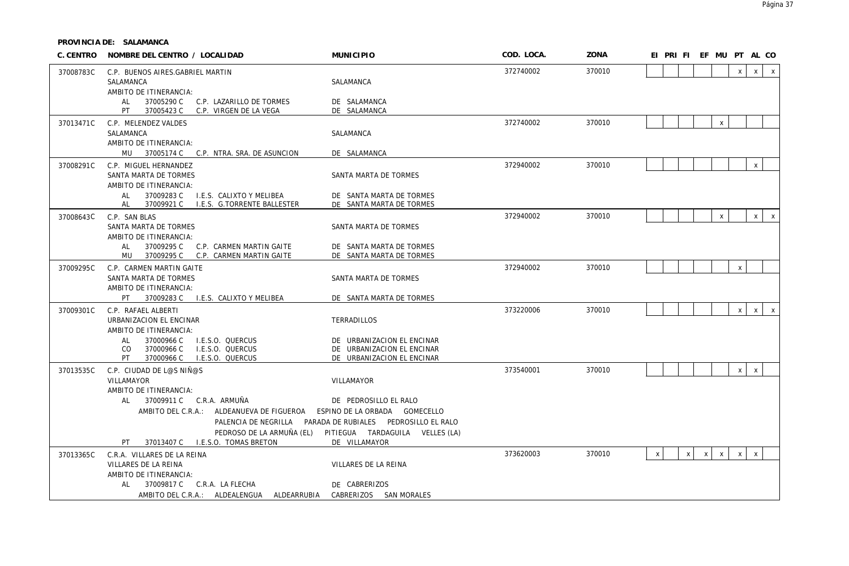| C. CENTRO | NOMBRE DEL CENTRO / LOCALIDAD                                          | <b>MUNICIPIO</b>                                                           | COD. LOCA. | ZONA   | EI PRI FI EF MU PT AL CO                                                                     |
|-----------|------------------------------------------------------------------------|----------------------------------------------------------------------------|------------|--------|----------------------------------------------------------------------------------------------|
| 37008783C | C.P. BUENOS AIRES.GABRIEL MARTIN                                       |                                                                            | 372740002  | 370010 | $\mathsf{x}$<br>$\mathsf{x}$<br>$\mathsf{X}$                                                 |
|           | SALAMANCA<br>AMBITO DE ITINERANCIA:                                    | SALAMANCA                                                                  |            |        |                                                                                              |
|           | 37005290 C C.P. LAZARILLO DE TORMES<br>AL                              | DE SALAMANCA                                                               |            |        |                                                                                              |
|           | PT<br>37005423 C<br>C.P. VIRGEN DE LA VEGA                             | DE SALAMANCA                                                               |            |        |                                                                                              |
| 37013471C | C.P. MELENDEZ VALDES<br>SALAMANCA                                      | SALAMANCA                                                                  | 372740002  | 370010 | $\mathsf{X}$                                                                                 |
|           | AMBITO DE ITINERANCIA:                                                 |                                                                            |            |        |                                                                                              |
|           | MU 37005174 C C.P. NTRA. SRA. DE ASUNCION                              | DE SALAMANCA                                                               |            |        |                                                                                              |
| 37008291C | C.P. MIGUEL HERNANDEZ                                                  |                                                                            | 372940002  | 370010 | $\mathsf{X}$                                                                                 |
|           | SANTA MARTA DE TORMES                                                  | SANTA MARTA DE TORMES                                                      |            |        |                                                                                              |
|           | AMBITO DE ITINERANCIA:<br>37009283 C<br>I.E.S. CALIXTO Y MELIBEA<br>AL | DE SANTA MARTA DE TORMES                                                   |            |        |                                                                                              |
|           | I.E.S. G.TORRENTE BALLESTER<br>37009921 C<br>AL                        | DE SANTA MARTA DE TORMES                                                   |            |        |                                                                                              |
| 37008643C | C.P. SAN BLAS                                                          |                                                                            | 372940002  | 370010 | $\mathsf{X}$<br>X<br>$\mathsf{X}$                                                            |
|           | SANTA MARTA DE TORMES                                                  | SANTA MARTA DE TORMES                                                      |            |        |                                                                                              |
|           | AMBITO DE ITINERANCIA:<br>37009295 C<br>C.P. CARMEN MARTIN GAITE<br>AL | DE SANTA MARTA DE TORMES                                                   |            |        |                                                                                              |
|           | 37009295 C<br>MU<br>C.P. CARMEN MARTIN GAITE                           | DE SANTA MARTA DE TORMES                                                   |            |        |                                                                                              |
| 37009295C | C.P. CARMEN MARTIN GAITE                                               |                                                                            | 372940002  | 370010 | $\mathsf{x}$                                                                                 |
|           | SANTA MARTA DE TORMES<br>AMBITO DE ITINERANCIA:                        | SANTA MARTA DE TORMES                                                      |            |        |                                                                                              |
|           | 37009283 C I.E.S. CALIXTO Y MELIBEA<br>PT.                             | DE SANTA MARTA DE TORMES                                                   |            |        |                                                                                              |
| 37009301C | C.P. RAFAEL ALBERTI                                                    |                                                                            | 373220006  | 370010 | $x \mid$<br>$\mathsf{x}$<br>$\mathsf{X}$                                                     |
|           | URBANIZACION EL ENCINAR                                                | TERRADILLOS                                                                |            |        |                                                                                              |
|           | AMBITO DE ITINERANCIA:<br>37000966 C<br>I.E.S.O. QUERCUS<br>AL         |                                                                            |            |        |                                                                                              |
|           | 37000966 C<br>I.E.S.O. QUERCUS<br>CO.                                  | DE URBANIZACION EL ENCINAR<br>DE URBANIZACION EL ENCINAR                   |            |        |                                                                                              |
|           | PT<br>37000966 C<br>I.E.S.O. QUERCUS                                   | DE URBANIZACION EL ENCINAR                                                 |            |        |                                                                                              |
| 37013535C | C.P. CIUDAD DE L@S NIÑ@S                                               |                                                                            | 373540001  | 370010 | $\mathsf{x}$<br>$\mathsf{X}$                                                                 |
|           | VILLAMAYOR<br>AMBITO DE ITINERANCIA:                                   | VILLAMAYOR                                                                 |            |        |                                                                                              |
|           | <b>AL</b><br>37009911 C C.R.A. ARMUÑA                                  | DE PEDROSILLO EL RALO                                                      |            |        |                                                                                              |
|           | AMBITO DEL C.R.A.: ALDEANUEVA DE FIGUEROA                              | ESPINO DE LA ORBADA GOMECELLO                                              |            |        |                                                                                              |
|           |                                                                        | PALENCIA DE NEGRILLA PARADA DE RUBIALES PEDROSILLO EL RALO                 |            |        |                                                                                              |
|           | PT.<br>37013407 C I.E.S.O. TOMAS BRETON                                | PEDROSO DE LA ARMUÑA (EL) PITIEGUA TARDAGUILA VELLES (LA)<br>DE VILLAMAYOR |            |        |                                                                                              |
| 37013365C | C.R.A. VILLARES DE LA REINA                                            |                                                                            | 373620003  | 370010 | $\mathsf{X}$<br>$\mathsf{x}$<br>$\mathsf{X}$<br>$\mathsf{X}$<br>$\mathsf{x}$<br>$\mathsf{X}$ |
|           | VILLARES DE LA REINA                                                   | VILLARES DE LA REINA                                                       |            |        |                                                                                              |
|           | AMBITO DE ITINERANCIA:                                                 |                                                                            |            |        |                                                                                              |
|           | 37009817 C C.R.A. LA FLECHA<br>AL                                      | DE CABRERIZOS                                                              |            |        |                                                                                              |
|           | AMBITO DEL C.R.A.: ALDEALENGUA<br>ALDEARRUBIA                          | CABRERIZOS SAN MORALES                                                     |            |        |                                                                                              |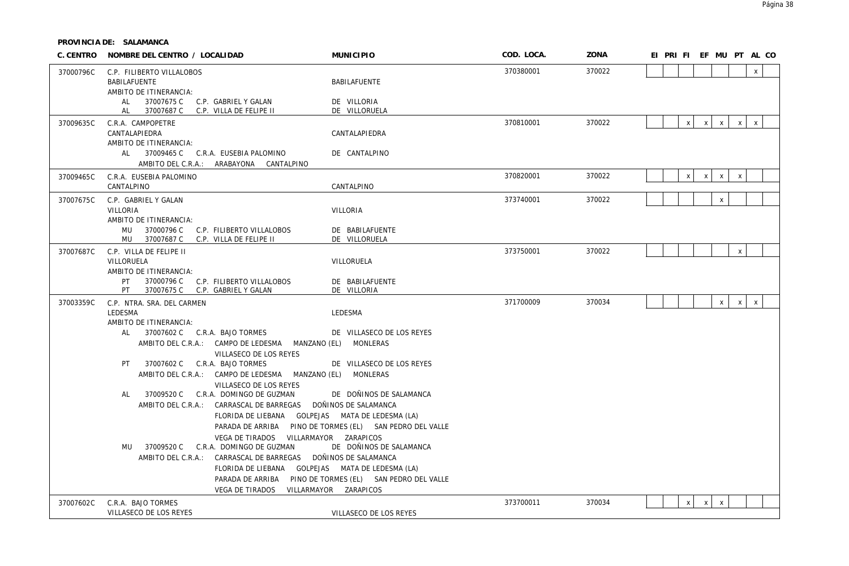| C. CENTRO | NOMBRE DEL CENTRO / LOCALIDAD                                                                                                                                                                                                                                                                                                                                                                                                                                                                                                                                                                                                                                                                                                                     | <b>MUNICIPIO</b>                                                                                                                                                                                                                                | COD. LOCA. | ZONA   | EI PRI FI EF MU PT AL CO  |              |                |              |              |  |
|-----------|---------------------------------------------------------------------------------------------------------------------------------------------------------------------------------------------------------------------------------------------------------------------------------------------------------------------------------------------------------------------------------------------------------------------------------------------------------------------------------------------------------------------------------------------------------------------------------------------------------------------------------------------------------------------------------------------------------------------------------------------------|-------------------------------------------------------------------------------------------------------------------------------------------------------------------------------------------------------------------------------------------------|------------|--------|---------------------------|--------------|----------------|--------------|--------------|--|
| 37000796C | C.P. FILIBERTO VILLALOBOS<br>BABILAFUENTE<br>AMBITO DE ITINERANCIA:                                                                                                                                                                                                                                                                                                                                                                                                                                                                                                                                                                                                                                                                               | BABILAFUENTE                                                                                                                                                                                                                                    | 370380001  | 370022 |                           |              |                |              | $\mathsf{X}$ |  |
|           | 37007675 C<br>C.P. GABRIEL Y GALAN<br>AL<br>37007687 C C.P. VILLA DE FELIPE II<br>AL                                                                                                                                                                                                                                                                                                                                                                                                                                                                                                                                                                                                                                                              | DE VILLORIA<br>DE VILLORUELA                                                                                                                                                                                                                    |            |        |                           |              |                |              |              |  |
| 37009635C | C.R.A. CAMPOPETRE<br>CANTALAPIEDRA                                                                                                                                                                                                                                                                                                                                                                                                                                                                                                                                                                                                                                                                                                                | CANTALAPIEDRA                                                                                                                                                                                                                                   | 370810001  | 370022 | $\mathsf{x}$              | $\mathsf{x}$ | $\mathsf{X}$   | $\times$     | $\mathsf{x}$ |  |
|           | AMBITO DE ITINERANCIA:<br>AL 37009465 C C.R.A. EUSEBIA PALOMINO<br>AMBITO DEL C.R.A.: ARABAYONA CANTALPINO                                                                                                                                                                                                                                                                                                                                                                                                                                                                                                                                                                                                                                        | DE CANTALPINO                                                                                                                                                                                                                                   |            |        |                           |              |                |              |              |  |
| 37009465C | C.R.A. EUSEBIA PALOMINO<br>CANTALPINO                                                                                                                                                                                                                                                                                                                                                                                                                                                                                                                                                                                                                                                                                                             | CANTALPINO                                                                                                                                                                                                                                      | 370820001  | 370022 | $\boldsymbol{\mathsf{X}}$ | $\mathsf{X}$ | $\mathsf{X}$   | $\mathsf{x}$ |              |  |
| 37007675C | C.P. GABRIEL Y GALAN<br>VILLORIA<br>AMBITO DE ITINERANCIA:<br>MU 37000796 C C.P. FILIBERTO VILLALOBOS                                                                                                                                                                                                                                                                                                                                                                                                                                                                                                                                                                                                                                             | VILLORIA<br>DE BABILAFUENTE                                                                                                                                                                                                                     | 373740001  | 370022 |                           |              | $\mathsf{X}$   |              |              |  |
| 37007687C | MU 37007687 C C.P. VILLA DE FELIPE II<br>C.P. VILLA DE FELIPE II                                                                                                                                                                                                                                                                                                                                                                                                                                                                                                                                                                                                                                                                                  | DE VILLORUELA                                                                                                                                                                                                                                   | 373750001  | 370022 |                           |              |                | $\mathsf{x}$ |              |  |
|           | VILLORUELA<br>AMBITO DE ITINERANCIA:<br>37000796 C C.P. FILIBERTO VILLALOBOS<br>PT<br>PT<br>37007675 C C.P. GABRIEL Y GALAN                                                                                                                                                                                                                                                                                                                                                                                                                                                                                                                                                                                                                       | VILLORUELA<br>DE BABILAFUENTE<br>DE VILLORIA                                                                                                                                                                                                    |            |        |                           |              |                |              |              |  |
| 37003359C | C.P. NTRA. SRA. DEL CARMEN<br>LEDESMA<br>AMBITO DE ITINERANCIA:<br>AL<br>37007602 C C.R.A. BAJO TORMES<br>AMBITO DEL C.R.A.: CAMPO DE LEDESMA MANZANO (EL) MONLERAS<br>VILLASECO DE LOS REYES<br>37007602 C C.R.A. BAJO TORMES<br>PT<br>AMBITO DEL C.R.A.: CAMPO DE LEDESMA MANZANO (EL) MONLERAS<br>VILLASECO DE LOS REYES<br>37009520 C C.R.A. DOMINGO DE GUZMAN<br>AL<br>AMBITO DEL C.R.A.: CARRASCAL DE BARREGAS DOÑINOS DE SALAMANCA<br>FLORIDA DE LIEBANA GOLPEJAS MATA DE LEDESMA (LA)<br>VEGA DE TIRADOS VILLARMAYOR ZARAPICOS<br>37009520 C C.R.A. DOMINGO DE GUZMAN<br>MU<br>AMBITO DEL C.R.A.: CARRASCAL DE BARREGAS DOÑINOS DE SALAMANCA<br>FLORIDA DE LIEBANA GOLPEJAS MATA DE LEDESMA (LA)<br>VEGA DE TIRADOS VILLARMAYOR ZARAPICOS | LEDESMA<br>DE VILLASECO DE LOS REYES<br>DE VILLASECO DE LOS REYES<br>DE DOÑINOS DE SALAMANCA<br>PARADA DE ARRIBA PINO DE TORMES (EL) SAN PEDRO DEL VALLE<br>DE DOÑINOS DE SALAMANCA<br>PARADA DE ARRIBA PINO DE TORMES (EL) SAN PEDRO DEL VALLE | 371700009  | 370034 |                           |              | $\mathsf{X}^-$ | $\mathsf{X}$ | $\mathsf{x}$ |  |
| 37007602C | C.R.A. BAJO TORMES<br>VILLASECO DE LOS REYES                                                                                                                                                                                                                                                                                                                                                                                                                                                                                                                                                                                                                                                                                                      | VILLASECO DE LOS REYES                                                                                                                                                                                                                          | 373700011  | 370034 | $\boldsymbol{\mathsf{x}}$ | $\mathsf{X}$ | $\mathsf{X}$   |              |              |  |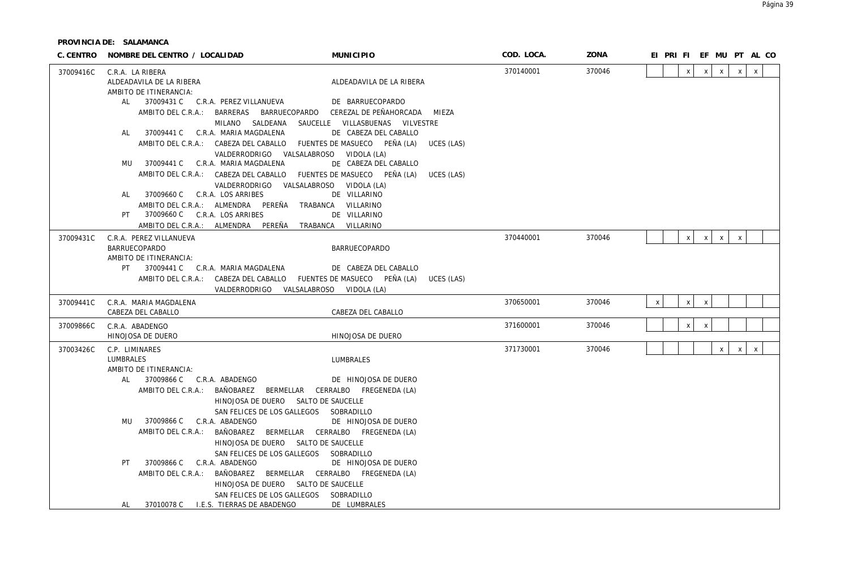| C. CENTRO | NOMBRE DEL CENTRO / LOCALIDAD                              |                                                                    | <b>MUNICIPIO</b>                                                       | COD. LOCA. | ZONA   |              |              | EI PRI FI EF MU PT AL CO  |              |              |              |  |
|-----------|------------------------------------------------------------|--------------------------------------------------------------------|------------------------------------------------------------------------|------------|--------|--------------|--------------|---------------------------|--------------|--------------|--------------|--|
| 37009416C | C.R.A. LA RIBERA                                           |                                                                    |                                                                        | 370140001  | 370046 |              | $\mathsf{X}$ | $\mathsf{x}$              | $\mathsf{X}$ | $\mathsf{x}$ | $\mathsf{X}$ |  |
|           | ALDEADAVILA DE LA RIBERA                                   |                                                                    | ALDEADAVILA DE LA RIBERA                                               |            |        |              |              |                           |              |              |              |  |
|           | AMBITO DE ITINERANCIA:                                     |                                                                    |                                                                        |            |        |              |              |                           |              |              |              |  |
|           | AL                                                         | 37009431 C C.R.A. PEREZ VILLANUEVA                                 | DE BARRUECOPARDO                                                       |            |        |              |              |                           |              |              |              |  |
|           |                                                            |                                                                    | AMBITO DEL C.R.A.: BARRERAS BARRUECOPARDO CEREZAL DE PEÑAHORCADA MIEZA |            |        |              |              |                           |              |              |              |  |
|           |                                                            | MILANO SALDEANA SAUCELLE VILLASBUENAS VILVESTRE                    |                                                                        |            |        |              |              |                           |              |              |              |  |
|           | AL                                                         | 37009441 C C.R.A. MARIA MAGDALENA                                  | DE CABEZA DEL CABALLO                                                  |            |        |              |              |                           |              |              |              |  |
|           |                                                            | AMBITO DEL C.R.A.: CABEZA DEL CABALLO FUENTES DE MASUECO PEÑA (LA) | UCES (LAS)                                                             |            |        |              |              |                           |              |              |              |  |
|           | MU 37009441 C C.R.A. MARIA MAGDALENA                       | VALDERRODRIGO VALSALABROSO VIDOLA (LA)                             | DE CABEZA DEL CABALLO                                                  |            |        |              |              |                           |              |              |              |  |
|           |                                                            | AMBITO DEL C.R.A.: CABEZA DEL CABALLO FUENTES DE MASUECO PEÑA (LA) | UCES (LAS)                                                             |            |        |              |              |                           |              |              |              |  |
|           |                                                            | VALDERRODRIGO VALSALABROSO VIDOLA (LA)                             |                                                                        |            |        |              |              |                           |              |              |              |  |
|           | 37009660 C C.R.A. LOS ARRIBES<br>AL                        |                                                                    | DE VILLARINO                                                           |            |        |              |              |                           |              |              |              |  |
|           |                                                            | AMBITO DEL C.R.A.: ALMENDRA PEREÑA                                 | TRABANCA VILLARINO                                                     |            |        |              |              |                           |              |              |              |  |
|           | 37009660 C C.R.A. LOS ARRIBES<br>PT                        |                                                                    | DE VILLARINO                                                           |            |        |              |              |                           |              |              |              |  |
|           |                                                            | AMBITO DEL C.R.A.: ALMENDRA PEREÑA                                 | TRABANCA VILLARINO                                                     |            |        |              |              |                           |              |              |              |  |
| 37009431C | C.R.A. PEREZ VILLANUEVA                                    |                                                                    |                                                                        | 370440001  | 370046 |              | $\mathsf{X}$ | x                         | $\mathsf{X}$ | $\mathsf{x}$ |              |  |
|           | BARRUECOPARDO                                              |                                                                    | <b>BARRUECOPARDO</b>                                                   |            |        |              |              |                           |              |              |              |  |
|           | AMBITO DE ITINERANCIA:                                     |                                                                    |                                                                        |            |        |              |              |                           |              |              |              |  |
|           | PT 37009441 C C.R.A. MARIA MAGDALENA                       |                                                                    | DE CABEZA DEL CABALLO                                                  |            |        |              |              |                           |              |              |              |  |
|           |                                                            | AMBITO DEL C.R.A.: CABEZA DEL CABALLO FUENTES DE MASUECO PEÑA (LA) | UCES (LAS)                                                             |            |        |              |              |                           |              |              |              |  |
|           |                                                            | VALDERRODRIGO VALSALABROSO VIDOLA (LA)                             |                                                                        |            |        |              |              |                           |              |              |              |  |
| 37009441C | C.R.A. MARIA MAGDALENA<br>CABEZA DEL CABALLO               |                                                                    | CABEZA DEL CABALLO                                                     | 370650001  | 370046 | $\mathsf{x}$ | $\mathsf{X}$ | $\pmb{\chi}$              |              |              |              |  |
|           |                                                            |                                                                    |                                                                        |            |        |              |              |                           |              |              |              |  |
| 37009866C | C.R.A. ABADENGO                                            |                                                                    |                                                                        | 371600001  | 370046 |              | $\pmb{\chi}$ | $\boldsymbol{\mathsf{x}}$ |              |              |              |  |
|           | HINOJOSA DE DUERO                                          |                                                                    | HINOJOSA DE DUERO                                                      |            |        |              |              |                           |              |              |              |  |
| 37003426C | C.P. LIMINARES                                             |                                                                    |                                                                        | 371730001  | 370046 |              |              |                           | $\mathsf{x}$ | $\mathsf{X}$ | $\mathsf{X}$ |  |
|           | LUMBRALES                                                  |                                                                    | LUMBRALES                                                              |            |        |              |              |                           |              |              |              |  |
|           | AMBITO DE ITINERANCIA:<br>37009866 C C.R.A. ABADENGO<br>AL |                                                                    | DE HINOJOSA DE DUERO                                                   |            |        |              |              |                           |              |              |              |  |
|           |                                                            | AMBITO DEL C.R.A.: BAÑOBAREZ BERMELLAR CERRALBO FREGENEDA (LA)     |                                                                        |            |        |              |              |                           |              |              |              |  |
|           |                                                            | HINOJOSA DE DUERO SALTO DE SAUCELLE                                |                                                                        |            |        |              |              |                           |              |              |              |  |
|           |                                                            | SAN FELICES DE LOS GALLEGOS SOBRADILLO                             |                                                                        |            |        |              |              |                           |              |              |              |  |
|           | 37009866 C C.R.A. ABADENGO<br>MU                           |                                                                    | DE HINOJOSA DE DUERO                                                   |            |        |              |              |                           |              |              |              |  |
|           |                                                            | AMBITO DEL C.R.A.: BAÑOBAREZ BERMELLAR CERRALBO FREGENEDA (LA)     |                                                                        |            |        |              |              |                           |              |              |              |  |
|           |                                                            | HINOJOSA DE DUERO SALTO DE SAUCELLE                                |                                                                        |            |        |              |              |                           |              |              |              |  |
|           |                                                            | SAN FELICES DE LOS GALLEGOS SOBRADILLO                             |                                                                        |            |        |              |              |                           |              |              |              |  |
|           | 37009866 C C.R.A. ABADENGO<br>PT.                          |                                                                    | DE HINOJOSA DE DUERO                                                   |            |        |              |              |                           |              |              |              |  |
|           |                                                            | AMBITO DEL C.R.A.: BAÑOBAREZ BERMELLAR CERRALBO FREGENEDA (LA)     |                                                                        |            |        |              |              |                           |              |              |              |  |
|           |                                                            | HINOJOSA DE DUERO SALTO DE SAUCELLE                                |                                                                        |            |        |              |              |                           |              |              |              |  |
|           |                                                            | SAN FELICES DE LOS GALLEGOS SOBRADILLO                             |                                                                        |            |        |              |              |                           |              |              |              |  |
|           | AL.                                                        | 37010078 C I.E.S. TIERRAS DE ABADENGO                              | DE LUMBRALES                                                           |            |        |              |              |                           |              |              |              |  |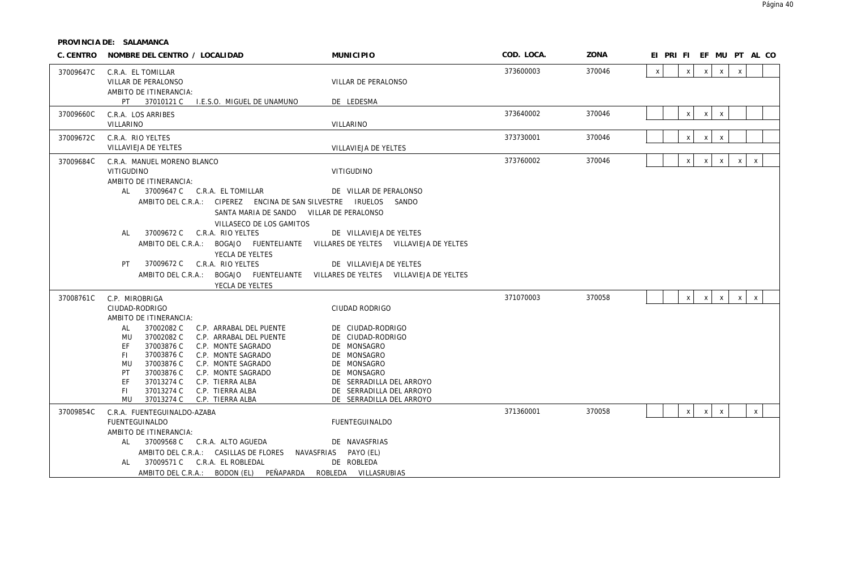|           | C. CENTRO NOMBRE DEL CENTRO / LOCALIDAD                                                                                                                                                                                                                                                                                                                                                                    | <b>MUNICIPIO</b>                                                                                                                                                                       | COD. LOCA. | ZONA   | EI PRIFIEF MUPT ALCO                                                                        |
|-----------|------------------------------------------------------------------------------------------------------------------------------------------------------------------------------------------------------------------------------------------------------------------------------------------------------------------------------------------------------------------------------------------------------------|----------------------------------------------------------------------------------------------------------------------------------------------------------------------------------------|------------|--------|---------------------------------------------------------------------------------------------|
| 37009647C | C.R.A. EL TOMILLAR<br>VILLAR DE PERALONSO<br>AMBITO DE ITINERANCIA:                                                                                                                                                                                                                                                                                                                                        | VILLAR DE PERALONSO                                                                                                                                                                    | 373600003  | 370046 | $\mathsf{x}$<br>X<br>$\boldsymbol{\mathsf{X}}$<br>$\mathsf{X}$<br>$\boldsymbol{\mathsf{X}}$ |
|           | PT 37010121 C I.E.S.O. MIGUEL DE UNAMUNO                                                                                                                                                                                                                                                                                                                                                                   | DE LEDESMA                                                                                                                                                                             |            |        |                                                                                             |
| 37009660C | C.R.A. LOS ARRIBES<br>VILLARINO                                                                                                                                                                                                                                                                                                                                                                            | <b>VILLARINO</b>                                                                                                                                                                       | 373640002  | 370046 | $\mathsf{x}$<br>$\mathsf{x}$<br>$\mathsf{X}$                                                |
| 37009672C | C.R.A. RIO YELTES<br>VILLAVIEJA DE YELTES                                                                                                                                                                                                                                                                                                                                                                  | VILLAVIEJA DE YELTES                                                                                                                                                                   | 373730001  | 370046 | X<br>X<br>X                                                                                 |
| 37009684C | C.R.A. MANUEL MORENO BLANCO<br>VITIGUDINO<br>AMBITO DE ITINERANCIA:                                                                                                                                                                                                                                                                                                                                        | VITIGUDINO                                                                                                                                                                             | 373760002  | 370046 | $\mathsf{X}$<br>$\mathsf{x}$<br>$\mathsf{x}$<br>$\mathsf{X}$<br>$\pmb{\chi}$                |
|           | 37009647 C C.R.A. EL TOMILLAR<br>AL -<br>AMBITO DEL C.R.A.: CIPEREZ ENCINA DE SAN SILVESTRE IRUELOS SANDO<br>SANTA MARIA DE SANDO VILLAR DE PERALONSO<br>VILLASECO DE LOS GAMITOS                                                                                                                                                                                                                          | DE VILLAR DE PERALONSO                                                                                                                                                                 |            |        |                                                                                             |
|           | 37009672 C C.R.A. RIO YELTES<br>AL<br>AMBITO DEL C.R.A.: BOGAJO FUENTELIANTE VILLARES DE YELTES VILLAVIEJA DE YELTES<br>YECLA DE YELTES                                                                                                                                                                                                                                                                    | DE VILLAVIEJA DE YELTES                                                                                                                                                                |            |        |                                                                                             |
|           | 37009672 C C.R.A. RIO YELTES<br>PT.<br>AMBITO DEL C.R.A.:<br>YECLA DE YELTES                                                                                                                                                                                                                                                                                                                               | DE VILLAVIEJA DE YELTES<br>BOGAJO FUENTELIANTE VILLARES DE YELTES VILLAVIEJA DE YELTES                                                                                                 |            |        |                                                                                             |
| 37008761C | C.P. MIROBRIGA<br>CIUDAD-RODRIGO<br>AMBITO DE ITINERANCIA:                                                                                                                                                                                                                                                                                                                                                 | CIUDAD RODRIGO                                                                                                                                                                         | 371070003  | 370058 | $\mathsf{x}$<br>$\pmb{\chi}$<br>$\mathsf{X}$<br>$\mathsf{X}$<br>$\mathsf{X}$                |
|           | 37002082 C<br><b>AL</b><br>C.P. ARRABAL DEL PUENTE<br>37002082 C<br>MU<br>C.P. ARRABAL DEL PUENTE<br>EF<br>37003876 C<br>C.P. MONTE SAGRADO<br>37003876 C<br>FL.<br>C.P. MONTE SAGRADO<br>37003876 C<br>C.P. MONTE SAGRADO<br>MU<br>37003876 C<br>PT<br>C.P. MONTE SAGRADO<br>37013274 C<br>EF<br>C.P. TIERRA ALBA<br>37013274 C<br>C.P. TIERRA ALBA<br>FI.<br><b>MU</b><br>37013274 C<br>C.P. TIERRA ALBA | DE CIUDAD-RODRIGO<br>DE CIUDAD-RODRIGO<br>DE MONSAGRO<br>DE MONSAGRO<br>DE MONSAGRO<br>DE MONSAGRO<br>DE SERRADILLA DEL ARROYO<br>DE SERRADILLA DEL ARROYO<br>DE SERRADILLA DEL ARROYO |            |        |                                                                                             |
| 37009854C | C.R.A. FUENTEGUINALDO-AZABA<br><b>FUENTEGUINALDO</b>                                                                                                                                                                                                                                                                                                                                                       | <b>FUENTEGUINALDO</b>                                                                                                                                                                  | 371360001  | 370058 | $\mathsf X$<br>$\mathsf{x}$<br>$\mathsf{X}$<br>$\mathsf{x}$                                 |
|           | AMBITO DE ITINERANCIA:<br>37009568 C C.R.A. ALTO AGUEDA<br>AL<br>AMBITO DEL C.R.A.: CASILLAS DE FLORES<br>37009571 C C.R.A. EL ROBLEDAL<br>AL<br>AMBITO DEL C.R.A.: BODON (EL) PEÑAPARDA ROBLEDA VILLASRUBIAS                                                                                                                                                                                              | DE NAVASFRIAS<br>NAVASFRIAS PAYO (EL)<br>DE ROBLEDA                                                                                                                                    |            |        |                                                                                             |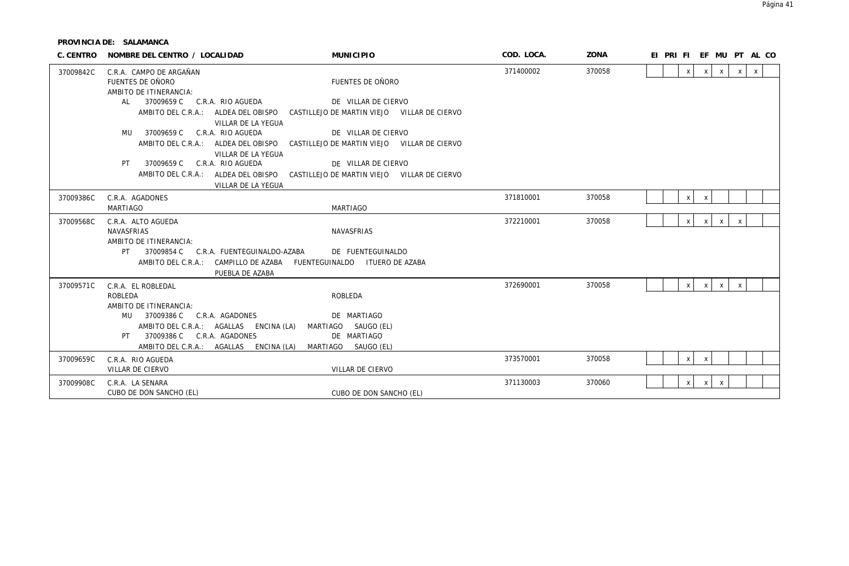| C. CENTRO | NOMBRE DEL CENTRO / LOCALIDAD                                         | <b>MUNICIPIO</b>                                                                | COD. LOCA. | ZONA   | EI PRI FI EF MU PT AL CO                                                 |
|-----------|-----------------------------------------------------------------------|---------------------------------------------------------------------------------|------------|--------|--------------------------------------------------------------------------|
| 37009842C | C.R.A. CAMPO DE ARGAÑAN<br>FUENTES DE OÑORO<br>AMBITO DE ITINERANCIA: | FUENTES DE OÑORO                                                                | 371400002  | 370058 | $\mathsf{X}$<br>$\mathsf{x}$<br>$\pmb{\chi}$<br>$x \mid$<br>$\mathsf{X}$ |
|           | AL 37009659 C C.R.A. RIO AGUEDA                                       | DE VILLAR DE CIERVO                                                             |            |        |                                                                          |
|           | AMBITO DEL C.R.A.: ALDEA DEL OBISPO<br>VILLAR DE LA YEGUA             | CASTILLEJO DE MARTIN VIEJO VILLAR DE CIERVO                                     |            |        |                                                                          |
|           | MU 37009659 C<br>C.R.A. RIO AGUEDA                                    | DE VILLAR DE CIERVO                                                             |            |        |                                                                          |
|           | VILLAR DE LA YEGUA                                                    | AMBITO DEL C.R.A.: ALDEA DEL OBISPO CASTILLEJO DE MARTIN VIEJO VILLAR DE CIERVO |            |        |                                                                          |
|           | 37009659 C C.R.A. RIO AGUEDA<br>PT.                                   | DE VILLAR DE CIERVO                                                             |            |        |                                                                          |
|           | VILLAR DE LA YEGUA                                                    | AMBITO DEL C.R.A.: ALDEA DEL OBISPO CASTILLEJO DE MARTIN VIEJO VILLAR DE CIERVO |            |        |                                                                          |
| 37009386C | C.R.A. AGADONES                                                       |                                                                                 | 371810001  | 370058 | X<br>$\boldsymbol{\mathsf{x}}$                                           |
|           | MARTIAGO                                                              | <b>MARTIAGO</b>                                                                 |            |        |                                                                          |
| 37009568C | C.R.A. ALTO AGUEDA                                                    |                                                                                 | 372210001  | 370058 | $\mathsf{X}$<br>$\mathsf{X}$<br>$\mathsf{x}$<br>$\mathsf{x}$             |
|           | <b>NAVASFRIAS</b>                                                     | <b>NAVASFRIAS</b>                                                               |            |        |                                                                          |
|           | AMBITO DE ITINERANCIA:                                                |                                                                                 |            |        |                                                                          |
|           | 37009854 C C.R.A. FUENTEGUINALDO-AZABA                                | DE FUENTEGUINALDO                                                               |            |        |                                                                          |
|           | AMBITO DEL C.R.A.: CAMPILLO DE AZABA FUENTEGUINALDO ITUERO DE AZABA   |                                                                                 |            |        |                                                                          |
|           | PUEBLA DE AZABA                                                       |                                                                                 |            |        |                                                                          |
| 37009571C | C.R.A. EL ROBLEDAL                                                    |                                                                                 | 372690001  | 370058 | $\pmb{\chi}$<br>$\mathsf{x}$<br>$\mathsf{X}$<br>$\mathsf{X}$             |
|           | ROBLEDA<br>AMBITO DE ITINERANCIA:                                     | <b>ROBLEDA</b>                                                                  |            |        |                                                                          |
|           | 37009386 C C.R.A. AGADONES<br>MU                                      | DE MARTIAGO                                                                     |            |        |                                                                          |
|           | AMBITO DEL C.R.A.: AGALLAS ENCINA (LA)                                | MARTIAGO SAUGO (EL)                                                             |            |        |                                                                          |
|           | 37009386 C C.R.A. AGADONES<br>PT                                      | DE MARTIAGO                                                                     |            |        |                                                                          |
|           | AMBITO DEL C.R.A.: AGALLAS ENCINA (LA)                                | MARTIAGO SAUGO (EL)                                                             |            |        |                                                                          |
| 37009659C | C.R.A. RIO AGUEDA                                                     |                                                                                 | 373570001  | 370058 | X<br>$\pmb{\chi}$                                                        |
|           | VILLAR DE CIERVO                                                      | VILLAR DE CIERVO                                                                |            |        |                                                                          |
| 37009908C | C.R.A. LA SENARA                                                      |                                                                                 | 371130003  | 370060 | X<br>$x \mid$<br>$\boldsymbol{\mathsf{X}}$                               |
|           | CUBO DE DON SANCHO (EL)                                               | CUBO DE DON SANCHO (EL)                                                         |            |        |                                                                          |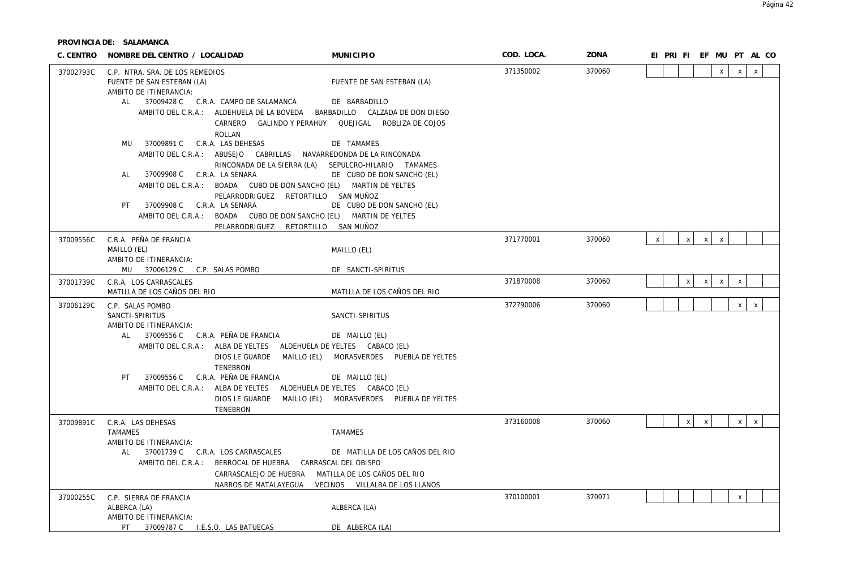| C. CENTRO | NOMBRE DEL CENTRO / LOCALIDAD                                             | <b>MUNICIPIO</b>                                        | COD. LOCA. | ZONA   | EI PRI FI EF MU PT AL CO                                                 |
|-----------|---------------------------------------------------------------------------|---------------------------------------------------------|------------|--------|--------------------------------------------------------------------------|
| 37002793C | C.P. NTRA. SRA. DE LOS REMEDIOS                                           |                                                         | 371350002  | 370060 | $\mathsf{x}$<br>$\mathsf{x}$<br>$\mathsf{x}$                             |
|           | FUENTE DE SAN ESTEBAN (LA)                                                | FUENTE DE SAN ESTEBAN (LA)                              |            |        |                                                                          |
|           | AMBITO DE ITINERANCIA:<br>AL 37009428 C C.R.A. CAMPO DE SALAMANCA         | DE BARBADILLO                                           |            |        |                                                                          |
|           | AMBITO DEL C.R.A.: ALDEHUELA DE LA BOVEDA BARBADILLO CALZADA DE DON DIEGO |                                                         |            |        |                                                                          |
|           |                                                                           | CARNERO GALINDO Y PERAHUY QUEJIGAL ROBLIZA DE COJOS     |            |        |                                                                          |
|           | <b>ROLLAN</b>                                                             |                                                         |            |        |                                                                          |
|           | 37009891 C C.R.A. LAS DEHESAS<br>MU                                       | DE TAMAMES                                              |            |        |                                                                          |
|           | AMBITO DEL C.R.A.: ABUSEJO CABRILLAS NAVARREDONDA DE LA RINCONADA         |                                                         |            |        |                                                                          |
|           |                                                                           | RINCONADA DE LA SIERRA (LA) SEPULCRO-HILARIO TAMAMES    |            |        |                                                                          |
|           | 37009908 C C.R.A. LA SENARA<br>AL                                         | DE CUBO DE DON SANCHO (EL)                              |            |        |                                                                          |
|           | AMBITO DEL C.R.A.: BOADA CUBO DE DON SANCHO (EL) MARTIN DE YELTES         |                                                         |            |        |                                                                          |
|           | PELARRODRIGUEZ RETORTILLO SAN MUÑOZ                                       |                                                         |            |        |                                                                          |
|           | 37009908 C C.R.A. LA SENARA<br>PT.                                        | DE CUBO DE DON SANCHO (EL)                              |            |        |                                                                          |
|           | AMBITO DEL C.R.A.: BOADA CUBO DE DON SANCHO (EL) MARTIN DE YELTES         |                                                         |            |        |                                                                          |
|           | PELARRODRIGUEZ RETORTILLO SAN MUÑOZ                                       |                                                         |            |        |                                                                          |
| 37009556C | C.R.A. PEÑA DE FRANCIA                                                    |                                                         | 371770001  | 370060 | $\pmb{\chi}$<br>$\mathsf{X}$<br>$\mathsf{x}$<br>$\mathsf{x}$             |
|           | MAILLO (EL)                                                               | MAILLO (EL)                                             |            |        |                                                                          |
|           | AMBITO DE ITINERANCIA:                                                    |                                                         |            |        |                                                                          |
|           | MU 37006129 C C.P. SALAS POMBO                                            | DE SANCTI-SPIRITUS                                      | 371870008  | 370060 |                                                                          |
| 37001739C | C.R.A. LOS CARRASCALES<br>MATILLA DE LOS CAÑOS DEL RIO                    | MATILLA DE LOS CAÑOS DEL RIO                            |            |        | $\mathsf X$<br>$\boldsymbol{\mathsf{X}}$<br>$\mathsf{X}$<br>$\pmb{\chi}$ |
|           |                                                                           |                                                         |            |        |                                                                          |
| 37006129C | C.P. SALAS POMBO                                                          |                                                         | 372790006  | 370060 | $\mathsf{X}$<br>$\mathsf{X}$                                             |
|           | SANCTI-SPIRITUS<br>AMBITO DE ITINERANCIA:                                 | SANCTI-SPIRITUS                                         |            |        |                                                                          |
|           | 37009556 C C.R.A. PEÑA DE FRANCIA<br>AL                                   | DE MAILLO (EL)                                          |            |        |                                                                          |
|           | AMBITO DEL C.R.A.: ALBA DE YELTES ALDEHUELA DE YELTES CABACO (EL)         |                                                         |            |        |                                                                          |
|           |                                                                           | DIOS LE GUARDE MAILLO (EL) MORASVERDES PUEBLA DE YELTES |            |        |                                                                          |
|           | <b>TENEBRON</b>                                                           |                                                         |            |        |                                                                          |
|           | 37009556 C C.R.A. PEÑA DE FRANCIA<br>PT .                                 | DE MAILLO (EL)                                          |            |        |                                                                          |
|           | AMBITO DEL C.R.A.: ALBA DE YELTES ALDEHUELA DE YELTES CABACO (EL)         |                                                         |            |        |                                                                          |
|           |                                                                           | DIOS LE GUARDE MAILLO (EL) MORASVERDES PUEBLA DE YELTES |            |        |                                                                          |
|           | TENEBRON                                                                  |                                                         |            |        |                                                                          |
| 37009891C | C.R.A. LAS DEHESAS                                                        |                                                         | 373160008  | 370060 | x<br>$\mathsf X$<br>x<br>$\mathsf{X}$                                    |
|           | <b>TAMAMES</b>                                                            | <b>TAMAMES</b>                                          |            |        |                                                                          |
|           | AMBITO DE ITINERANCIA:                                                    |                                                         |            |        |                                                                          |
|           | 37001739 C C.R.A. LOS CARRASCALES<br>AL                                   | DE MATILLA DE LOS CAÑOS DEL RIO                         |            |        |                                                                          |
|           | AMBITO DEL C.R.A.: BERROCAL DE HUEBRA CARRASCAL DEL OBISPO                |                                                         |            |        |                                                                          |
|           | CARRASCALEJO DE HUEBRA MATILLA DE LOS CAÑOS DEL RIO                       |                                                         |            |        |                                                                          |
|           |                                                                           | NARROS DE MATALAYEGUA VECINOS VILLALBA DE LOS LLANOS    |            |        |                                                                          |
| 37000255C | C.P. SIERRA DE FRANCIA                                                    |                                                         | 370100001  | 370071 | $\mathsf{x}$                                                             |
|           | ALBERCA (LA)                                                              | ALBERCA (LA)                                            |            |        |                                                                          |
|           | AMBITO DE ITINERANCIA:<br>PT 37009787 C I.E.S.O. LAS BATUECAS             | DE ALBERCA (LA)                                         |            |        |                                                                          |
|           |                                                                           |                                                         |            |        |                                                                          |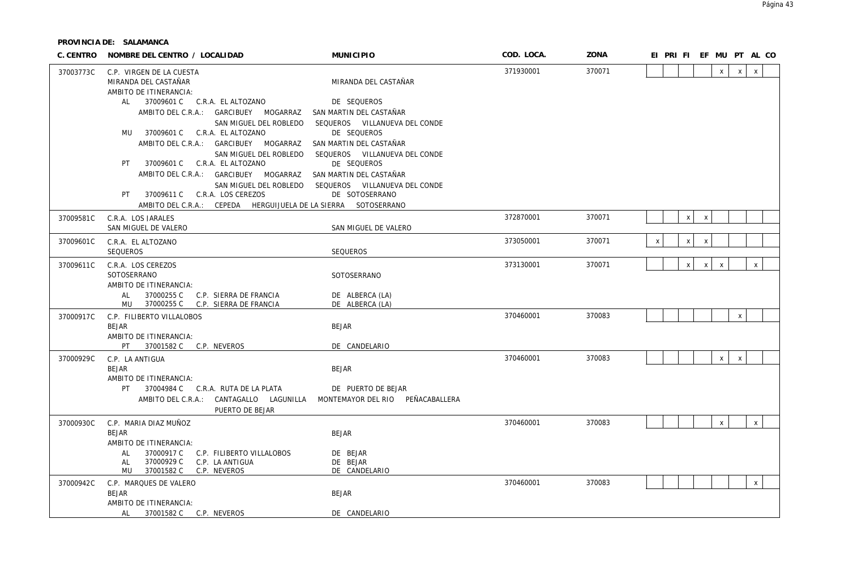| C. CENTRO | NOMBRE DEL CENTRO / LOCALIDAD                                                     | MUNICIPIO                     | COD. LOCA. | ZONA   |                    |              |              | EI PRI FI EF MU PT AL CO |              |              |  |
|-----------|-----------------------------------------------------------------------------------|-------------------------------|------------|--------|--------------------|--------------|--------------|--------------------------|--------------|--------------|--|
| 37003773C | C.P. VIRGEN DE LA CUESTA                                                          |                               | 371930001  | 370071 |                    |              |              | $\mathsf{X}$             | $\mathsf{x}$ | $\mathsf{X}$ |  |
|           | MIRANDA DEL CASTAÑAR                                                              | MIRANDA DEL CASTAÑAR          |            |        |                    |              |              |                          |              |              |  |
|           | AMBITO DE ITINERANCIA:                                                            |                               |            |        |                    |              |              |                          |              |              |  |
|           | AL 37009601 C C.R.A. EL ALTOZANO                                                  | DE SEQUEROS                   |            |        |                    |              |              |                          |              |              |  |
|           | AMBITO DEL C.R.A.: GARCIBUEY MOGARRAZ                                             | SAN MARTIN DEL CASTAÑAR       |            |        |                    |              |              |                          |              |              |  |
|           | SAN MIGUEL DEL ROBLEDO                                                            | SEQUEROS VILLANUEVA DEL CONDE |            |        |                    |              |              |                          |              |              |  |
|           | MU 37009601 C C.R.A. EL ALTOZANO                                                  | DE SEQUEROS                   |            |        |                    |              |              |                          |              |              |  |
|           | AMBITO DEL C.R.A.: GARCIBUEY MOGARRAZ                                             | SAN MARTIN DEL CASTAÑAR       |            |        |                    |              |              |                          |              |              |  |
|           | SAN MIGUEL DEL ROBLEDO                                                            | SEQUEROS VILLANUEVA DEL CONDE |            |        |                    |              |              |                          |              |              |  |
|           | 37009601 C   C.R.A. EL ALTOZANO<br>PT                                             | DE SEQUEROS                   |            |        |                    |              |              |                          |              |              |  |
|           | AMBITO DEL C.R.A.: GARCIBUEY MOGARRAZ                                             | SAN MARTIN DEL CASTAÑAR       |            |        |                    |              |              |                          |              |              |  |
|           | SAN MIGUEL DEL ROBLEDO                                                            | SEQUEROS VILLANUEVA DEL CONDE |            |        |                    |              |              |                          |              |              |  |
|           | PT 37009611 C C.R.A. LOS CEREZOS                                                  | DE SOTOSERRANO                |            |        |                    |              |              |                          |              |              |  |
|           | AMBITO DEL C.R.A.: CEPEDA HERGUIJUELA DE LA SIERRA SOTOSERRANO                    |                               |            |        |                    |              |              |                          |              |              |  |
| 37009581C | C.R.A. LOS JARALES                                                                |                               | 372870001  | 370071 |                    | $\mathsf{x}$ | $\mathsf{X}$ |                          |              |              |  |
|           | SAN MIGUEL DE VALERO                                                              | SAN MIGUEL DE VALERO          |            |        |                    |              |              |                          |              |              |  |
| 37009601C | C.R.A. EL ALTOZANO                                                                |                               | 373050001  | 370071 | $\pmb{\mathsf{X}}$ | $\mathsf{x}$ | $\mathsf{x}$ |                          |              |              |  |
|           | SEQUEROS                                                                          | SEQUEROS                      |            |        |                    |              |              |                          |              |              |  |
| 37009611C | C.R.A. LOS CEREZOS                                                                |                               | 373130001  | 370071 |                    | $\mathsf X$  | $\mathsf{x}$ | $\mathsf{X}$             |              | $\mathsf{X}$ |  |
|           | SOTOSERRANO                                                                       | SOTOSERRANO                   |            |        |                    |              |              |                          |              |              |  |
|           | AMBITO DE ITINERANCIA:                                                            |                               |            |        |                    |              |              |                          |              |              |  |
|           | 37000255 C C.P. SIERRA DE FRANCIA<br>AL                                           | DE ALBERCA (LA)               |            |        |                    |              |              |                          |              |              |  |
|           | 37000255 C C.P. SIERRA DE FRANCIA<br>MU                                           | DE ALBERCA (LA)               |            |        |                    |              |              |                          |              |              |  |
| 37000917C | C.P. FILIBERTO VILLALOBOS                                                         |                               | 370460001  | 370083 |                    |              |              |                          | $\mathsf{X}$ |              |  |
|           | <b>BEJAR</b>                                                                      | <b>BEJAR</b>                  |            |        |                    |              |              |                          |              |              |  |
|           | AMBITO DE ITINERANCIA:                                                            |                               |            |        |                    |              |              |                          |              |              |  |
|           | PT F<br>37001582 C C.P. NEVEROS                                                   | DE CANDELARIO                 |            |        |                    |              |              |                          |              |              |  |
| 37000929C | C.P. LA ANTIGUA                                                                   |                               | 370460001  | 370083 |                    |              |              | $\mathsf{X}$             | $\mathsf{X}$ |              |  |
|           | <b>BEJAR</b>                                                                      | <b>BEJAR</b>                  |            |        |                    |              |              |                          |              |              |  |
|           | AMBITO DE ITINERANCIA:                                                            |                               |            |        |                    |              |              |                          |              |              |  |
|           | PT 37004984 C C.R.A. RUTA DE LA PLATA                                             | DE PUERTO DE BEJAR            |            |        |                    |              |              |                          |              |              |  |
|           | AMBITO DEL C.R.A.: CANTAGALLO LAGUNILLA MONTEMAYOR DEL RIO PEÑACABALLERA          |                               |            |        |                    |              |              |                          |              |              |  |
|           | PUERTO DE BEJAR                                                                   |                               |            |        |                    |              |              |                          |              |              |  |
| 37000930C | C.P. MARIA DIAZ MUÑOZ                                                             |                               | 370460001  | 370083 |                    |              |              | $\mathsf{X}$             |              | $\mathsf{x}$ |  |
|           | <b>BEJAR</b>                                                                      | <b>BEJAR</b>                  |            |        |                    |              |              |                          |              |              |  |
|           | AMBITO DE ITINERANCIA:                                                            |                               |            |        |                    |              |              |                          |              |              |  |
|           | 37000917 C C.P. FILIBERTO VILLALOBOS<br>AL<br>37000929 C<br>C.P. LA ANTIGUA<br>AL | DE BEJAR<br>DE BEJAR          |            |        |                    |              |              |                          |              |              |  |
|           | 37001582 C C.P. NEVEROS<br>MU                                                     | DE CANDELARIO                 |            |        |                    |              |              |                          |              |              |  |
|           |                                                                                   |                               | 370460001  | 370083 |                    |              |              |                          |              | $\mathsf{X}$ |  |
| 37000942C | C.P. MARQUES DE VALERO<br>BEJAR                                                   | <b>BEJAR</b>                  |            |        |                    |              |              |                          |              |              |  |
|           | AMBITO DE ITINERANCIA:                                                            |                               |            |        |                    |              |              |                          |              |              |  |
|           | AL<br>37001582 C C.P. NEVEROS                                                     | DE CANDELARIO                 |            |        |                    |              |              |                          |              |              |  |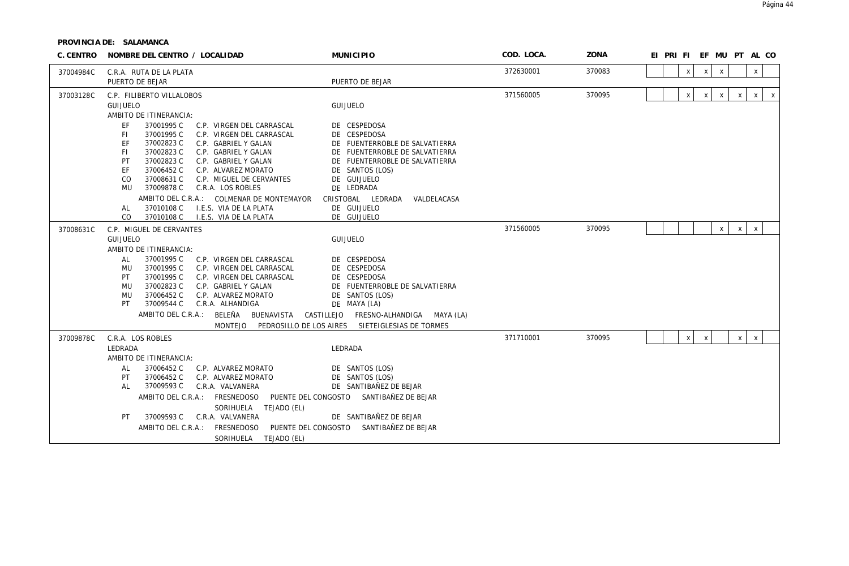| C. CENTRO | NOMBRE DEL CENTRO / LOCALIDAD                                                                                                                                                                                                                                                         | <b>MUNICIPIO</b>                                                                                                   | COD. LOCA. | ZONA   | EI PRIFIEF MUPTAL CO                                                              |
|-----------|---------------------------------------------------------------------------------------------------------------------------------------------------------------------------------------------------------------------------------------------------------------------------------------|--------------------------------------------------------------------------------------------------------------------|------------|--------|-----------------------------------------------------------------------------------|
| 37004984C | C.R.A. RUTA DE LA PLATA<br>PUERTO DE BEJAR                                                                                                                                                                                                                                            | PUERTO DE BEJAR                                                                                                    | 372630001  | 370083 | $\mathsf{x}$<br>$\mathsf{x}$<br>$\mathsf{x}$<br>X                                 |
| 37003128C | C.P. FILIBERTO VILLALOBOS                                                                                                                                                                                                                                                             |                                                                                                                    | 371560005  | 370095 | $\mathsf{x}$<br>$\mathsf{X}$<br>$\mathsf{x}$<br>$\mathsf{x}$<br>X<br>$\mathsf{x}$ |
|           | GUIJUELO<br>AMBITO DE ITINERANCIA:<br>EF<br>37001995 C<br>C.P. VIRGEN DEL CARRASCAL                                                                                                                                                                                                   | <b>GUIJUELO</b><br>DE CESPEDOSA                                                                                    |            |        |                                                                                   |
|           | 37001995 C<br>-FI<br>C.P. VIRGEN DEL CARRASCAL<br>37002823 C<br>EF<br>C.P. GABRIEL Y GALAN<br>37002823 C<br>C.P. GABRIEL Y GALAN<br>-FI<br>37002823 C<br>PT<br>C.P. GABRIEL Y GALAN                                                                                                   | DE CESPEDOSA<br>DE FUENTERROBLE DE SALVATIERRA<br>DE FUENTERROBLE DE SALVATIERRA<br>DE FUENTERROBLE DE SALVATIERRA |            |        |                                                                                   |
|           | EF<br>37006452 C<br>C.P. ALVAREZ MORATO<br>37008631 C<br>CO<br>C.P. MIGUEL DE CERVANTES<br>37009878 C<br><b>MU</b><br>C.R.A. LOS ROBLES                                                                                                                                               | DE SANTOS (LOS)<br>DE GUIJUELO<br>DE LEDRADA                                                                       |            |        |                                                                                   |
|           | AMBITO DEL C.R.A.: COLMENAR DE MONTEMAYOR<br>37010108 C<br>I.E.S. VIA DE LA PLATA<br>AL<br>37010108 C<br>CO<br>I.E.S. VIA DE LA PLATA                                                                                                                                                 | CRISTOBAL LEDRADA<br>VALDELACASA<br>DE GUIJUELO<br>DE GUIJUELO                                                     |            |        |                                                                                   |
| 37008631C | C.P. MIGUEL DE CERVANTES<br>GUIJUELO<br>AMBITO DE ITINERANCIA:                                                                                                                                                                                                                        | GUIJUELO                                                                                                           | 371560005  | 370095 | $\mathsf{x}$<br>$\boldsymbol{\mathsf{X}}$<br>X                                    |
|           | 37001995 C<br>AL<br>C.P. VIRGEN DEL CARRASCAL<br>37001995 C<br>MU<br>C.P. VIRGEN DEL CARRASCAL<br>37001995 C<br>PT<br>C.P. VIRGEN DEL CARRASCAL<br>37002823 C<br><b>MU</b><br>C.P. GABRIEL Y GALAN<br>37006452 C<br>C.P. ALVAREZ MORATO<br>MU<br>37009544 C<br>C.R.A. ALHANDIGA<br>PT | DE CESPEDOSA<br>DE CESPEDOSA<br>DE CESPEDOSA<br>DE FUENTERROBLE DE SALVATIERRA<br>DE SANTOS (LOS)<br>DE MAYA (LA)  |            |        |                                                                                   |
|           | AMBITO DEL C.R.A.: BELEÑA<br>BUENAVISTA CASTILLEJO<br><b>MONTEJO</b>                                                                                                                                                                                                                  | FRESNO-ALHANDIGA MAYA (LA)<br>PEDROSILLO DE LOS AIRES SIETEIGLESIAS DE TORMES                                      |            |        |                                                                                   |
| 37009878C | C.R.A. LOS ROBLES<br>LEDRADA<br>AMBITO DE ITINERANCIA:                                                                                                                                                                                                                                | LEDRADA                                                                                                            | 371710001  | 370095 | $\mathsf{x}$<br>$\times$<br>$\times$<br>$\mathsf{X}$                              |
|           | 37006452 C<br>AL<br>C.P. ALVAREZ MORATO<br>37006452 C<br>C.P. ALVAREZ MORATO<br>PT<br>37009593 C<br>C.R.A. VALVANERA<br>AL                                                                                                                                                            | DE SANTOS (LOS)<br>DE SANTOS (LOS)<br>DE SANTIBAÑEZ DE BEJAR                                                       |            |        |                                                                                   |
|           | AMBITO DEL C.R.A.: FRESNEDOSO<br>SORIHUELA TEJADO (EL)<br>37009593 C<br>C.R.A. VALVANERA<br>PT                                                                                                                                                                                        | PUENTE DEL CONGOSTO SANTIBAÑEZ DE BEJAR<br>DE SANTIBAÑEZ DE BEJAR                                                  |            |        |                                                                                   |
|           | FRESNEDOSO<br>PUENTE DEL CONGOSTO<br>AMBITO DEL C.R.A.:<br>SORIHUELA TEJADO (EL)                                                                                                                                                                                                      | SANTIBAÑEZ DE BEJAR                                                                                                |            |        |                                                                                   |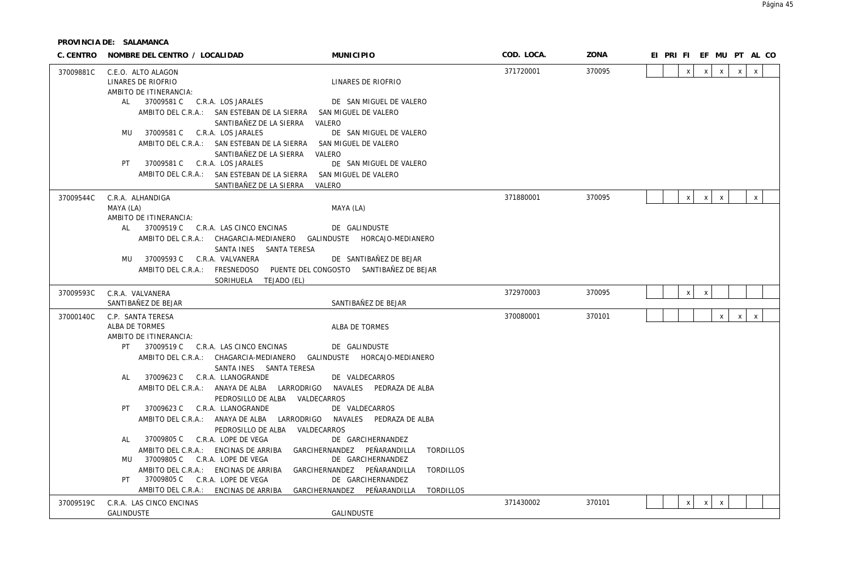| C. CENTRO | NOMBRE DEL CENTRO / LOCALIDAD                                        | <b>MUNICIPIO</b>                                                                                      | COD. LOCA. | ZONA   |              |                              | EI PRI FI EF MU PT AL CO     |
|-----------|----------------------------------------------------------------------|-------------------------------------------------------------------------------------------------------|------------|--------|--------------|------------------------------|------------------------------|
| 37009881C | C.E.O. ALTO ALAGON                                                   |                                                                                                       | 371720001  | 370095 | $\mathsf{x}$ | $\mathsf{X}$<br>$\mathsf{x}$ | $\mathsf{X}$<br>X            |
|           | LINARES DE RIOFRIO                                                   | LINARES DE RIOFRIO                                                                                    |            |        |              |                              |                              |
|           | AMBITO DE ITINERANCIA:                                               |                                                                                                       |            |        |              |                              |                              |
|           | AL 37009581 C C.R.A. LOS JARALES                                     | DE SAN MIGUEL DE VALERO                                                                               |            |        |              |                              |                              |
|           |                                                                      | AMBITO DEL C.R.A.: SAN ESTEBAN DE LA SIERRA SAN MIGUEL DE VALERO<br>SANTIBAÑEZ DE LA SIERRA<br>VALERO |            |        |              |                              |                              |
|           | MU 37009581 C C.R.A. LOS JARALES                                     | DE SAN MIGUEL DE VALERO                                                                               |            |        |              |                              |                              |
|           |                                                                      | AMBITO DEL C.R.A.: SAN ESTEBAN DE LA SIERRA SAN MIGUEL DE VALERO                                      |            |        |              |                              |                              |
|           |                                                                      | VALERO<br>SANTIBAÑEZ DE LA SIERRA                                                                     |            |        |              |                              |                              |
|           | 37009581 C C.R.A. LOS JARALES<br>PT                                  | DE SAN MIGUEL DE VALERO                                                                               |            |        |              |                              |                              |
|           |                                                                      | AMBITO DEL C.R.A.: SAN ESTEBAN DE LA SIERRA SAN MIGUEL DE VALERO                                      |            |        |              |                              |                              |
|           |                                                                      | SANTIBAÑEZ DE LA SIERRA<br>VALERO                                                                     |            |        |              |                              |                              |
| 37009544C | C.R.A. ALHANDIGA                                                     |                                                                                                       | 371880001  | 370095 | x            | $\mathsf{x}$<br>$\mathsf{x}$ | $\mathsf{x}$                 |
|           | MAYA (LA)                                                            | MAYA (LA)                                                                                             |            |        |              |                              |                              |
|           | AMBITO DE ITINERANCIA:<br>37009519 C C.R.A. LAS CINCO ENCINAS<br>AL  | DE GALINDUSTE                                                                                         |            |        |              |                              |                              |
|           |                                                                      | AMBITO DEL C.R.A.: CHAGARCIA-MEDIANERO GALINDUSTE HORCAJO-MEDIANERO                                   |            |        |              |                              |                              |
|           |                                                                      | SANTA INES SANTA TERESA                                                                               |            |        |              |                              |                              |
|           | MU 37009593 C C.R.A. VALVANERA                                       | DE SANTIBAÑEZ DE BEJAR                                                                                |            |        |              |                              |                              |
|           |                                                                      | AMBITO DEL C.R.A.: FRESNEDOSO PUENTE DEL CONGOSTO SANTIBAÑEZ DE BEJAR                                 |            |        |              |                              |                              |
|           | SORIHUELA TEJADO (EL)                                                |                                                                                                       |            |        |              |                              |                              |
| 37009593C | C.R.A. VALVANERA                                                     |                                                                                                       | 372970003  | 370095 | $\mathsf{x}$ | $\boldsymbol{\mathsf{X}}$    |                              |
|           | SANTIBAÑEZ DE BEJAR                                                  | SANTIBAÑEZ DE BEJAR                                                                                   |            |        |              |                              |                              |
| 37000140C | C.P. SANTA TERESA                                                    |                                                                                                       | 370080001  | 370101 |              | $\mathsf{x}$                 | $\mathsf{x}$<br>$\mathsf{x}$ |
|           | ALBA DE TORMES                                                       | ALBA DE TORMES                                                                                        |            |        |              |                              |                              |
|           | AMBITO DE ITINERANCIA:<br>37009519 C C.R.A. LAS CINCO ENCINAS<br>PT. | DE GALINDUSTE                                                                                         |            |        |              |                              |                              |
|           |                                                                      | AMBITO DEL C.R.A.: CHAGARCIA-MEDIANERO GALINDUSTE HORCAJO-MEDIANERO                                   |            |        |              |                              |                              |
|           |                                                                      | SANTA INES SANTA TERESA                                                                               |            |        |              |                              |                              |
|           | 37009623 C C.R.A. LLANOGRANDE<br>AL                                  | DE VALDECARROS                                                                                        |            |        |              |                              |                              |
|           |                                                                      | AMBITO DEL C.R.A.: ANAYA DE ALBA LARRODRIGO NAVALES PEDRAZA DE ALBA                                   |            |        |              |                              |                              |
|           |                                                                      | PEDROSILLO DE ALBA VALDECARROS                                                                        |            |        |              |                              |                              |
|           | PT<br>37009623 C C.R.A. LLANOGRANDE                                  | DE VALDECARROS                                                                                        |            |        |              |                              |                              |
|           |                                                                      | AMBITO DEL C.R.A.: ANAYA DE ALBA LARRODRIGO NAVALES PEDRAZA DE ALBA                                   |            |        |              |                              |                              |
|           | 37009805 C C.R.A. LOPE DE VEGA<br>AL                                 | PEDROSILLO DE ALBA VALDECARROS<br>DE GARCIHERNANDEZ                                                   |            |        |              |                              |                              |
|           | AMBITO DEL C.R.A.: ENCINAS DE ARRIBA                                 | GARCIHERNANDEZ PEÑARANDILLA<br><b>TORDILLOS</b>                                                       |            |        |              |                              |                              |
|           | 37009805 C C.R.A. LOPE DE VEGA<br>MU                                 | DE GARCIHERNANDEZ                                                                                     |            |        |              |                              |                              |
|           | AMBITO DEL C.R.A.: ENCINAS DE ARRIBA                                 | GARCIHERNANDEZ PEÑARANDILLA<br>TORDILLOS                                                              |            |        |              |                              |                              |
|           |                                                                      |                                                                                                       |            |        |              |                              |                              |
|           | 37009805 C C.R.A. LOPE DE VEGA<br>PT                                 | DE GARCIHERNANDEZ                                                                                     |            |        |              |                              |                              |
|           | ENCINAS DE ARRIBA<br>AMBITO DEL C.R.A.:                              | GARCIHERNANDEZ PEÑARANDILLA<br><b>TORDILLOS</b>                                                       |            |        |              |                              |                              |
| 37009519C | C.R.A. LAS CINCO ENCINAS<br><b>GALINDUSTE</b>                        | <b>GALINDUSTE</b>                                                                                     | 371430002  | 370101 | $\mathsf{X}$ | $\mathsf{x}$<br>$\mathsf{X}$ |                              |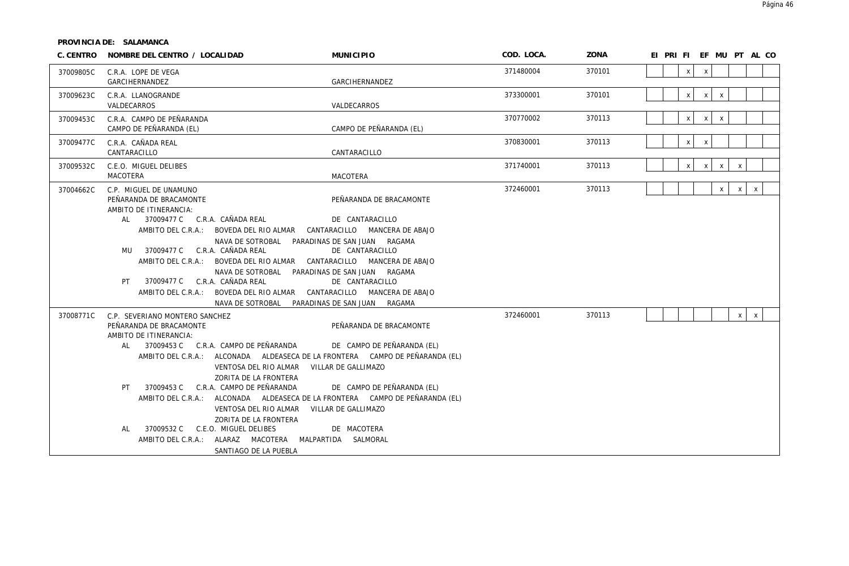| C. CENTRO | NOMBRE DEL CENTRO / LOCALIDAD                                                                                                                                                                                                                                                                                                                                                                                                                                                                                                                                                         | <b>MUNICIPIO</b>                                                                                                                                 | COD. LOCA. | ZONA   | EI PRI FI EF MU PT AL CO                                     |
|-----------|---------------------------------------------------------------------------------------------------------------------------------------------------------------------------------------------------------------------------------------------------------------------------------------------------------------------------------------------------------------------------------------------------------------------------------------------------------------------------------------------------------------------------------------------------------------------------------------|--------------------------------------------------------------------------------------------------------------------------------------------------|------------|--------|--------------------------------------------------------------|
| 37009805C | C.R.A. LOPE DE VEGA<br>GARCIHERNANDEZ                                                                                                                                                                                                                                                                                                                                                                                                                                                                                                                                                 | GARCIHERNANDEZ                                                                                                                                   | 371480004  | 370101 | $\mathsf{x}$<br>$\mathsf{x}$                                 |
| 37009623C | C.R.A. LLANOGRANDE<br>VALDECARROS                                                                                                                                                                                                                                                                                                                                                                                                                                                                                                                                                     | VALDECARROS                                                                                                                                      | 373300001  | 370101 | $\mathsf{x}$<br>$\mathsf{X}$<br>$\mathsf X$                  |
| 37009453C | C.R.A. CAMPO DE PEÑARANDA<br>CAMPO DE PEÑARANDA (EL)                                                                                                                                                                                                                                                                                                                                                                                                                                                                                                                                  | CAMPO DE PEÑARANDA (EL)                                                                                                                          | 370770002  | 370113 | x<br>x<br>$\,$ X                                             |
| 37009477C | C.R.A. CAÑADA REAL<br>CANTARACILLO                                                                                                                                                                                                                                                                                                                                                                                                                                                                                                                                                    | CANTARACILLO                                                                                                                                     | 370830001  | 370113 | X<br>X                                                       |
| 37009532C | C.E.O. MIGUEL DELIBES<br><b>MACOTERA</b>                                                                                                                                                                                                                                                                                                                                                                                                                                                                                                                                              | MACOTERA                                                                                                                                         | 371740001  | 370113 | $\mathsf{x}$<br>$\mathsf{X}$<br>$\mathsf{X}$<br>$\mathsf{X}$ |
| 37004662C | C.P. MIGUEL DE UNAMUNO<br>PEÑARANDA DE BRACAMONTE<br>AMBITO DE ITINERANCIA:                                                                                                                                                                                                                                                                                                                                                                                                                                                                                                           | PEÑARANDA DE BRACAMONTE                                                                                                                          | 372460001  | 370113 | $\mathsf{X}$<br>$\mathsf{x}$<br>$\mathsf X$                  |
|           | 37009477 C   C.R.A.  CAÑADA REAL<br>AI<br>AMBITO DEL C.R.A.: BOVEDA DEL RIO ALMAR CANTARACILLO MANCERA DE ABAJO<br>NAVA DE SOTROBAL PARADINAS DE SAN JUAN RAGAMA<br>MU 37009477 C C.R.A. CAÑADA REAL<br>AMBITO DEL C.R.A.: BOVEDA DEL RIO ALMAR CANTARACILLO MANCERA DE ABAJO<br>NAVA DE SOTROBAL PARADINAS DE SAN JUAN RAGAMA                                                                                                                                                                                                                                                        | DE CANTARACILLO<br>DE CANTARACILLO                                                                                                               |            |        |                                                              |
|           | 37009477 C C.R.A. CAÑADA REAL<br>PT.<br>AMBITO DEL C.R.A.: BOVEDA DEL RIO ALMAR CANTARACILLO MANCERA DE ABAJO<br>NAVA DE SOTROBAL PARADINAS DE SAN JUAN RAGAMA                                                                                                                                                                                                                                                                                                                                                                                                                        | DE CANTARACILLO                                                                                                                                  |            |        |                                                              |
| 37008771C | C.P. SEVERIANO MONTERO SANCHEZ<br>PEÑARANDA DE BRACAMONTE<br>AMBITO DE ITINERANCIA:<br>37009453 C C.R.A. CAMPO DE PEÑARANDA<br>AL .<br>AMBITO DEL C.R.A.: ALCONADA ALDEASECA DE LA FRONTERA CAMPO DE PEÑARANDA (EL)<br>VENTOSA DEL RIO ALMAR<br>ZORITA DE LA FRONTERA<br>37009453 C C.R.A. CAMPO DE PEÑARANDA<br>PT<br>AMBITO DEL C.R.A.: ALCONADA ALDEASECA DE LA FRONTERA CAMPO DE PEÑARANDA (EL)<br>VENTOSA DEL RIO ALMAR<br>ZORITA DE LA FRONTERA<br>37009532 C<br>C.E.O. MIGUEL DELIBES<br>AL<br>AMBITO DEL C.R.A.: ALARAZ MACOTERA MALPARTIDA SALMORAL<br>SANTIAGO DE LA PUEBLA | PEÑARANDA DE BRACAMONTE<br>DE CAMPO DE PEÑARANDA (EL)<br>VILLAR DE GALLIMAZO<br>DE CAMPO DE PEÑARANDA (EL)<br>VILLAR DE GALLIMAZO<br>DE MACOTERA | 372460001  | 370113 | $\mathsf X$<br>$\mathsf{X}$                                  |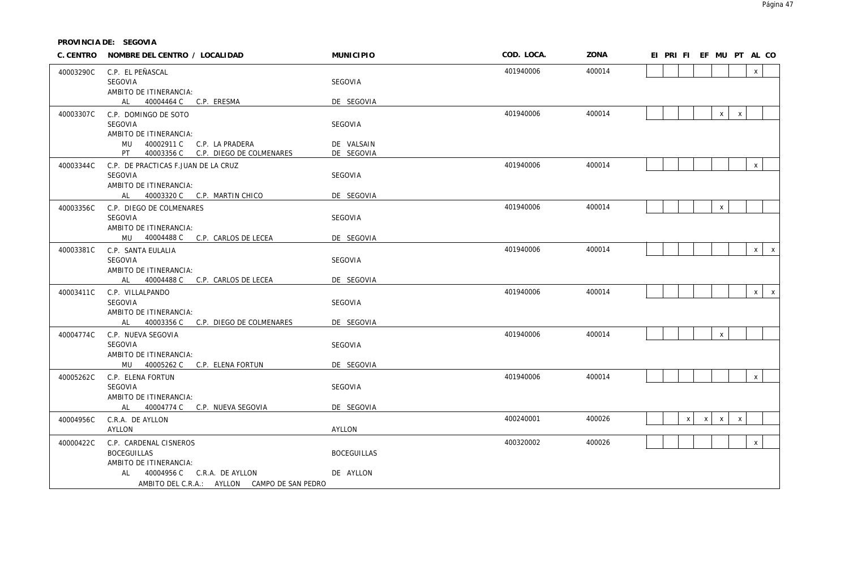**PROVINCIA DE: SEGOVIA**

|           | C. CENTRO NOMBRE DEL CENTRO / LOCALIDAD                                                                                                                                                                                                                  | <b>MUNICIPIO</b>   | COD. LOCA. | ZONA   |  |   | EI PRI FI EF MU PT AL CO |              |              |              |
|-----------|----------------------------------------------------------------------------------------------------------------------------------------------------------------------------------------------------------------------------------------------------------|--------------------|------------|--------|--|---|--------------------------|--------------|--------------|--------------|
| 40003290C | C.P. EL PEÑASCAL                                                                                                                                                                                                                                         |                    | 401940006  | 400014 |  |   |                          |              | $\mathsf{X}$ |              |
|           | SEGOVIA                                                                                                                                                                                                                                                  | SEGOVIA            |            |        |  |   |                          |              |              |              |
|           | AMBITO DE ITINERANCIA:                                                                                                                                                                                                                                   |                    |            |        |  |   |                          |              |              |              |
|           | AL and the set of the set of the set of the set of the set of the set of the set of the set of the set of the set of the set of the set of the set of the set of the set of the set of the set of the set of the set of the se<br>40004464 C C.P. ERESMA | DE SEGOVIA         |            |        |  |   |                          |              |              |              |
| 40003307C | C.P. DOMINGO DE SOTO                                                                                                                                                                                                                                     |                    | 401940006  | 400014 |  |   | $\mathsf{x}$             | $\mathsf{X}$ |              |              |
|           | SEGOVIA                                                                                                                                                                                                                                                  | SEGOVIA            |            |        |  |   |                          |              |              |              |
|           | AMBITO DE ITINERANCIA:<br>40002911 C C.P. LA PRADERA<br>MU                                                                                                                                                                                               | DE VALSAIN         |            |        |  |   |                          |              |              |              |
|           | PT<br>40003356 C C.P. DIEGO DE COLMENARES                                                                                                                                                                                                                | DE SEGOVIA         |            |        |  |   |                          |              |              |              |
| 40003344C | C.P. DE PRACTICAS F.JUAN DE LA CRUZ                                                                                                                                                                                                                      |                    | 401940006  | 400014 |  |   |                          |              | $\mathsf X$  |              |
|           | SEGOVIA                                                                                                                                                                                                                                                  | SEGOVIA            |            |        |  |   |                          |              |              |              |
|           | AMBITO DE ITINERANCIA:                                                                                                                                                                                                                                   |                    |            |        |  |   |                          |              |              |              |
|           | AL 40003320 C C.P. MARTIN CHICO                                                                                                                                                                                                                          | DE SEGOVIA         |            |        |  |   |                          |              |              |              |
| 40003356C | C.P. DIEGO DE COLMENARES                                                                                                                                                                                                                                 |                    | 401940006  | 400014 |  |   | $\mathsf{X}$             |              |              |              |
|           | SEGOVIA                                                                                                                                                                                                                                                  | SEGOVIA            |            |        |  |   |                          |              |              |              |
|           | AMBITO DE ITINERANCIA:                                                                                                                                                                                                                                   |                    |            |        |  |   |                          |              |              |              |
|           | MU 40004488 C C.P. CARLOS DE LECEA                                                                                                                                                                                                                       | DE SEGOVIA         |            |        |  |   |                          |              |              |              |
| 40003381C | C.P. SANTA EULALIA                                                                                                                                                                                                                                       |                    | 401940006  | 400014 |  |   |                          |              | x            | $\mathsf{X}$ |
|           | SEGOVIA                                                                                                                                                                                                                                                  | SEGOVIA            |            |        |  |   |                          |              |              |              |
|           | AMBITO DE ITINERANCIA:<br>AL 40004488 C C.P. CARLOS DE LECEA                                                                                                                                                                                             | DE SEGOVIA         |            |        |  |   |                          |              |              |              |
| 40003411C | C.P. VILLALPANDO                                                                                                                                                                                                                                         |                    | 401940006  | 400014 |  |   |                          |              |              | $x \mid x$   |
|           | SEGOVIA                                                                                                                                                                                                                                                  | SEGOVIA            |            |        |  |   |                          |              |              |              |
|           | AMBITO DE ITINERANCIA:                                                                                                                                                                                                                                   |                    |            |        |  |   |                          |              |              |              |
|           | 40003356 C C.P. DIEGO DE COLMENARES<br>AL                                                                                                                                                                                                                | DE SEGOVIA         |            |        |  |   |                          |              |              |              |
| 40004774C | C.P. NUEVA SEGOVIA                                                                                                                                                                                                                                       |                    | 401940006  | 400014 |  |   | $\pmb{\chi}$             |              |              |              |
|           | SEGOVIA                                                                                                                                                                                                                                                  | SEGOVIA            |            |        |  |   |                          |              |              |              |
|           | AMBITO DE ITINERANCIA:                                                                                                                                                                                                                                   |                    |            |        |  |   |                          |              |              |              |
|           | MU 40005262 C C.P. ELENA FORTUN                                                                                                                                                                                                                          | DE SEGOVIA         |            |        |  |   |                          |              |              |              |
| 40005262C | C.P. ELENA FORTUN                                                                                                                                                                                                                                        |                    | 401940006  | 400014 |  |   |                          |              | $\mathsf X$  |              |
|           | SEGOVIA                                                                                                                                                                                                                                                  | SEGOVIA            |            |        |  |   |                          |              |              |              |
|           | AMBITO DE ITINERANCIA:<br>40004774 C C.P. NUEVA SEGOVIA<br>AL -                                                                                                                                                                                          | DE SEGOVIA         |            |        |  |   |                          |              |              |              |
|           |                                                                                                                                                                                                                                                          |                    | 400240001  | 400026 |  |   | $x \mid x$               |              |              |              |
| 40004956C | C.R.A. DE AYLLON<br>AYLLON                                                                                                                                                                                                                               | AYLLON             |            |        |  | x |                          | $\pmb{\chi}$ |              |              |
|           |                                                                                                                                                                                                                                                          |                    |            |        |  |   |                          |              |              |              |
| 40000422C | C.P. CARDENAL CISNEROS<br><b>BOCEGUILLAS</b>                                                                                                                                                                                                             | <b>BOCEGUILLAS</b> | 400320002  | 400026 |  |   |                          |              | $\mathsf X$  |              |
|           | AMBITO DE ITINERANCIA:                                                                                                                                                                                                                                   |                    |            |        |  |   |                          |              |              |              |
|           | 40004956 C C.R.A. DE AYLLON<br>AL                                                                                                                                                                                                                        | DE AYLLON          |            |        |  |   |                          |              |              |              |
|           | AMBITO DEL C.R.A.: AYLLON CAMPO DE SAN PEDRO                                                                                                                                                                                                             |                    |            |        |  |   |                          |              |              |              |
|           |                                                                                                                                                                                                                                                          |                    |            |        |  |   |                          |              |              |              |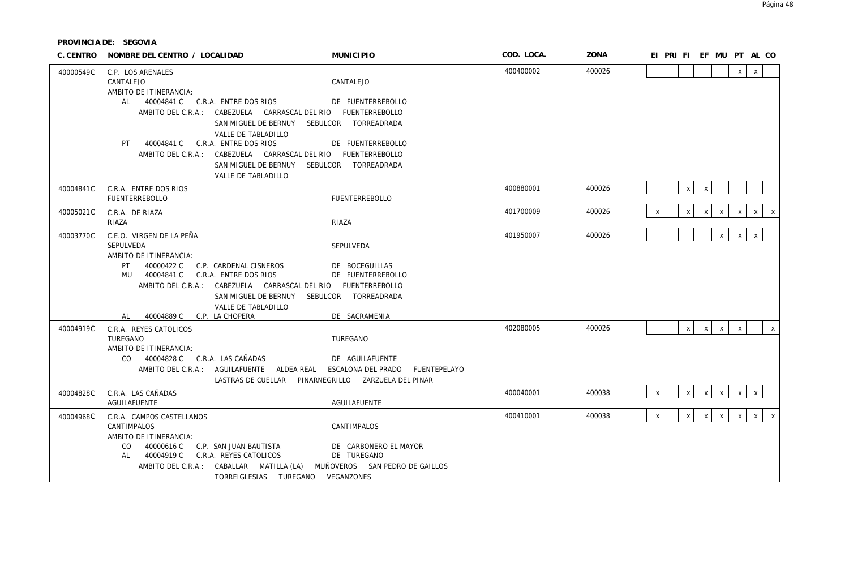| C. CENTRO | NOMBRE DEL CENTRO / LOCALIDAD                                                                              |                                                                                                                                                          | <b>MUNICIPIO</b>                                    |              | COD. LOCA. | ZONA   |              | EI PRI FI EF MU PT AL CO |                                           |              |                           |              |              |
|-----------|------------------------------------------------------------------------------------------------------------|----------------------------------------------------------------------------------------------------------------------------------------------------------|-----------------------------------------------------|--------------|------------|--------|--------------|--------------------------|-------------------------------------------|--------------|---------------------------|--------------|--------------|
| 40000549C | C.P. LOS ARENALES<br>CANTALEJO<br>AMBITO DE ITINERANCIA:                                                   |                                                                                                                                                          | CANTALEJO                                           |              | 400400002  | 400026 |              |                          |                                           |              | $\mathsf{x}$              | $\mathsf{X}$ |              |
|           | AL 40004841 C C.R.A. ENTRE DOS RIOS                                                                        | AMBITO DEL C.R.A.: CABEZUELA CARRASCAL DEL RIO FUENTERREBOLLO<br>SAN MIGUEL DE BERNUY                                                                    | DE FUENTERREBOLLO<br>SEBULCOR TORREADRADA           |              |            |        |              |                          |                                           |              |                           |              |              |
|           | 40004841 C C.R.A. ENTRE DOS RIOS<br>PT                                                                     | VALLE DE TABLADILLO<br>AMBITO DEL C.R.A.: CABEZUELA CARRASCAL DEL RIO FUENTERREBOLLO<br>SAN MIGUEL DE BERNUY SEBULCOR TORREADRADA<br>VALLE DE TABLADILLO | DE FUENTERREBOLLO                                   |              |            |        |              |                          |                                           |              |                           |              |              |
| 40004841C | C.R.A. ENTRE DOS RIOS<br><b>FUENTERREBOLLO</b>                                                             |                                                                                                                                                          | <b>FUENTERREBOLLO</b>                               |              | 400880001  | 400026 |              |                          | $\boldsymbol{\mathsf{x}}$<br>$\mathsf{x}$ |              |                           |              |              |
| 40005021C | C.R.A. DE RIAZA<br>RIAZA                                                                                   |                                                                                                                                                          | RIAZA                                               |              | 401700009  | 400026 | Χ            |                          | $\boldsymbol{\mathsf{x}}$<br>X            | X            | $\boldsymbol{\mathsf{X}}$ | X            | X            |
| 40003770C | C.E.O. VIRGEN DE LA PEÑA<br>SEPULVEDA<br>AMBITO DE ITINERANCIA:<br>40000422 C<br>PT<br>MU 40004841 C       | C.P. CARDENAL CISNEROS<br>C.R.A. ENTRE DOS RIOS                                                                                                          | SEPULVEDA<br>DE BOCEGUILLAS<br>DE FUENTERREBOLLO    |              | 401950007  | 400026 |              |                          |                                           | $\mathsf{x}$ | $\mathsf{X}$              | $\mathsf X$  |              |
|           | 40004889 C C.P. LA CHOPERA<br>AL                                                                           | AMBITO DEL C.R.A.: CABEZUELA CARRASCAL DEL RIO FUENTERREBOLLO<br>SAN MIGUEL DE BERNUY<br>VALLE DE TABLADILLO                                             | SEBULCOR TORREADRADA<br>DE SACRAMENIA               |              |            |        |              |                          |                                           |              |                           |              |              |
| 40004919C | C.R.A. REYES CATOLICOS<br>TUREGANO<br>AMBITO DE ITINERANCIA:<br>CO 40004828 C C.R.A. LAS CAÑADAS           | AMBITO DEL C.R.A.: AGUILAFUENTE ALDEA REAL<br>LASTRAS DE CUELLAR PINARNEGRILLO ZARZUELA DEL PINAR                                                        | TUREGANO<br>DE AGUILAFUENTE<br>ESCALONA DEL PRADO   | FUENTEPELAYO | 402080005  | 400026 |              |                          | $\mathsf{X}$<br>$\boldsymbol{\mathsf{x}}$ | $\mathsf{X}$ | $\mathsf{X}$              |              | X            |
| 40004828C | C.R.A. LAS CAÑADAS<br>AGUILAFUENTE                                                                         |                                                                                                                                                          | AGUILAFUENTE                                        |              | 400040001  | 400038 | $\pmb{\chi}$ |                          | $\mathsf{X}$<br>$\boldsymbol{\mathsf{X}}$ | $\mathsf{X}$ | $\mathsf{X}$              | $\pmb{\chi}$ |              |
| 40004968C | C.R.A. CAMPOS CASTELLANOS<br>CANTIMPALOS<br>AMBITO DE ITINERANCIA:<br>CO<br>40000616 C<br>40004919 C<br>AL | C.P. SAN JUAN BAUTISTA<br>C.R.A. REYES CATOLICOS                                                                                                         | CANTIMPALOS<br>DE CARBONERO EL MAYOR<br>DE TUREGANO |              | 400410001  | 400038 | X            |                          | $\boldsymbol{\mathsf{X}}$<br>$\mathsf{X}$ | $\mathsf{X}$ | $\mathsf{X}$              | $\mathsf{X}$ | $\mathsf{X}$ |
|           | AMBITO DEL C.R.A.: CABALLAR MATILLA (LA)                                                                   | TORREIGLESIAS TUREGANO VEGANZONES                                                                                                                        | MUÑOVEROS SAN PEDRO DE GAILLOS                      |              |            |        |              |                          |                                           |              |                           |              |              |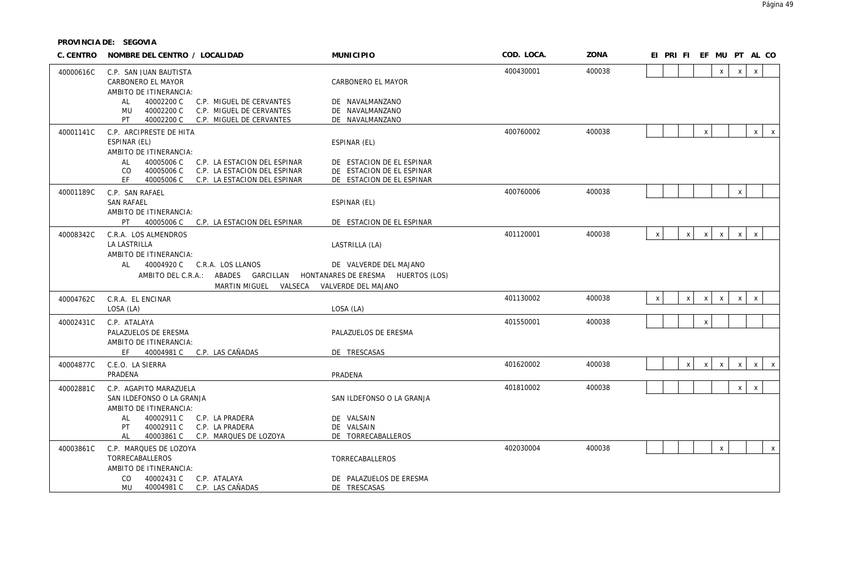| C. CENTRO | NOMBRE DEL CENTRO / LOCALIDAD                                                                                                                             | <b>MUNICIPIO</b>                                                                    | COD. LOCA. | ZONA   | EI PRI FI EF MU PT AL CO                                                                           |
|-----------|-----------------------------------------------------------------------------------------------------------------------------------------------------------|-------------------------------------------------------------------------------------|------------|--------|----------------------------------------------------------------------------------------------------|
| 40000616C | C.P. SAN JUAN BAUTISTA<br>CARBONERO EL MAYOR<br>AMBITO DE ITINERANCIA:                                                                                    | CARBONERO EL MAYOR                                                                  | 400430001  | 400038 | $\mathsf X$<br>$\mathsf{x}$<br>X                                                                   |
|           | 40002200 C<br>C.P. MIGUEL DE CERVANTES<br>AL<br>40002200 C<br>C.P. MIGUEL DE CERVANTES<br>MU<br>40002200 C<br>PT<br>C.P. MIGUEL DE CERVANTES              | DE NAVALMANZANO<br>DE NAVALMANZANO<br>DE NAVALMANZANO                               |            |        |                                                                                                    |
| 40001141C | C.P. ARCIPRESTE DE HITA<br>ESPINAR (EL)<br>AMBITO DE ITINERANCIA:                                                                                         | ESPINAR (EL)                                                                        | 400760002  | 400038 | $\mathsf{X}^-$<br>$\pmb{\chi}$<br>$\mathbf{x}$                                                     |
|           | 40005006 C<br>C.P. LA ESTACION DEL ESPINAR<br>AL<br>40005006 C<br>C.P. LA ESTACION DEL ESPINAR<br>CO<br>EF.<br>40005006 C<br>C.P. LA ESTACION DEL ESPINAR | DE ESTACION DE EL ESPINAR<br>DE ESTACION DE EL ESPINAR<br>DE ESTACION DE EL ESPINAR |            |        |                                                                                                    |
| 40001189C | C.P. SAN RAFAEL<br><b>SAN RAFAEL</b><br>AMBITO DE ITINERANCIA:                                                                                            | ESPINAR (EL)                                                                        | 400760006  | 400038 | $\boldsymbol{\mathsf{X}}$                                                                          |
| 40008342C | PT.<br>40005006 C<br>C.P. LA ESTACION DEL ESPINAR<br>C.R.A. LOS ALMENDROS<br>LA LASTRILLA                                                                 | DE ESTACION DE EL ESPINAR<br>LASTRILLA (LA)                                         | 401120001  | 400038 | $\mathsf{x}$<br>$\mathsf{x}$<br>$\mathsf{X}$<br>$\mathsf{x}$<br>$\mathsf{X}$<br>$\mathsf{X}$       |
|           | AMBITO DE ITINERANCIA:<br>AL<br>40004920 C C.R.A. LOS LLANOS<br>AMBITO DEL C.R.A.: ABADES GARCILLAN                                                       | DE VALVERDE DEL MAJANO<br>HONTANARES DE ERESMA HUERTOS (LOS)                        |            |        |                                                                                                    |
|           | MARTIN MIGUEL                                                                                                                                             | VALSECA VALVERDE DEL MAJANO                                                         |            |        |                                                                                                    |
| 40004762C | C.R.A. EL ENCINAR<br>LOSA (LA)                                                                                                                            | LOSA (LA)                                                                           | 401130002  | 400038 | $\pmb{\chi}$<br>$\mathsf{X}$<br>$\pmb{\mathsf{X}}$<br>$\mathsf{x}$<br>$\mathsf{X}$<br>$\mathsf{x}$ |
| 40002431C | C.P. ATALAYA<br>PALAZUELOS DE ERESMA<br>AMBITO DE ITINERANCIA:                                                                                            | PALAZUELOS DE ERESMA                                                                | 401550001  | 400038 | $\pmb{\chi}$                                                                                       |
|           | 40004981 C C.P. LAS CAÑADAS<br>EF.                                                                                                                        | DE TRESCASAS                                                                        |            |        |                                                                                                    |
| 40004877C | C.E.O. LA SIERRA<br>PRADENA                                                                                                                               | PRADENA                                                                             | 401620002  | 400038 | $\mathsf{X}$<br>$\pmb{\mathsf{X}}$<br>$\mathsf{X}$<br>$\mathsf{X}$<br>$\pmb{\chi}$<br>$\mathsf{X}$ |
| 40002881C | C.P. AGAPITO MARAZUELA<br>SAN ILDEFONSO O LA GRANJA<br>AMBITO DE ITINERANCIA:                                                                             | SAN ILDEFONSO O LA GRANJA                                                           | 401810002  | 400038 | $\mathsf{X}$<br>$\mathsf X$                                                                        |
|           | 40002911 C<br>C.P. LA PRADERA<br>AL<br>40002911 C<br>C.P. LA PRADERA<br>PT<br>AL<br>40003861 C<br>C.P. MARQUES DE LOZOYA                                  | DE VALSAIN<br>DE VALSAIN<br>DE TORRECABALLEROS                                      |            |        |                                                                                                    |
| 40003861C | C.P. MARQUES DE LOZOYA<br>TORRECABALLEROS<br>AMBITO DE ITINERANCIA:                                                                                       | TORRECABALLEROS                                                                     | 402030004  | 400038 | $\mathsf X$<br>$\pmb{\chi}$                                                                        |
|           | 40002431 C<br>CO.<br>C.P. ATALAYA<br>40004981 C<br>MU<br>C.P. LAS CAÑADAS                                                                                 | DE PALAZUELOS DE ERESMA<br>DE TRESCASAS                                             |            |        |                                                                                                    |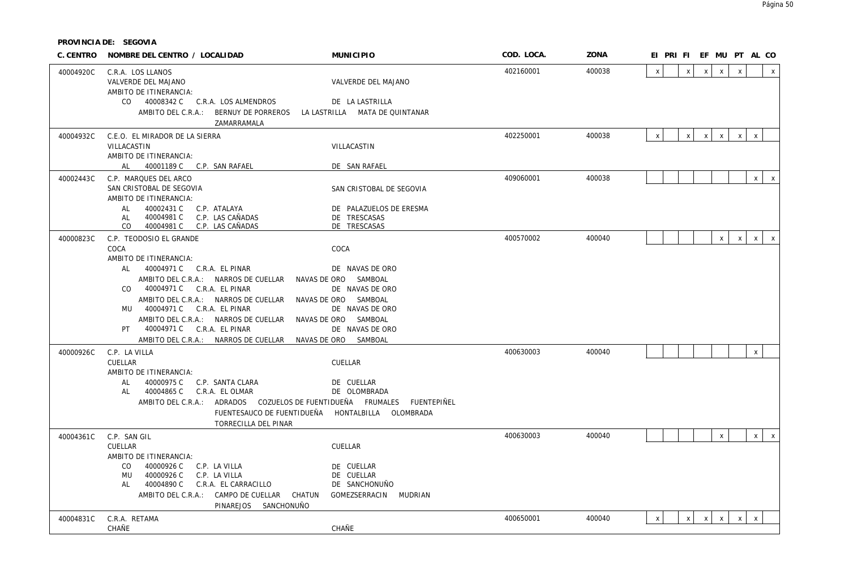| C. CENTRO | NOMBRE DEL CENTRO / LOCALIDAD                                                                                                                                                                                                                                                                                                                   | <b>MUNICIPIO</b>                                                                                                                                             | COD. LOCA. | ZONA   | EI PRI FI EF MU PT AL CO                  |                              |                              |                              |
|-----------|-------------------------------------------------------------------------------------------------------------------------------------------------------------------------------------------------------------------------------------------------------------------------------------------------------------------------------------------------|--------------------------------------------------------------------------------------------------------------------------------------------------------------|------------|--------|-------------------------------------------|------------------------------|------------------------------|------------------------------|
| 40004920C | C.R.A. LOS LLANOS<br>VALVERDE DEL MAJANO<br>AMBITO DE ITINERANCIA:                                                                                                                                                                                                                                                                              | VALVERDE DEL MAJANO                                                                                                                                          | 402160001  | 400038 | $\pmb{\chi}$<br>$\pmb{\chi}$              | $\mathsf{X}$<br>$\mathsf{x}$ | $\mathsf{x}$                 | $\mathsf{x}$                 |
|           | CO 40008342 C C.R.A. LOS ALMENDROS<br>AMBITO DEL C.R.A.: BERNUY DE PORREROS<br>ZAMARRAMALA                                                                                                                                                                                                                                                      | DE LA LASTRILLA<br>LA LASTRILLA MATA DE QUINTANAR                                                                                                            |            |        |                                           |                              |                              |                              |
| 40004932C | C.E.O. EL MIRADOR DE LA SIERRA<br>VILLACASTIN                                                                                                                                                                                                                                                                                                   | VILLACASTIN                                                                                                                                                  | 402250001  | 400038 | $\boldsymbol{\mathsf{X}}$<br>$\mathsf{x}$ | $\mathsf{x}$<br>$\mathsf{X}$ | $\mathsf{X}$<br>$\mathsf{x}$ |                              |
|           | AMBITO DE ITINERANCIA:<br>AL 40001189 C C.P. SAN RAFAEL                                                                                                                                                                                                                                                                                         | DE SAN RAFAEL                                                                                                                                                |            |        |                                           |                              |                              |                              |
| 40002443C | C.P. MARQUES DEL ARCO<br>SAN CRISTOBAL DE SEGOVIA<br>AMBITO DE ITINERANCIA:                                                                                                                                                                                                                                                                     | SAN CRISTOBAL DE SEGOVIA                                                                                                                                     | 409060001  | 400038 |                                           |                              |                              | $\mathsf{x}$<br>$\mathsf{X}$ |
|           | 40002431 C C.P. ATALAYA<br>AL<br>40004981 C C.P. LAS CAÑADAS<br>AL<br>CO 40004981 C C.P. LAS CAÑADAS                                                                                                                                                                                                                                            | DE PALAZUELOS DE ERESMA<br>DE TRESCASAS<br>DE TRESCASAS                                                                                                      |            |        |                                           |                              |                              |                              |
| 40000823C | C.P. TEODOSIO EL GRANDE<br>COCA                                                                                                                                                                                                                                                                                                                 | COCA                                                                                                                                                         | 400570002  | 400040 |                                           | $\mathsf{X}$                 | $\mathsf{x}$<br>$\mathsf{x}$ | $\mathsf{x}$                 |
|           | AMBITO DE ITINERANCIA:<br>AL 40004971 C C.R.A. EL PINAR<br>AMBITO DEL C.R.A.: NARROS DE CUELLAR<br>CO 40004971 C C.R.A. EL PINAR<br>AMBITO DEL C.R.A.: NARROS DE CUELLAR<br>MU 40004971 C C.R.A. EL PINAR<br>AMBITO DEL C.R.A.: NARROS DE CUELLAR<br>PT 40004971 C C.R.A. EL PINAR<br>AMBITO DEL C.R.A.: NARROS DE CUELLAR NAVAS DE ORO SAMBOAL | DE NAVAS DE ORO<br>NAVAS DE ORO SAMBOAL<br>DE NAVAS DE ORO<br>NAVAS DE ORO SAMBOAL<br>DE NAVAS DE ORO<br>NAVAS DE ORO SAMBOAL<br>DE NAVAS DE ORO             |            |        |                                           |                              |                              |                              |
| 40000926C | C.P. LA VILLA<br>CUELLAR                                                                                                                                                                                                                                                                                                                        | CUELLAR                                                                                                                                                      | 400630003  | 400040 |                                           |                              | $\mathsf X$                  |                              |
|           | AMBITO DE ITINERANCIA:<br>40000975 C C.P. SANTA CLARA<br>AL<br>AL 40004865 C C.R.A. EL OLMAR<br>TORRECILLA DEL PINAR                                                                                                                                                                                                                            | DE CUELLAR<br>DE OLOMBRADA<br>AMBITO DEL C.R.A.: ADRADOS  COZUELOS DE FUENTIDUEÑA  FRUMALES  FUENTEPIÑEL<br>FUENTESAUCO DE FUENTIDUEÑA HONTALBILLA OLOMBRADA |            |        |                                           |                              |                              |                              |
| 40004361C | C.P. SAN GIL<br>CUELLAR<br>AMBITO DE ITINERANCIA:<br>CO<br>40000926 C C.P. LA VILLA<br>40000926 C<br>C.P. LA VILLA<br>MU                                                                                                                                                                                                                        | CUELLAR<br>DE CUELLAR<br>DE CUELLAR                                                                                                                          | 400630003  | 400040 |                                           | $\mathsf X$                  |                              | x<br>$\mathsf{x}$            |
|           | 40004890 C C.R.A. EL CARRACILLO<br>AL<br>AMBITO DEL C.R.A.: CAMPO DE CUELLAR CHATUN GOMEZSERRACIN MUDRIAN<br>PINAREJOS SANCHONUÑO                                                                                                                                                                                                               | DE SANCHONUÑO                                                                                                                                                |            |        |                                           |                              |                              |                              |
| 40004831C | C.R.A. RETAMA<br>CHAÑE                                                                                                                                                                                                                                                                                                                          | <b>CHAÑE</b>                                                                                                                                                 | 400650001  | 400040 | $\pmb{\chi}$<br>$\pmb{\chi}$              | $\mathsf{X}$<br>$\mathsf{x}$ | $\mathsf{x}$<br>$\mathsf{X}$ |                              |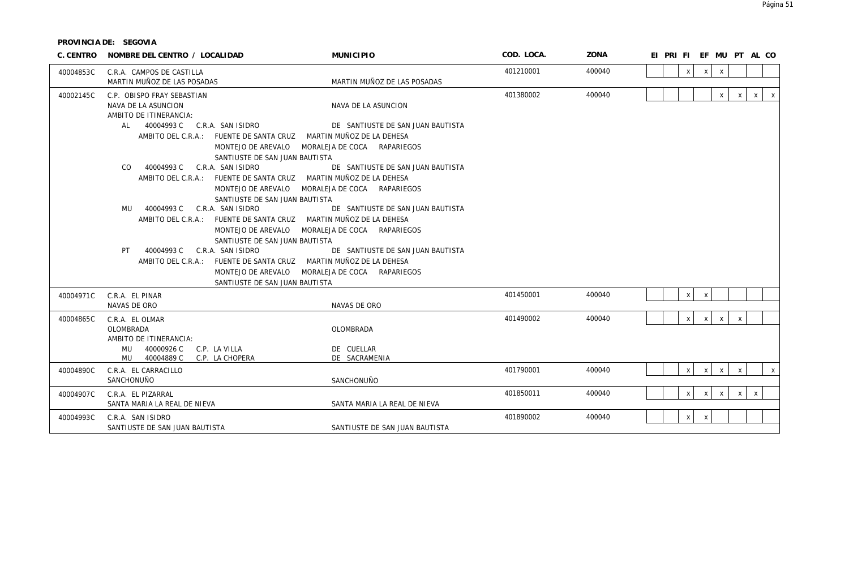| C. CENTRO | NOMBRE DEL CENTRO / LOCALIDAD                                                                                                                                       | <b>MUNICIPIO</b>                                                                              | COD. LOCA. | ZONA   | EI PRI FI EF MU PT AL CO                                                       |
|-----------|---------------------------------------------------------------------------------------------------------------------------------------------------------------------|-----------------------------------------------------------------------------------------------|------------|--------|--------------------------------------------------------------------------------|
| 40004853C | C.R.A. CAMPOS DE CASTILLA<br>MARTIN MUÑOZ DE LAS POSADAS                                                                                                            | MARTIN MUÑOZ DE LAS POSADAS                                                                   | 401210001  | 400040 | X<br>$\boldsymbol{\mathsf{X}}$<br>X                                            |
| 40002145C | C.P. OBISPO FRAY SEBASTIAN<br>NAVA DE LA ASUNCION<br>AMBITO DE ITINERANCIA:                                                                                         | NAVA DE LA ASUNCION                                                                           | 401380002  | 400040 | $\mathsf{x}$<br>$\mathbf{x}$<br>$\mathsf{x}$<br>$\mathsf{x}$                   |
|           | AL 40004993 C C.R.A. SAN ISIDRO<br>AMBITO DEL C.R.A.: FUENTE DE SANTA CRUZ<br>MONTEJO DE AREVALO<br>SANTIUSTE DE SAN JUAN BAUTISTA                                  | DE SANTIUSTE DE SAN JUAN BAUTISTA<br>MARTIN MUÑOZ DE LA DEHESA<br>MORALEJA DE COCA RAPARIEGOS |            |        |                                                                                |
|           | CO.<br>40004993 C<br>C.R.A. SAN ISIDRO<br>AMBITO DEL C.R.A.: FUENTE DE SANTA CRUZ MARTIN MUÑOZ DE LA DEHESA<br>MONTEJO DE AREVALO<br>SANTIUSTE DE SAN JUAN BAUTISTA | DE SANTIUSTE DE SAN JUAN BAUTISTA<br>MORALEJA DE COCA RAPARIEGOS                              |            |        |                                                                                |
|           | 40004993 C<br>C.R.A. SAN ISIDRO<br>MU<br>AMBITO DEL C.R.A.: FUENTE DE SANTA CRUZ MARTIN MUÑOZ DE LA DEHESA<br>MONTEJO DE AREVALO<br>SANTIUSTE DE SAN JUAN BAUTISTA  | DE SANTIUSTE DE SAN JUAN BAUTISTA<br>MORALEJA DE COCA RAPARIEGOS                              |            |        |                                                                                |
|           | 40004993 C<br>C.R.A. SAN ISIDRO<br>PT<br>AMBITO DEL C.R.A.: FUENTE DE SANTA CRUZ MARTIN MUÑOZ DE LA DEHESA<br>MONTEJO DE AREVALO<br>SANTIUSTE DE SAN JUAN BAUTISTA  | DE SANTIUSTE DE SAN JUAN BAUTISTA<br>MORALEJA DE COCA RAPARIEGOS                              |            |        |                                                                                |
| 40004971C | C.R.A. EL PINAR<br>NAVAS DE ORO                                                                                                                                     | NAVAS DE ORO                                                                                  | 401450001  | 400040 | X<br>$\mathsf{X}$                                                              |
| 40004865C | C.R.A. EL OLMAR<br><b>OLOMBRADA</b><br>AMBITO DE ITINERANCIA:<br>MU<br>40000926 C<br>C.P. LA VILLA<br>MU 40004889 C<br>C.P. LA CHOPERA                              | OLOMBRADA<br>DE CUELLAR<br>DE SACRAMENIA                                                      | 401490002  | 400040 | $\mathsf{X}$<br>$\mathsf{x}$<br>$\mathsf{X}$<br>$\mathsf{x}$                   |
| 40004890C | C.R.A. FL CARRACILLO<br>SANCHONUÑO                                                                                                                                  | SANCHONUÑO                                                                                    | 401790001  | 400040 | $\mathsf{x}$<br>X<br>$\boldsymbol{\mathsf{X}}$<br>$\mathsf{X}$<br>$\pmb{\chi}$ |
| 40004907C | C.R.A. EL PIZARRAL<br>SANTA MARIA LA REAL DE NIEVA                                                                                                                  | SANTA MARIA LA REAL DE NIEVA                                                                  | 401850011  | 400040 | $\mathsf{x}$<br>$\mathsf{x}$<br>$\mathsf{X}$<br>$\mathsf{x}$<br>$\mathsf{x}$   |
| 40004993C | C.R.A. SAN ISIDRO<br>SANTIUSTE DE SAN JUAN BAUTISTA                                                                                                                 | SANTIUSTE DE SAN JUAN BAUTISTA                                                                | 401890002  | 400040 | $\mathsf X$<br>$\mathsf{X}$                                                    |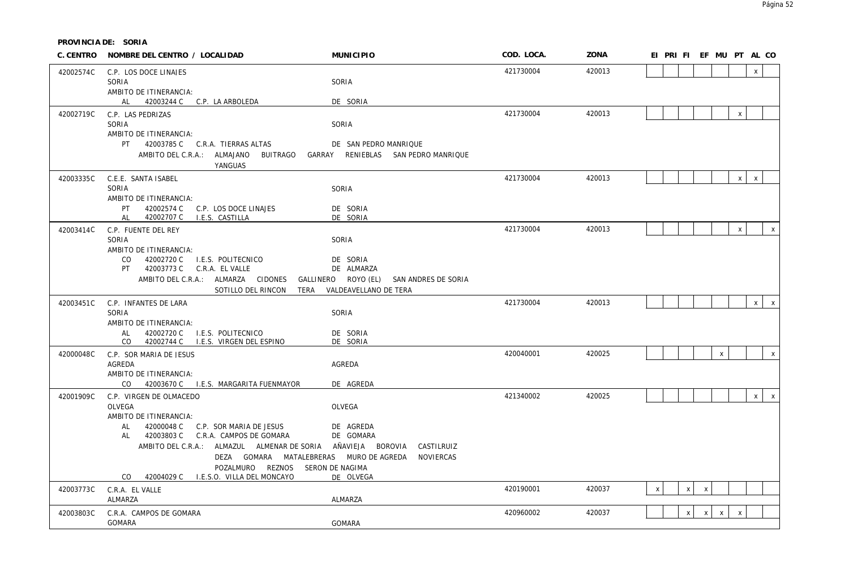**PROVINCIA DE: SORIA**

|           | C. CENTRO NOMBRE DEL CENTRO / LOCALIDAD                                      | <b>MUNICIPIO</b>                    | COD. LOCA. | ZONA   |              |              |                           |              | EI PRI FI EF MU PT AL CO |              |                           |
|-----------|------------------------------------------------------------------------------|-------------------------------------|------------|--------|--------------|--------------|---------------------------|--------------|--------------------------|--------------|---------------------------|
| 42002574C | C.P. LOS DOCE LINAJES                                                        |                                     | 421730004  | 420013 |              |              |                           |              |                          | $\mathsf{x}$ |                           |
|           | SORIA                                                                        | SORIA                               |            |        |              |              |                           |              |                          |              |                           |
|           | AMBITO DE ITINERANCIA:<br>AL 42003244 C C.P. LA ARBOLEDA                     | DE SORIA                            |            |        |              |              |                           |              |                          |              |                           |
| 42002719C | C.P. LAS PEDRIZAS                                                            |                                     | 421730004  | 420013 |              |              |                           |              | $\mathsf{X}$             |              |                           |
|           | SORIA                                                                        | SORIA                               |            |        |              |              |                           |              |                          |              |                           |
|           | AMBITO DE ITINERANCIA:                                                       |                                     |            |        |              |              |                           |              |                          |              |                           |
|           | PT 42003785 C C.R.A. TIERRAS ALTAS                                           | DE SAN PEDRO MANRIQUE               |            |        |              |              |                           |              |                          |              |                           |
|           | AMBITO DEL C.R.A.: ALMAJANO<br>BUITRAGO                                      | GARRAY RENIEBLAS SAN PEDRO MANRIQUE |            |        |              |              |                           |              |                          |              |                           |
|           | YANGUAS                                                                      |                                     | 421730004  | 420013 |              |              |                           |              |                          | $\mathsf{X}$ |                           |
| 42003335C | C.E.E. SANTA ISABEL<br>SORIA                                                 | SORIA                               |            |        |              |              |                           |              | X                        |              |                           |
|           | AMBITO DE ITINERANCIA:                                                       |                                     |            |        |              |              |                           |              |                          |              |                           |
|           | PT 42002574 C C.P. LOS DOCE LINAJES                                          | DE SORIA                            |            |        |              |              |                           |              |                          |              |                           |
|           | 42002707 C I.E.S. CASTILLA<br>AL                                             | DE SORIA                            |            |        |              |              |                           |              |                          |              |                           |
| 42003414C | C.P. FUENTE DEL REY<br>SORIA                                                 | SORIA                               | 421730004  | 420013 |              |              |                           |              | $\pmb{\chi}$             |              | $\boldsymbol{\mathsf{x}}$ |
|           | AMBITO DE ITINERANCIA:                                                       |                                     |            |        |              |              |                           |              |                          |              |                           |
|           | 42002720 C I.E.S. POLITECNICO<br>CO.                                         | DE SORIA                            |            |        |              |              |                           |              |                          |              |                           |
|           | PT 42003773 C C.R.A. EL VALLE                                                | DE ALMARZA                          |            |        |              |              |                           |              |                          |              |                           |
|           | AMBITO DEL C.R.A.: ALMARZA CIDONES GALLINERO ROYO (EL) SAN ANDRES DE SORIA   |                                     |            |        |              |              |                           |              |                          |              |                           |
|           | SOTILLO DEL RINCON                                                           | TERA VALDEAVELLANO DE TERA          | 421730004  | 420013 |              |              |                           |              |                          |              | $x \mid x$                |
| 42003451C | C.P. INFANTES DE LARA<br>SORIA                                               | SORIA                               |            |        |              |              |                           |              |                          |              |                           |
|           | AMBITO DE ITINERANCIA:                                                       |                                     |            |        |              |              |                           |              |                          |              |                           |
|           | AL 42002720 C I.E.S. POLITECNICO                                             | DE SORIA                            |            |        |              |              |                           |              |                          |              |                           |
|           | CO 42002744 C I.E.S. VIRGEN DEL ESPINO                                       | DE SORIA                            |            |        |              |              |                           |              |                          |              |                           |
| 42000048C | C.P. SOR MARIA DE JESUS<br>AGREDA                                            | AGREDA                              | 420040001  | 420025 |              |              |                           | $\mathsf{x}$ |                          |              | $\mathsf{x}$              |
|           | AMBITO DE ITINERANCIA:                                                       |                                     |            |        |              |              |                           |              |                          |              |                           |
|           | CO 42003670 C I.E.S. MARGARITA FUENMAYOR                                     | DE AGREDA                           |            |        |              |              |                           |              |                          |              |                           |
| 42001909C | C.P. VIRGEN DE OLMACEDO                                                      |                                     | 421340002  | 420025 |              |              |                           |              |                          |              | $x \mid x$                |
|           | OLVEGA                                                                       | OLVEGA                              |            |        |              |              |                           |              |                          |              |                           |
|           | AMBITO DE ITINERANCIA:<br>42000048 C C.P. SOR MARIA DE JESUS<br>AL           | DE AGREDA                           |            |        |              |              |                           |              |                          |              |                           |
|           | AL 42003803 C C.R.A. CAMPOS DE GOMARA                                        | DE GOMARA                           |            |        |              |              |                           |              |                          |              |                           |
|           | AMBITO DEL C.R.A.: ALMAZUL ALMENAR DE SORIA AÑAVIEJA BOROVIA                 | CASTILRUIZ                          |            |        |              |              |                           |              |                          |              |                           |
|           | DEZA GOMARA MATALEBRERAS MURO DE AGREDA                                      | NOVIERCAS                           |            |        |              |              |                           |              |                          |              |                           |
|           | POZALMURO REZNOS SERON DE NAGIMA<br>CO 42004029 C I.E.S.O. VILLA DEL MONCAYO | DE OLVEGA                           |            |        |              |              |                           |              |                          |              |                           |
| 42003773C | C.R.A. EL VALLE                                                              |                                     | 420190001  | 420037 | $\mathsf{x}$ | $\mathsf{x}$ | $\boldsymbol{\mathsf{X}}$ |              |                          |              |                           |
|           | ALMARZA                                                                      | ALMARZA                             |            |        |              |              |                           |              |                          |              |                           |
| 42003803C | C.R.A. CAMPOS DE GOMARA                                                      |                                     | 420960002  | 420037 |              | X            | $\mathsf{X}$              | $\mathsf{X}$ | $\pmb{\chi}$             |              |                           |
|           | GOMARA                                                                       | <b>GOMARA</b>                       |            |        |              |              |                           |              |                          |              |                           |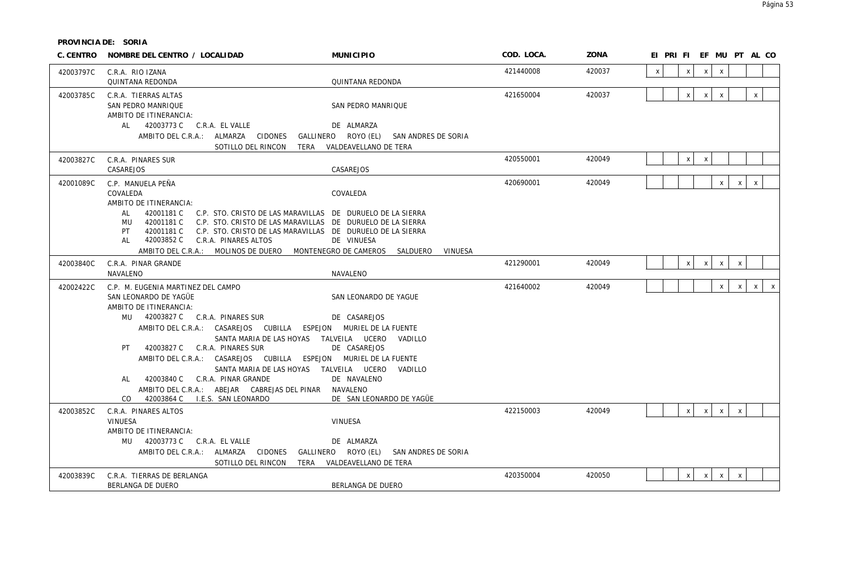**PROVINCIA DE: SORIA**

| C. CENTRO | NOMBRE DEL CENTRO / LOCALIDAD                                                                                                                                                                                                                                                                                                                                                                                | <b>MUNICIPIO</b>                                                                                                                                                                                                                            | COD. LOCA. | ZONA   | EI PRIFIEF MUPT ALCO                                         |
|-----------|--------------------------------------------------------------------------------------------------------------------------------------------------------------------------------------------------------------------------------------------------------------------------------------------------------------------------------------------------------------------------------------------------------------|---------------------------------------------------------------------------------------------------------------------------------------------------------------------------------------------------------------------------------------------|------------|--------|--------------------------------------------------------------|
| 42003797C | C.R.A. RIO IZANA<br><b>QUINTANA REDONDA</b>                                                                                                                                                                                                                                                                                                                                                                  | QUINTANA REDONDA                                                                                                                                                                                                                            | 421440008  | 420037 | $\mathsf{x}$<br>X<br>$\mathsf{X}$<br>$\mathsf{X}$            |
| 42003785C | C.R.A. TIERRAS ALTAS<br>SAN PEDRO MANRIQUE<br>AMBITO DE ITINERANCIA:<br>AL 42003773 C C.R.A. EL VALLE<br>AMBITO DEL C.R.A.: ALMARZA CIDONES<br>SOTILLO DEL RINCON                                                                                                                                                                                                                                            | SAN PEDRO MANRIQUE<br>DE ALMARZA<br>GALLINERO ROYO (EL) SAN ANDRES DE SORIA<br>TERA<br>VALDEAVELLANO DE TERA                                                                                                                                | 421650004  | 420037 | $\mathsf X$<br>$\mathsf{X}$<br>$\mathsf{X}$<br>X             |
| 42003827C | C.R.A. PINARES SUR<br>CASAREJOS                                                                                                                                                                                                                                                                                                                                                                              | CASAREJOS                                                                                                                                                                                                                                   | 420550001  | 420049 | $\mathsf X$<br>$\boldsymbol{\mathsf{X}}$                     |
| 42001089C | C.P. MANUELA PEÑA<br>COVALEDA<br>AMBITO DE ITINERANCIA:<br>AL<br>42001181 C C.P. STO. CRISTO DE LAS MARAVILLAS DE DURUELO DE LA SIERRA<br>MU<br>42001181 C<br>42001181 C<br>PT<br>42003852 C C.R.A. PINARES ALTOS<br>AL .<br>AMBITO DEL C.R.A.: MOLINOS DE DUERO MONTENEGRO DE CAMEROS                                                                                                                       | COVALEDA<br>C.P. STO. CRISTO DE LAS MARAVILLAS DE DURUELO DE LA SIERRA<br>C.P. STO. CRISTO DE LAS MARAVILLAS DE DURUELO DE LA SIERRA<br>DE VINUESA<br>VINUESA<br>SALDUERO                                                                   | 420690001  | 420049 | $\mathsf{x}$<br>$\mathsf{x}$<br>$\mathsf{X}$                 |
| 42003840C | C.R.A. PINAR GRANDE<br>NAVALENO                                                                                                                                                                                                                                                                                                                                                                              | NAVALENO                                                                                                                                                                                                                                    | 421290001  | 420049 | $\mathsf{x}$<br>$\mathsf{x}$<br>$\mathsf{X}$<br>$\mathsf X$  |
| 42002422C | C.P. M. EUGENIA MARTINEZ DEL CAMPO<br>SAN LEONARDO DE YAGÜE<br>AMBITO DE ITINERANCIA:<br>MU 42003827 C C.R.A. PINARES SUR<br>AMBITO DEL C.R.A.: CASAREJOS CUBILLA<br>PT 42003827 C C.R.A. PINARES SUR<br>AMBITO DEL C.R.A.: CASAREJOS CUBILLA ESPEJON MURIEL DE LA FUENTE<br>AL 42003840 C C.R.A. PINAR GRANDE<br>AMBITO DEL C.R.A.: ABEJAR CABREJAS DEL PINAR NAVALENO<br>CO 42003864 C I.E.S. SAN LEONARDO | SAN LEONARDO DE YAGUE<br>DE CASAREJOS<br>ESPEJON MURIEL DE LA FUENTE<br>SANTA MARIA DE LAS HOYAS TALVEILA UCERO<br>VADILLO<br>DE CASAREJOS<br>SANTA MARIA DE LAS HOYAS TALVEILA UCERO<br>VADILLO<br>DE NAVALENO<br>DE SAN LEONARDO DE YAGÜE | 421640002  | 420049 | $\mathsf X$<br>$\mathsf{x}$<br>$\mathsf{x}$<br>$\mathsf{X}$  |
| 42003852C | C.R.A. PINARES ALTOS<br><b>VINUESA</b><br>AMBITO DE ITINERANCIA:<br>MU 42003773 C C.R.A. EL VALLE<br>AMBITO DEL C.R.A.: ALMARZA CIDONES<br>SOTILLO DEL RINCON                                                                                                                                                                                                                                                | VINUESA<br>DE ALMARZA<br>GALLINERO ROYO (EL) SAN ANDRES DE SORIA<br>TERA VALDEAVELLANO DE TERA                                                                                                                                              | 422150003  | 420049 | $\mathsf{x}$<br>$\mathsf{x}$<br>$\mathsf{x}$<br>$\mathsf{x}$ |
| 42003839C | C.R.A. TIERRAS DE BERLANGA<br>BERLANGA DE DUERO                                                                                                                                                                                                                                                                                                                                                              | BERLANGA DE DUERO                                                                                                                                                                                                                           | 420350004  | 420050 | $\mathsf{x}$<br>$\mathsf{X}$<br>$\mathsf X$<br>$\mathsf{X}$  |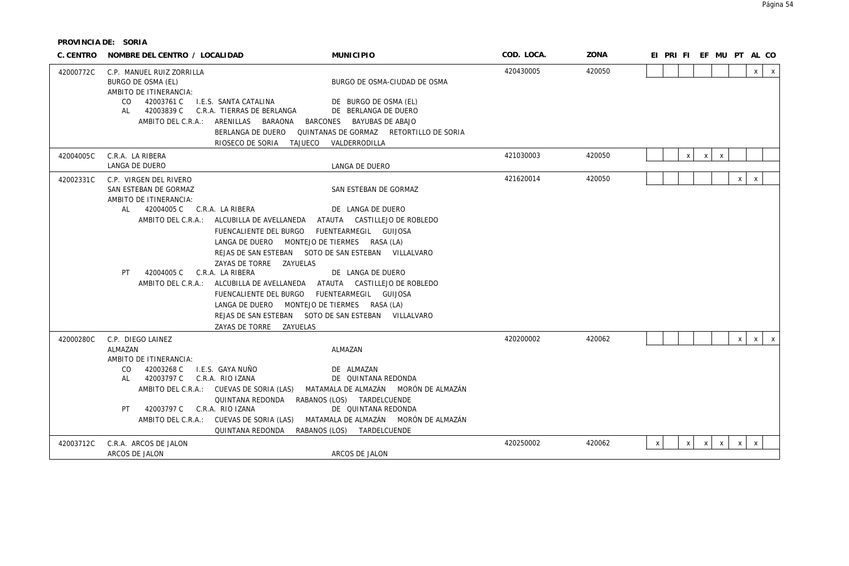**PROVINCIA DE: SORIA**

| C. CENTRO | NOMBRE DEL CENTRO / LOCALIDAD                                                                                                                                                                                                                                                                                                                                                                              | <b>MUNICIPIO</b>                                                                                                                                                                                                                       | COD. LOCA. | ZONA   | EI PRIFIEF MUPTAL CO                                                                                        |
|-----------|------------------------------------------------------------------------------------------------------------------------------------------------------------------------------------------------------------------------------------------------------------------------------------------------------------------------------------------------------------------------------------------------------------|----------------------------------------------------------------------------------------------------------------------------------------------------------------------------------------------------------------------------------------|------------|--------|-------------------------------------------------------------------------------------------------------------|
| 42000772C | C.P. MANUEL RUIZ ZORRILLA<br>BURGO DE OSMA (EL)<br>AMBITO DE ITINERANCIA:<br>42003761 C<br>I.E.S. SANTA CATALINA<br>CO.<br>42003839 C<br>C.R.A. TIERRAS DE BERLANGA<br>AL<br>AMBITO DEL C.R.A.: ARENILLAS BARAONA BARCONES                                                                                                                                                                                 | BURGO DE OSMA-CIUDAD DE OSMA<br>DE BURGO DE OSMA (EL)<br>DE BERLANGA DE DUERO<br>BAYUBAS DE ABAJO                                                                                                                                      | 420430005  | 420050 | $\mathsf{X}$<br>$\mathsf{X}$                                                                                |
|           | BERLANGA DE DUERO                                                                                                                                                                                                                                                                                                                                                                                          | QUINTANAS DE GORMAZ RETORTILLO DE SORIA                                                                                                                                                                                                |            |        |                                                                                                             |
| 42004005C | RIOSECO DE SORIA<br>TAJUECO<br>C.R.A. LA RIBERA                                                                                                                                                                                                                                                                                                                                                            | VALDERRODILLA                                                                                                                                                                                                                          | 421030003  | 420050 | $x \mid$<br>$\mathsf{X}$                                                                                    |
|           | LANGA DE DUERO                                                                                                                                                                                                                                                                                                                                                                                             | LANGA DE DUERO                                                                                                                                                                                                                         |            |        | $x \mid$                                                                                                    |
| 42002331C | C.P. VIRGEN DEL RIVERO<br>SAN ESTEBAN DE GORMAZ<br>AMBITO DE ITINERANCIA:                                                                                                                                                                                                                                                                                                                                  | SAN ESTEBAN DE GORMAZ                                                                                                                                                                                                                  | 421620014  | 420050 | $\mathsf{x}$<br>X                                                                                           |
|           | 42004005 C C.R.A. LA RIBERA<br>AL<br>AMBITO DEL C.R.A.: ALCUBILLA DE AVELLANEDA<br>FUENCALIENTE DEL BURGO<br>LANGA DE DUERO MONTEJO DE TIERMES RASA (LA)<br>ZAYAS DE TORRE ZAYUELAS<br>C.R.A. LA RIBERA<br>42004005 C<br>PT<br>AMBITO DEL C.R.A.: ALCUBILLA DE AVELLANEDA ATAUTA CASTILLEJO DE ROBLEDO<br>FUENCALIENTE DEL BURGO<br>LANGA DE DUERO MONTEJO DE TIERMES RASA (LA)<br>ZAYAS DE TORRE ZAYUELAS | DE LANGA DE DUERO<br>ATAUTA CASTILLEJO DE ROBLEDO<br>FUENTEARMEGIL GUIJOSA<br>REJAS DE SAN ESTEBAN SOTO DE SAN ESTEBAN VILLALVARO<br>DE LANGA DE DUERO<br>FUENTEARMEGIL GUIJOSA<br>REJAS DE SAN ESTEBAN SOTO DE SAN ESTEBAN VILLALVARO |            |        |                                                                                                             |
| 42000280C | C.P. DIEGO LAINEZ<br>ALMAZAN<br>AMBITO DE ITINERANCIA:<br>42003268 C<br>I.E.S. GAYA NUÑO<br>CO<br>42003797 C C.R.A. RIO IZANA<br>AL<br>AMBITO DEL C.R.A.: CUEVAS DE SORIA (LAS)<br>QUINTANA REDONDA<br>42003797 C<br>C.R.A. RIO IZANA<br>PT.<br>AMBITO DEL C.R.A.: CUEVAS DE SORIA (LAS)<br>QUINTANA REDONDA                                                                                               | ALMAZAN<br>DF ALMAZAN<br>DE QUINTANA REDONDA<br>MATAMALA DE ALMAZÁN — MORÓN DE ALMAZÁN<br>RABANOS (LOS) TARDELCUENDE<br>DE QUINTANA REDONDA<br>MATAMALA DE ALMAZÁN MORÓN DE ALMAZÁN<br>RABANOS (LOS) TARDELCUENDE                      | 420200002  | 420062 | $\mathsf{X}$<br>$\mathsf{x}$<br>$\mathsf{X}$                                                                |
| 42003712C | C.R.A. ARCOS DE JALON<br>ARCOS DE JALON                                                                                                                                                                                                                                                                                                                                                                    | ARCOS DE JALON                                                                                                                                                                                                                         | 420250002  | 420062 | $\mathsf{X}$<br>$\mathsf{x}$<br>$\boldsymbol{\mathsf{X}}$<br>$\mathsf{x}$<br>X<br>$\boldsymbol{\mathsf{X}}$ |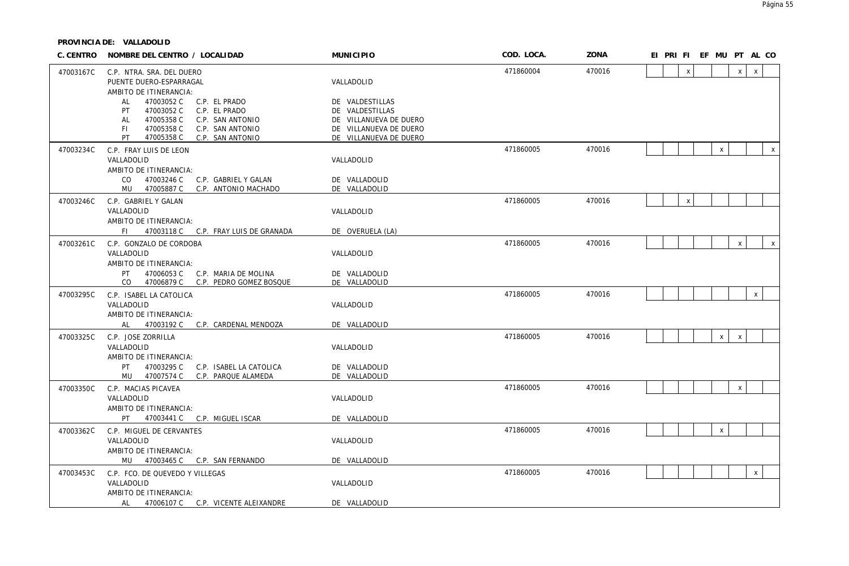| C. CENTRO | NOMBRE DEL CENTRO / LOCALIDAD                                                                                                                                                                    | <b>MUNICIPIO</b>                                                                                                 | COD. LOCA. | ZONA   | EI PRI FI EF MU PT AL CO |                |              |              |              |              |
|-----------|--------------------------------------------------------------------------------------------------------------------------------------------------------------------------------------------------|------------------------------------------------------------------------------------------------------------------|------------|--------|--------------------------|----------------|--------------|--------------|--------------|--------------|
| 47003167C | C.P. NTRA. SRA. DEL DUERO<br>PUENTE DUERO-ESPARRAGAL<br>AMBITO DE ITINERANCIA:                                                                                                                   | VALLADOLID                                                                                                       | 471860004  | 470016 |                          | $\pmb{\times}$ |              | $\mathsf{x}$ | $\mathsf{x}$ |              |
|           | 47003052 C<br>C.P. EL PRADO<br>AL<br>47003052 C<br>C.P. EL PRADO<br>PT.<br>47005358 C<br>C.P. SAN ANTONIO<br>AL<br>47005358 C<br>C.P. SAN ANTONIO<br>FL.<br>PT<br>47005358 C<br>C.P. SAN ANTONIO | DE VALDESTILLAS<br>DE VALDESTILLAS<br>DE VILLANUEVA DE DUERO<br>DE VILLANUEVA DE DUERO<br>DE VILLANUEVA DE DUERO |            |        |                          |                |              |              |              |              |
| 47003234C | C.P. FRAY LUIS DE LEON<br>VALLADOLID                                                                                                                                                             | VALLADOLID                                                                                                       | 471860005  | 470016 |                          |                | $\mathsf X$  |              |              | $\mathsf{X}$ |
|           | AMBITO DE ITINERANCIA:<br>47003246 C<br>CO.<br>C.P. GABRIEL Y GALAN<br>MU<br>C.P. ANTONIO MACHADO<br>47005887 C                                                                                  | DE VALLADOLID<br>DE VALLADOLID                                                                                   |            |        |                          |                |              |              |              |              |
| 47003246C | C.P. GABRIEL Y GALAN                                                                                                                                                                             |                                                                                                                  | 471860005  | 470016 |                          | $\mathsf X$    |              |              |              |              |
|           | VALLADOLID<br>AMBITO DE ITINERANCIA:                                                                                                                                                             | VALLADOLID                                                                                                       |            |        |                          |                |              |              |              |              |
|           | FL.<br>47003118 C C.P. FRAY LUIS DE GRANADA                                                                                                                                                      | DE OVERUELA (LA)                                                                                                 |            |        |                          |                |              |              |              |              |
| 47003261C | C.P. GONZALO DE CORDOBA<br>VALLADOLID                                                                                                                                                            | VALLADOLID                                                                                                       | 471860005  | 470016 |                          |                |              | X            |              | $\mathsf{x}$ |
|           | AMBITO DE ITINERANCIA:<br>PT<br>47006053 C<br>C.P. MARIA DE MOLINA<br>CO.<br>47006879 C<br>C.P. PEDRO GOMEZ BOSQUE                                                                               | DE VALLADOLID<br>DE VALLADOLID                                                                                   |            |        |                          |                |              |              |              |              |
| 47003295C | C.P. ISABEL LA CATOLICA                                                                                                                                                                          |                                                                                                                  | 471860005  | 470016 |                          |                |              |              | $\mathsf{X}$ |              |
|           | VALLADOLID<br>AMBITO DE ITINERANCIA:<br>47003192 C C.P. CARDENAL MENDOZA<br>AL                                                                                                                   | VALLADOLID<br>DE VALLADOLID                                                                                      |            |        |                          |                |              |              |              |              |
| 47003325C | C.P. JOSE ZORRILLA                                                                                                                                                                               |                                                                                                                  | 471860005  | 470016 |                          |                | $\mathsf{X}$ | $\mathsf{x}$ |              |              |
|           | VALLADOLID<br>AMBITO DE ITINERANCIA:                                                                                                                                                             | VALLADOLID                                                                                                       |            |        |                          |                |              |              |              |              |
|           | 47003295 C<br>C.P. ISABEL LA CATOLICA<br>PT.<br>MU 47007574 C<br>C.P. PARQUE ALAMEDA                                                                                                             | DE VALLADOLID<br>DE VALLADOLID                                                                                   |            |        |                          |                |              |              |              |              |
| 47003350C | C.P. MACIAS PICAVEA                                                                                                                                                                              |                                                                                                                  | 471860005  | 470016 |                          |                |              | $\mathsf{X}$ |              |              |
|           | VALLADOLID<br>AMBITO DE ITINERANCIA:                                                                                                                                                             | VALLADOLID                                                                                                       |            |        |                          |                |              |              |              |              |
| 47003362C | PT<br>47003441 C C.P. MIGUEL ISCAR<br>C.P. MIGUEL DE CERVANTES                                                                                                                                   | DE VALLADOLID                                                                                                    | 471860005  | 470016 |                          |                | $\pmb{\chi}$ |              |              |              |
|           | VALLADOLID                                                                                                                                                                                       | VALLADOLID                                                                                                       |            |        |                          |                |              |              |              |              |
|           | AMBITO DE ITINERANCIA:<br>MU 47003465 C C.P. SAN FERNANDO                                                                                                                                        | DE VALLADOLID                                                                                                    |            |        |                          |                |              |              |              |              |
| 47003453C | C.P. FCO. DE QUEVEDO Y VILLEGAS                                                                                                                                                                  |                                                                                                                  | 471860005  | 470016 |                          |                |              |              | $\mathsf{X}$ |              |
|           | VALLADOLID<br>AMBITO DE ITINERANCIA:                                                                                                                                                             | VALLADOLID                                                                                                       |            |        |                          |                |              |              |              |              |
|           | AL<br>47006107 C C.P. VICENTE ALEIXANDRE                                                                                                                                                         | DE VALLADOLID                                                                                                    |            |        |                          |                |              |              |              |              |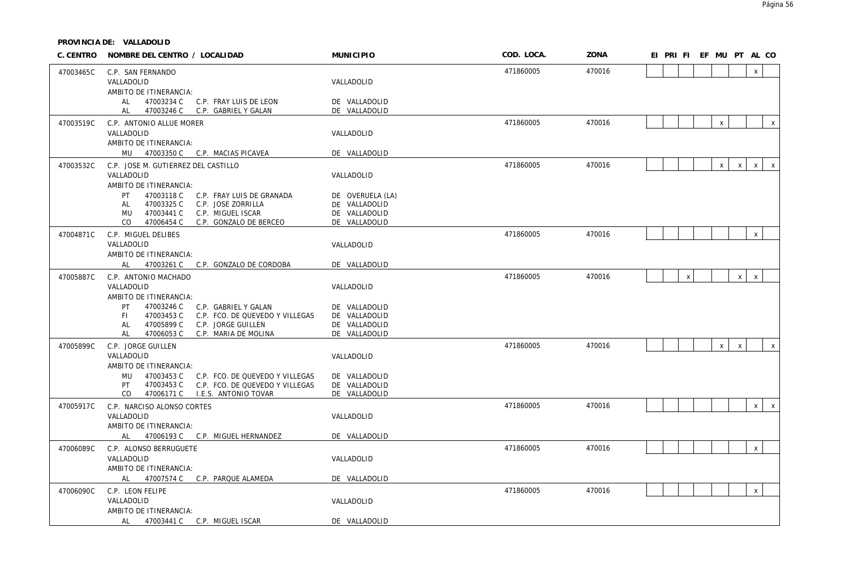| C. CENTRO | NOMBRE DEL CENTRO / LOCALIDAD                                                         | <b>MUNICIPIO</b>               | COD. LOCA. | ZONA   | EI PRI FI EF MU PT AL CO                                     |
|-----------|---------------------------------------------------------------------------------------|--------------------------------|------------|--------|--------------------------------------------------------------|
| 47003465C | C.P. SAN FERNANDO                                                                     |                                | 471860005  | 470016 | $\mathsf{X}$                                                 |
|           | VALLADOLID                                                                            | VALLADOLID                     |            |        |                                                              |
|           | AMBITO DE ITINERANCIA:                                                                |                                |            |        |                                                              |
|           | 47003234 C<br>AL .<br>C.P. FRAY LUIS DE LEON<br>AL<br>47003246 C C.P. GABRIEL Y GALAN | DE VALLADOLID<br>DE VALLADOLID |            |        |                                                              |
| 47003519C | C.P. ANTONIO ALLUE MORER                                                              |                                | 471860005  | 470016 | $\mathsf{X}$<br>$\mathsf{X}$                                 |
|           | VALLADOLID                                                                            | VALLADOLID                     |            |        |                                                              |
|           | AMBITO DE ITINERANCIA:                                                                |                                |            |        |                                                              |
|           | MU 47003350 C C.P. MACIAS PICAVEA                                                     | DE VALLADOLID                  |            |        |                                                              |
| 47003532C | C.P. JOSE M. GUTIERREZ DEL CASTILLO                                                   |                                | 471860005  | 470016 | $\mathsf{x}$<br>$\mathsf{X}$<br>$\mathsf{x}$<br>$\mathsf{X}$ |
|           | VALLADOLID                                                                            | VALLADOLID                     |            |        |                                                              |
|           | AMBITO DE ITINERANCIA:<br>47003118 C<br>PT<br>C.P. FRAY LUIS DE GRANADA               | DE OVERUELA (LA)               |            |        |                                                              |
|           | 47003325 C<br>C.P. JOSE ZORRILLA<br>AL                                                | DE VALLADOLID                  |            |        |                                                              |
|           | 47003441 C<br>C.P. MIGUEL ISCAR<br>MU                                                 | DE VALLADOLID                  |            |        |                                                              |
|           | C.P. GONZALO DE BERCEO<br>CO.<br>47006454 C                                           | DE VALLADOLID                  |            |        |                                                              |
| 47004871C | C.P. MIGUEL DELIBES                                                                   |                                | 471860005  | 470016 | $\mathsf{x}$                                                 |
|           | VALLADOLID                                                                            | VALLADOLID                     |            |        |                                                              |
|           | AMBITO DE ITINERANCIA:<br>47003261 C C.P. GONZALO DE CORDOBA<br>AL                    | DE VALLADOLID                  |            |        |                                                              |
|           |                                                                                       |                                | 471860005  | 470016 | $\mathsf X$<br>$\mathsf{X}$<br>$\,$ X                        |
| 47005887C | C.P. ANTONIO MACHADO<br>VALLADOLID                                                    | VALLADOLID                     |            |        |                                                              |
|           | AMBITO DE ITINERANCIA:                                                                |                                |            |        |                                                              |
|           | 47003246 C<br>PT.<br>C.P. GABRIEL Y GALAN                                             | DE VALLADOLID                  |            |        |                                                              |
|           | 47003453 C<br>C.P. FCO. DE QUEVEDO Y VILLEGAS<br>FL.                                  | DE VALLADOLID                  |            |        |                                                              |
|           | 47005899 C<br>AL<br>C.P. JORGE GUILLEN<br>AL<br>C.P. MARIA DE MOLINA<br>47006053 C    | DE VALLADOLID<br>DE VALLADOLID |            |        |                                                              |
| 47005899C |                                                                                       |                                | 471860005  | 470016 | $\mathsf{x}$<br>$\mathsf{x}$<br>$\mathsf{X}$                 |
|           | C.P. JORGE GUILLEN<br>VALLADOLID                                                      | VALLADOLID                     |            |        |                                                              |
|           | AMBITO DE ITINERANCIA:                                                                |                                |            |        |                                                              |
|           | 47003453 C<br>C.P. FCO. DE QUEVEDO Y VILLEGAS<br>MU                                   | DE VALLADOLID                  |            |        |                                                              |
|           | 47003453 C<br>C.P. FCO. DE QUEVEDO Y VILLEGAS<br>PT                                   | DE VALLADOLID                  |            |        |                                                              |
|           | 47006171 C I.E.S. ANTONIO TOVAR<br>CO.                                                | DE VALLADOLID                  |            |        |                                                              |
| 47005917C | C.P. NARCISO ALONSO CORTES                                                            |                                | 471860005  | 470016 | $\mathsf{x}$<br>$\mathbf{x}$                                 |
|           | VALLADOLID<br>AMBITO DE ITINERANCIA:                                                  | VALLADOLID                     |            |        |                                                              |
|           | 47006193 C C.P. MIGUEL HERNANDEZ<br>AL                                                | DE VALLADOLID                  |            |        |                                                              |
| 47006089C | C.P. ALONSO BERRUGUETE                                                                |                                | 471860005  | 470016 | $\mathsf{x}$                                                 |
|           | VALLADOLID                                                                            | VALLADOLID                     |            |        |                                                              |
|           | AMBITO DE ITINERANCIA:                                                                |                                |            |        |                                                              |
|           | AL 47007574 C C.P. PARQUE ALAMEDA                                                     | DE VALLADOLID                  |            |        |                                                              |
| 47006090C | C.P. LEON FELIPE                                                                      |                                | 471860005  | 470016 | $\mathsf X$                                                  |
|           | VALLADOLID                                                                            | VALLADOLID                     |            |        |                                                              |
|           | AMBITO DE ITINERANCIA:                                                                |                                |            |        |                                                              |
|           | 47003441 C C.P. MIGUEL ISCAR<br>AL                                                    | DE VALLADOLID                  |            |        |                                                              |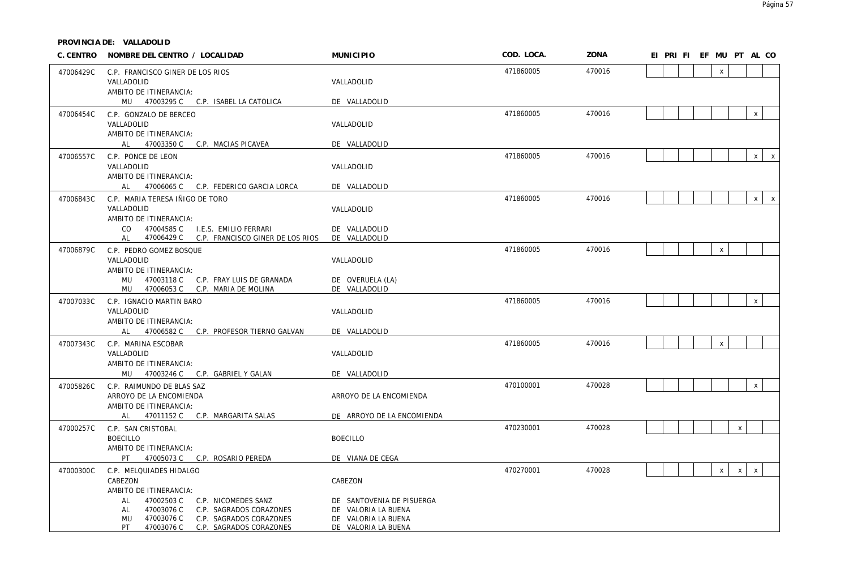**PROVINCIA DE: VALLADOLID**

| C. CENTRO | NOMBRE DEL CENTRO / LOCALIDAD                                       | <b>MUNICIPIO</b>           | COD. LOCA. | ZONA   | EI PRI FI EF MU PT AL CO                    |  |
|-----------|---------------------------------------------------------------------|----------------------------|------------|--------|---------------------------------------------|--|
| 47006429C | C.P. FRANCISCO GINER DE LOS RIOS                                    |                            | 471860005  | 470016 | $\mathsf{x}$                                |  |
|           | VALLADOLID                                                          | VALLADOLID                 |            |        |                                             |  |
|           | AMBITO DE ITINERANCIA:                                              |                            |            |        |                                             |  |
|           | MU 47003295 C C.P. ISABEL LA CATOLICA                               | DE VALLADOLID              | 471860005  | 470016 | $\mathsf X$                                 |  |
| 47006454C | C.P. GONZALO DE BERCEO<br>VALLADOLID                                | VALLADOLID                 |            |        |                                             |  |
|           | AMBITO DE ITINERANCIA:                                              |                            |            |        |                                             |  |
|           | AL 47003350 C<br>C.P. MACIAS PICAVEA                                | DE VALLADOLID              |            |        |                                             |  |
| 47006557C | C.P. PONCE DE LEON                                                  |                            | 471860005  | 470016 | $x \mid x$                                  |  |
|           | VALLADOLID                                                          | VALLADOLID                 |            |        |                                             |  |
|           | AMBITO DE ITINERANCIA:                                              |                            |            |        |                                             |  |
|           | AL 47006065 C C.P. FEDERICO GARCIA LORCA                            | DE VALLADOLID              | 471860005  | 470016 | $x \mid x$                                  |  |
| 47006843C | C.P. MARIA TERESA IÑIGO DE TORO<br>VALLADOLID                       | VALLADOLID                 |            |        |                                             |  |
|           | AMBITO DE ITINERANCIA:                                              |                            |            |        |                                             |  |
|           | 47004585 C<br>I.E.S. EMILIO FERRARI<br>CO.                          | DE VALLADOLID              |            |        |                                             |  |
|           | C.P. FRANCISCO GINER DE LOS RIOS<br>AL<br>47006429 C                | DE VALLADOLID              |            |        |                                             |  |
| 47006879C | C.P. PEDRO GOMEZ BOSQUE                                             |                            | 471860005  | 470016 | $\pmb{\mathsf{X}}$                          |  |
|           | VALLADOLID<br>AMBITO DE ITINERANCIA:                                | VALLADOLID                 |            |        |                                             |  |
|           | 47003118 C C.P. FRAY LUIS DE GRANADA<br>MU                          | DE OVERUELA (LA)           |            |        |                                             |  |
|           | 47006053 C C.P. MARIA DE MOLINA<br>MU                               | DE VALLADOLID              |            |        |                                             |  |
| 47007033C | C.P. IGNACIO MARTIN BARO                                            |                            | 471860005  | 470016 | $\mathsf X$                                 |  |
|           | VALLADOLID                                                          | VALLADOLID                 |            |        |                                             |  |
|           | AMBITO DE ITINERANCIA:<br>AL 47006582 C C.P. PROFESOR TIERNO GALVAN | DE VALLADOLID              |            |        |                                             |  |
| 47007343C | C.P. MARINA ESCOBAR                                                 |                            | 471860005  | 470016 | $\pmb{\times}$                              |  |
|           | VALLADOLID                                                          | VALLADOLID                 |            |        |                                             |  |
|           | AMBITO DE ITINERANCIA:                                              |                            |            |        |                                             |  |
|           | MU 47003246 C C.P. GABRIEL Y GALAN                                  | DE VALLADOLID              |            |        |                                             |  |
| 47005826C | C.P. RAIMUNDO DE BLAS SAZ                                           |                            | 470100001  | 470028 | $\mathsf X$                                 |  |
|           | ARROYO DE LA ENCOMIENDA                                             | ARROYO DE LA ENCOMIENDA    |            |        |                                             |  |
|           | AMBITO DE ITINERANCIA:<br>AL 47011152 C C.P. MARGARITA SALAS        | DE ARROYO DE LA ENCOMIENDA |            |        |                                             |  |
| 47000257C | C.P. SAN CRISTOBAL                                                  |                            | 470230001  | 470028 | $\mathsf X$                                 |  |
|           | <b>BOECILLO</b>                                                     | <b>BOECILLO</b>            |            |        |                                             |  |
|           | AMBITO DE ITINERANCIA:                                              |                            |            |        |                                             |  |
|           | PT.<br>47005073 C C.P. ROSARIO PEREDA                               | DE VIANA DE CEGA           |            |        |                                             |  |
| 47000300C | C.P. MELQUIADES HIDALGO                                             |                            | 470270001  | 470028 | $\mathsf{X}$<br>$\mathsf{x}$<br>$\mathsf X$ |  |
|           | CABEZON                                                             | CABEZON                    |            |        |                                             |  |
|           | AMBITO DE ITINERANCIA:<br>47002503 C<br>C.P. NICOMEDES SANZ<br>AL   | DE SANTOVENIA DE PISUERGA  |            |        |                                             |  |
|           | C.P. SAGRADOS CORAZONES<br>47003076 C<br>AL                         | DE VALORIA LA BUENA        |            |        |                                             |  |
|           | 47003076 C<br>C.P. SAGRADOS CORAZONES<br>MU                         | DE VALORIA LA BUENA        |            |        |                                             |  |
|           | PT.<br>47003076 C<br>C.P. SAGRADOS CORAZONES                        | DE VALORIA LA BUENA        |            |        |                                             |  |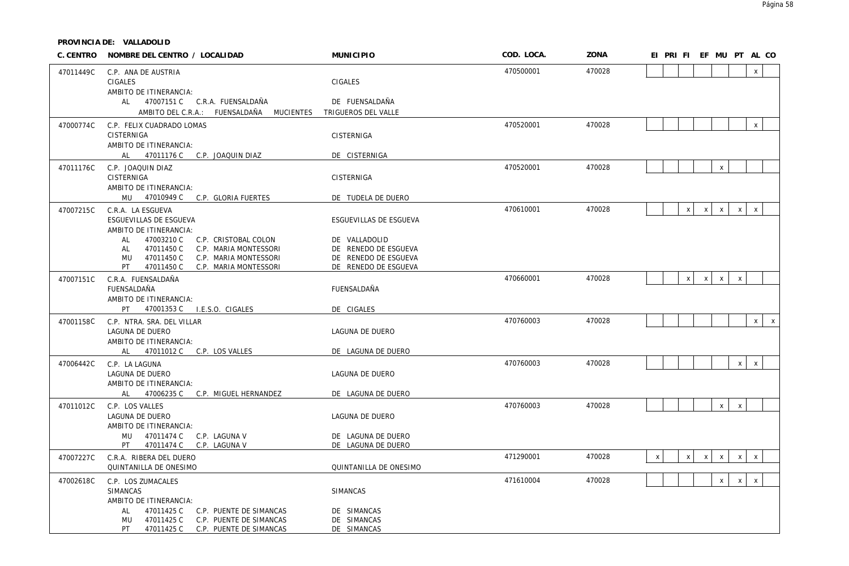| C. CENTRO | NOMBRE DEL CENTRO / LOCALIDAD                                                                                                                                                   | <b>MUNICIPIO</b>                                                                      | COD. LOCA. | ZONA   | EI PRI FI EF MU PT AL CO                                                                     |
|-----------|---------------------------------------------------------------------------------------------------------------------------------------------------------------------------------|---------------------------------------------------------------------------------------|------------|--------|----------------------------------------------------------------------------------------------|
| 47011449C | C.P. ANA DE AUSTRIA<br>CIGALES                                                                                                                                                  | CIGALES                                                                               | 470500001  | 470028 | $\mathsf{x}$                                                                                 |
|           | AMBITO DE ITINERANCIA:<br>AL 47007151 C C.R.A. FUENSALDAÑA<br>AMBITO DEL C.R.A.: FUENSALDAÑA MUCIENTES                                                                          | DE FUENSALDAÑA<br>TRIGUEROS DEL VALLE                                                 |            |        |                                                                                              |
| 47000774C | C.P. FELIX CUADRADO LOMAS<br>CISTERNIGA                                                                                                                                         | CISTERNIGA                                                                            | 470520001  | 470028 | $\mathsf{x}$                                                                                 |
|           | AMBITO DE ITINERANCIA:<br>AL 47011176 C C.P. JOAQUIN DIAZ                                                                                                                       | DE CISTERNIGA                                                                         |            |        |                                                                                              |
| 47011176C | C.P. JOAQUIN DIAZ<br>CISTERNIGA<br>AMBITO DE ITINERANCIA:<br>MU 47010949 C C.P. GLORIA FUERTES                                                                                  | CISTERNIGA                                                                            | 470520001  | 470028 | $\mathsf{X}$                                                                                 |
| 47007215C | C.R.A. LA ESGUEVA<br>ESGUEVILLAS DE ESGUEVA<br>AMBITO DE ITINERANCIA:                                                                                                           | DE TUDELA DE DUERO<br>ESGUEVILLAS DE ESGUEVA                                          | 470610001  | 470028 | $x \mid x$<br>$x \mid$<br>$\mathsf{x}$<br>$\mathsf{x}$                                       |
|           | 47003210 C<br>C.P. CRISTOBAL COLON<br>AL<br>47011450 C<br>C.P. MARIA MONTESSORI<br>AL<br>47011450 C<br>MU<br>C.P. MARIA MONTESSORI<br>PT<br>47011450 C<br>C.P. MARIA MONTESSORI | DE VALLADOLID<br>DE RENEDO DE ESGUEVA<br>DE RENEDO DE ESGUEVA<br>DE RENEDO DE ESGUEVA |            |        |                                                                                              |
| 47007151C | C.R.A. FUENSALDAÑA<br>FUENSALDAÑA<br>AMBITO DE ITINERANCIA:<br>PT.<br>47001353 C I.E.S.O. CIGALES                                                                               | FUENSALDAÑA<br>DE CIGALES                                                             | 470660001  | 470028 | $\mathsf{x}$<br>$x \mid$<br>$\mathsf{X}$<br>$\mathsf{x}$                                     |
| 47001158C | C.P. NTRA. SRA. DEL VILLAR<br>LAGUNA DE DUERO<br>AMBITO DE ITINERANCIA:<br>AL 47011012 C C.P. LOS VALLES                                                                        | LAGUNA DE DUERO<br>DE LAGUNA DE DUERO                                                 | 470760003  | 470028 | $\mathsf{X}$<br>$\mathsf{X}$                                                                 |
| 47006442C | C.P. LA LAGUNA<br>LAGUNA DE DUERO<br>AMBITO DE ITINERANCIA:<br>AL 47006235 C<br>C.P. MIGUEL HERNANDEZ                                                                           | LAGUNA DE DUERO<br>DE LAGUNA DE DUERO                                                 | 470760003  | 470028 | x<br>$\mathsf{x}$                                                                            |
| 47011012C | C.P. LOS VALLES<br>LAGUNA DE DUERO<br>AMBITO DE ITINERANCIA:<br>MU<br>47011474 C C.P. LAGUNA V                                                                                  | LAGUNA DE DUERO<br>DE LAGUNA DE DUERO                                                 | 470760003  | 470028 | $\mathsf{x}$<br>$\mathsf{X}$                                                                 |
| 47007227C | 47011474 C C.P. LAGUNA V<br><b>PT</b><br>C.R.A. RIBERA DEL DUERO<br>QUINTANILLA DE ONESIMO                                                                                      | DE LAGUNA DE DUERO<br>QUINTANILLA DE ONESIMO                                          | 471290001  | 470028 | $\mathsf{X}$<br>$\mathsf{x}$<br>$\mathsf{x}$<br>$\mathsf{x}$<br>$\mathsf{X}$<br>$\mathsf{X}$ |
| 47002618C | C.P. LOS ZUMACALES<br><b>SIMANCAS</b><br>AMBITO DE ITINERANCIA:                                                                                                                 | <b>SIMANCAS</b>                                                                       | 471610004  | 470028 | $\mathsf{x}$<br>x<br>$\mathsf X$                                                             |
|           | 47011425 C<br>C.P. PUENTE DE SIMANCAS<br>AL<br>47011425 C<br>C.P. PUENTE DE SIMANCAS<br>MU<br>PT  <br>47011425 C C.P. PUENTE DE SIMANCAS                                        | DE SIMANCAS<br>DE SIMANCAS<br>DE SIMANCAS                                             |            |        |                                                                                              |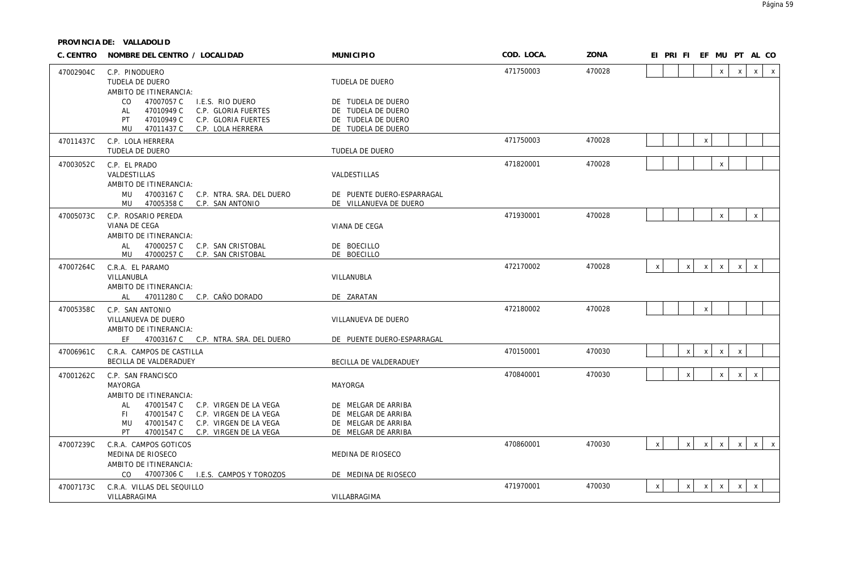| C. CENTRO | NOMBRE DEL CENTRO / LOCALIDAD                                                                                                                                                                  | <b>MUNICIPIO</b>                                                                         | COD. LOCA. | ZONA   | EI PRI FI EF MU PT AL CO                                                                                     |
|-----------|------------------------------------------------------------------------------------------------------------------------------------------------------------------------------------------------|------------------------------------------------------------------------------------------|------------|--------|--------------------------------------------------------------------------------------------------------------|
| 47002904C | C.P. PINODUERO<br>TUDELA DE DUERO                                                                                                                                                              | TUDELA DE DUERO                                                                          | 471750003  | 470028 | $\mathsf{X}$<br>$\mathsf{X}$<br>$\mathsf{x}$<br>$\mathsf{X}$                                                 |
|           | AMBITO DE ITINERANCIA:<br>47007057 C<br>I.E.S. RIO DUERO<br>CO.<br>47010949 C<br>C.P. GLORIA FUERTES<br>AL<br>47010949 C<br>PT<br>C.P. GLORIA FUERTES<br>47011437 C<br>MU<br>C.P. LOLA HERRERA | DE TUDELA DE DUERO<br>DE TUDELA DE DUERO<br>DE TUDELA DE DUERO<br>DE TUDELA DE DUERO     |            |        |                                                                                                              |
| 47011437C | C.P. LOLA HERRERA<br>TUDELA DE DUERO                                                                                                                                                           | TUDELA DE DUERO                                                                          | 471750003  | 470028 | $\pmb{\chi}$                                                                                                 |
| 47003052C | C.P. EL PRADO<br>VALDESTILLAS<br>AMBITO DE ITINERANCIA:                                                                                                                                        | VALDESTILLAS                                                                             | 471820001  | 470028 | $\mathsf{x}$                                                                                                 |
|           | MU<br>47003167 C<br>C.P. NTRA. SRA. DEL DUERO<br>47005358 C<br>MU<br>C.P. SAN ANTONIO                                                                                                          | DE PUENTE DUERO-ESPARRAGAL<br>DE VILLANUEVA DE DUERO                                     |            |        |                                                                                                              |
| 47005073C | C.P. ROSARIO PEREDA<br>VIANA DE CEGA<br>AMBITO DE ITINERANCIA:                                                                                                                                 | VIANA DE CEGA                                                                            | 471930001  | 470028 | $\mathsf{x}$<br>$\mathsf{X}$                                                                                 |
|           | 47000257 C<br>AL<br>C.P. SAN CRISTOBAL<br>47000257 C<br>MU<br>C.P. SAN CRISTOBAL                                                                                                               | DE BOECILLO<br>DE BOECILLO                                                               |            |        |                                                                                                              |
| 47007264C | C.R.A. EL PARAMO<br>VILLANUBLA<br>AMBITO DE ITINERANCIA:                                                                                                                                       | VILLANUBLA                                                                               | 472170002  | 470028 | $\mathsf{X}$<br>$\mathsf{x}$<br>$\mathsf{X}$<br>$\mathsf{x}$<br>$\mathsf{X}$<br>$\mathsf{x}$                 |
|           | AL 47011280 C C.P. CAÑO DORADO                                                                                                                                                                 | DE ZARATAN                                                                               |            |        |                                                                                                              |
| 47005358C | C.P. SAN ANTONIO<br>VILLANUEVA DE DUERO<br>AMBITO DE ITINERANCIA:                                                                                                                              | VILLANUEVA DE DUERO                                                                      | 472180002  | 470028 | $\mathsf X$                                                                                                  |
|           | FF.<br>47003167 C C.P. NTRA. SRA. DEL DUERO                                                                                                                                                    | DE PUENTE DUERO-ESPARRAGAL                                                               |            |        |                                                                                                              |
| 47006961C | C.R.A. CAMPOS DE CASTILLA<br>BECILLA DE VALDERADUEY                                                                                                                                            | BECILLA DE VALDERADUEY                                                                   | 470150001  | 470030 | $\pmb{\chi}$<br>$\mathsf{X}$<br>$\mathsf{X}$<br>$\boldsymbol{\mathsf{x}}$                                    |
| 47001262C | C.P. SAN FRANCISCO<br><b>MAYORGA</b><br>AMBITO DE ITINERANCIA:                                                                                                                                 | MAYORGA                                                                                  | 470840001  | 470030 | $\pmb{\chi}$<br>$\mathsf{x}$<br>$\mathsf{x}$<br>$\mathsf{x}$                                                 |
|           | 47001547 C<br>C.P. VIRGEN DE LA VEGA<br>AL<br>47001547 C<br>C.P. VIRGEN DE LA VEGA<br>FL.<br>47001547 C<br>C.P. VIRGEN DE LA VEGA<br>MU<br>PT<br>47001547 C<br>C.P. VIRGEN DE LA VEGA          | DE MELGAR DE ARRIBA<br>DE MELGAR DE ARRIBA<br>DE MELGAR DE ARRIBA<br>DE MELGAR DE ARRIBA |            |        |                                                                                                              |
| 47007239C | C.R.A. CAMPOS GOTICOS<br>MEDINA DE RIOSECO<br>AMBITO DE ITINERANCIA:                                                                                                                           | MEDINA DE RIOSECO                                                                        | 470860001  | 470030 | $\mathsf{X}$<br>$\mathsf{x}$<br>$\mathsf{X}$<br>$\mathsf{X}$<br>$\mathsf{x}$<br>$\mathsf{X}$<br>$\mathsf{x}$ |
|           | CO.<br>47007306 C<br>I.E.S. CAMPOS Y TOROZOS                                                                                                                                                   | DE MEDINA DE RIOSECO                                                                     | 471970001  | 470030 | $\mathsf{X}$<br>$\mathsf{x}$<br>$\mathsf{x}$                                                                 |
| 47007173C | C.R.A. VILLAS DEL SEQUILLO<br>VILLABRAGIMA                                                                                                                                                     | VILLABRAGIMA                                                                             |            |        | $\mathsf{X}$<br>$\mathsf{X}$<br>$\mathsf{X}$                                                                 |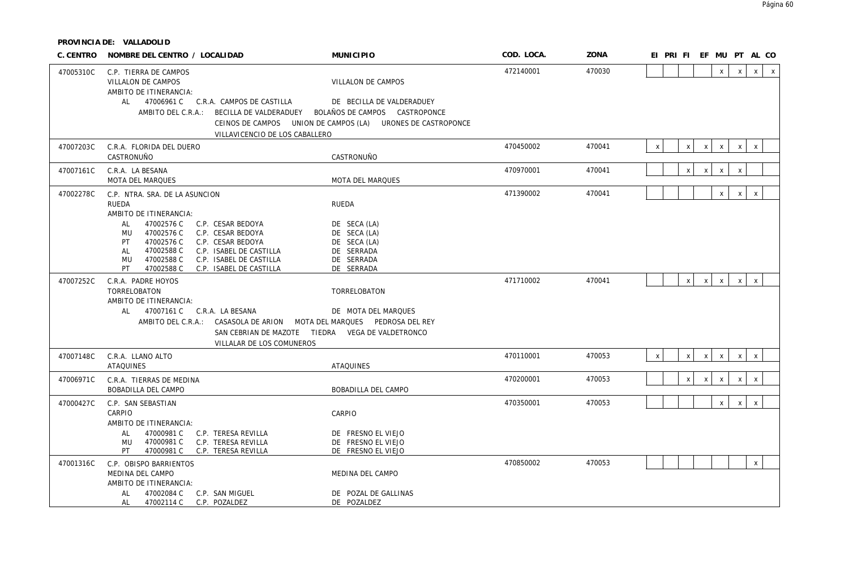| C. CENTRO | NOMBRE DEL CENTRO / LOCALIDAD                                                                                                                                                                                                                                                                                                             | <b>MUNICIPIO</b>                                                                                               | COD. LOCA. | ZONA   | EI PRI FI EF MU PT AL CO                                                                     |
|-----------|-------------------------------------------------------------------------------------------------------------------------------------------------------------------------------------------------------------------------------------------------------------------------------------------------------------------------------------------|----------------------------------------------------------------------------------------------------------------|------------|--------|----------------------------------------------------------------------------------------------|
| 47005310C | C.P. TIERRA DE CAMPOS<br>VILLALON DE CAMPOS<br>AMBITO DE ITINERANCIA:<br>AL 47006961 C C.R.A. CAMPOS DE CASTILLA<br>AMBITO DEL C.R.A.: BECILLA DE VALDERADUEY BOLAÑOS DE CAMPOS CASTROPONCE<br>VILLAVICENCIO DE LOS CABALLERO                                                                                                             | VILLALON DE CAMPOS<br>DE BECILLA DE VALDERADUEY<br>CEINOS DE CAMPOS UNION DE CAMPOS (LA) URONES DE CASTROPONCE | 472140001  | 470030 | $\mathsf{x}$<br>$\mathsf{x}$<br>$\mathsf{x}$<br>$\times$                                     |
| 47007203C | C.R.A. FLORIDA DEL DUERO<br>CASTRONUÑO                                                                                                                                                                                                                                                                                                    | CASTRONUÑO                                                                                                     | 470450002  | 470041 | $\mathsf X$<br>$\mathsf{X}$<br>$x \mid$<br>$\mathsf{X}$<br>$\mathsf{X}$<br>$\mathsf{X}$      |
| 47007161C | C.R.A. LA BESANA<br><b>MOTA DEL MARQUES</b>                                                                                                                                                                                                                                                                                               | <b>MOTA DEL MARQUES</b>                                                                                        | 470970001  | 470041 | X<br>X<br>$\mathsf{X}$<br>X                                                                  |
| 47002278C | C.P. NTRA. SRA. DE LA ASUNCION<br>RUEDA<br>AMBITO DE ITINERANCIA:<br>47002576 C<br>C.P. CESAR BEDOYA<br>AL<br>47002576 C<br>C.P. CESAR BEDOYA<br>MU<br>47002576 C<br>PT<br>C.P. CESAR BEDOYA<br>47002588 C<br>C.P. ISABEL DE CASTILLA<br>AL<br>47002588 C<br>MU<br>C.P. ISABEL DE CASTILLA<br>PT<br>47002588 C<br>C.P. ISABEL DE CASTILLA | RUEDA<br>DE SECA (LA)<br>DE SECA (LA)<br>DE SECA (LA)<br>DE SERRADA<br>DE SERRADA<br>DE SERRADA                | 471390002  | 470041 | x<br>$\mathsf{x}$<br>$\mathsf{X}$                                                            |
| 47007252C | C.R.A. PADRE HOYOS<br>TORRELOBATON<br>AMBITO DE ITINERANCIA:<br>47007161 C C.R.A. LA BESANA<br>AL<br>AMBITO DEL C.R.A.: CASASOLA DE ARION MOTA DEL MARQUES PEDROSA DEL REY<br>SAN CEBRIAN DE MAZOTE TIEDRA VEGA DE VALDETRONCO<br>VILLALAR DE LOS COMUNEROS                                                                               | TORRELOBATON<br>DE MOTA DEL MARQUES                                                                            | 471710002  | 470041 | $\mathsf{X}$<br>$\mathsf{x}$<br>$x \mid$<br>$\mathsf{x}$<br>$\mathsf{x}$                     |
| 47007148C | C.R.A. LLANO ALTO<br><b>ATAQUINES</b>                                                                                                                                                                                                                                                                                                     | <b>ATAQUINES</b>                                                                                               | 470110001  | 470053 | $\mathsf{X}$<br>$\mathsf{X}$<br>$\mathsf{x}$<br>$\mathsf{X}$<br>$\mathsf{X}$<br>$\mathsf{x}$ |
| 47006971C | C.R.A. TIERRAS DE MEDINA<br><b>BOBADILLA DEL CAMPO</b>                                                                                                                                                                                                                                                                                    | BOBADILLA DEL CAMPO                                                                                            | 470200001  | 470053 | $\mathsf{X}$<br>$\pmb{\chi}$<br>$\mathsf{X}$<br>X<br>$\mathsf{X}$                            |
| 47000427C | C.P. SAN SEBASTIAN<br>CARPIO<br>AMBITO DE ITINERANCIA:<br>47000981 C<br>C.P. TERESA REVILLA<br>AL<br>47000981 C<br>C.P. TERESA REVILLA<br>MU<br>PT<br>47000981 C C.P. TERESA REVILLA                                                                                                                                                      | CARPIO<br>DE FRESNO EL VIEJO<br>DE FRESNO EL VIEJO<br>DE FRESNO EL VIEJO                                       | 470350001  | 470053 | $x \mid$<br>$\mathsf{x}$<br>$\mathsf{x}$                                                     |
| 47001316C | C.P. OBISPO BARRIENTOS<br>MEDINA DEL CAMPO<br>AMBITO DE ITINERANCIA:<br>47002084 C<br>C.P. SAN MIGUEL<br>AL<br>47002114 C C.P. POZALDEZ<br>AL                                                                                                                                                                                             | MEDINA DEL CAMPO<br>DE POZAL DE GALLINAS<br>DE POZALDEZ                                                        | 470850002  | 470053 | $\mathsf{x}$                                                                                 |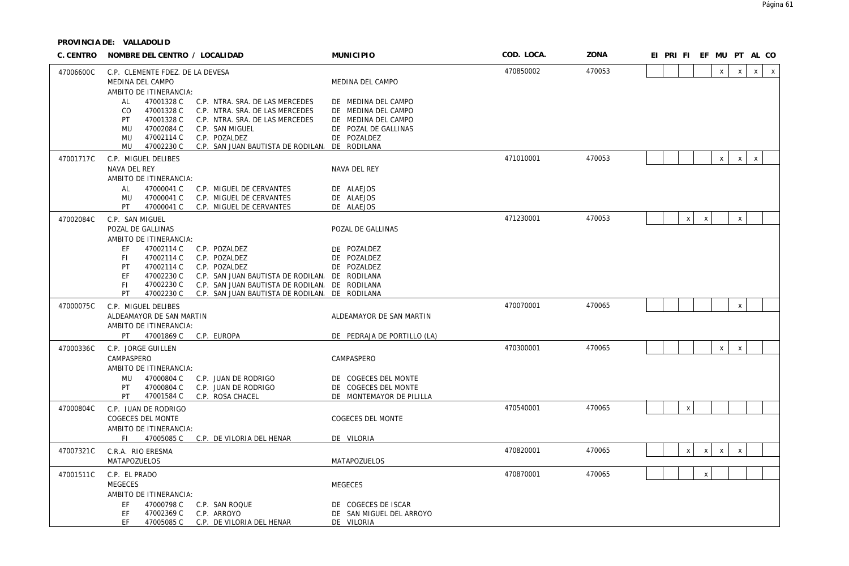| C. CENTRO | NOMBRE DEL CENTRO / LOCALIDAD                                                                                                                                                                                                                                                                                                          | <b>MUNICIPIO</b>                                                                                         | COD. LOCA. | ZONA   | EI PRI FI EF MU PT AL CO |                           |              |             |              |              |              |
|-----------|----------------------------------------------------------------------------------------------------------------------------------------------------------------------------------------------------------------------------------------------------------------------------------------------------------------------------------------|----------------------------------------------------------------------------------------------------------|------------|--------|--------------------------|---------------------------|--------------|-------------|--------------|--------------|--------------|
| 47006600C | C.P. CLEMENTE FDEZ. DE LA DEVESA<br>MEDINA DEL CAMPO<br>AMBITO DE ITINERANCIA:                                                                                                                                                                                                                                                         | MEDINA DEL CAMPO                                                                                         | 470850002  | 470053 |                          |                           |              | $\mathsf X$ | $\mathsf{X}$ | $\mathsf{x}$ | $\mathsf{X}$ |
|           | 47001328 C<br>C.P. NTRA. SRA. DE LAS MERCEDES<br>AL<br>CO.<br>47001328 C<br>C.P. NTRA. SRA. DE LAS MERCEDES<br>47001328 C<br>PT<br>C.P. NTRA. SRA. DE LAS MERCEDES<br>47002084 C<br>C.P. SAN MIGUEL<br><b>MU</b><br>47002114 C<br>C.P. POZALDEZ<br>MU<br>MU<br>47002230 C<br>C.P. SAN JUAN BAUTISTA DE RODILAN. DE RODILANA            | DE MEDINA DEL CAMPO<br>DE MEDINA DEL CAMPO<br>DE MEDINA DEL CAMPO<br>DE POZAL DE GALLINAS<br>DE POZALDEZ |            |        |                          |                           |              |             |              |              |              |
| 47001717C | C.P. MIGUEL DELIBES<br>NAVA DEL REY<br>AMBITO DE ITINERANCIA:<br>47000041 C<br>AL<br>C.P. MIGUEL DE CERVANTES                                                                                                                                                                                                                          | NAVA DEL REY<br>DE ALAEJOS                                                                               | 471010001  | 470053 |                          |                           |              | X           | $\mathsf{x}$ | $\pmb{\chi}$ |              |
|           | 47000041 C<br>C.P. MIGUEL DE CERVANTES<br>MU<br>PT<br>47000041 C<br>C.P. MIGUEL DE CERVANTES                                                                                                                                                                                                                                           | DE ALAEJOS<br>DE ALAEJOS                                                                                 |            |        |                          |                           |              |             |              |              |              |
| 47002084C | C.P. SAN MIGUEL<br>POZAL DE GALLINAS<br>AMBITO DE ITINERANCIA:                                                                                                                                                                                                                                                                         | POZAL DE GALLINAS                                                                                        | 471230001  | 470053 |                          | $\boldsymbol{\mathsf{X}}$ | $\mathsf{x}$ |             | X            |              |              |
|           | 47002114 C<br>EF<br>C.P. POZALDEZ<br>FI.<br>47002114 C<br>C.P. POZALDEZ<br>PT<br>47002114 C<br>C.P. POZALDEZ<br><b>FF</b><br>47002230 C<br>C.P. SAN JUAN BAUTISTA DE RODILAN. DE RODILANA<br>47002230 C<br>C.P. SAN JUAN BAUTISTA DE RODILAN. DE RODILANA<br>FI.<br>PT<br>47002230 C<br>C.P. SAN JUAN BAUTISTA DE RODILAN. DE RODILANA | DE POZALDEZ<br>DE POZALDEZ<br>DE POZALDEZ                                                                |            |        |                          |                           |              |             |              |              |              |
| 47000075C | C.P. MIGUEL DELIBES<br>ALDEAMAYOR DE SAN MARTIN<br>AMBITO DE ITINERANCIA:                                                                                                                                                                                                                                                              | ALDEAMAYOR DE SAN MARTIN                                                                                 | 470070001  | 470065 |                          |                           |              |             | X            |              |              |
| 47000336C | PT<br>47001869 C<br>C.P. EUROPA<br>C.P. JORGE GUILLEN<br>CAMPASPERO                                                                                                                                                                                                                                                                    | DE PEDRAJA DE PORTILLO (LA)<br>CAMPASPERO                                                                | 470300001  | 470065 |                          |                           |              | $\mathsf X$ | $\mathsf{x}$ |              |              |
|           | AMBITO DE ITINERANCIA:<br>47000804 C<br>C.P. JUAN DE RODRIGO<br>MU<br>47000804 C<br>C.P. JUAN DE RODRIGO<br>PT<br>C.P. ROSA CHACEL<br>PT.<br>47001584 C                                                                                                                                                                                | DE COGECES DEL MONTE<br>DE COGECES DEL MONTE<br>DE MONTEMAYOR DE PILILLA                                 |            |        |                          |                           |              |             |              |              |              |
| 47000804C | C.P. JUAN DE RODRIGO<br>COGECES DEL MONTE<br>AMBITO DE ITINERANCIA:                                                                                                                                                                                                                                                                    | <b>COGECES DEL MONTE</b>                                                                                 | 470540001  | 470065 |                          | $\mathsf X$               |              |             |              |              |              |
|           | FL.<br>47005085 C C.P. DE VILORIA DEL HENAR                                                                                                                                                                                                                                                                                            | DE VILORIA                                                                                               |            |        |                          |                           |              |             |              |              |              |
| 47007321C | C.R.A. RIO ERESMA<br>MATAPOZUELOS                                                                                                                                                                                                                                                                                                      | MATAPOZUELOS                                                                                             | 470820001  | 470065 |                          | X                         | $\mathsf{X}$ | $\mathsf X$ | $\pmb{\chi}$ |              |              |
| 47001511C | C.P. EL PRADO<br>MEGECES                                                                                                                                                                                                                                                                                                               | <b>MEGECES</b>                                                                                           | 470870001  | 470065 |                          |                           | $\mathsf{X}$ |             |              |              |              |
|           | AMBITO DE ITINERANCIA:<br>47000798 C<br>EF<br>C.P. SAN ROQUE<br>47002369 C<br>C.P. ARROYO<br>EF<br><b>FF</b><br>47005085 C<br>C.P. DE VILORIA DEL HENAR                                                                                                                                                                                | DE COGECES DE ISCAR<br>DE SAN MIGUEL DEL ARROYO<br>DE VILORIA                                            |            |        |                          |                           |              |             |              |              |              |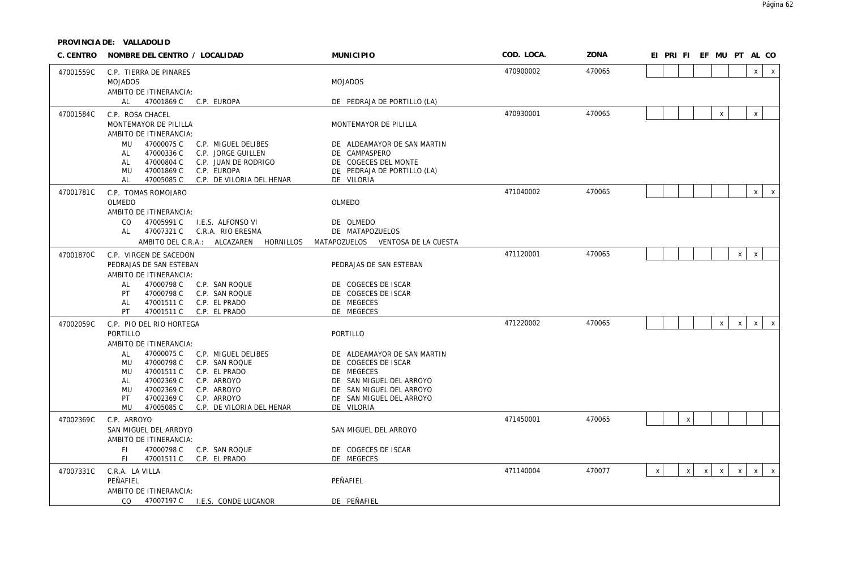| C. CENTRO | NOMBRE DEL CENTRO / LOCALIDAD                                                                                                                                                                                                                                                                                 | <b>MUNICIPIO</b>                                                                                                                                                   | COD. LOCA. | ZONA   | EI PRI FI EF MU PT AL CO                                                                                                  |
|-----------|---------------------------------------------------------------------------------------------------------------------------------------------------------------------------------------------------------------------------------------------------------------------------------------------------------------|--------------------------------------------------------------------------------------------------------------------------------------------------------------------|------------|--------|---------------------------------------------------------------------------------------------------------------------------|
| 47001559C | C.P. TIERRA DE PINARES<br><b>MOJADOS</b><br>AMBITO DE ITINERANCIA:                                                                                                                                                                                                                                            | <b>MOJADOS</b>                                                                                                                                                     | 470900002  | 470065 | x<br>$\mathsf{X}$                                                                                                         |
|           | 47001869 C C.P. EUROPA<br>AL                                                                                                                                                                                                                                                                                  | DE PEDRAJA DE PORTILLO (LA)                                                                                                                                        |            |        |                                                                                                                           |
| 47001584C | C.P. ROSA CHACEL<br>MONTEMAYOR DE PILILLA<br>AMBITO DE ITINERANCIA:                                                                                                                                                                                                                                           | MONTEMAYOR DE PILILLA                                                                                                                                              | 470930001  | 470065 | $\mathsf{X}$<br>$\mathsf{x}$                                                                                              |
|           | MU<br>47000075 C<br>C.P. MIGUEL DELIBES<br>47000336 C<br>C.P. JORGE GUILLEN<br>AL<br>47000804 C<br>AL<br>C.P. JUAN DE RODRIGO<br>47001869 C<br>MU<br>C.P. EUROPA<br>47005085 C<br>C.P. DE VILORIA DEL HENAR<br>AL                                                                                             | DE ALDEAMAYOR DE SAN MARTIN<br>DE CAMPASPERO<br>DE COGECES DEL MONTE<br>DE PEDRAJA DE PORTILLO (LA)<br>DE VILORIA                                                  |            |        |                                                                                                                           |
| 47001781C | C.P. TOMAS ROMOJARO                                                                                                                                                                                                                                                                                           |                                                                                                                                                                    | 471040002  | 470065 | $x \mid x$                                                                                                                |
|           | OLMEDO                                                                                                                                                                                                                                                                                                        | OLMEDO                                                                                                                                                             |            |        |                                                                                                                           |
|           | AMBITO DE ITINERANCIA:<br>47005991 C<br>CO.<br>I.E.S. ALFONSO VI<br>47007321 C<br>C.R.A. RIO ERESMA<br>AL<br>AMBITO DEL C.R.A.: ALCAZAREN HORNILLOS MATAPOZUELOS VENTOSA DE LA CUESTA                                                                                                                         | DE OLMEDO<br>DE MATAPOZUELOS                                                                                                                                       |            |        |                                                                                                                           |
| 47001870C | C.P. VIRGEN DE SACEDON                                                                                                                                                                                                                                                                                        |                                                                                                                                                                    | 471120001  | 470065 | $\mathsf X$<br>$\mathsf{X}$                                                                                               |
|           | PEDRAJAS DE SAN ESTEBAN<br>AMBITO DE ITINERANCIA:                                                                                                                                                                                                                                                             | PEDRAJAS DE SAN ESTEBAN                                                                                                                                            |            |        |                                                                                                                           |
|           | 47000798 C<br><b>AL</b><br>C.P. SAN ROQUE<br>47000798 C<br>C.P. SAN ROQUE<br>PT<br>47001511 C<br>C.P. EL PRADO<br>AL<br>PT<br>47001511 C<br>C.P. EL PRADO                                                                                                                                                     | DE COGECES DE ISCAR<br>DE COGECES DE ISCAR<br>DE MEGECES<br>DE MEGECES                                                                                             |            |        |                                                                                                                           |
| 47002059C | C.P. PIO DEL RIO HORTEGA                                                                                                                                                                                                                                                                                      |                                                                                                                                                                    | 471220002  | 470065 | $\mathsf{X}^-$<br>$\mathsf{X}$<br>$\mathsf{X}$<br>$\mathsf{X}$                                                            |
|           | PORTILLO                                                                                                                                                                                                                                                                                                      | PORTILLO                                                                                                                                                           |            |        |                                                                                                                           |
|           | AMBITO DE ITINERANCIA:<br><b>AL</b><br>47000075 C<br>C.P. MIGUEL DELIBES<br>MU<br>47000798 C<br>C.P. SAN ROQUE<br>47001511 C<br>C.P. EL PRADO<br>MU<br>47002369 C<br>AL<br>C.P. ARROYO<br>47002369 C<br>MU<br>C.P. ARROYO<br>47002369 C<br>C.P. ARROYO<br>PT<br>MU<br>47005085 C<br>C.P. DE VILORIA DEL HENAR | DE ALDEAMAYOR DE SAN MARTIN<br>DE COGECES DE ISCAR<br>DE MEGECES<br>DE SAN MIGUEL DEL ARROYO<br>DE SAN MIGUEL DEL ARROYO<br>DE SAN MIGUEL DEL ARROYO<br>DE VILORIA |            |        |                                                                                                                           |
| 47002369C | C.P. ARROYO                                                                                                                                                                                                                                                                                                   |                                                                                                                                                                    | 471450001  | 470065 | $\mathsf X$                                                                                                               |
|           | SAN MIGUEL DEL ARROYO<br>AMBITO DE ITINERANCIA:                                                                                                                                                                                                                                                               | SAN MIGUEL DEL ARROYO                                                                                                                                              |            |        |                                                                                                                           |
|           | 47000798 C<br>FL.<br>C.P. SAN ROQUE<br>C.P. EL PRADO<br>FL.<br>47001511 C                                                                                                                                                                                                                                     | DE COGECES DE ISCAR<br>DE MEGECES                                                                                                                                  |            |        |                                                                                                                           |
| 47007331C | C.R.A. LA VILLA<br>PEÑAFIEL<br>AMBITO DE ITINERANCIA:                                                                                                                                                                                                                                                         | PEÑAFIEL                                                                                                                                                           | 471140004  | 470077 | $\mathsf{X}$<br>$\pmb{\chi}$<br>$\mathsf{x}$<br>$\mathsf{X}$<br>$\mathsf{x}$<br>$\mathsf{X}$<br>$\boldsymbol{\mathsf{X}}$ |
|           | CO.<br>47007197 C I.E.S. CONDE LUCANOR                                                                                                                                                                                                                                                                        | DE PEÑAFIEL                                                                                                                                                        |            |        |                                                                                                                           |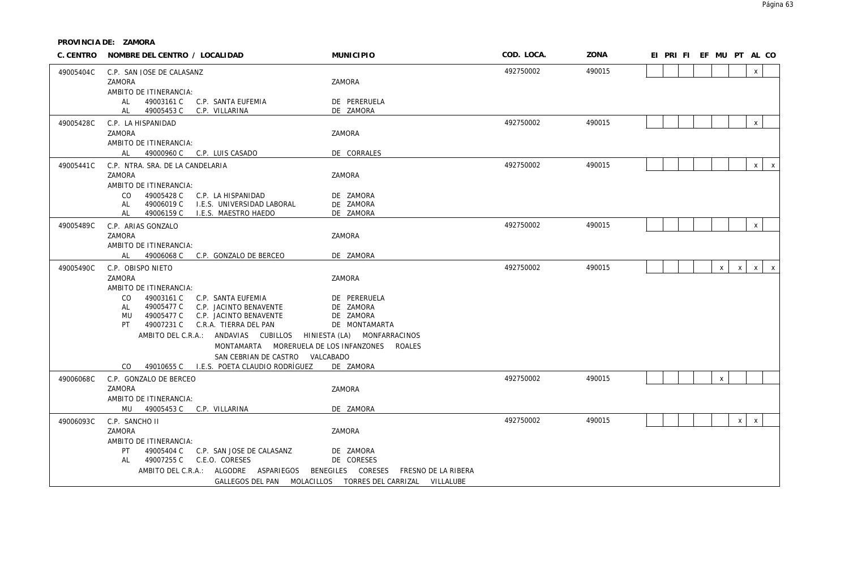|           | C. CENTRO NOMBRE DEL CENTRO / LOCALIDAD                                                    | <b>MUNICIPIO</b>                                          | COD. LOCA. | ZONA   | EI PRI FI EF MU PT AL CO                                     |
|-----------|--------------------------------------------------------------------------------------------|-----------------------------------------------------------|------------|--------|--------------------------------------------------------------|
| 49005404C | C.P. SAN JOSE DE CALASANZ                                                                  |                                                           | 492750002  | 490015 | $\mathsf{x}$                                                 |
|           | ZAMORA                                                                                     | ZAMORA                                                    |            |        |                                                              |
|           | AMBITO DE ITINERANCIA:                                                                     |                                                           |            |        |                                                              |
|           | 49003161 C<br>AI<br>C.P. SANTA EUFEMIA<br>49005453 C<br>C.P. VILLARINA<br>AL               | DE PERERUELA<br>DE ZAMORA                                 |            |        |                                                              |
|           |                                                                                            |                                                           | 492750002  | 490015 | $\mathsf X$                                                  |
| 49005428C | C.P. LA HISPANIDAD<br>ZAMORA                                                               | ZAMORA                                                    |            |        |                                                              |
|           | AMBITO DE ITINERANCIA:                                                                     |                                                           |            |        |                                                              |
|           | AL<br>49000960 C C.P. LUIS CASADO                                                          | DE CORRALES                                               |            |        |                                                              |
| 49005441C | C.P. NTRA. SRA. DE LA CANDELARIA                                                           |                                                           | 492750002  | 490015 | $\mathsf{x}$<br>$\mathsf{X}$                                 |
|           | ZAMORA                                                                                     | ZAMORA                                                    |            |        |                                                              |
|           | AMBITO DE ITINERANCIA:                                                                     |                                                           |            |        |                                                              |
|           | CO<br>49005428 C<br>C.P. LA HISPANIDAD                                                     | DE ZAMORA                                                 |            |        |                                                              |
|           | 49006019 C<br>I.E.S. UNIVERSIDAD LABORAL<br>AL<br>AL<br>49006159 C<br>I.E.S. MAESTRO HAEDO | DE ZAMORA<br>DE ZAMORA                                    |            |        |                                                              |
| 49005489C |                                                                                            |                                                           | 492750002  | 490015 | $\mathsf{x}$                                                 |
|           | C.P. ARIAS GONZALO<br>ZAMORA                                                               | ZAMORA                                                    |            |        |                                                              |
|           | AMBITO DE ITINERANCIA:                                                                     |                                                           |            |        |                                                              |
|           | AL<br>49006068 C C.P. GONZALO DE BERCEO                                                    | DE ZAMORA                                                 |            |        |                                                              |
| 49005490C | C.P. OBISPO NIETO                                                                          |                                                           | 492750002  | 490015 | $\mathsf{X}$<br>$\mathsf{x}$<br>$\mathsf{X}$<br>$\mathsf{X}$ |
|           | ZAMORA                                                                                     | ZAMORA                                                    |            |        |                                                              |
|           | AMBITO DE ITINERANCIA:                                                                     |                                                           |            |        |                                                              |
|           | CO.<br>49003161 C<br>C.P. SANTA EUFEMIA                                                    | DE PERERUELA                                              |            |        |                                                              |
|           | 49005477 C<br>C.P. JACINTO BENAVENTE<br>AL<br>49005477 C<br>C.P. JACINTO BENAVENTE<br>MU   | DE ZAMORA<br>DE ZAMORA                                    |            |        |                                                              |
|           | 49007231 C<br>C.R.A. TIERRA DEL PAN<br>PT .                                                | DE MONTAMARTA                                             |            |        |                                                              |
|           | AMBITO DEL C.R.A.: ANDAVIAS CUBILLOS HINIESTA (LA) MONFARRACINOS                           |                                                           |            |        |                                                              |
|           | MONTAMARTA MORERUELA DE LOS INFANZONES                                                     | ROALES                                                    |            |        |                                                              |
|           | SAN CEBRIAN DE CASTRO VALCABADO                                                            |                                                           |            |        |                                                              |
|           | 49010655 C I.E.S. POETA CLAUDIO RODRÍGUEZ<br>CO.                                           | DE ZAMORA                                                 |            |        |                                                              |
| 49006068C | C.P. GONZALO DE BERCEO                                                                     |                                                           | 492750002  | 490015 | $\mathsf{x}$                                                 |
|           | ZAMORA                                                                                     | ZAMORA                                                    |            |        |                                                              |
|           | AMBITO DE ITINERANCIA:                                                                     |                                                           |            |        |                                                              |
|           | MU 49005453 C C.P. VILLARINA                                                               | DE ZAMORA                                                 |            |        |                                                              |
| 49006093C | C.P. SANCHO II<br>ZAMORA                                                                   | ZAMORA                                                    | 492750002  | 490015 | $\mathsf{X}$<br>$\mathsf{x}$                                 |
|           | AMBITO DE ITINERANCIA:                                                                     |                                                           |            |        |                                                              |
|           | PT<br>49005404 C<br>C.P. SAN JOSE DE CALASANZ                                              | DE ZAMORA                                                 |            |        |                                                              |
|           | 49007255 C C.E.O. CORESES<br>AL                                                            | DE CORESES                                                |            |        |                                                              |
|           | AMBITO DEL C.R.A.: ALGODRE ASPARIEGOS                                                      | CORESES<br>BENEGILES<br>FRESNO DE LA RIBERA               |            |        |                                                              |
|           |                                                                                            | GALLEGOS DEL PAN MOLACILLOS TORRES DEL CARRIZAL VILLALUBE |            |        |                                                              |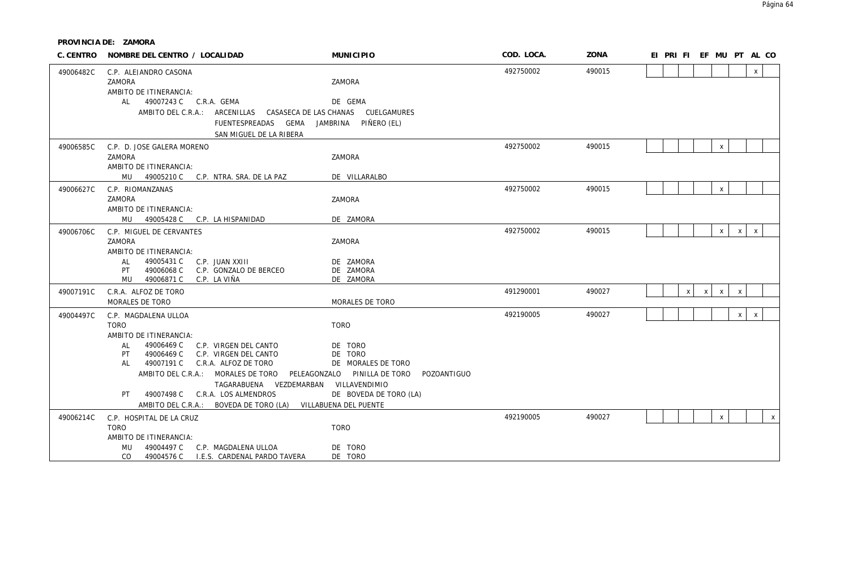| C. CENTRO | NOMBRE DEL CENTRO / LOCALIDAD                                                                | <b>MUNICIPIO</b>               | COD. LOCA. | ZONA   |  |              |              | EI PRI FI EF MU PT AL CO |              |              |              |
|-----------|----------------------------------------------------------------------------------------------|--------------------------------|------------|--------|--|--------------|--------------|--------------------------|--------------|--------------|--------------|
| 49006482C | C.P. ALEJANDRO CASONA                                                                        |                                | 492750002  | 490015 |  |              |              |                          |              | $\mathsf{x}$ |              |
|           | ZAMORA                                                                                       | ZAMORA                         |            |        |  |              |              |                          |              |              |              |
|           | AMBITO DE ITINERANCIA:<br>49007243 C C.R.A. GEMA<br>AL                                       |                                |            |        |  |              |              |                          |              |              |              |
|           | AMBITO DEL C.R.A.: ARCENILLAS CASASECA DE LAS CHANAS CUELGAMURES                             | DE GEMA                        |            |        |  |              |              |                          |              |              |              |
|           | FUENTESPREADAS GEMA                                                                          | JAMBRINA<br>PIÑERO (EL)        |            |        |  |              |              |                          |              |              |              |
|           | SAN MIGUEL DE LA RIBERA                                                                      |                                |            |        |  |              |              |                          |              |              |              |
| 49006585C | C.P. D. JOSE GALERA MORENO                                                                   |                                | 492750002  | 490015 |  |              |              | $\mathsf{X}$             |              |              |              |
|           | ZAMORA                                                                                       | ZAMORA                         |            |        |  |              |              |                          |              |              |              |
|           | AMBITO DE ITINERANCIA:                                                                       |                                |            |        |  |              |              |                          |              |              |              |
|           | MU 49005210 C C.P. NTRA. SRA. DE LA PAZ                                                      | DE VILLARALBO                  | 492750002  | 490015 |  |              |              |                          |              |              |              |
| 49006627C | C.P. RIOMANZANAS<br>ZAMORA                                                                   | ZAMORA                         |            |        |  |              |              | $\mathsf{x}$             |              |              |              |
|           | AMBITO DE ITINERANCIA:                                                                       |                                |            |        |  |              |              |                          |              |              |              |
|           | MU<br>49005428 C C.P. LA HISPANIDAD                                                          | DE ZAMORA                      |            |        |  |              |              |                          |              |              |              |
| 49006706C | C.P. MIGUEL DE CERVANTES                                                                     |                                | 492750002  | 490015 |  |              |              | $\mathsf{X}$             | $\times$     | $\mathsf{x}$ |              |
|           | ZAMORA                                                                                       | ZAMORA                         |            |        |  |              |              |                          |              |              |              |
|           | AMBITO DE ITINERANCIA:<br>AL<br>49005431 C<br>C.P. JUAN XXIII                                | DE ZAMORA                      |            |        |  |              |              |                          |              |              |              |
|           | 49006068 C<br>C.P. GONZALO DE BERCEO<br>PT                                                   | DE ZAMORA                      |            |        |  |              |              |                          |              |              |              |
|           | 49006871 C<br>C.P. LA VIÑA<br>MU                                                             | DE ZAMORA                      |            |        |  |              |              |                          |              |              |              |
| 49007191C | C.R.A. ALFOZ DE TORO                                                                         |                                | 491290001  | 490027 |  | $\mathsf{x}$ | $\mathsf{x}$ | $\mathsf{x}$             | $\mathsf{x}$ |              |              |
|           | MORALES DE TORO                                                                              | MORALES DE TORO                |            |        |  |              |              |                          |              |              |              |
| 49004497C | C.P. MAGDALENA ULLOA                                                                         |                                | 492190005  | 490027 |  |              |              |                          | $\times$     | $\mathsf{x}$ |              |
|           | <b>TORO</b><br>AMBITO DE ITINERANCIA:                                                        | <b>TORO</b>                    |            |        |  |              |              |                          |              |              |              |
|           | 49006469 C<br>C.P. VIRGEN DEL CANTO<br>AL                                                    | DE TORO                        |            |        |  |              |              |                          |              |              |              |
|           | 49006469 C<br>C.P. VIRGEN DEL CANTO<br>PT                                                    | DE TORO                        |            |        |  |              |              |                          |              |              |              |
|           | 49007191 C C.R.A. ALFOZ DE TORO<br>AL                                                        | DE MORALES DE TORO             |            |        |  |              |              |                          |              |              |              |
|           | AMBITO DEL C.R.A.: MORALES DE TORO<br>PELEAGONZALO<br>TAGARABUENA VEZDEMARBAN VILLAVENDIMIO  | PINILLA DE TORO<br>POZOANTIGUO |            |        |  |              |              |                          |              |              |              |
|           | 49007498 C C.R.A. LOS ALMENDROS<br>PT                                                        | DE BOVEDA DE TORO (LA)         |            |        |  |              |              |                          |              |              |              |
|           | AMBITO DEL C.R.A.: BOVEDA DE TORO (LA)                                                       | VILLABUENA DEL PUENTE          |            |        |  |              |              |                          |              |              |              |
| 49006214C | C.P. HOSPITAL DE LA CRUZ                                                                     |                                | 492190005  | 490027 |  |              |              | $\mathsf{x}$             |              |              | $\mathsf{x}$ |
|           | <b>TORO</b>                                                                                  | <b>TORO</b>                    |            |        |  |              |              |                          |              |              |              |
|           | AMBITO DE ITINERANCIA:                                                                       |                                |            |        |  |              |              |                          |              |              |              |
|           | 49004497 C<br>C.P. MAGDALENA ULLOA<br>MU<br>I.E.S. CARDENAL PARDO TAVERA<br>CO<br>49004576 C | DE TORO<br>DE TORO             |            |        |  |              |              |                          |              |              |              |
|           |                                                                                              |                                |            |        |  |              |              |                          |              |              |              |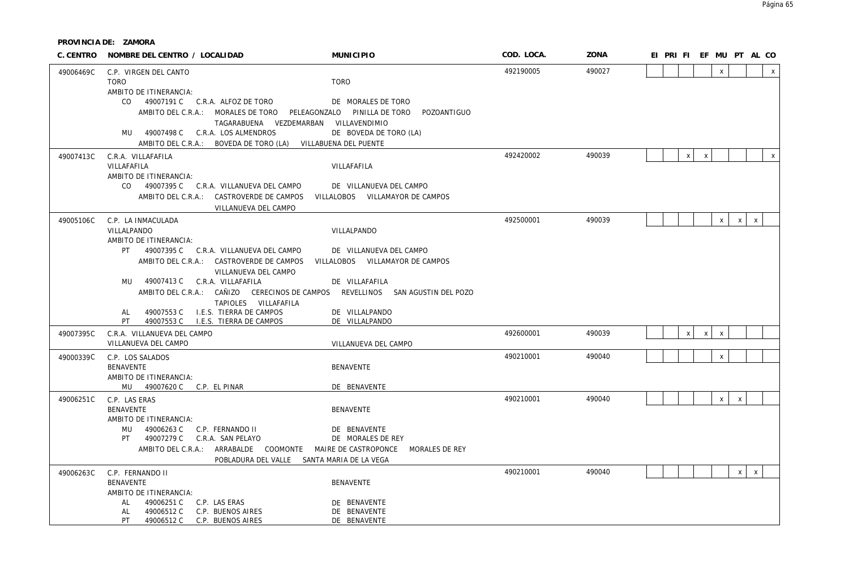|           | C. CENTRO NOMBRE DEL CENTRO / LOCALIDAD                                                                                                                                                                                                                                                    | <b>MUNICIPIO</b>                                                 | COD. LOCA. | ZONA   | EI PRIFIEF MU PT AL CO                       |
|-----------|--------------------------------------------------------------------------------------------------------------------------------------------------------------------------------------------------------------------------------------------------------------------------------------------|------------------------------------------------------------------|------------|--------|----------------------------------------------|
| 49006469C | C.P. VIRGEN DEL CANTO<br><b>TORO</b>                                                                                                                                                                                                                                                       | <b>TORO</b>                                                      | 492190005  | 490027 | $\mathsf{x}$<br>$\mathsf{x}$                 |
|           | AMBITO DE ITINERANCIA:<br>CO 49007191 C C.R.A. ALFOZ DE TORO<br>AMBITO DEL C.R.A.: MORALES DE TORO PELEAGONZALO PINILLA DE TORO POZOANTIGUO<br>TAGARABUENA VEZDEMARBAN VILLAVENDIMIO<br>MU 49007498 C C.R.A. LOS ALMENDROS<br>AMBITO DEL C.R.A.: BOVEDA DE TORO (LA) VILLABUENA DEL PUENTE | DE MORALES DE TORO<br>DE BOVEDA DE TORO (LA)                     |            |        |                                              |
| 49007413C | C.R.A. VILLAFAFILA<br>VILLAFAFILA<br>AMBITO DE ITINERANCIA:<br>CO 49007395 C C.R.A. VILLANUEVA DEL CAMPO                                                                                                                                                                                   | VILLAFAFILA<br>DE VILLANUEVA DEL CAMPO                           | 492420002  | 490039 | $\pmb{\chi}$<br>$\mathsf{x}$<br>$\mathsf{x}$ |
|           | AMBITO DEL C.R.A.: CASTROVERDE DE CAMPOS VILLALOBOS VILLAMAYOR DE CAMPOS<br>VILLANUEVA DEL CAMPO                                                                                                                                                                                           |                                                                  |            |        |                                              |
| 49005106C | C.P. LA INMACULADA<br>VILLALPANDO<br>AMBITO DE ITINERANCIA:<br>PT 49007395 C C.R.A. VILLANUEVA DEL CAMPO<br>AMBITO DEL C.R.A.: CASTROVERDE DE CAMPOS VILLALOBOS VILLAMAYOR DE CAMPOS                                                                                                       | VILLALPANDO<br>DE VILLANUEVA DEL CAMPO                           | 492500001  | 490039 | $\mathsf{x}$<br>$\mathsf{x}$<br>X            |
|           | VILLANUEVA DEL CAMPO<br>MU 49007413 C C.R.A. VILLAFAFILA<br>AMBITO DEL C.R.A.: CAÑIZO CERECINOS DE CAMPOS REVELLINOS SAN AGUSTIN DEL POZO<br>TAPIOLES VILLAFAFILA<br>49007553 C I.E.S. TIERRA DE CAMPOS<br>AL                                                                              | DE VILLAFAFILA<br>DE VILLALPANDO                                 |            |        |                                              |
| 49007395C | PT 49007553 C I.E.S. TIERRA DE CAMPOS<br>C.R.A. VILLANUEVA DEL CAMPO<br>VILLANUEVA DEL CAMPO                                                                                                                                                                                               | DE VILLALPANDO<br>VILLANUEVA DEL CAMPO                           | 492600001  | 490039 | $\mathsf X$<br>$\mathsf{X}$<br>$\,$ X        |
| 49000339C | C.P. LOS SALADOS<br><b>BENAVENTE</b><br>AMBITO DE ITINERANCIA:<br>MU 49007620 C C.P. EL PINAR                                                                                                                                                                                              | <b>BENAVENTE</b><br>DE BENAVENTE                                 | 490210001  | 490040 | $\mathsf{X}$                                 |
| 49006251C | C.P. LAS ERAS<br><b>BENAVENTE</b><br>AMBITO DE ITINERANCIA:<br>MU 49006263 C C.P. FERNANDO II<br>PT 49007279 C C.R.A. SAN PELAYO<br>AMBITO DEL C.R.A.: ARRABALDE COOMONTE MAIRE DE CASTROPONCE MORALES DE REY<br>POBLADURA DEL VALLE SANTA MARIA DE LA VEGA                                | <b>BENAVENTE</b><br>DE BENAVENTE<br>DE MORALES DE REY            | 490210001  | 490040 | $\mathsf{X}$<br>$\mathsf{x}$                 |
| 49006263C | C.P. FERNANDO II<br><b>BENAVENTE</b><br>AMBITO DE ITINERANCIA:<br>49006251 C<br>C.P. LAS ERAS<br>AL<br>49006512 C<br>C.P. BUENOS AIRES<br>AL<br>PT.<br>49006512 C C.P. BUENOS AIRES                                                                                                        | <b>BENAVENTE</b><br>DE BENAVENTE<br>DE BENAVENTE<br>DE BENAVENTE | 490210001  | 490040 | $\mathsf{x}$<br>$\pmb{\chi}$                 |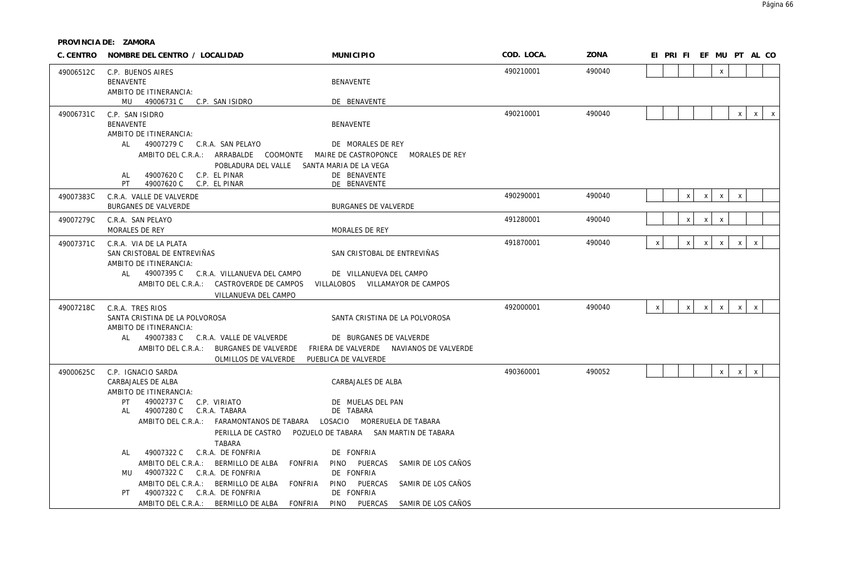| C. CENTRO | NOMBRE DEL CENTRO / LOCALIDAD                                                                    | <b>MUNICIPIO</b>                                                   | COD. LOCA. | ZONA   |              | EI PRI FI EF MU PT AL CO |                    |                                |              |              |              |
|-----------|--------------------------------------------------------------------------------------------------|--------------------------------------------------------------------|------------|--------|--------------|--------------------------|--------------------|--------------------------------|--------------|--------------|--------------|
| 49006512C | C.P. BUENOS AIRES                                                                                |                                                                    | 490210001  | 490040 |              |                          |                    | X                              |              |              |              |
|           | <b>BENAVENTE</b>                                                                                 | <b>BENAVENTE</b>                                                   |            |        |              |                          |                    |                                |              |              |              |
|           | AMBITO DE ITINERANCIA:<br>MU 49006731 C C.P. SAN ISIDRO                                          | DE BENAVENTE                                                       |            |        |              |                          |                    |                                |              |              |              |
| 49006731C | C.P. SAN ISIDRO                                                                                  |                                                                    | 490210001  | 490040 |              |                          |                    |                                | $\mathsf{X}$ | $\mathsf{X}$ | $\mathsf{X}$ |
|           | <b>BENAVENTE</b>                                                                                 | BENAVENTE                                                          |            |        |              |                          |                    |                                |              |              |              |
|           | AMBITO DE ITINERANCIA:                                                                           |                                                                    |            |        |              |                          |                    |                                |              |              |              |
|           | AL<br>49007279 C C.R.A. SAN PELAYO<br>AMBITO DEL C.R.A.: ARRABALDE COOMONTE MAIRE DE CASTROPONCE | DE MORALES DE REY<br>MORALES DE REY                                |            |        |              |                          |                    |                                |              |              |              |
|           | POBLADURA DEL VALLE SANTA MARIA DE LA VEGA                                                       |                                                                    |            |        |              |                          |                    |                                |              |              |              |
|           | C.P. EL PINAR<br>49007620 C<br>AL                                                                | DE BENAVENTE                                                       |            |        |              |                          |                    |                                |              |              |              |
|           | PT.<br>49007620 C<br>C.P. EL PINAR                                                               | DE BENAVENTE                                                       |            |        |              |                          |                    |                                |              |              |              |
| 49007383C | C.R.A. VALLE DE VALVERDE<br><b>BURGANES DE VALVERDE</b>                                          | <b>BURGANES DE VALVERDE</b>                                        | 490290001  | 490040 |              |                          | X                  | X<br>$\boldsymbol{\mathsf{x}}$ | X            |              |              |
|           |                                                                                                  |                                                                    | 491280001  | 490040 |              |                          | $\pmb{\mathsf{X}}$ | $\pmb{\chi}$<br>$\mathsf{x}$   |              |              |              |
| 49007279C | C.R.A. SAN PELAYO<br>MORALES DE REY                                                              | MORALES DE REY                                                     |            |        |              |                          |                    |                                |              |              |              |
| 49007371C | C.R.A. VIA DE LA PLATA                                                                           |                                                                    | 491870001  | 490040 | $\mathsf{x}$ |                          | X                  | $\mathsf{X}$<br>$\mathsf{X}$   | $\mathsf{x}$ | $\mathsf{x}$ |              |
|           | SAN CRISTOBAL DE ENTREVIÑAS                                                                      | SAN CRISTOBAL DE ENTREVIÑAS                                        |            |        |              |                          |                    |                                |              |              |              |
|           | AMBITO DE ITINERANCIA:                                                                           |                                                                    |            |        |              |                          |                    |                                |              |              |              |
|           | AL<br>49007395 C C.R.A. VILLANUEVA DEL CAMPO                                                     | DE VILLANUEVA DEL CAMPO                                            |            |        |              |                          |                    |                                |              |              |              |
|           | AMBITO DEL C.R.A.: CASTROVERDE DE CAMPOS<br>VILLANUEVA DEL CAMPO                                 | VILLALOBOS VILLAMAYOR DE CAMPOS                                    |            |        |              |                          |                    |                                |              |              |              |
| 49007218C | C.R.A. TRES RIOS                                                                                 |                                                                    | 492000001  | 490040 | $\mathsf{X}$ |                          | $\mathsf{X}$       | $\mathsf{X}$<br>$\mathsf{X}$   | $\pmb{\chi}$ | $\mathsf{x}$ |              |
|           | SANTA CRISTINA DE LA POLVOROSA                                                                   | SANTA CRISTINA DE LA POLVOROSA                                     |            |        |              |                          |                    |                                |              |              |              |
|           | AMBITO DE ITINERANCIA:                                                                           |                                                                    |            |        |              |                          |                    |                                |              |              |              |
|           | 49007383 C C.R.A. VALLE DE VALVERDE<br>AL<br>AMBITO DEL C.R.A.: BURGANES DE VALVERDE             | DE BURGANES DE VALVERDE<br>FRIERA DE VALVERDE NAVIANOS DE VALVERDE |            |        |              |                          |                    |                                |              |              |              |
|           | OLMILLOS DE VALVERDE                                                                             | PUEBLICA DE VALVERDE                                               |            |        |              |                          |                    |                                |              |              |              |
| 49000625C | C.P. IGNACIO SARDA                                                                               |                                                                    | 490360001  | 490052 |              |                          |                    | $\mathsf{X}$                   | $\mathsf X$  | $\mathsf X$  |              |
|           | CARBAJALES DE ALBA                                                                               | CARBAJALES DE ALBA                                                 |            |        |              |                          |                    |                                |              |              |              |
|           | AMBITO DE ITINERANCIA:                                                                           |                                                                    |            |        |              |                          |                    |                                |              |              |              |
|           | 49002737 C<br>PT<br>C.P. VIRIATO<br>49007280 C<br>C.R.A. TABARA<br>AL                            | DE MUELAS DEL PAN<br>DE TABARA                                     |            |        |              |                          |                    |                                |              |              |              |
|           | AMBITO DEL C.R.A.: FARAMONTANOS DE TABARA LOSACIO MORERUELA DE TABARA                            |                                                                    |            |        |              |                          |                    |                                |              |              |              |
|           |                                                                                                  | PERILLA DE CASTRO POZUELO DE TABARA SAN MARTIN DE TABARA           |            |        |              |                          |                    |                                |              |              |              |
|           | <b>TABARA</b><br>49007322 C<br>C.R.A. DE FONFRIA<br>AL                                           | DE FONFRIA                                                         |            |        |              |                          |                    |                                |              |              |              |
|           | AMBITO DEL C.R.A.: BERMILLO DE ALBA<br>FONFRIA                                                   | PINO PUERCAS<br>SAMIR DE LOS CAÑOS                                 |            |        |              |                          |                    |                                |              |              |              |
|           | 49007322 C C.R.A. DE FONFRIA<br>MU                                                               | DE FONFRIA                                                         |            |        |              |                          |                    |                                |              |              |              |
|           | AMBITO DEL C.R.A.: BERMILLO DE ALBA<br>FONFRIA                                                   | PINO<br>PUERCAS<br>SAMIR DE LOS CAÑOS                              |            |        |              |                          |                    |                                |              |              |              |
|           | 49007322 C C.R.A. DE FONFRIA<br>PT<br>AMBITO DEL C.R.A.: BERMILLO DE ALBA<br>FONFRIA             | DE FONFRIA<br>PINO<br>PUERCAS<br>SAMIR DE LOS CAÑOS                |            |        |              |                          |                    |                                |              |              |              |
|           |                                                                                                  |                                                                    |            |        |              |                          |                    |                                |              |              |              |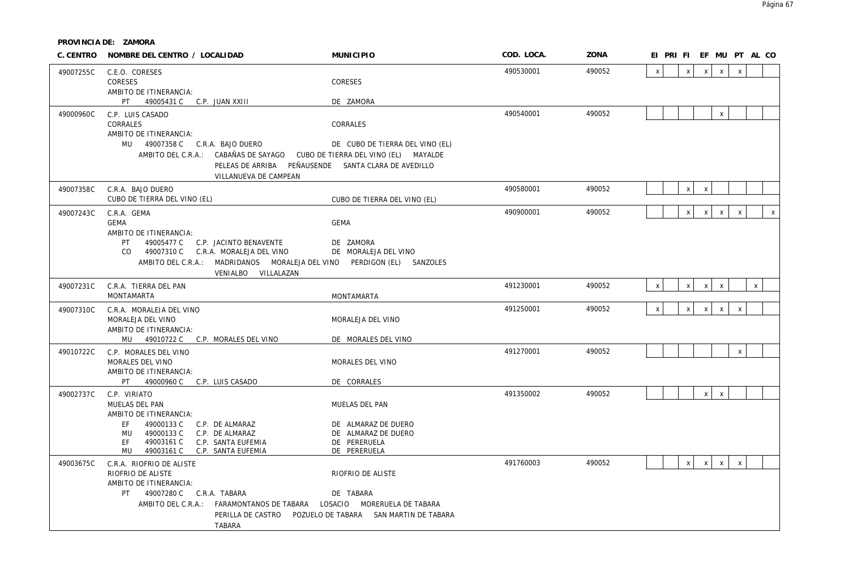|           | C. CENTRO NOMBRE DEL CENTRO / LOCALIDAD                                   | <b>MUNICIPIO</b>                                    | COD. LOCA. | ZONA   |              | EI PRI FI EF MU PT AL CO  |              |              |              |              |              |
|-----------|---------------------------------------------------------------------------|-----------------------------------------------------|------------|--------|--------------|---------------------------|--------------|--------------|--------------|--------------|--------------|
| 49007255C | C.E.O. CORESES                                                            |                                                     | 490530001  | 490052 | $\mathsf{X}$ | $\pmb{\chi}$              | $\mathsf{x}$ | $\mathsf{x}$ | $\mathsf{x}$ |              |              |
|           | <b>CORESES</b>                                                            | CORESES                                             |            |        |              |                           |              |              |              |              |              |
|           | AMBITO DE ITINERANCIA:                                                    |                                                     |            |        |              |                           |              |              |              |              |              |
|           | PT .<br>49005431 C C.P. JUAN XXIII                                        | DE ZAMORA                                           |            |        |              |                           |              |              |              |              |              |
| 49000960C | C.P. LUIS CASADO                                                          |                                                     | 490540001  | 490052 |              |                           |              | X            |              |              |              |
|           | CORRALES                                                                  | CORRALES                                            |            |        |              |                           |              |              |              |              |              |
|           | AMBITO DE ITINERANCIA:<br>MU 49007358 C C.R.A. BAJO DUERO                 | DE CUBO DE TIERRA DEL VINO (EL)                     |            |        |              |                           |              |              |              |              |              |
|           | AMBITO DEL C.R.A.: CABAÑAS DE SAYAGO CUBO DE TIERRA DEL VINO (EL) MAYALDE |                                                     |            |        |              |                           |              |              |              |              |              |
|           |                                                                           | PELEAS DE ARRIBA PEÑAUSENDE SANTA CLARA DE AVEDILLO |            |        |              |                           |              |              |              |              |              |
|           | VILLANUEVA DE CAMPEAN                                                     |                                                     |            |        |              |                           |              |              |              |              |              |
| 49007358C | C.R.A. BAJO DUERO                                                         |                                                     | 490580001  | 490052 |              | $\mathsf{x}$              | $\mathsf{X}$ |              |              |              |              |
|           | CUBO DE TIERRA DEL VINO (EL)                                              | CUBO DE TIERRA DEL VINO (EL)                        |            |        |              |                           |              |              |              |              |              |
| 49007243C | C.R.A. GEMA                                                               |                                                     | 490900001  | 490052 |              | $\mathsf{x}$              | $\mathsf{x}$ | $\mathsf{X}$ | $\mathsf{X}$ |              | $\mathsf{x}$ |
|           | GFMA                                                                      | <b>GEMA</b>                                         |            |        |              |                           |              |              |              |              |              |
|           | AMBITO DE ITINERANCIA:                                                    |                                                     |            |        |              |                           |              |              |              |              |              |
|           | 49005477 C C.P. JACINTO BENAVENTE<br>PT .                                 | DE ZAMORA                                           |            |        |              |                           |              |              |              |              |              |
|           | CO 49007310 C C.R.A. MORALEJA DEL VINO                                    | DE MORALEJA DEL VINO                                |            |        |              |                           |              |              |              |              |              |
|           | AMBITO DEL C.R.A.: MADRIDANOS MORALEJA DEL VINO                           | PERDIGON (EL) SANZOLES                              |            |        |              |                           |              |              |              |              |              |
|           | VENIALBO VILLALAZAN                                                       |                                                     |            |        |              |                           |              |              |              |              |              |
| 49007231C | C.R.A. TIERRA DEL PAN<br><b>MONTAMARTA</b>                                | MONTAMARTA                                          | 491230001  | 490052 | $\mathsf{X}$ | $\mathsf{x}$              | $\mathsf{x}$ | $\mathsf{x}$ |              | $\mathsf{x}$ |              |
|           |                                                                           |                                                     |            |        |              |                           |              |              |              |              |              |
| 49007310C | C.R.A. MORALEJA DEL VINO<br>MORALEJA DEL VINO                             | MORALEJA DEL VINO                                   | 491250001  | 490052 | $\mathsf{x}$ | $\boldsymbol{\mathsf{x}}$ | $\mathsf{X}$ | $\mathsf{X}$ | $\mathsf{x}$ |              |              |
|           | AMBITO DE ITINERANCIA:                                                    |                                                     |            |        |              |                           |              |              |              |              |              |
|           | MU 49010722 C C.P. MORALES DEL VINO                                       | DE MORALES DEL VINO                                 |            |        |              |                           |              |              |              |              |              |
| 49010722C | C.P. MORALES DEL VINO                                                     |                                                     | 491270001  | 490052 |              |                           |              |              | $\mathbf{x}$ |              |              |
|           | MORALES DEL VINO                                                          | MORALES DEL VINO                                    |            |        |              |                           |              |              |              |              |              |
|           | AMBITO DE ITINERANCIA:                                                    |                                                     |            |        |              |                           |              |              |              |              |              |
|           | PT 49000960 C C.P. LUIS CASADO                                            | DE CORRALES                                         |            |        |              |                           |              |              |              |              |              |
| 49002737C | C.P. VIRIATO                                                              |                                                     | 491350002  | 490052 |              |                           | $\mathsf{x}$ | $\mathsf{X}$ |              |              |              |
|           | MUELAS DEL PAN<br>AMBITO DE ITINERANCIA:                                  | MUELAS DEL PAN                                      |            |        |              |                           |              |              |              |              |              |
|           | EF.<br>49000133 C<br>C.P. DE ALMARAZ                                      | DE ALMARAZ DE DUERO                                 |            |        |              |                           |              |              |              |              |              |
|           | 49000133 C<br>C.P. DE ALMARAZ<br>MU                                       | DE ALMARAZ DE DUERO                                 |            |        |              |                           |              |              |              |              |              |
|           | 49003161 C<br>C.P. SANTA EUFEMIA<br>EF                                    | DE PERERUELA                                        |            |        |              |                           |              |              |              |              |              |
|           | 49003161 C C.P. SANTA EUFEMIA<br>MU                                       | DE PERERUELA                                        |            |        |              |                           |              |              |              |              |              |
| 49003675C | C.R.A. RIOFRIO DE ALISTE                                                  |                                                     | 491760003  | 490052 |              | $\mathsf X$               | $\mathsf{x}$ | $\mathsf{X}$ | $\mathsf{x}$ |              |              |
|           | RIOFRIO DE ALISTE<br>AMBITO DE ITINERANCIA:                               | RIOFRIO DE ALISTE                                   |            |        |              |                           |              |              |              |              |              |
|           | PT<br>49007280 C C.R.A. TABARA                                            | DE TABARA                                           |            |        |              |                           |              |              |              |              |              |
|           | AMBITO DEL C.R.A.: FARAMONTANOS DE TABARA LOSACIO MORERUELA DE TABARA     |                                                     |            |        |              |                           |              |              |              |              |              |
|           | PERILLA DE CASTRO                                                         | POZUELO DE TABARA SAN MARTIN DE TABARA              |            |        |              |                           |              |              |              |              |              |
|           | <b>TABARA</b>                                                             |                                                     |            |        |              |                           |              |              |              |              |              |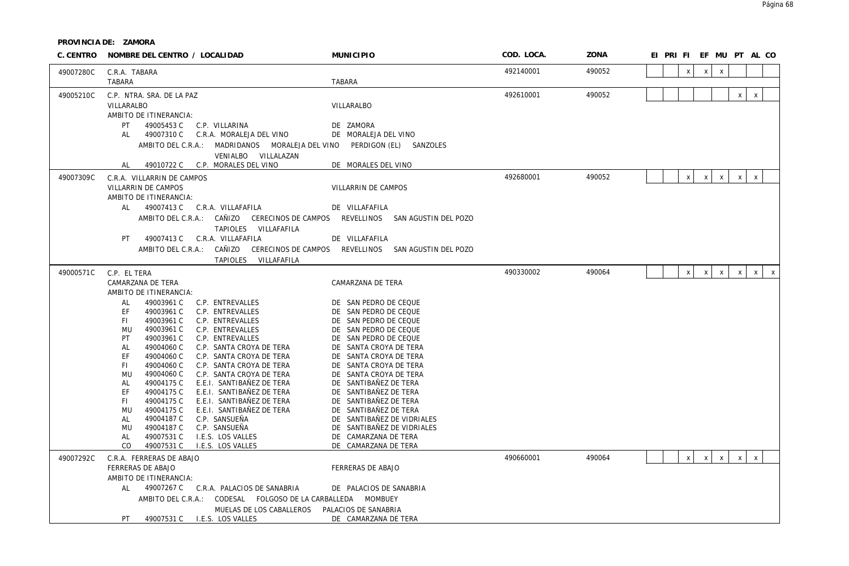| C. CENTRO | NOMBRE DEL CENTRO / LOCALIDAD                                                                         | <b>MUNICIPIO</b>                                           | COD. LOCA. | ZONA   | EI PRIFIEF MU PT ALCO                                                                    |
|-----------|-------------------------------------------------------------------------------------------------------|------------------------------------------------------------|------------|--------|------------------------------------------------------------------------------------------|
| 49007280C | C.R.A. TABARA                                                                                         |                                                            | 492140001  | 490052 | $\mathsf{x}$<br>X<br>$\mathsf{x}$                                                        |
|           | TABARA                                                                                                | <b>TABARA</b>                                              |            |        |                                                                                          |
| 49005210C | C.P. NTRA. SRA. DE LA PAZ<br>VILLARALBO<br>AMBITO DE ITINERANCIA:                                     | VILLARALBO                                                 | 492610001  | 490052 | $\mathsf{x}$<br>X                                                                        |
|           | PT<br>49005453 C C.P. VILLARINA                                                                       | DE ZAMORA                                                  |            |        |                                                                                          |
|           | 49007310 C<br>C.R.A. MORALEJA DEL VINO<br>AL                                                          | DE MORALEJA DEL VINO                                       |            |        |                                                                                          |
|           | AMBITO DEL C.R.A.: MADRIDANOS MORALEJA DEL VINO<br>VENIALBO VILLALAZAN                                | PERDIGON (EL) SANZOLES                                     |            |        |                                                                                          |
|           | 49010722 C C.P. MORALES DEL VINO<br>AL                                                                | DE MORALES DEL VINO                                        |            |        |                                                                                          |
| 49007309C | C.R.A. VILLARRIN DE CAMPOS                                                                            |                                                            | 492680001  | 490052 | $\mathsf X$<br>$\boldsymbol{\mathsf{X}}$<br>$\mathsf{X}$<br>$\mathsf{X}$<br>$\mathsf{X}$ |
|           | VILLARRIN DE CAMPOS                                                                                   | VILLARRIN DE CAMPOS                                        |            |        |                                                                                          |
|           | AMBITO DE ITINERANCIA:                                                                                |                                                            |            |        |                                                                                          |
|           | AL<br>49007413 C C.R.A. VILLAFAFILA                                                                   | DE VILLAFAFILA                                             |            |        |                                                                                          |
|           | AMBITO DEL C.R.A.: CAÑIZO CERECINOS DE CAMPOS REVELLINOS SAN AGUSTIN DEL POZO<br>TAPIOLES VILLAFAFILA |                                                            |            |        |                                                                                          |
|           | 49007413 C C.R.A. VILLAFAFILA<br>PT                                                                   | DE VILLAFAFILA                                             |            |        |                                                                                          |
|           | AMBITO DEL C.R.A.:                                                                                    | CAÑIZO CERECINOS DE CAMPOS REVELLINOS SAN AGUSTIN DEL POZO |            |        |                                                                                          |
|           | TAPIOLES VILLAFAFILA                                                                                  |                                                            |            |        |                                                                                          |
| 49000571C | C.P. EL TERA                                                                                          |                                                            | 490330002  | 490064 | $\mathsf{X}$<br>X<br>$\mathsf{X}$<br>$\mathsf{X}$<br>X<br>$\mathsf{X}$                   |
|           | CAMARZANA DE TERA                                                                                     | CAMARZANA DE TERA                                          |            |        |                                                                                          |
|           | AMBITO DE ITINERANCIA:                                                                                |                                                            |            |        |                                                                                          |
|           | AL<br>49003961 C<br>C.P. ENTREVALLES<br>EF<br>49003961 C<br>C.P. ENTREVALLES                          | DE SAN PEDRO DE CEQUE<br>DE SAN PEDRO DE CEQUE             |            |        |                                                                                          |
|           | 49003961 C<br>FI.<br>C.P. ENTREVALLES                                                                 | DE SAN PEDRO DE CEQUE                                      |            |        |                                                                                          |
|           | 49003961 C<br><b>MU</b><br>C.P. ENTREVALLES                                                           | DE SAN PEDRO DE CEQUE                                      |            |        |                                                                                          |
|           | 49003961 C<br>PT<br>C.P. ENTREVALLES                                                                  | SAN PEDRO DE CEQUE<br>DF                                   |            |        |                                                                                          |
|           | 49004060 C<br>AL<br>C.P. SANTA CROYA DE TERA                                                          | DE SANTA CROYA DE TERA                                     |            |        |                                                                                          |
|           | EF<br>49004060 C<br>C.P. SANTA CROYA DE TERA<br>FI.<br>49004060 C<br>C.P. SANTA CROYA DE TERA         | SANTA CROYA DE TERA<br>DF<br>SANTA CROYA DE TERA<br>DE     |            |        |                                                                                          |
|           | 49004060 C<br>MU<br>C.P. SANTA CROYA DE TERA                                                          | DE SANTA CROYA DE TERA                                     |            |        |                                                                                          |
|           | 49004175 C<br>E.E.I. SANTIBAÑEZ DE TERA<br>AL                                                         | SANTIBAÑEZ DE TERA<br>DE                                   |            |        |                                                                                          |
|           | EF<br>49004175 C<br>E.E.I. SANTIBAÑEZ DE TERA                                                         | DE SANTIBAÑEZ DE TERA                                      |            |        |                                                                                          |
|           | FI.<br>49004175 C<br>E.E.I. SANTIBAÑEZ DE TERA                                                        | SANTIBAÑEZ DE TERA<br>DE                                   |            |        |                                                                                          |
|           | 49004175 C<br>E.E.I. SANTIBAÑEZ DE TERA<br>MU<br>49004187 C<br>C.P. SANSUEÑA<br>AL                    | SANTIBAÑEZ DE TERA<br>DE<br>DE SANTIBAÑEZ DE VIDRIALES     |            |        |                                                                                          |
|           | 49004187 C<br>C.P. SANSUEÑA<br>MU                                                                     | SANTIBAÑEZ DE VIDRIALES<br>DE                              |            |        |                                                                                          |
|           | AL<br>49007531 C<br>I.E.S. LOS VALLES                                                                 | DE CAMARZANA DE TERA                                       |            |        |                                                                                          |
|           | CO<br>49007531 C<br>I.E.S. LOS VALLES                                                                 | DE CAMARZANA DE TERA                                       |            |        |                                                                                          |
| 49007292C | C.R.A. FERRERAS DE ABAJO                                                                              |                                                            | 490660001  | 490064 | $\mathsf{X}$<br>$\pmb{\chi}$<br>X<br>$\mathsf{X}$<br>$\boldsymbol{\mathsf{X}}$           |
|           | FERRERAS DE ABAJO                                                                                     | FERRERAS DE ABAJO                                          |            |        |                                                                                          |
|           | AMBITO DE ITINERANCIA:                                                                                |                                                            |            |        |                                                                                          |
|           | AL<br>49007267 C C.R.A. PALACIOS DE SANABRIA                                                          | DE PALACIOS DE SANABRIA                                    |            |        |                                                                                          |
|           | AMBITO DEL C.R.A.: CODESAL FOLGOSO DE LA CARBALLEDA MOMBUEY<br>MUELAS DE LOS CABALLEROS               | PALACIOS DE SANABRIA                                       |            |        |                                                                                          |
|           | 49007531 C I.E.S. LOS VALLES<br>PT.                                                                   | DE CAMARZANA DE TERA                                       |            |        |                                                                                          |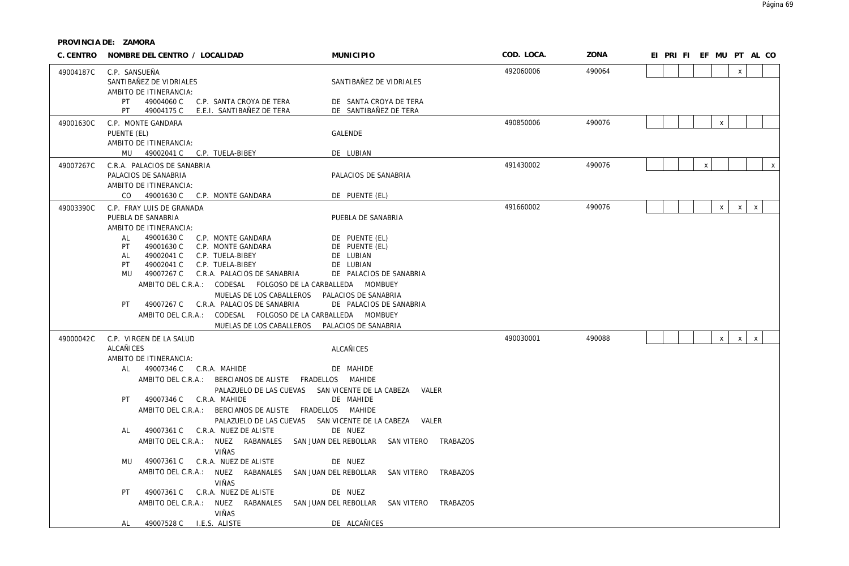| C. CENTRO | NOMBRE DEL CENTRO / LOCALIDAD                                                                                                                                                                                                                                                   | <b>MUNICIPIO</b>                                                                      | COD. LOCA. | ZONA   |  |                | EI PRI FI EF MU PT AL CO |                             |              |
|-----------|---------------------------------------------------------------------------------------------------------------------------------------------------------------------------------------------------------------------------------------------------------------------------------|---------------------------------------------------------------------------------------|------------|--------|--|----------------|--------------------------|-----------------------------|--------------|
| 49004187C | C.P. SANSUEÑA<br>SANTIBAÑEZ DE VIDRIALES<br>AMBITO DE ITINERANCIA:                                                                                                                                                                                                              | SANTIBAÑEZ DE VIDRIALES                                                               | 492060006  | 490064 |  |                |                          | $\mathsf{x}$                |              |
|           | 49004060 C<br>PT<br>C.P. SANTA CROYA DE TERA<br>PT<br>49004175 C<br>E.E.I. SANTIBAÑEZ DE TERA                                                                                                                                                                                   | DE SANTA CROYA DE TERA<br>DE SANTIBAÑEZ DE TERA                                       |            |        |  |                |                          |                             |              |
| 49001630C | C.P. MONTE GANDARA<br>PUENTE (EL)<br>AMBITO DE ITINERANCIA:                                                                                                                                                                                                                     | <b>GALENDE</b>                                                                        | 490850006  | 490076 |  |                | $\mathsf X$              |                             |              |
|           | MU<br>49002041 C C.P. TUELA-BIBEY                                                                                                                                                                                                                                               | DE LUBIAN                                                                             |            |        |  |                |                          |                             |              |
| 49007267C | C.R.A. PALACIOS DE SANABRIA<br>PALACIOS DE SANABRIA<br>AMBITO DE ITINERANCIA:                                                                                                                                                                                                   | PALACIOS DE SANABRIA                                                                  | 491430002  | 490076 |  | $\pmb{\times}$ |                          |                             | $\mathsf{X}$ |
|           | CO 49001630 C C.P. MONTE GANDARA                                                                                                                                                                                                                                                | DE PUENTE (EL)                                                                        |            |        |  |                |                          |                             |              |
| 49003390C | C.P. FRAY LUIS DE GRANADA<br>PUEBLA DE SANABRIA<br>AMBITO DE ITINERANCIA:                                                                                                                                                                                                       | PUEBLA DE SANABRIA                                                                    | 491660002  | 490076 |  |                | $\mathsf{X}$             | $\mathsf X$<br>$\mathsf{X}$ |              |
|           | 49001630 C<br>AL<br>C.P. MONTE GANDARA<br>PT<br>49001630 C<br>C.P. MONTE GANDARA<br>49002041 C<br>AL<br>C.P. TUELA-BIBEY<br>PT<br>49002041 C<br>C.P. TUELA-BIBEY<br>MU<br>49007267 C C.R.A. PALACIOS DE SANABRIA<br>AMBITO DEL C.R.A.: CODESAL FOLGOSO DE LA CARBALLEDA MOMBUEY | DE PUENTE (EL)<br>DE PUENTE (EL)<br>DE LUBIAN<br>DE LUBIAN<br>DE PALACIOS DE SANABRIA |            |        |  |                |                          |                             |              |
|           | MUELAS DE LOS CABALLEROS<br>C.R.A. PALACIOS DE SANABRIA<br>PT.<br>49007267 C<br>CODESAL FOLGOSO DE LA CARBALLEDA MOMBUEY<br>AMBITO DEL C.R.A.:<br>MUELAS DE LOS CABALLEROS                                                                                                      | PALACIOS DE SANABRIA<br>DE PALACIOS DE SANABRIA<br>PALACIOS DE SANABRIA               |            |        |  |                |                          |                             |              |
| 49000042C | C.P. VIRGEN DE LA SALUD                                                                                                                                                                                                                                                         |                                                                                       | 490030001  | 490088 |  |                | $\mathsf{x}$             | $\mathsf X$<br>$\mathsf{X}$ |              |
|           | <b>ALCAÑICES</b>                                                                                                                                                                                                                                                                | <b>ALCAÑICES</b>                                                                      |            |        |  |                |                          |                             |              |
|           | AMBITO DE ITINERANCIA:<br>AL<br>49007346 C C.R.A. MAHIDE                                                                                                                                                                                                                        | DE MAHIDE                                                                             |            |        |  |                |                          |                             |              |
|           | AMBITO DEL C.R.A.: BERCIANOS DE ALISTE FRADELLOS MAHIDE<br>PALAZUELO DE LAS CUEVAS                                                                                                                                                                                              | SAN VICENTE DE LA CABEZA VALER                                                        |            |        |  |                |                          |                             |              |
|           | 49007346 C C.R.A. MAHIDE<br>PT<br>AMBITO DEL C.R.A.: BERCIANOS DE ALISTE FRADELLOS MAHIDE                                                                                                                                                                                       | DE MAHIDE                                                                             |            |        |  |                |                          |                             |              |
|           | 49007361 C C.R.A. NUEZ DE ALISTE<br>AL<br>AMBITO DEL C.R.A.: NUEZ RABANALES SAN JUAN DEL REBOLLAR SAN VITERO TRABAZOS                                                                                                                                                           | PALAZUELO DE LAS CUEVAS SAN VICENTE DE LA CABEZA VALER<br>DE NUEZ                     |            |        |  |                |                          |                             |              |
|           | VIÑAS                                                                                                                                                                                                                                                                           |                                                                                       |            |        |  |                |                          |                             |              |
|           | 49007361 C C.R.A. NUEZ DE ALISTE<br>MU<br>AMBITO DEL C.R.A.: NUEZ RABANALES<br>VIÑAS                                                                                                                                                                                            | DE NUEZ<br>SAN JUAN DEL REBOLLAR SAN VITERO<br>TRABAZOS                               |            |        |  |                |                          |                             |              |
|           | 49007361 C C.R.A. NUEZ DE ALISTE<br>PT<br>AMBITO DEL C.R.A.: NUEZ RABANALES SAN JUAN DEL REBOLLAR SAN VITERO TRABAZOS                                                                                                                                                           | DE NUEZ                                                                               |            |        |  |                |                          |                             |              |
|           | VIÑAS<br>49007528 C I.E.S. ALISTE<br>AL                                                                                                                                                                                                                                         | DE ALCAÑICES                                                                          |            |        |  |                |                          |                             |              |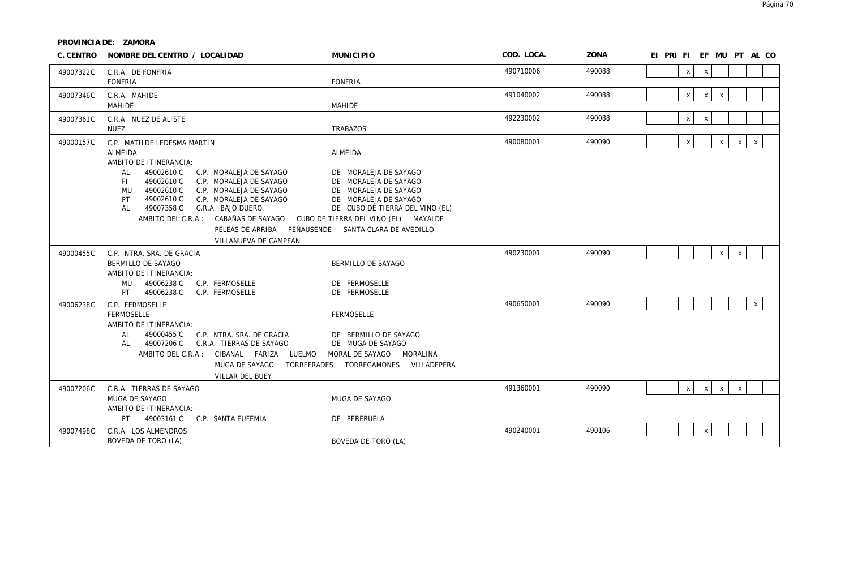| C. CENTRO              | NOMBRE DEL CENTRO / LOCALIDAD                                                                                                                                                                                                                                                                                                                                           | <b>MUNICIPIO</b>                                                                                                                                                                                                                              | COD. LOCA.             | ZONA             | EI PRIFIEF MU PT AL CO                                                       |
|------------------------|-------------------------------------------------------------------------------------------------------------------------------------------------------------------------------------------------------------------------------------------------------------------------------------------------------------------------------------------------------------------------|-----------------------------------------------------------------------------------------------------------------------------------------------------------------------------------------------------------------------------------------------|------------------------|------------------|------------------------------------------------------------------------------|
| 49007322C              | C.R.A. DE FONFRIA<br><b>FONFRIA</b>                                                                                                                                                                                                                                                                                                                                     | <b>FONFRIA</b>                                                                                                                                                                                                                                | 490710006              | 490088           | $\mathsf X$<br>$\boldsymbol{\mathsf{X}}$                                     |
| 49007346C              | C.R.A. MAHIDE<br><b>MAHIDE</b>                                                                                                                                                                                                                                                                                                                                          | <b>MAHIDE</b>                                                                                                                                                                                                                                 | 491040002              | 490088           | X<br>$\mathsf{X}$<br>$\mathsf{x}$                                            |
| 49007361C              | C.R.A. NUEZ DE ALISTE<br><b>NUEZ</b>                                                                                                                                                                                                                                                                                                                                    | <b>TRABAZOS</b>                                                                                                                                                                                                                               | 492230002              | 490088           | X<br>X                                                                       |
| 49000157C              | C.P. MATILDE LEDESMA MARTIN<br>ALMEIDA<br>AMBITO DE ITINERANCIA:<br>49002610 C<br>C.P. MORALEJA DE SAYAGO<br>AL<br>49002610 C<br>C.P. MORALEJA DE SAYAGO<br>FL.<br>49002610 C<br>MU<br>C.P. MORALEJA DE SAYAGO<br>PT<br>49002610 C<br>C.P. MORALEJA DE SAYAGO<br>49007358 C<br>C.R.A. BAJO DUERO<br>AL<br>AMBITO DEL C.R.A.: CABAÑAS DE SAYAGO<br>VILLANUEVA DE CAMPEAN | ALMEIDA<br>DE MORALEJA DE SAYAGO<br>DE MORALEJA DE SAYAGO<br>DE MORALEJA DE SAYAGO<br>DE MORALEJA DE SAYAGO<br>DE CUBO DE TIERRA DEL VINO (EL)<br>CUBO DE TIERRA DEL VINO (EL) MAYALDE<br>PELEAS DE ARRIBA PEÑAUSENDE SANTA CLARA DE AVEDILLO | 490080001              | 490090           | $\mathsf{x}$<br>$\mathsf{x}$<br>X<br>$\mathsf{X}$                            |
| 49000455C              | C.P. NTRA. SRA. DE GRACIA<br>BERMILLO DE SAYAGO<br>AMBITO DE ITINERANCIA:<br>49006238 C<br>MU<br>C.P. FERMOSELLE<br>PT<br>49006238 C<br>C.P. FERMOSELLE                                                                                                                                                                                                                 | BERMILLO DE SAYAGO<br>DE FERMOSELLE<br>DE FERMOSELLE                                                                                                                                                                                          | 490230001              | 490090           | $\mathsf{X}^-$<br>$\mathsf X$                                                |
| 49006238C<br>49007206C | C.P. FERMOSELLE<br><b>FERMOSELLE</b><br>AMBITO DE ITINERANCIA:<br>49000455 C<br>C.P. NTRA. SRA. DE GRACIA<br>AL<br>49007206 C<br>C.R.A. TIERRAS DE SAYAGO<br>AL<br>AMBITO DEL C.R.A.: CIBANAL FARIZA LUELMO<br>TORREFRADES<br>MUGA DE SAYAGO<br>VILLAR DEL BUEY<br>C.R.A. TIERRAS DE SAYAGO                                                                             | FERMOSELLE<br>DE BERMILLO DE SAYAGO<br>DE MUGA DE SAYAGO<br>MORAL DE SAYAGO MORALINA<br>TORREGAMONES VILLADEPERA                                                                                                                              | 490650001<br>491360001 | 490090<br>490090 | $\mathsf{X}$<br>$\mathsf{X}$<br>$\mathsf{X}$<br>$\mathsf{X}$<br>$\mathsf{X}$ |
|                        | MUGA DE SAYAGO<br>AMBITO DE ITINERANCIA:<br>49003161 C C.P. SANTA EUFEMIA<br>PT                                                                                                                                                                                                                                                                                         | MUGA DE SAYAGO<br>DE PERERUELA                                                                                                                                                                                                                |                        |                  |                                                                              |
| 49007498C              | C.R.A. LOS ALMENDROS<br>BOVEDA DE TORO (LA)                                                                                                                                                                                                                                                                                                                             | BOVEDA DE TORO (LA)                                                                                                                                                                                                                           | 490240001              | 490106           | $\boldsymbol{\mathsf{x}}$                                                    |